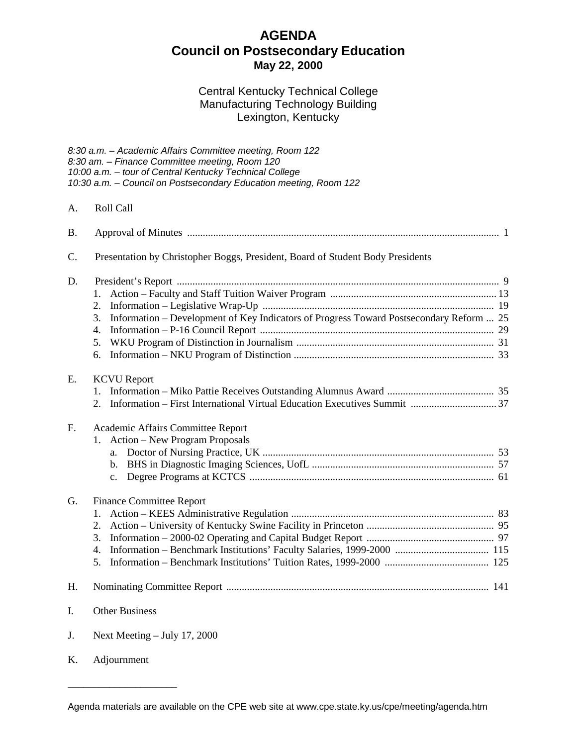# **AGENDA Council on Postsecondary Education May 22, 2000**

# Central Kentucky Technical College Manufacturing Technology Building Lexington, Kentucky

*8:30 a.m. – Academic Affairs Committee meeting, Room 122*

|                | 8:30 am. - Finance Committee meeting, Room 120<br>10:00 a.m. - tour of Central Kentucky Technical College<br>10:30 a.m. - Council on Postsecondary Education meeting, Room 122 |  |
|----------------|--------------------------------------------------------------------------------------------------------------------------------------------------------------------------------|--|
| A.             | Roll Call                                                                                                                                                                      |  |
| <b>B.</b>      |                                                                                                                                                                                |  |
| C.             | Presentation by Christopher Boggs, President, Board of Student Body Presidents                                                                                                 |  |
| D.             | 1.<br>2.<br>Information – Development of Key Indicators of Progress Toward Postsecondary Reform  25<br>3.<br>4.<br>5.                                                          |  |
|                | 6.                                                                                                                                                                             |  |
| E.             | <b>KCVU</b> Report<br>2.                                                                                                                                                       |  |
| F <sub>r</sub> | Academic Affairs Committee Report<br>Action – New Program Proposals<br>a.<br>$\mathbf{b}$ .<br>$C_{\bullet}$                                                                   |  |
| G.             | <b>Finance Committee Report</b><br>1.<br>2.<br>3.<br>4.<br>5.                                                                                                                  |  |
| H.             |                                                                                                                                                                                |  |
| I.             | <b>Other Business</b>                                                                                                                                                          |  |
| J.             | Next Meeting - July 17, 2000                                                                                                                                                   |  |

\_\_\_\_\_\_\_\_\_\_\_\_\_\_\_\_\_\_\_\_\_

K. Adjournment

Agenda materials are available on the CPE web site at [www.cpe.state.ky.us/](http://www.cpe.state.ky.us/)cpe/meeting/agenda.htm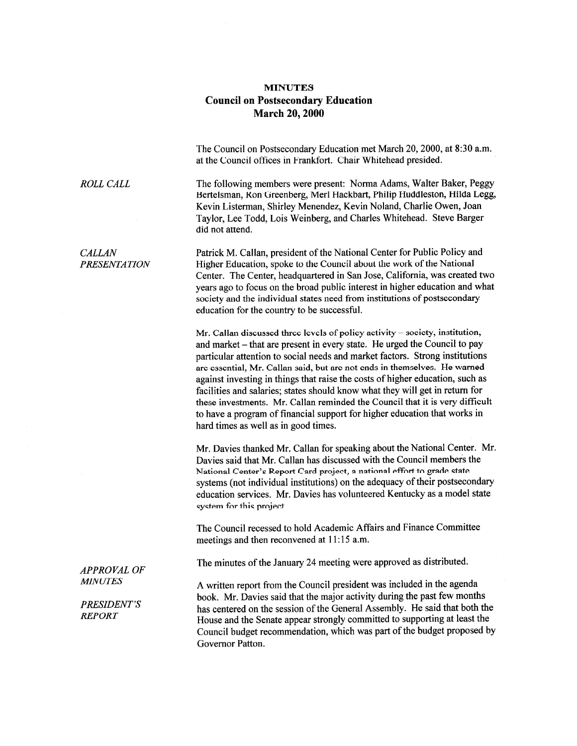#### **MINUTES Council on Postsecondary Education March 20, 2000**

The Council on Postsecondary Education met March 20, 2000, at 8:30 a.m. at the Council offices in Frankfort. Chair Whitehead presided.

The following members were present: Norma Adams, Walter Baker, Peggy Bertelsman, Ron Greenberg, Merl Hackbart, Philip Huddleston, Hilda Legg, Kevin Listerman, Shirley Menendez, Kevin Noland, Charlie Owen, Joan Taylor, Lee Todd, Lois Weinberg, and Charles Whitehead. Steve Barger did not attend.

Patrick M. Callan, president of the National Center for Public Policy and Higher Education, spoke to the Council about the work of the National Center. The Center, headquartered in San Jose, California, was created two years ago to focus on the broad public interest in higher education and what society and the individual states need from institutions of postsecondary education for the country to be successful.

Mr. Callan discussed three levels of policy activity – society, institution, and market – that are present in every state. He urged the Council to pay particular attention to social needs and market factors. Strong institutions are essential, Mr. Callan said, but are not ends in themselves. He warned against investing in things that raise the costs of higher education, such as facilities and salaries: states should know what they will get in return for these investments. Mr. Callan reminded the Council that it is very difficult to have a program of financial support for higher education that works in hard times as well as in good times.

Mr. Davies thanked Mr. Callan for speaking about the National Center. Mr. Davies said that Mr. Callan has discussed with the Council members the National Center's Report Card project, a national effort to grade state systems (not individual institutions) on the adequacy of their postsecondary education services. Mr. Davies has volunteered Kentucky as a model state system for this project.

The Council recessed to hold Academic Affairs and Finance Committee meetings and then reconvened at 11:15 a.m.

The minutes of the January 24 meeting were approved as distributed.

A written report from the Council president was included in the agenda book. Mr. Davies said that the major activity during the past few months has centered on the session of the General Assembly. He said that both the House and the Senate appear strongly committed to supporting at least the Council budget recommendation, which was part of the budget proposed by Governor Patton.

**CALLAN PRESENTATION** 

**ROLL CALL** 

**APPROVAL OF MINUTES** 

**PRESIDENT'S REPORT**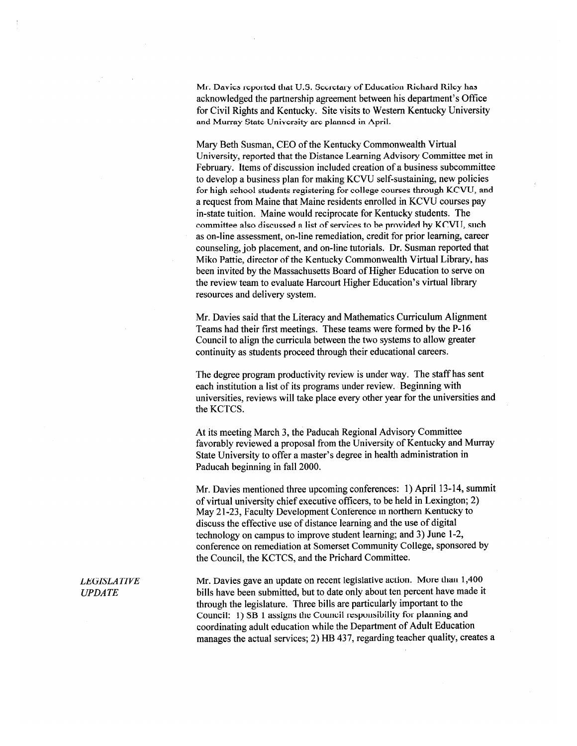Mr. Davies reported that U.S. Secretary of Education Richard Riley has acknowledged the partnership agreement between his department's Office for Civil Rights and Kentucky. Site visits to Western Kentucky University and Murray State University are planned in April.

Mary Beth Susman, CEO of the Kentucky Commonwealth Virtual University, reported that the Distance Learning Advisory Committee met in February. Items of discussion included creation of a business subcommittee to develop a business plan for making KCVU self-sustaining, new policies for high school students registering for college courses through KCVU, and a request from Maine that Maine residents enrolled in KCVU courses pay in-state tuition. Maine would reciprocate for Kentucky students. The committee also discussed a list of services to be provided by KCVU, such as on-line assessment, on-line remediation, credit for prior learning, career counseling, job placement, and on-line tutorials. Dr. Susman reported that Miko Pattie, director of the Kentucky Commonwealth Virtual Library, has been invited by the Massachusetts Board of Higher Education to serve on the review team to evaluate Harcourt Higher Education's virtual library resources and delivery system.

Mr. Davies said that the Literacy and Mathematics Curriculum Alignment Teams had their first meetings. These teams were formed by the P-16 Council to align the curricula between the two systems to allow greater continuity as students proceed through their educational careers.

The degree program productivity review is under way. The staff has sent each institution a list of its programs under review. Beginning with universities, reviews will take place every other year for the universities and the KCTCS.

At its meeting March 3, the Paducah Regional Advisory Committee favorably reviewed a proposal from the University of Kentucky and Murray State University to offer a master's degree in health administration in Paducah beginning in fall 2000.

Mr. Davies mentioned three upcoming conferences: 1) April 13-14, summit of virtual university chief executive officers, to be held in Lexington; 2) May 21-23, Faculty Development Conference in northern Kentucky to discuss the effective use of distance learning and the use of digital technology on campus to improve student learning; and 3) June 1-2, conference on remediation at Somerset Community College, sponsored by the Council, the KCTCS, and the Prichard Committee.

Mr. Davies gave an update on recent legislative action. More than 1,400 bills have been submitted, but to date only about ten percent have made it through the legislature. Three bills are particularly important to the Council: 1) SB 1 assigns the Council responsibility for planning and coordinating adult education while the Department of Adult Education manages the actual services; 2) HB 437, regarding teacher quality, creates a

**LEGISLATIVE UPDATE**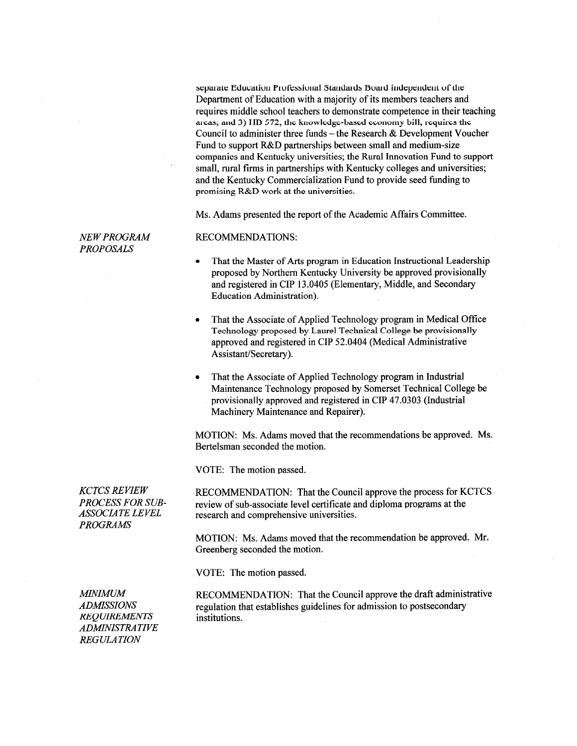separate Education Professional Standards Board independent of the Department of Education with a majority of its members teachers and requires middle school teachers to demonstrate competence in their teaching areas; and 3) IIB 572, the knowledge-based economy bill, requires the Council to administer three funds – the Research  $\&$  Development Voucher Fund to support R&D partnerships between small and medium-size companies and Kentucky universities; the Rural Innovation Fund to support small, rural firms in partnerships with Kentucky colleges and universities; and the Kentucky Commercialization Fund to provide seed funding to promising R&D work at the universities.

Ms. Adams presented the report of the Academic Affairs Committee.

**NEW PROGRAM PROPOSALS** 

#### **RECOMMENDATIONS:**

- That the Master of Arts program in Education Instructional Leadership proposed by Northern Kentucky University be approved provisionally and registered in CIP 13.0405 (Elementary, Middle, and Secondary **Education Administration).**
- That the Associate of Applied Technology program in Medical Office Technology proposed by Laurel Technical College be provisionally approved and registered in CIP 52.0404 (Medical Administrative Assistant/Secretary).
- That the Associate of Applied Technology program in Industrial Maintenance Technology proposed by Somerset Technical College be provisionally approved and registered in CIP 47.0303 (Industrial Machinery Maintenance and Repairer).

MOTION: Ms. Adams moved that the recommendations be approved. Ms. Bertelsman seconded the motion.

VOTE: The motion passed.

RECOMMENDATION: That the Council approve the process for KCTCS review of sub-associate level certificate and diploma programs at the research and comprehensive universities.

MOTION: Ms. Adams moved that the recommendation be approved. Mr. Greenberg seconded the motion.

VOTE: The motion passed.

**MINIMUM ADMISSIONS REQUIREMENTS ADMINISTRATIVE REGULATION** 

RECOMMENDATION: That the Council approve the draft administrative regulation that establishes guidelines for admission to postsecondary institutions.

**KCTCS REVIEW PROCESS FOR SUB-ASSOCIATE LEVEL PROGRAMS**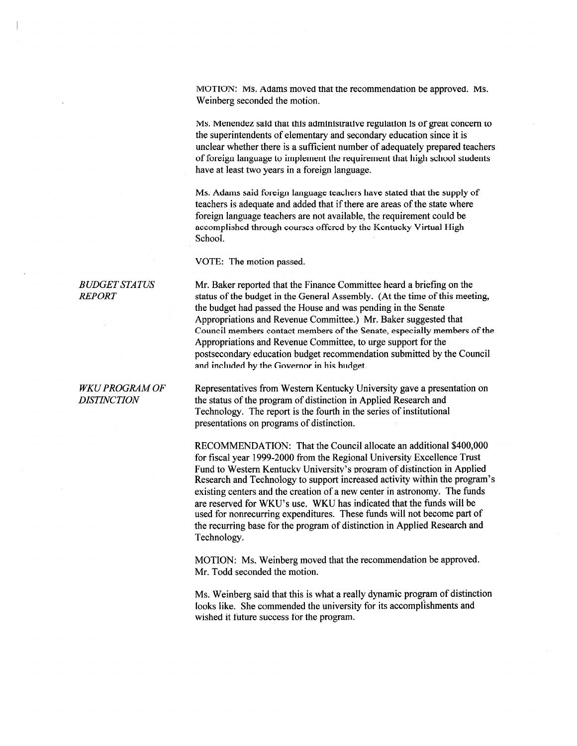MOTION: Ms. Adams moved that the recommendation be approved. Ms. Weinberg seconded the motion.

Ms. Menendez said that this administrative regulation is of great concern to the superintendents of elementary and secondary education since it is unclear whether there is a sufficient number of adequately prepared teachers of foreign language to implement the requirement that high school students have at least two years in a foreign language.

Ms. Adams said foreign language teachers have stated that the supply of teachers is adequate and added that if there are areas of the state where foreign language teachers are not available, the requirement could be accomplished through courses offered by the Kentucky Virtual High School.

VOTE: The motion passed.

Mr. Baker reported that the Finance Committee heard a briefing on the status of the budget in the General Assembly. (At the time of this meeting, the budget had passed the House and was pending in the Senate Appropriations and Revenue Committee.) Mr. Baker suggested that Council members contact members of the Senate, especially members of the Appropriations and Revenue Committee, to urge support for the postsecondary education budget recommendation submitted by the Council and included by the Governor in his budget.

Representatives from Western Kentucky University gave a presentation on the status of the program of distinction in Applied Research and Technology. The report is the fourth in the series of institutional presentations on programs of distinction.

RECOMMENDATION: That the Council allocate an additional \$400,000 for fiscal year 1999-2000 from the Regional University Excellence Trust Fund to Western Kentucky University's program of distinction in Applied Research and Technology to support increased activity within the program's existing centers and the creation of a new center in astronomy. The funds are reserved for WKU's use. WKU has indicated that the funds will be used for nonrecurring expenditures. These funds will not become part of the recurring base for the program of distinction in Applied Research and Technology.

MOTION: Ms. Weinberg moved that the recommendation be approved. Mr. Todd seconded the motion.

Ms. Weinberg said that this is what a really dynamic program of distinction looks like. She commended the university for its accomplishments and wished it future success for the program.

#### **BUDGET STATUS REPORT**

#### **WKU PROGRAM OF DISTINCTION**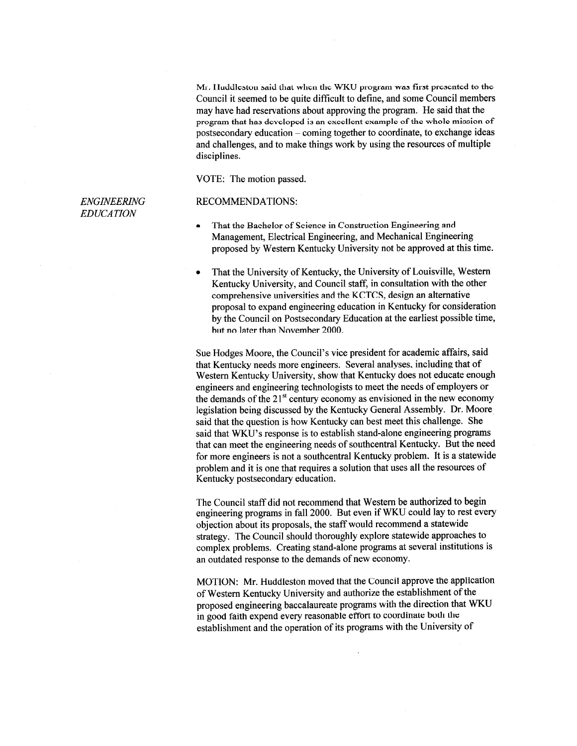Mr. Huddleston said that when the WKU program was first presented to the Council it seemed to be quite difficult to define, and some Council members may have had reservations about approving the program. He said that the program that has developed is an excellent example of the whole mission of postsecondary education – coming together to coordinate, to exchange ideas and challenges, and to make things work by using the resources of multiple disciplines.

VOTE: The motion passed.

#### **ENGINEERING EDUCATION**

#### **RECOMMENDATIONS:**

- That the Bachelor of Science in Construction Engineering and  $\bullet$ Management, Electrical Engineering, and Mechanical Engineering proposed by Western Kentucky University not be approved at this time.
- That the University of Kentucky, the University of Louisville, Western Kentucky University, and Council staff, in consultation with the other comprehensive universities and the KCTCS, design an alternative proposal to expand engineering education in Kentucky for consideration by the Council on Postsecondary Education at the earliest possible time, but no later than November 2000.

Sue Hodges Moore, the Council's vice president for academic affairs, said that Kentucky needs more engineers. Several analyses, including that of Western Kentucky University, show that Kentucky does not educate enough engineers and engineering technologists to meet the needs of employers or the demands of the  $21<sup>st</sup>$  century economy as envisioned in the new economy legislation being discussed by the Kentucky General Assembly. Dr. Moore said that the question is how Kentucky can best meet this challenge. She said that WKU's response is to establish stand-alone engineering programs that can meet the engineering needs of southcentral Kentucky. But the need for more engineers is not a southcentral Kentucky problem. It is a statewide problem and it is one that requires a solution that uses all the resources of Kentucky postsecondary education.

The Council staff did not recommend that Western be authorized to begin engineering programs in fall 2000. But even if WKU could lay to rest every objection about its proposals, the staff would recommend a statewide strategy. The Council should thoroughly explore statewide approaches to complex problems. Creating stand-alone programs at several institutions is an outdated response to the demands of new economy.

MOTION: Mr. Huddleston moved that the Council approve the application of Western Kentucky University and authorize the establishment of the proposed engineering baccalaureate programs with the direction that WKU in good faith expend every reasonable effort to coordinate both the establishment and the operation of its programs with the University of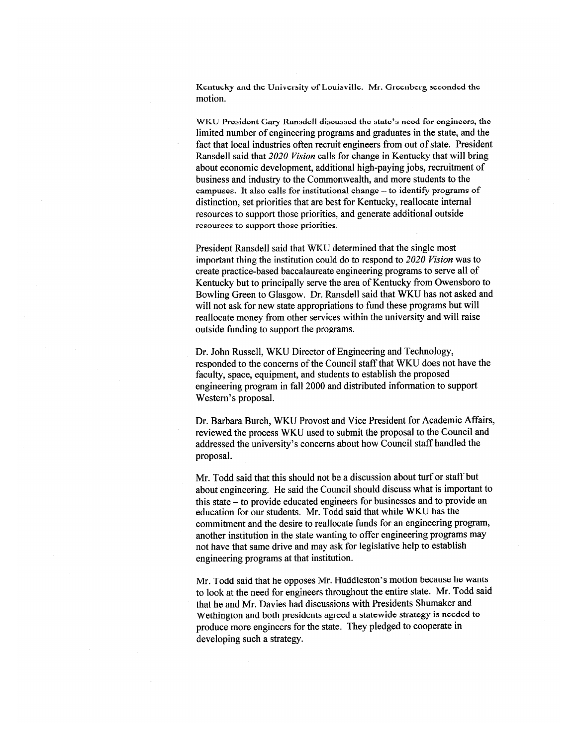Kentucky and the University of Louisville. Mr. Greenberg seconded the motion.

WKU President Gary Ransdell discussed the state's need for engineers, the limited number of engineering programs and graduates in the state, and the fact that local industries often recruit engineers from out of state. President Ransdell said that 2020 Vision calls for change in Kentucky that will bring about economic development, additional high-paying jobs, recruitment of business and industry to the Commonwealth, and more students to the campuses. It also calls for institutional change - to identify programs of distinction, set priorities that are best for Kentucky, reallocate internal resources to support those priorities, and generate additional outside resources to support those priorities.

President Ransdell said that WKU determined that the single most important thing the institution could do to respond to 2020 Vision was to create practice-based baccalaureate engineering programs to serve all of Kentucky but to principally serve the area of Kentucky from Owensboro to Bowling Green to Glasgow. Dr. Ransdell said that WKU has not asked and will not ask for new state appropriations to fund these programs but will reallocate money from other services within the university and will raise outside funding to support the programs.

Dr. John Russell, WKU Director of Engineering and Technology, responded to the concerns of the Council staff that WKU does not have the faculty, space, equipment, and students to establish the proposed engineering program in fall 2000 and distributed information to support Western's proposal.

Dr. Barbara Burch, WKU Provost and Vice President for Academic Affairs, reviewed the process WKU used to submit the proposal to the Council and addressed the university's concerns about how Council staff handled the proposal.

Mr. Todd said that this should not be a discussion about turf or staff but about engineering. He said the Council should discuss what is important to this state – to provide educated engineers for businesses and to provide an education for our students. Mr. Todd said that while WKU has the commitment and the desire to reallocate funds for an engineering program, another institution in the state wanting to offer engineering programs may not have that same drive and may ask for legislative help to establish engineering programs at that institution.

Mr. Todd said that he opposes Mr. Huddleston's motion because he wants to look at the need for engineers throughout the entire state. Mr. Todd said that he and Mr. Davies had discussions with Presidents Shumaker and Wethington and both presidents agreed a statewide strategy is needed to produce more engineers for the state. They pledged to cooperate in developing such a strategy.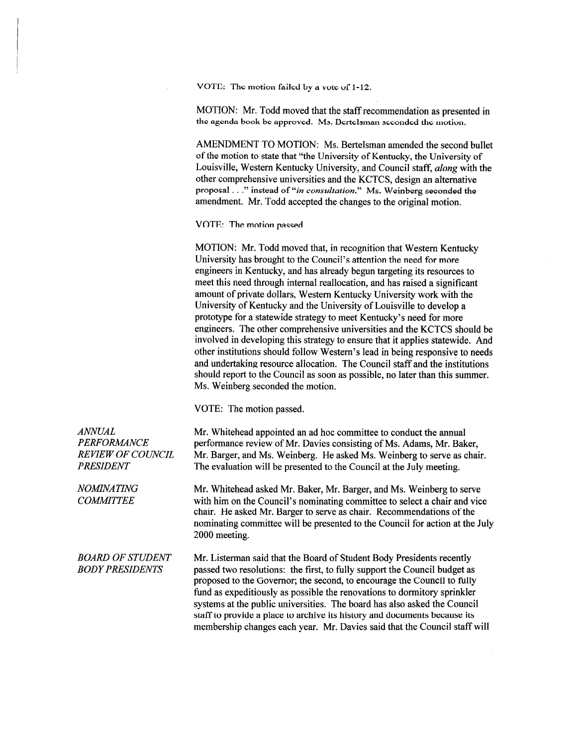VOTE: The motion failed by a vote of 1-12.

MOTION: Mr. Todd moved that the staff recommendation as presented in the agenda book be approved. Ms. Bertelsman seconded the motion.

AMENDMENT TO MOTION: Ms. Bertelsman amended the second bullet of the motion to state that "the University of Kentucky, the University of Louisville, Western Kentucky University, and Council staff, *along* with the other comprehensive universities and the KCTCS, design an alternative proposal . . ." instead of "in consultation." Ms. Weinberg seconded the amendment. Mr. Todd accepted the changes to the original motion.

VOTE: The motion passed.

MOTION: Mr. Todd moved that, in recognition that Western Kentucky University has brought to the Council's attention the need for more engineers in Kentucky, and has already begun targeting its resources to meet this need through internal reallocation, and has raised a significant amount of private dollars, Western Kentucky University work with the University of Kentucky and the University of Louisville to develop a prototype for a statewide strategy to meet Kentucky's need for more engineers. The other comprehensive universities and the KCTCS should be involved in developing this strategy to ensure that it applies statewide. And other institutions should follow Western's lead in being responsive to needs and undertaking resource allocation. The Council staff and the institutions should report to the Council as soon as possible, no later than this summer. Ms. Weinberg seconded the motion.

VOTE: The motion passed.

Mr. Whitehead appointed an ad hoc committee to conduct the annual performance review of Mr. Davies consisting of Ms. Adams, Mr. Baker, Mr. Barger, and Ms. Weinberg. He asked Ms. Weinberg to serve as chair. The evaluation will be presented to the Council at the July meeting.

Mr. Whitehead asked Mr. Baker, Mr. Barger, and Ms. Weinberg to serve with him on the Council's nominating committee to select a chair and vice chair. He asked Mr. Barger to serve as chair. Recommendations of the nominating committee will be presented to the Council for action at the July 2000 meeting.

Mr. Listerman said that the Board of Student Body Presidents recently passed two resolutions: the first, to fully support the Council budget as proposed to the Governor; the second, to encourage the Council to fully fund as expeditiously as possible the renovations to dormitory sprinkler systems at the public universities. The board has also asked the Council staff to provide a place to archive its history and documents because its membership changes each year. Mr. Davies said that the Council staff will

**ANNUAL PERFORMANCE REVIEW OF COUNCIL PRESIDENT** 

**NOMINATING COMMITTEE** 

#### **BOARD OF STUDENT BODY PRESIDENTS**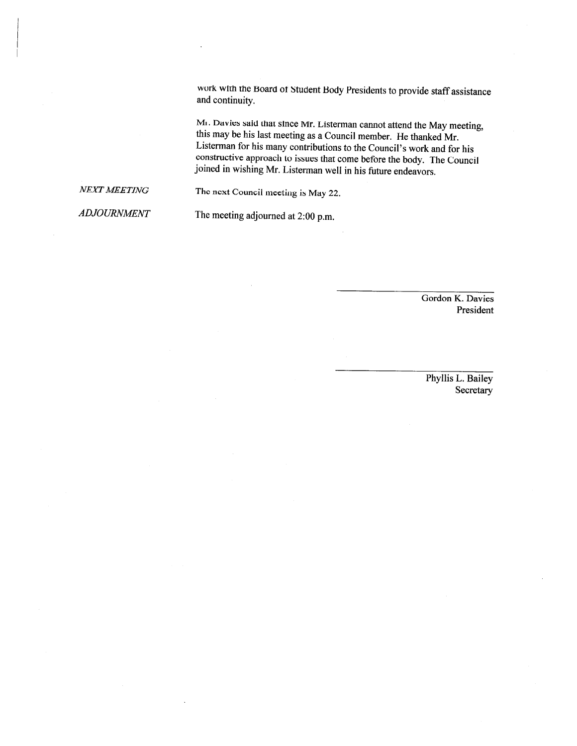work with the Board of Student Body Presidents to provide staff assistance and continuity.

Mr. Davies said that since Mr. Listerman cannot attend the May meeting, this may be his last meeting as a Council member. He thanked Mr. Listerman for his many contributions to the Council's work and for his constructive approach to issues that come before the body. The Council joined in wishing Mr. Listerman well in his future endeavors.

**NEXT MEETING** The next Council meeting is May 22.

**ADJOURNMENT** 

The meeting adjourned at 2:00 p.m.

Gordon K. Davies President

Phyllis L. Bailey Secretary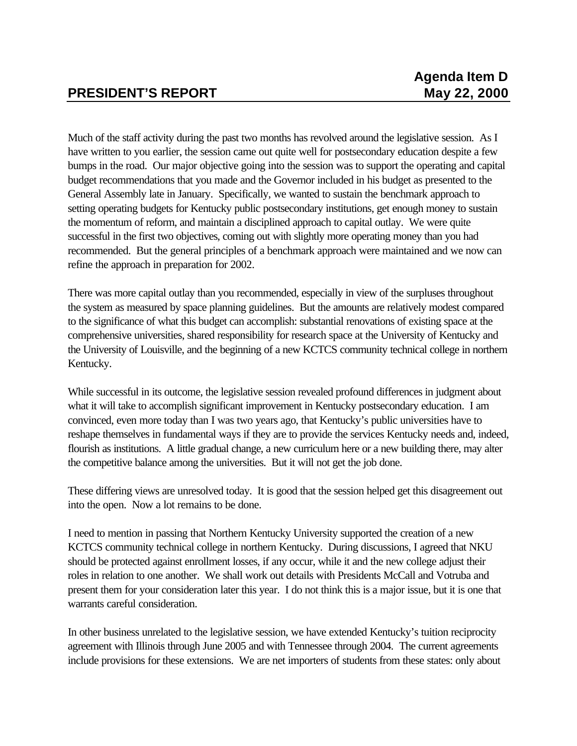Much of the staff activity during the past two months has revolved around the legislative session. As I have written to you earlier, the session came out quite well for postsecondary education despite a few bumps in the road. Our major objective going into the session was to support the operating and capital budget recommendations that you made and the Governor included in his budget as presented to the General Assembly late in January. Specifically, we wanted to sustain the benchmark approach to setting operating budgets for Kentucky public postsecondary institutions, get enough money to sustain the momentum of reform, and maintain a disciplined approach to capital outlay. We were quite successful in the first two objectives, coming out with slightly more operating money than you had recommended. But the general principles of a benchmark approach were maintained and we now can refine the approach in preparation for 2002.

There was more capital outlay than you recommended, especially in view of the surpluses throughout the system as measured by space planning guidelines. But the amounts are relatively modest compared to the significance of what this budget can accomplish: substantial renovations of existing space at the comprehensive universities, shared responsibility for research space at the University of Kentucky and the University of Louisville, and the beginning of a new KCTCS community technical college in northern Kentucky.

While successful in its outcome, the legislative session revealed profound differences in judgment about what it will take to accomplish significant improvement in Kentucky postsecondary education. I am convinced, even more today than I was two years ago, that Kentucky's public universities have to reshape themselves in fundamental ways if they are to provide the services Kentucky needs and, indeed, flourish as institutions. A little gradual change, a new curriculum here or a new building there, may alter the competitive balance among the universities. But it will not get the job done.

These differing views are unresolved today. It is good that the session helped get this disagreement out into the open. Now a lot remains to be done.

I need to mention in passing that Northern Kentucky University supported the creation of a new KCTCS community technical college in northern Kentucky. During discussions, I agreed that NKU should be protected against enrollment losses, if any occur, while it and the new college adjust their roles in relation to one another. We shall work out details with Presidents McCall and Votruba and present them for your consideration later this year. I do not think this is a major issue, but it is one that warrants careful consideration.

In other business unrelated to the legislative session, we have extended Kentucky's tuition reciprocity agreement with Illinois through June 2005 and with Tennessee through 2004. The current agreements include provisions for these extensions. We are net importers of students from these states: only about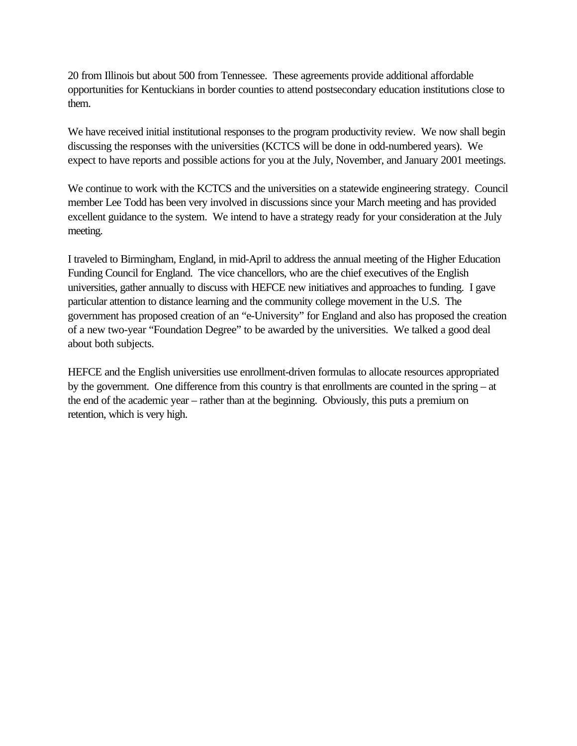20 from Illinois but about 500 from Tennessee. These agreements provide additional affordable opportunities for Kentuckians in border counties to attend postsecondary education institutions close to them.

We have received initial institutional responses to the program productivity review. We now shall begin discussing the responses with the universities (KCTCS will be done in odd-numbered years). We expect to have reports and possible actions for you at the July, November, and January 2001 meetings.

We continue to work with the KCTCS and the universities on a statewide engineering strategy. Council member Lee Todd has been very involved in discussions since your March meeting and has provided excellent guidance to the system. We intend to have a strategy ready for your consideration at the July meeting.

I traveled to Birmingham, England, in mid-April to address the annual meeting of the Higher Education Funding Council for England. The vice chancellors, who are the chief executives of the English universities, gather annually to discuss with HEFCE new initiatives and approaches to funding. I gave particular attention to distance learning and the community college movement in the U.S. The government has proposed creation of an "e-University" for England and also has proposed the creation of a new two-year "Foundation Degree" to be awarded by the universities. We talked a good deal about both subjects.

HEFCE and the English universities use enrollment-driven formulas to allocate resources appropriated by the government. One difference from this country is that enrollments are counted in the spring – at the end of the academic year – rather than at the beginning. Obviously, this puts a premium on retention, which is very high.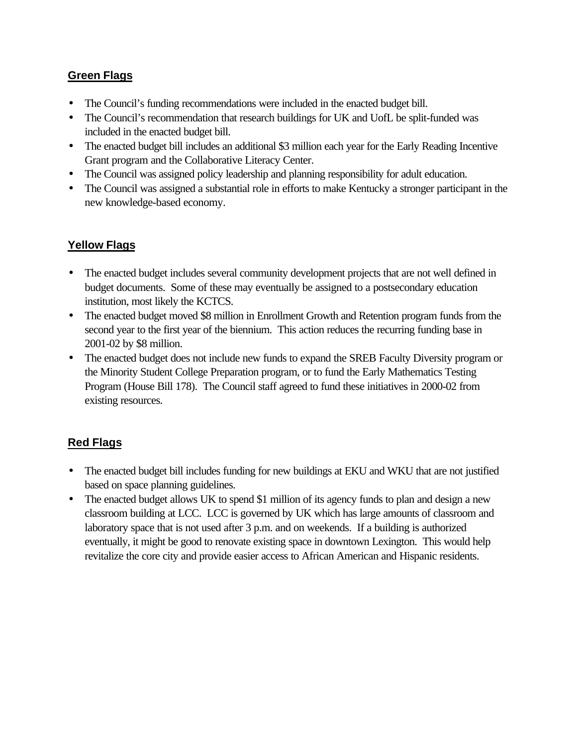# **Green Flags**

- The Council's funding recommendations were included in the enacted budget bill.
- The Council's recommendation that research buildings for UK and UofL be split-funded was included in the enacted budget bill.
- The enacted budget bill includes an additional \$3 million each year for the Early Reading Incentive Grant program and the Collaborative Literacy Center.
- The Council was assigned policy leadership and planning responsibility for adult education.
- The Council was assigned a substantial role in efforts to make Kentucky a stronger participant in the new knowledge-based economy.

# **Yellow Flags**

- The enacted budget includes several community development projects that are not well defined in budget documents. Some of these may eventually be assigned to a postsecondary education institution, most likely the KCTCS.
- The enacted budget moved \$8 million in Enrollment Growth and Retention program funds from the second year to the first year of the biennium. This action reduces the recurring funding base in 2001-02 by \$8 million.
- The enacted budget does not include new funds to expand the SREB Faculty Diversity program or the Minority Student College Preparation program, or to fund the Early Mathematics Testing Program (House Bill 178). The Council staff agreed to fund these initiatives in 2000-02 from existing resources.

# **Red Flags**

- The enacted budget bill includes funding for new buildings at EKU and WKU that are not justified based on space planning guidelines.
- The enacted budget allows UK to spend \$1 million of its agency funds to plan and design a new classroom building at LCC. LCC is governed by UK which has large amounts of classroom and laboratory space that is not used after 3 p.m. and on weekends. If a building is authorized eventually, it might be good to renovate existing space in downtown Lexington. This would help revitalize the core city and provide easier access to African American and Hispanic residents.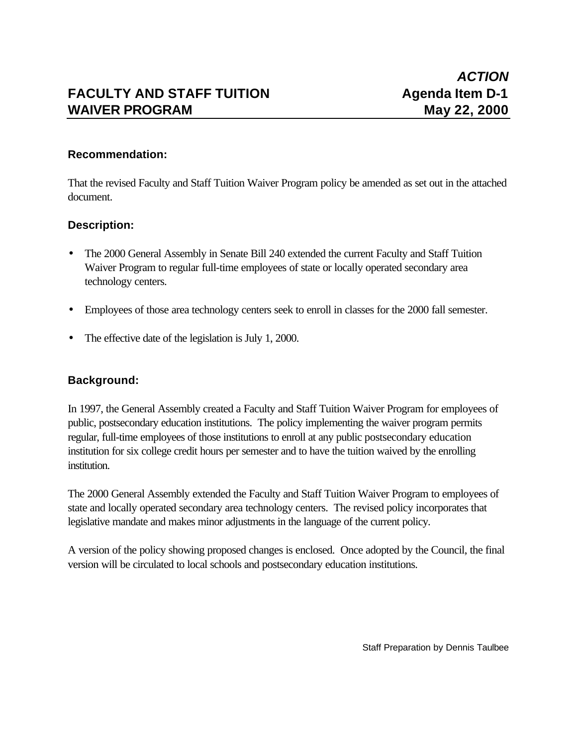# **FACULTY AND STAFF TUITION Agenda Item D-1 WAIVER PROGRAM May 22, 2000**

# **Recommendation:**

That the revised Faculty and Staff Tuition Waiver Program policy be amended as set out in the attached document.

# **Description:**

- The 2000 General Assembly in Senate Bill 240 extended the current Faculty and Staff Tuition Waiver Program to regular full-time employees of state or locally operated secondary area technology centers.
- Employees of those area technology centers seek to enroll in classes for the 2000 fall semester.
- The effective date of the legislation is July 1, 2000.

# **Background:**

In 1997, the General Assembly created a Faculty and Staff Tuition Waiver Program for employees of public, postsecondary education institutions. The policy implementing the waiver program permits regular, full-time employees of those institutions to enroll at any public postsecondary education institution for six college credit hours per semester and to have the tuition waived by the enrolling institution.

The 2000 General Assembly extended the Faculty and Staff Tuition Waiver Program to employees of state and locally operated secondary area technology centers. The revised policy incorporates that legislative mandate and makes minor adjustments in the language of the current policy.

A version of the policy showing proposed changes is enclosed. Once adopted by the Council, the final version will be circulated to local schools and postsecondary education institutions.

Staff Preparation by Dennis Taulbee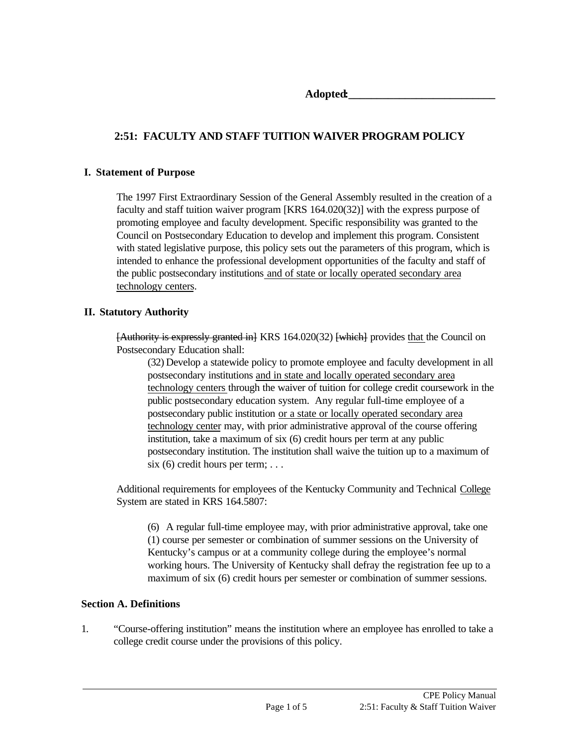**Adopted:\_\_\_\_\_\_\_\_\_\_\_\_\_\_\_\_\_\_\_\_\_\_\_\_\_\_**

# **2:51: FACULTY AND STAFF TUITION WAIVER PROGRAM POLICY**

#### **I. Statement of Purpose**

The 1997 First Extraordinary Session of the General Assembly resulted in the creation of a faculty and staff tuition waiver program [KRS 164.020(32)] with the express purpose of promoting employee and faculty development. Specific responsibility was granted to the Council on Postsecondary Education to develop and implement this program. Consistent with stated legislative purpose, this policy sets out the parameters of this program, which is intended to enhance the professional development opportunities of the faculty and staff of the public postsecondary institutions and of state or locally operated secondary area technology centers.

### **II. Statutory Authority**

[Authority is expressly granted in] KRS 164.020(32) [which] provides that the Council on Postsecondary Education shall:

(32) Develop a statewide policy to promote employee and faculty development in all postsecondary institutions and in state and locally operated secondary area technology centers through the waiver of tuition for college credit coursework in the public postsecondary education system. Any regular full-time employee of a postsecondary public institution or a state or locally operated secondary area technology center may, with prior administrative approval of the course offering institution, take a maximum of six (6) credit hours per term at any public postsecondary institution. The institution shall waive the tuition up to a maximum of  $six(6)$  credit hours per term; ...

Additional requirements for employees of the Kentucky Community and Technical College System are stated in KRS 164.5807:

(6) A regular full-time employee may, with prior administrative approval, take one (1) course per semester or combination of summer sessions on the University of Kentucky's campus or at a community college during the employee's normal working hours. The University of Kentucky shall defray the registration fee up to a maximum of six (6) credit hours per semester or combination of summer sessions.

### **Section A. Definitions**

1. "Course-offering institution" means the institution where an employee has enrolled to take a college credit course under the provisions of this policy.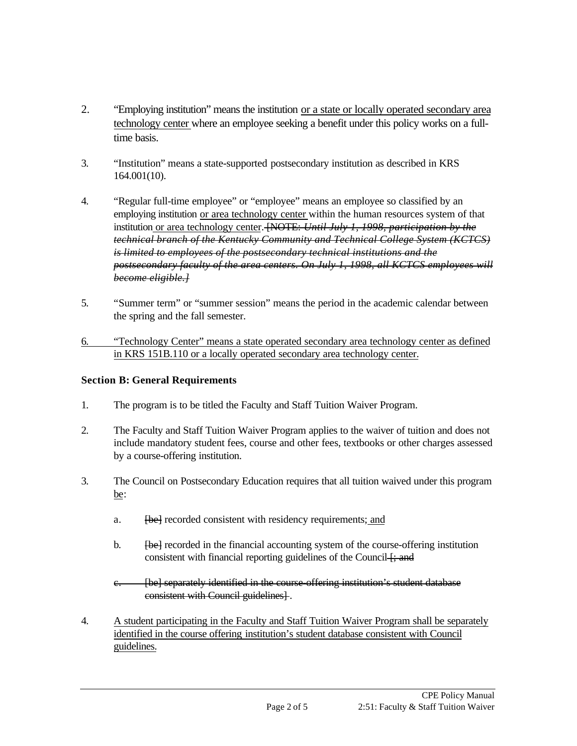- 2. "Employing institution" means the institution or a state or locally operated secondary area technology center where an employee seeking a benefit under this policy works on a fulltime basis.
- 3. "Institution" means a state-supported postsecondary institution as described in KRS 164.001(10).
- 4. "Regular full-time employee" or "employee" means an employee so classified by an employing institution or area technology center within the human resources system of that institution or area technology center. [NOTE: *Until July 1, 1998, participation by the technical branch of the Kentucky Community and Technical College System (KCTCS) is limited to employees of the postsecondary technical institutions and the postsecondary faculty of the area centers. On July 1, 1998, all KCTCS employees will become eligible.]*
- 5. "Summer term" or "summer session" means the period in the academic calendar between the spring and the fall semester.
- 6. "Technology Center" means a state operated secondary area technology center as defined in KRS 151B.110 or a locally operated secondary area technology center.

# **Section B: General Requirements**

- 1. The program is to be titled the Faculty and Staff Tuition Waiver Program.
- 2. The Faculty and Staff Tuition Waiver Program applies to the waiver of tuition and does not include mandatory student fees, course and other fees, textbooks or other charges assessed by a course-offering institution.
- 3. The Council on Postsecondary Education requires that all tuition waived under this program be:
	- a. [be] recorded consistent with residency requirements; and
	- b. **[be]** recorded in the financial accounting system of the course-offering institution consistent with financial reporting guidelines of the Council  $\frac{1}{2}$ ; and
	- e. **[be]** separately identified in the course offering institution's student database consistent with Council guidelines] .
- 4. A student participating in the Faculty and Staff Tuition Waiver Program shall be separately identified in the course offering institution's student database consistent with Council guidelines.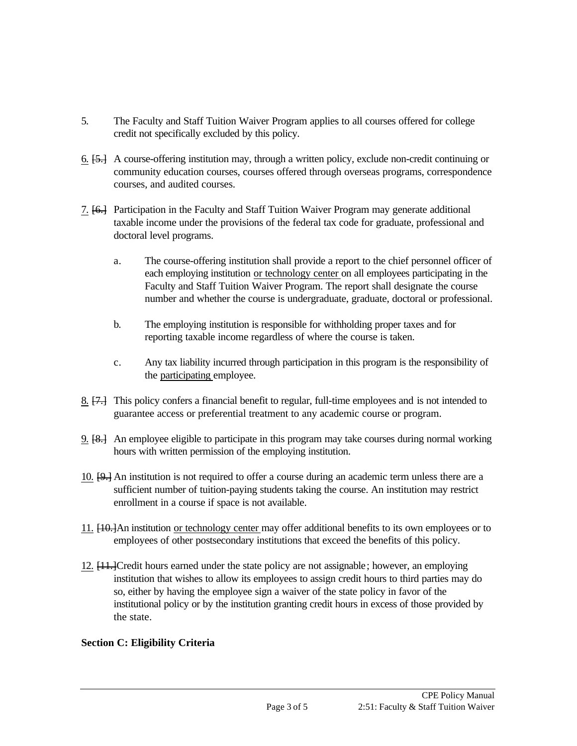- 5. The Faculty and Staff Tuition Waiver Program applies to all courses offered for college credit not specifically excluded by this policy.
- 6. [5.] A course-offering institution may, through a written policy, exclude non-credit continuing or community education courses, courses offered through overseas programs, correspondence courses, and audited courses.
- 7. [6.] Participation in the Faculty and Staff Tuition Waiver Program may generate additional taxable income under the provisions of the federal tax code for graduate, professional and doctoral level programs.
	- a. The course-offering institution shall provide a report to the chief personnel officer of each employing institution or technology center on all employees participating in the Faculty and Staff Tuition Waiver Program. The report shall designate the course number and whether the course is undergraduate, graduate, doctoral or professional.
	- b. The employing institution is responsible for withholding proper taxes and for reporting taxable income regardless of where the course is taken.
	- c. Any tax liability incurred through participation in this program is the responsibility of the participating employee.
- 8. [7.] This policy confers a financial benefit to regular, full-time employees and is not intended to guarantee access or preferential treatment to any academic course or program.
- 9. [8.] An employee eligible to participate in this program may take courses during normal working hours with written permission of the employing institution.
- 10. [9.] An institution is not required to offer a course during an academic term unless there are a sufficient number of tuition-paying students taking the course. An institution may restrict enrollment in a course if space is not available.
- 11. [10.]An institution or technology center may offer additional benefits to its own employees or to employees of other postsecondary institutions that exceed the benefits of this policy.
- 12. [11.]Credit hours earned under the state policy are not assignable; however, an employing institution that wishes to allow its employees to assign credit hours to third parties may do so, either by having the employee sign a waiver of the state policy in favor of the institutional policy or by the institution granting credit hours in excess of those provided by the state.

# **Section C: Eligibility Criteria**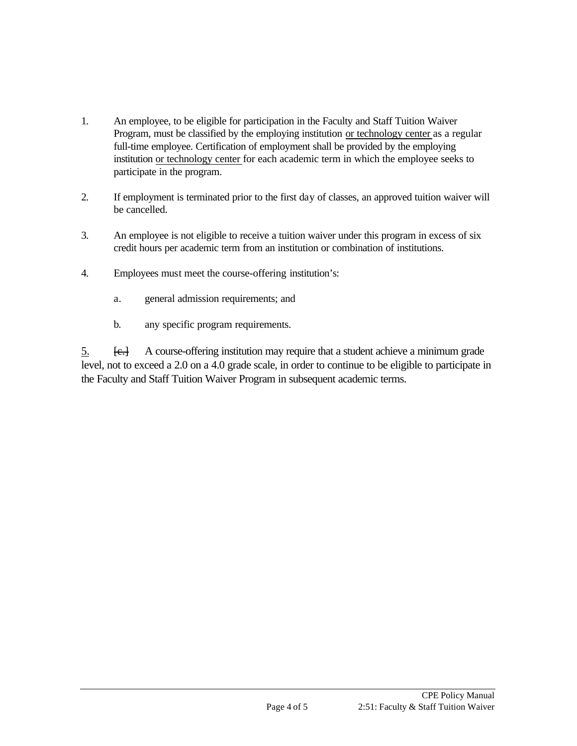- 1. An employee, to be eligible for participation in the Faculty and Staff Tuition Waiver Program, must be classified by the employing institution or technology center as a regular full-time employee. Certification of employment shall be provided by the employing institution or technology center for each academic term in which the employee seeks to participate in the program.
- 2. If employment is terminated prior to the first day of classes, an approved tuition waiver will be cancelled.
- 3. An employee is not eligible to receive a tuition waiver under this program in excess of six credit hours per academic term from an institution or combination of institutions.
- 4. Employees must meet the course-offering institution's:
	- a. general admission requirements; and
	- b. any specific program requirements.

5. [c.] A course-offering institution may require that a student achieve a minimum grade level, not to exceed a 2.0 on a 4.0 grade scale, in order to continue to be eligible to participate in the Faculty and Staff Tuition Waiver Program in subsequent academic terms.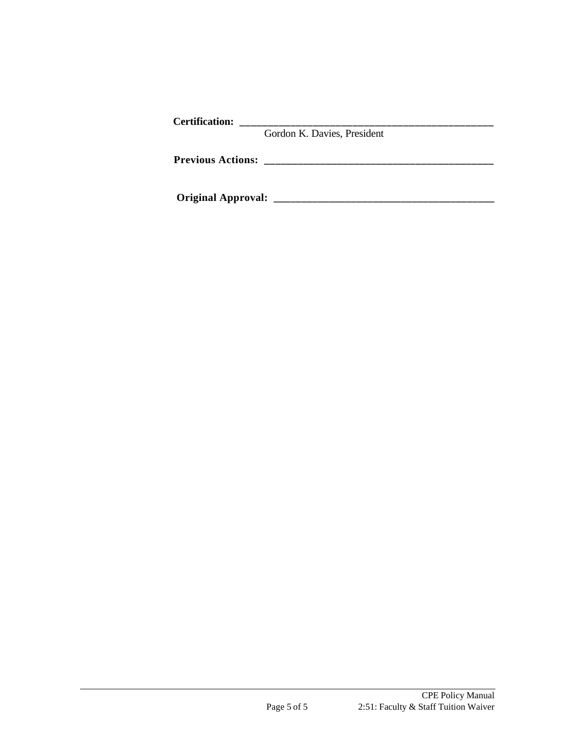| <b>Certification:</b>    |                             |
|--------------------------|-----------------------------|
|                          | Gordon K. Davies, President |
| <b>Previous Actions:</b> |                             |
|                          |                             |

**Original Approval: \_\_\_\_\_\_\_\_\_\_\_\_\_\_\_\_\_\_\_\_\_\_\_\_\_\_\_\_\_\_\_\_\_\_\_\_\_\_\_\_**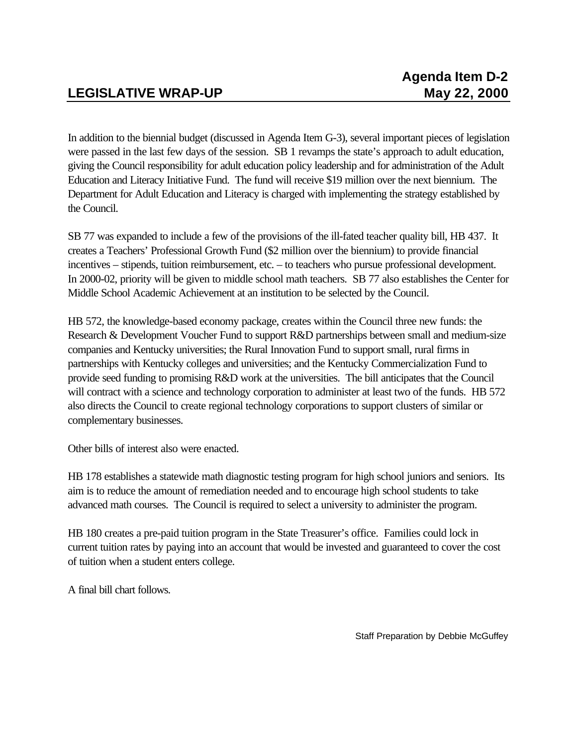In addition to the biennial budget (discussed in Agenda Item G-3), several important pieces of legislation were passed in the last few days of the session. SB 1 revamps the state's approach to adult education, giving the Council responsibility for adult education policy leadership and for administration of the Adult Education and Literacy Initiative Fund. The fund will receive \$19 million over the next biennium. The Department for Adult Education and Literacy is charged with implementing the strategy established by the Council.

SB 77 was expanded to include a few of the provisions of the ill-fated teacher quality bill, HB 437. It creates a Teachers' Professional Growth Fund (\$2 million over the biennium) to provide financial incentives – stipends, tuition reimbursement, etc. – to teachers who pursue professional development. In 2000-02, priority will be given to middle school math teachers. SB 77 also establishes the Center for Middle School Academic Achievement at an institution to be selected by the Council.

HB 572, the knowledge-based economy package, creates within the Council three new funds: the Research & Development Voucher Fund to support R&D partnerships between small and medium-size companies and Kentucky universities; the Rural Innovation Fund to support small, rural firms in partnerships with Kentucky colleges and universities; and the Kentucky Commercialization Fund to provide seed funding to promising R&D work at the universities. The bill anticipates that the Council will contract with a science and technology corporation to administer at least two of the funds. HB 572 also directs the Council to create regional technology corporations to support clusters of similar or complementary businesses.

Other bills of interest also were enacted.

HB 178 establishes a statewide math diagnostic testing program for high school juniors and seniors. Its aim is to reduce the amount of remediation needed and to encourage high school students to take advanced math courses. The Council is required to select a university to administer the program.

HB 180 creates a pre-paid tuition program in the State Treasurer's office. Families could lock in current tuition rates by paying into an account that would be invested and guaranteed to cover the cost of tuition when a student enters college.

A final bill chart follows.

Staff Preparation by Debbie McGuffey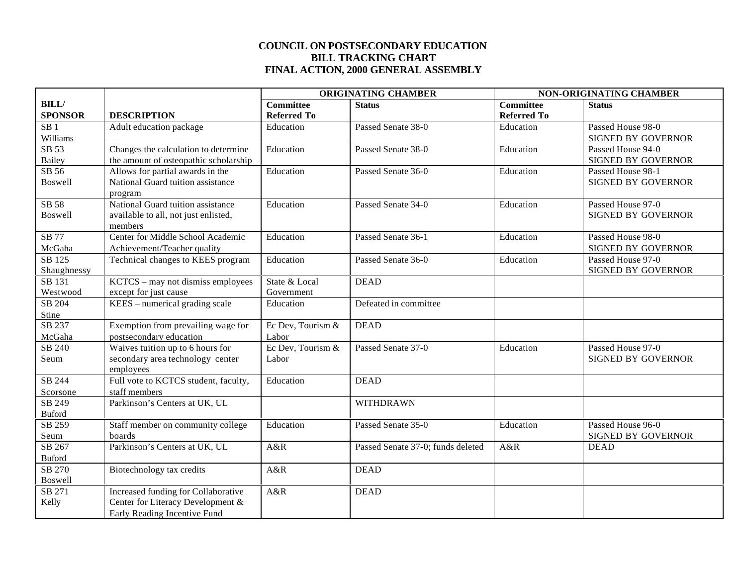#### **COUNCIL ON POSTSECONDARY EDUCATION BILL TRACKING CHART FINAL ACTION, 2000 GENERAL ASSEMBLY**

|                 |                                       | <b>ORIGINATING CHAMBER</b> |                                   | NON-ORIGINATING CHAMBER |                           |
|-----------------|---------------------------------------|----------------------------|-----------------------------------|-------------------------|---------------------------|
| <b>BILL/</b>    |                                       | <b>Committee</b>           | <b>Status</b>                     | <b>Committee</b>        | <b>Status</b>             |
| <b>SPONSOR</b>  | <b>DESCRIPTION</b>                    | <b>Referred To</b>         |                                   | <b>Referred To</b>      |                           |
| SB <sub>1</sub> | Adult education package               | Education                  | Passed Senate 38-0                | Education               | Passed House 98-0         |
| Williams        |                                       |                            |                                   |                         | SIGNED BY GOVERNOR        |
| SB 53           | Changes the calculation to determine  | Education                  | Passed Senate 38-0                | Education               | Passed House 94-0         |
| <b>Bailey</b>   | the amount of osteopathic scholarship |                            |                                   |                         | SIGNED BY GOVERNOR        |
| SB 56           | Allows for partial awards in the      | Education                  | Passed Senate 36-0                | Education               | Passed House 98-1         |
| <b>Boswell</b>  | National Guard tuition assistance     |                            |                                   |                         | SIGNED BY GOVERNOR        |
|                 | program                               |                            |                                   |                         |                           |
| SB 58           | National Guard tuition assistance     | Education                  | Passed Senate 34-0                | Education               | Passed House 97-0         |
| <b>Boswell</b>  | available to all, not just enlisted,  |                            |                                   |                         | <b>SIGNED BY GOVERNOR</b> |
|                 | members                               |                            |                                   |                         |                           |
| SB 77           | Center for Middle School Academic     | Education                  | Passed Senate 36-1                | Education               | Passed House 98-0         |
| McGaha          | Achievement/Teacher quality           |                            |                                   |                         | <b>SIGNED BY GOVERNOR</b> |
| SB 125          | Technical changes to KEES program     | Education                  | Passed Senate 36-0                | Education               | Passed House 97-0         |
| Shaughnessy     |                                       |                            |                                   |                         | SIGNED BY GOVERNOR        |
| SB 131          | KCTCS - may not dismiss employees     | State & Local              | <b>DEAD</b>                       |                         |                           |
| Westwood        | except for just cause                 | Government                 |                                   |                         |                           |
| SB 204          | KEES - numerical grading scale        | Education                  | Defeated in committee             |                         |                           |
| Stine           |                                       |                            |                                   |                         |                           |
| SB 237          | Exemption from prevailing wage for    | Ec Dev, Tourism &          | <b>DEAD</b>                       |                         |                           |
| McGaha          | postsecondary education               | Labor                      |                                   |                         |                           |
| SB 240          | Waives tuition up to 6 hours for      | Ec Dev, Tourism &          | Passed Senate 37-0                | Education               | Passed House 97-0         |
| Seum            | secondary area technology center      | Labor                      |                                   |                         | <b>SIGNED BY GOVERNOR</b> |
|                 | employees                             |                            |                                   |                         |                           |
| SB 244          | Full vote to KCTCS student, faculty,  | Education                  | <b>DEAD</b>                       |                         |                           |
| Scorsone        | staff members                         |                            |                                   |                         |                           |
| SB 249          | Parkinson's Centers at UK, UL         |                            | WITHDRAWN                         |                         |                           |
| <b>Buford</b>   |                                       |                            |                                   |                         |                           |
| SB 259          | Staff member on community college     | Education                  | Passed Senate 35-0                | Education               | Passed House 96-0         |
| Seum            | boards                                |                            |                                   |                         | SIGNED BY GOVERNOR        |
| SB 267          | Parkinson's Centers at UK, UL         | A&R                        | Passed Senate 37-0; funds deleted | A&R                     | <b>DEAD</b>               |
| <b>Buford</b>   |                                       |                            |                                   |                         |                           |
| SB 270          | Biotechnology tax credits             | A&R                        | <b>DEAD</b>                       |                         |                           |
| <b>Boswell</b>  |                                       |                            |                                   |                         |                           |
| SB 271          | Increased funding for Collaborative   | A&R                        | <b>DEAD</b>                       |                         |                           |
| Kelly           | Center for Literacy Development &     |                            |                                   |                         |                           |
|                 | Early Reading Incentive Fund          |                            |                                   |                         |                           |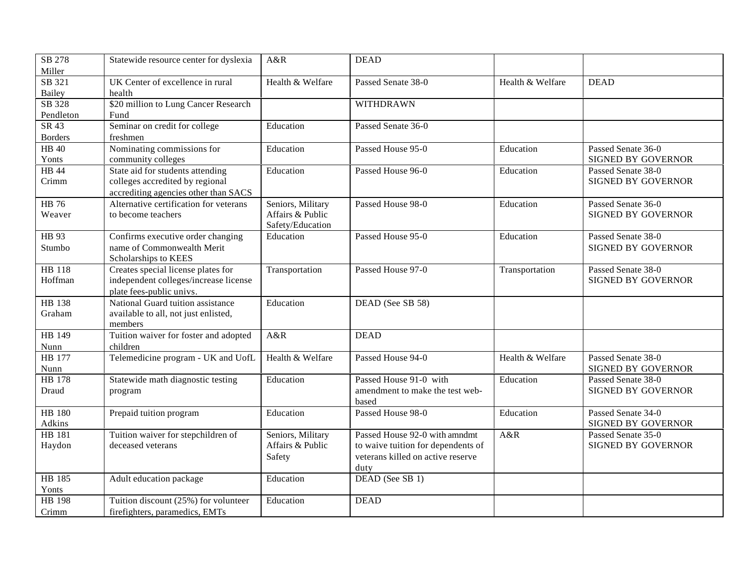| SB 278<br>Miller        | Statewide resource center for dyslexia                                                                      | A&R                                                       | <b>DEAD</b>                                                                                                      |                  |                                                 |
|-------------------------|-------------------------------------------------------------------------------------------------------------|-----------------------------------------------------------|------------------------------------------------------------------------------------------------------------------|------------------|-------------------------------------------------|
| SB 321<br>Bailey        | UK Center of excellence in rural<br>health                                                                  | Health & Welfare                                          | Passed Senate 38-0                                                                                               | Health & Welfare | <b>DEAD</b>                                     |
| SB 328<br>Pendleton     | \$20 million to Lung Cancer Research<br>Fund                                                                |                                                           | WITHDRAWN                                                                                                        |                  |                                                 |
| SR 43<br><b>Borders</b> | Seminar on credit for college<br>freshmen                                                                   | Education                                                 | Passed Senate 36-0                                                                                               |                  |                                                 |
| <b>HB 40</b><br>Yonts   | Nominating commissions for<br>community colleges                                                            | Education                                                 | Passed House 95-0                                                                                                | Education        | Passed Senate 36-0<br>SIGNED BY GOVERNOR        |
| HB 44<br>Crimm          | State aid for students attending<br>colleges accredited by regional<br>accrediting agencies other than SACS | Education                                                 | Passed House 96-0                                                                                                | Education        | Passed Senate 38-0<br><b>SIGNED BY GOVERNOR</b> |
| HB 76<br>Weaver         | Alternative certification for veterans<br>to become teachers                                                | Seniors, Military<br>Affairs & Public<br>Safety/Education | Passed House 98-0                                                                                                | Education        | Passed Senate 36-0<br><b>SIGNED BY GOVERNOR</b> |
| HB 93<br>Stumbo         | Confirms executive order changing<br>name of Commonwealth Merit<br>Scholarships to KEES                     | Education                                                 | Passed House 95-0                                                                                                | Education        | Passed Senate 38-0<br><b>SIGNED BY GOVERNOR</b> |
| HB 118<br>Hoffman       | Creates special license plates for<br>independent colleges/increase license<br>plate fees-public univs.     | Transportation                                            | Passed House 97-0                                                                                                | Transportation   | Passed Senate 38-0<br><b>SIGNED BY GOVERNOR</b> |
| HB 138<br>Graham        | National Guard tuition assistance<br>available to all, not just enlisted,<br>members                        | Education                                                 | DEAD (See SB 58)                                                                                                 |                  |                                                 |
| HB 149<br>Nunn          | Tuition waiver for foster and adopted<br>children                                                           | A&R                                                       | <b>DEAD</b>                                                                                                      |                  |                                                 |
| HB 177<br>Nunn          | Telemedicine program - UK and UofL                                                                          | Health & Welfare                                          | Passed House 94-0                                                                                                | Health & Welfare | Passed Senate 38-0<br>SIGNED BY GOVERNOR        |
| <b>HB</b> 178<br>Draud  | Statewide math diagnostic testing<br>program                                                                | Education                                                 | Passed House 91-0 with<br>amendment to make the test web-<br>based                                               | Education        | Passed Senate 38-0<br><b>SIGNED BY GOVERNOR</b> |
| HB 180<br>Adkins        | Prepaid tuition program                                                                                     | Education                                                 | Passed House 98-0                                                                                                | Education        | Passed Senate 34-0<br><b>SIGNED BY GOVERNOR</b> |
| <b>HB</b> 181<br>Haydon | Tuition waiver for stepchildren of<br>deceased veterans                                                     | Seniors, Military<br>Affairs & Public<br>Safety           | Passed House 92-0 with amndmt<br>to waive tuition for dependents of<br>veterans killed on active reserve<br>duty | A&R              | Passed Senate 35-0<br>SIGNED BY GOVERNOR        |
| HB 185<br>Yonts         | Adult education package                                                                                     | Education                                                 | DEAD (See SB 1)                                                                                                  |                  |                                                 |
| HB 198<br>Crimm         | Tuition discount (25%) for volunteer<br>firefighters, paramedics, EMTs                                      | Education                                                 | <b>DEAD</b>                                                                                                      |                  |                                                 |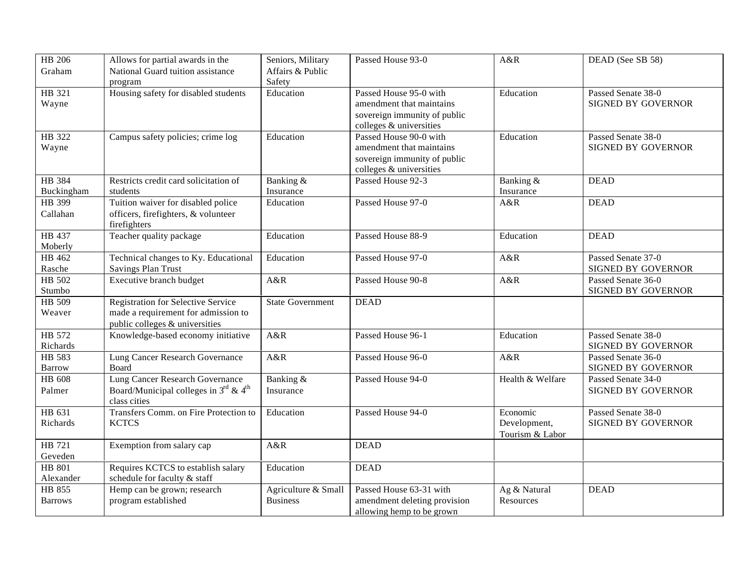| HB 206             | Allows for partial awards in the                              | Seniors, Military       | Passed House 93-0                            | A&R              | DEAD (See SB 58)                         |
|--------------------|---------------------------------------------------------------|-------------------------|----------------------------------------------|------------------|------------------------------------------|
| Graham             | National Guard tuition assistance                             | Affairs & Public        |                                              |                  |                                          |
|                    | program                                                       | Safety                  |                                              |                  |                                          |
| HB 321             | Housing safety for disabled students                          | Education               | Passed House 95-0 with                       | Education        | Passed Senate 38-0                       |
| Wayne              |                                                               |                         | amendment that maintains                     |                  | SIGNED BY GOVERNOR                       |
|                    |                                                               |                         | sovereign immunity of public                 |                  |                                          |
|                    |                                                               |                         | colleges & universities                      |                  |                                          |
| HB 322             | Campus safety policies; crime log                             | Education               | Passed House 90-0 with                       | Education        | Passed Senate 38-0                       |
| Wayne              |                                                               |                         | amendment that maintains                     |                  | <b>SIGNED BY GOVERNOR</b>                |
|                    |                                                               |                         | sovereign immunity of public                 |                  |                                          |
| HB 384             | Restricts credit card solicitation of                         | Banking &               | colleges & universities<br>Passed House 92-3 | Banking &        | <b>DEAD</b>                              |
| Buckingham         | students                                                      | Insurance               |                                              | Insurance        |                                          |
| HB 399             | Tuition waiver for disabled police                            | Education               | Passed House 97-0                            | A&R              | <b>DEAD</b>                              |
| Callahan           | officers, firefighters, & volunteer                           |                         |                                              |                  |                                          |
|                    | firefighters                                                  |                         |                                              |                  |                                          |
| HB 437             | Teacher quality package                                       | Education               | Passed House 88-9                            | Education        | <b>DEAD</b>                              |
| Moberly            |                                                               |                         |                                              |                  |                                          |
| HB 462             | Technical changes to Ky. Educational                          | Education               | Passed House 97-0                            | A&R              | Passed Senate 37-0                       |
| Rasche             | <b>Savings Plan Trust</b>                                     |                         |                                              |                  | SIGNED BY GOVERNOR                       |
| HB 502             | Executive branch budget                                       | A&R                     | Passed House 90-8                            | A&R              | Passed Senate 36-0                       |
| Stumbo             |                                                               |                         |                                              |                  | SIGNED BY GOVERNOR                       |
| $HB\overline{509}$ | <b>Registration for Selective Service</b>                     | <b>State Government</b> | <b>DEAD</b>                                  |                  |                                          |
| Weaver             | made a requirement for admission to                           |                         |                                              |                  |                                          |
|                    | public colleges $&$ universities                              |                         |                                              |                  |                                          |
| HB 572             | Knowledge-based economy initiative                            | A&R                     | Passed House 96-1                            | Education        | Passed Senate 38-0                       |
| Richards           |                                                               |                         |                                              |                  | SIGNED BY GOVERNOR                       |
| HB 583             | Lung Cancer Research Governance                               | A&R                     | Passed House 96-0                            | A&R              | Passed Senate 36-0                       |
| Barrow<br>HB 608   | Board<br><b>Lung Cancer Research Governance</b>               |                         | Passed House 94-0                            | Health & Welfare | SIGNED BY GOVERNOR<br>Passed Senate 34-0 |
| Palmer             | Board/Municipal colleges in $3^{\text{rd}}$ & 4 <sup>th</sup> | Banking &<br>Insurance  |                                              |                  | <b>SIGNED BY GOVERNOR</b>                |
|                    | class cities                                                  |                         |                                              |                  |                                          |
| HB 631             | Transfers Comm. on Fire Protection to                         | Education               | Passed House 94-0                            | Economic         | Passed Senate 38-0                       |
| Richards           | <b>KCTCS</b>                                                  |                         |                                              | Development,     | SIGNED BY GOVERNOR                       |
|                    |                                                               |                         |                                              | Tourism & Labor  |                                          |
| HB 721             | Exemption from salary cap                                     | A&R                     | <b>DEAD</b>                                  |                  |                                          |
| Geveden            |                                                               |                         |                                              |                  |                                          |
| HB 801             | Requires KCTCS to establish salary                            | Education               | <b>DEAD</b>                                  |                  |                                          |
| Alexander          | schedule for faculty & staff                                  |                         |                                              |                  |                                          |
| HB 855             | Hemp can be grown; research                                   | Agriculture & Small     | Passed House 63-31 with                      | Ag & Natural     | <b>DEAD</b>                              |
| <b>Barrows</b>     | program established                                           | <b>Business</b>         | amendment deleting provision                 | Resources        |                                          |
|                    |                                                               |                         | allowing hemp to be grown                    |                  |                                          |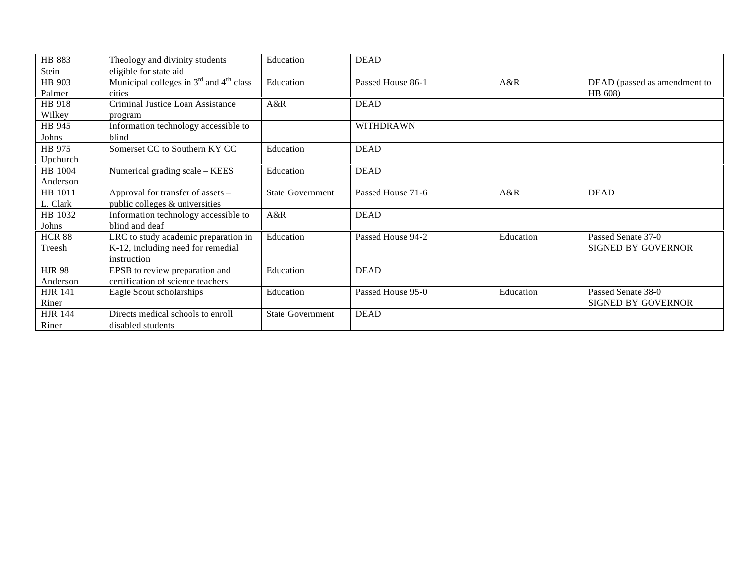| HB 883         | Theology and divinity students                                  | Education               | <b>DEAD</b>       |           |                              |
|----------------|-----------------------------------------------------------------|-------------------------|-------------------|-----------|------------------------------|
| Stein          | eligible for state aid                                          |                         |                   |           |                              |
| HB 903         | Municipal colleges in 3 <sup>rd</sup> and 4 <sup>th</sup> class | Education               | Passed House 86-1 | A&R       | DEAD (passed as amendment to |
| Palmer         | cities                                                          |                         |                   |           | HB 608)                      |
| HB 918         | Criminal Justice Loan Assistance                                | A&R                     | <b>DEAD</b>       |           |                              |
| Wilkey         | program                                                         |                         |                   |           |                              |
| HB 945         | Information technology accessible to                            |                         | <b>WITHDRAWN</b>  |           |                              |
| Johns          | blind                                                           |                         |                   |           |                              |
| HB 975         | Somerset CC to Southern KY CC                                   | Education               | <b>DEAD</b>       |           |                              |
| Upchurch       |                                                                 |                         |                   |           |                              |
| HB 1004        | Numerical grading scale - KEES                                  | Education               | <b>DEAD</b>       |           |                              |
| Anderson       |                                                                 |                         |                   |           |                              |
| HB 1011        | Approval for transfer of assets -                               | <b>State Government</b> | Passed House 71-6 | A&R       | <b>DEAD</b>                  |
| L. Clark       | public colleges & universities                                  |                         |                   |           |                              |
| HB 1032        | Information technology accessible to                            | A&R                     | <b>DEAD</b>       |           |                              |
| Johns          | blind and deaf                                                  |                         |                   |           |                              |
| <b>HCR 88</b>  | LRC to study academic preparation in                            | Education               | Passed House 94-2 | Education | Passed Senate 37-0           |
| Treesh         | K-12, including need for remedial                               |                         |                   |           | <b>SIGNED BY GOVERNOR</b>    |
|                | instruction                                                     |                         |                   |           |                              |
| <b>HJR 98</b>  | EPSB to review preparation and                                  | Education               | <b>DEAD</b>       |           |                              |
| Anderson       | certification of science teachers                               |                         |                   |           |                              |
| <b>HJR 141</b> | Eagle Scout scholarships                                        | Education               | Passed House 95-0 | Education | Passed Senate 38-0           |
| Riner          |                                                                 |                         |                   |           | <b>SIGNED BY GOVERNOR</b>    |
| <b>HJR 144</b> | Directs medical schools to enroll                               | <b>State Government</b> | <b>DEAD</b>       |           |                              |
| Riner          | disabled students                                               |                         |                   |           |                              |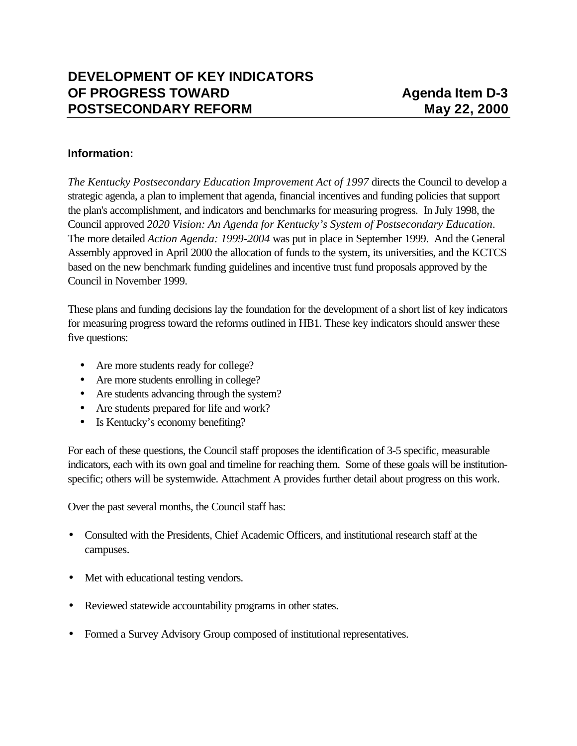## **Information:**

*The Kentucky Postsecondary Education Improvement Act of 1997* directs the Council to develop a strategic agenda, a plan to implement that agenda, financial incentives and funding policies that support the plan's accomplishment, and indicators and benchmarks for measuring progress. In July 1998, the Council approved *2020 Vision: An Agenda for Kentucky's System of Postsecondary Education*. The more detailed *Action Agenda: 1999-2004* was put in place in September 1999. And the General Assembly approved in April 2000 the allocation of funds to the system, its universities, and the KCTCS based on the new benchmark funding guidelines and incentive trust fund proposals approved by the Council in November 1999.

These plans and funding decisions lay the foundation for the development of a short list of key indicators for measuring progress toward the reforms outlined in HB1. These key indicators should answer these five questions:

- Are more students ready for college?
- Are more students enrolling in college?
- Are students advancing through the system?
- Are students prepared for life and work?
- Is Kentucky's economy benefiting?

For each of these questions, the Council staff proposes the identification of 3-5 specific, measurable indicators, each with its own goal and timeline for reaching them. Some of these goals will be institutionspecific; others will be systemwide. Attachment A provides further detail about progress on this work.

Over the past several months, the Council staff has:

- Consulted with the Presidents, Chief Academic Officers, and institutional research staff at the campuses.
- Met with educational testing vendors.
- Reviewed statewide accountability programs in other states.
- Formed a Survey Advisory Group composed of institutional representatives.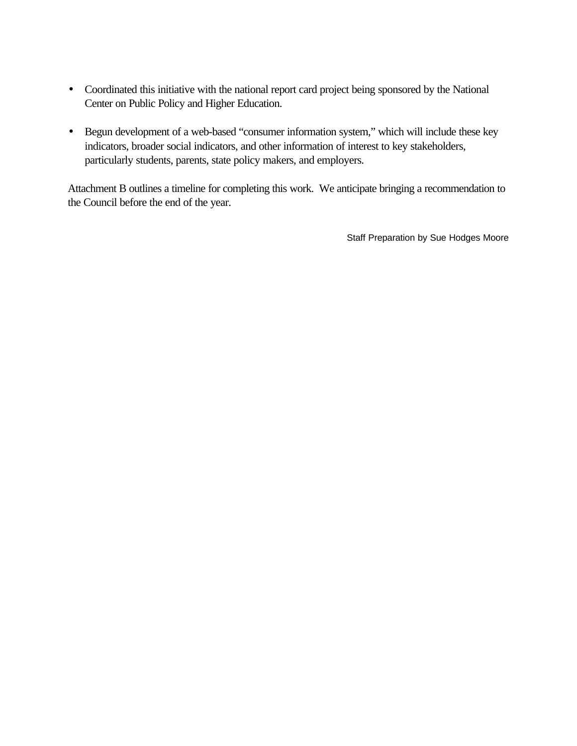- Coordinated this initiative with the national report card project being sponsored by the National Center on Public Policy and Higher Education.
- Begun development of a web-based "consumer information system," which will include these key indicators, broader social indicators, and other information of interest to key stakeholders, particularly students, parents, state policy makers, and employers.

Attachment B outlines a timeline for completing this work. We anticipate bringing a recommendation to the Council before the end of the year.

Staff Preparation by Sue Hodges Moore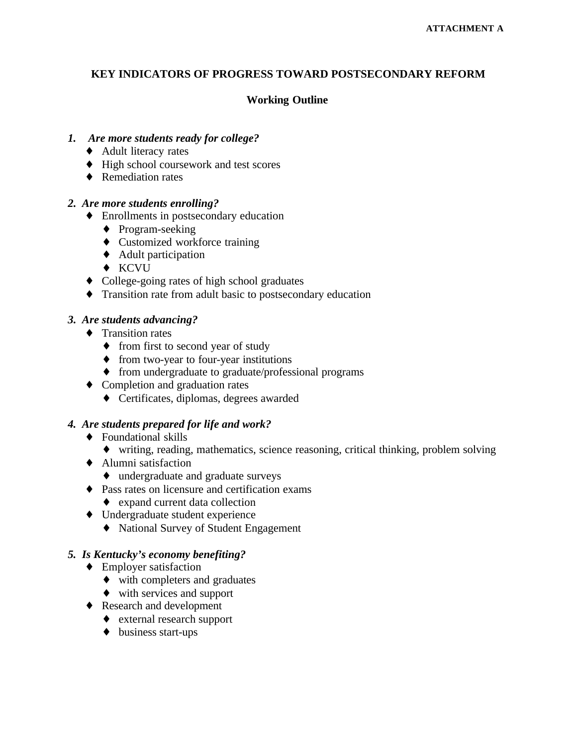# **KEY INDICATORS OF PROGRESS TOWARD POSTSECONDARY REFORM**

# **Working Outline**

### *1. Are more students ready for college?*

- ♦ Adult literacy rates
- ♦ High school coursework and test scores
- ♦ Remediation rates

### *2. Are more students enrolling?*

- ♦ Enrollments in postsecondary education
	- ♦ Program-seeking
	- ♦ Customized workforce training
	- ♦ Adult participation
	- ♦ KCVU
- ♦ College-going rates of high school graduates
- ♦ Transition rate from adult basic to postsecondary education

## *3. Are students advancing?*

- ♦ Transition rates
	- from first to second year of study
	- ♦ from two-year to four-year institutions
	- ♦ from undergraduate to graduate/professional programs
- ♦ Completion and graduation rates
	- ♦ Certificates, diplomas, degrees awarded

### *4. Are students prepared for life and work?*

- ♦ Foundational skills
	- ♦ writing, reading, mathematics, science reasoning, critical thinking, problem solving
- ♦ Alumni satisfaction
	- ♦ undergraduate and graduate surveys
- ♦ Pass rates on licensure and certification exams
	- ♦ expand current data collection
- ♦ Undergraduate student experience
	- ♦ National Survey of Student Engagement

### *5. Is Kentucky's economy benefiting?*

- $\triangleleft$  Employer satisfaction
	- ♦ with completers and graduates
	- ♦ with services and support
- ♦ Research and development
	- ♦ external research support
	- ♦ business start-ups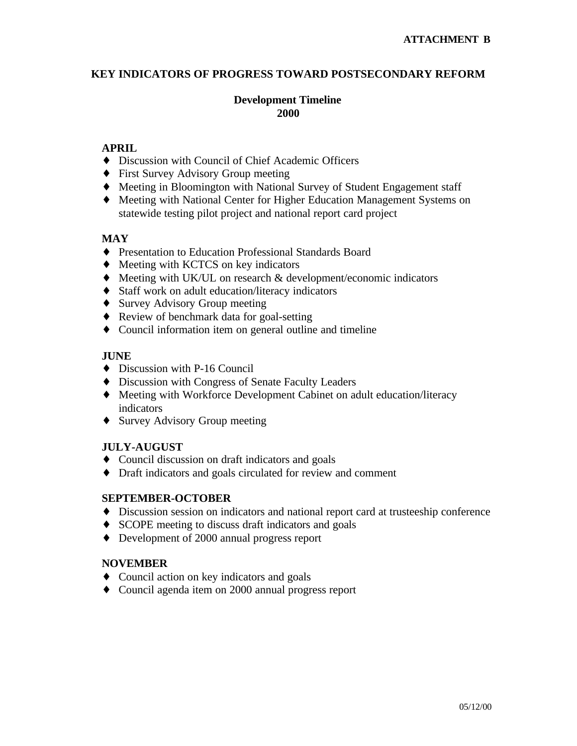## **KEY INDICATORS OF PROGRESS TOWARD POSTSECONDARY REFORM**

## **Development Timeline 2000**

## **APRIL**

- ♦ Discussion with Council of Chief Academic Officers
- ♦ First Survey Advisory Group meeting
- ♦ Meeting in Bloomington with National Survey of Student Engagement staff
- ♦ Meeting with National Center for Higher Education Management Systems on statewide testing pilot project and national report card project

## **MAY**

- ♦ Presentation to Education Professional Standards Board
- ♦ Meeting with KCTCS on key indicators
- ♦ Meeting with UK/UL on research & development/economic indicators
- ♦ Staff work on adult education/literacy indicators
- ♦ Survey Advisory Group meeting
- ♦ Review of benchmark data for goal-setting
- ♦ Council information item on general outline and timeline

## **JUNE**

- ♦ Discussion with P-16 Council
- ♦ Discussion with Congress of Senate Faculty Leaders
- ♦ Meeting with Workforce Development Cabinet on adult education/literacy indicators
- ♦ Survey Advisory Group meeting

# **JULY-AUGUST**

- ♦ Council discussion on draft indicators and goals
- ♦ Draft indicators and goals circulated for review and comment

### **SEPTEMBER-OCTOBER**

- ♦ Discussion session on indicators and national report card at trusteeship conference
- ♦ SCOPE meeting to discuss draft indicators and goals
- ♦ Development of 2000 annual progress report

### **NOVEMBER**

- ♦ Council action on key indicators and goals
- ♦ Council agenda item on 2000 annual progress report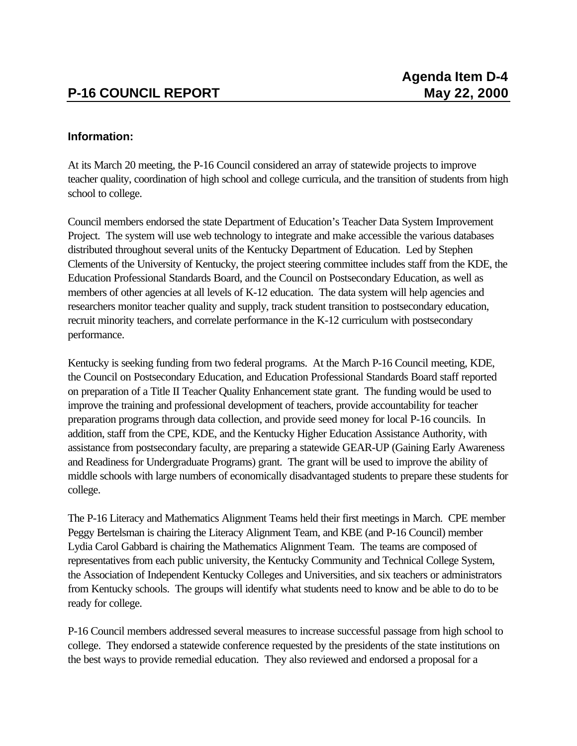# **Information:**

At its March 20 meeting, the P-16 Council considered an array of statewide projects to improve teacher quality, coordination of high school and college curricula, and the transition of students from high school to college.

Council members endorsed the state Department of Education's Teacher Data System Improvement Project. The system will use web technology to integrate and make accessible the various databases distributed throughout several units of the Kentucky Department of Education. Led by Stephen Clements of the University of Kentucky, the project steering committee includes staff from the KDE, the Education Professional Standards Board, and the Council on Postsecondary Education, as well as members of other agencies at all levels of K-12 education. The data system will help agencies and researchers monitor teacher quality and supply, track student transition to postsecondary education, recruit minority teachers, and correlate performance in the K-12 curriculum with postsecondary performance.

Kentucky is seeking funding from two federal programs. At the March P-16 Council meeting, KDE, the Council on Postsecondary Education, and Education Professional Standards Board staff reported on preparation of a Title II Teacher Quality Enhancement state grant. The funding would be used to improve the training and professional development of teachers, provide accountability for teacher preparation programs through data collection, and provide seed money for local P-16 councils. In addition, staff from the CPE, KDE, and the Kentucky Higher Education Assistance Authority, with assistance from postsecondary faculty, are preparing a statewide GEAR-UP (Gaining Early Awareness and Readiness for Undergraduate Programs) grant. The grant will be used to improve the ability of middle schools with large numbers of economically disadvantaged students to prepare these students for college.

The P-16 Literacy and Mathematics Alignment Teams held their first meetings in March. CPE member Peggy Bertelsman is chairing the Literacy Alignment Team, and KBE (and P-16 Council) member Lydia Carol Gabbard is chairing the Mathematics Alignment Team. The teams are composed of representatives from each public university, the Kentucky Community and Technical College System, the Association of Independent Kentucky Colleges and Universities, and six teachers or administrators from Kentucky schools. The groups will identify what students need to know and be able to do to be ready for college.

P-16 Council members addressed several measures to increase successful passage from high school to college. They endorsed a statewide conference requested by the presidents of the state institutions on the best ways to provide remedial education. They also reviewed and endorsed a proposal for a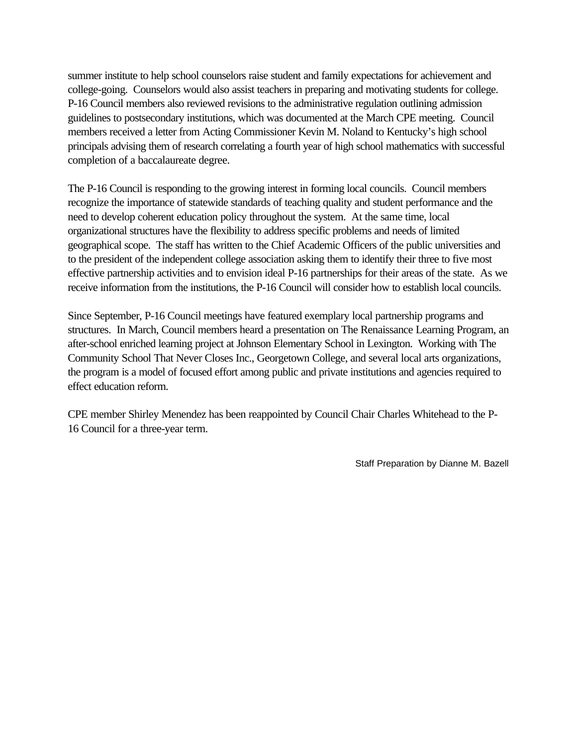summer institute to help school counselors raise student and family expectations for achievement and college-going. Counselors would also assist teachers in preparing and motivating students for college. P-16 Council members also reviewed revisions to the administrative regulation outlining admission guidelines to postsecondary institutions, which was documented at the March CPE meeting. Council members received a letter from Acting Commissioner Kevin M. Noland to Kentucky's high school principals advising them of research correlating a fourth year of high school mathematics with successful completion of a baccalaureate degree.

The P-16 Council is responding to the growing interest in forming local councils. Council members recognize the importance of statewide standards of teaching quality and student performance and the need to develop coherent education policy throughout the system. At the same time, local organizational structures have the flexibility to address specific problems and needs of limited geographical scope. The staff has written to the Chief Academic Officers of the public universities and to the president of the independent college association asking them to identify their three to five most effective partnership activities and to envision ideal P-16 partnerships for their areas of the state. As we receive information from the institutions, the P-16 Council will consider how to establish local councils.

Since September, P-16 Council meetings have featured exemplary local partnership programs and structures. In March, Council members heard a presentation on The Renaissance Learning Program, an after-school enriched learning project at Johnson Elementary School in Lexington. Working with The Community School That Never Closes Inc., Georgetown College, and several local arts organizations, the program is a model of focused effort among public and private institutions and agencies required to effect education reform.

CPE member Shirley Menendez has been reappointed by Council Chair Charles Whitehead to the P-16 Council for a three-year term.

Staff Preparation by Dianne M. Bazell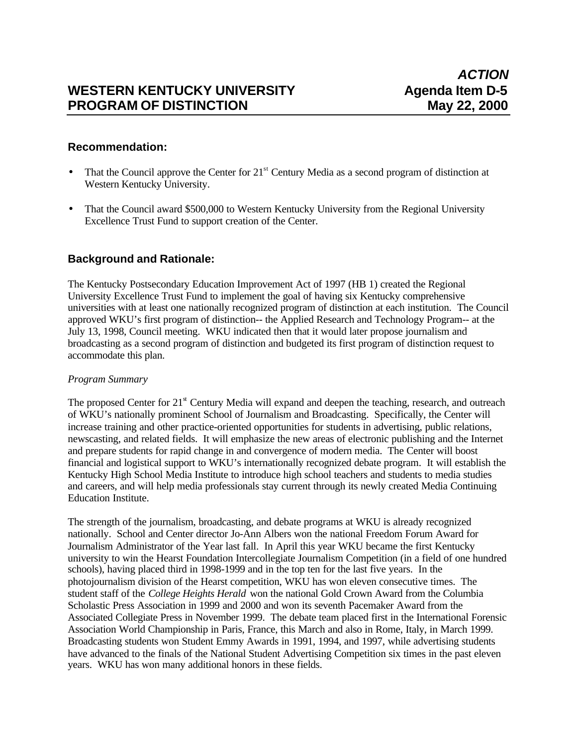# WESTERN KENTUCKY UNIVERSITY **Agenda Item D-5**<br>PROGRAM OF DISTINCTION May 22, 2000 **PROGRAM OF DISTINCTION**

## **Recommendation:**

- That the Council approve the Center for 21<sup>st</sup> Century Media as a second program of distinction at Western Kentucky University.
- That the Council award \$500,000 to Western Kentucky University from the Regional University Excellence Trust Fund to support creation of the Center.

# **Background and Rationale:**

The Kentucky Postsecondary Education Improvement Act of 1997 (HB 1) created the Regional University Excellence Trust Fund to implement the goal of having six Kentucky comprehensive universities with at least one nationally recognized program of distinction at each institution. The Council approved WKU's first program of distinction-- the Applied Research and Technology Program-- at the July 13, 1998, Council meeting. WKU indicated then that it would later propose journalism and broadcasting as a second program of distinction and budgeted its first program of distinction request to accommodate this plan.

#### *Program Summary*

The proposed Center for  $21<sup>st</sup>$  Century Media will expand and deepen the teaching, research, and outreach of WKU's nationally prominent School of Journalism and Broadcasting. Specifically, the Center will increase training and other practice-oriented opportunities for students in advertising, public relations, newscasting, and related fields. It will emphasize the new areas of electronic publishing and the Internet and prepare students for rapid change in and convergence of modern media. The Center will boost financial and logistical support to WKU's internationally recognized debate program. It will establish the Kentucky High School Media Institute to introduce high school teachers and students to media studies and careers, and will help media professionals stay current through its newly created Media Continuing Education Institute.

The strength of the journalism, broadcasting, and debate programs at WKU is already recognized nationally. School and Center director Jo-Ann Albers won the national Freedom Forum Award for Journalism Administrator of the Year last fall. In April this year WKU became the first Kentucky university to win the Hearst Foundation Intercollegiate Journalism Competition (in a field of one hundred schools), having placed third in 1998-1999 and in the top ten for the last five years. In the photojournalism division of the Hearst competition, WKU has won eleven consecutive times. The student staff of the *College Heights Herald* won the national Gold Crown Award from the Columbia Scholastic Press Association in 1999 and 2000 and won its seventh Pacemaker Award from the Associated Collegiate Press in November 1999. The debate team placed first in the International Forensic Association World Championship in Paris, France, this March and also in Rome, Italy, in March 1999. Broadcasting students won Student Emmy Awards in 1991, 1994, and 1997, while advertising students have advanced to the finals of the National Student Advertising Competition six times in the past eleven years. WKU has won many additional honors in these fields.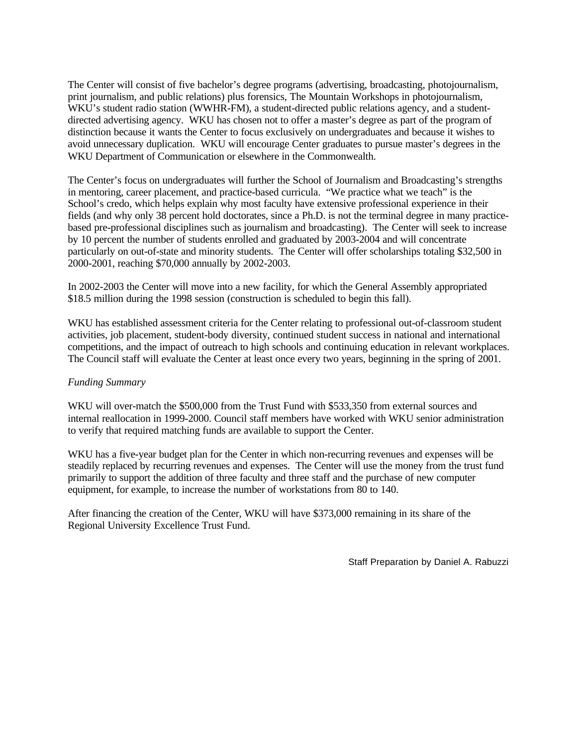The Center will consist of five bachelor's degree programs (advertising, broadcasting, photojournalism, print journalism, and public relations) plus forensics, The Mountain Workshops in photojournalism, WKU's student radio station (WWHR-FM), a student-directed public relations agency, and a studentdirected advertising agency. WKU has chosen not to offer a master's degree as part of the program of distinction because it wants the Center to focus exclusively on undergraduates and because it wishes to avoid unnecessary duplication. WKU will encourage Center graduates to pursue master's degrees in the WKU Department of Communication or elsewhere in the Commonwealth.

The Center's focus on undergraduates will further the School of Journalism and Broadcasting's strengths in mentoring, career placement, and practice-based curricula. "We practice what we teach" is the School's credo, which helps explain why most faculty have extensive professional experience in their fields (and why only 38 percent hold doctorates, since a Ph.D. is not the terminal degree in many practicebased pre-professional disciplines such as journalism and broadcasting). The Center will seek to increase by 10 percent the number of students enrolled and graduated by 2003-2004 and will concentrate particularly on out-of-state and minority students. The Center will offer scholarships totaling \$32,500 in 2000-2001, reaching \$70,000 annually by 2002-2003.

In 2002-2003 the Center will move into a new facility, for which the General Assembly appropriated \$18.5 million during the 1998 session (construction is scheduled to begin this fall).

WKU has established assessment criteria for the Center relating to professional out-of-classroom student activities, job placement, student-body diversity, continued student success in national and international competitions, and the impact of outreach to high schools and continuing education in relevant workplaces. The Council staff will evaluate the Center at least once every two years, beginning in the spring of 2001.

#### *Funding Summary*

WKU will over-match the \$500,000 from the Trust Fund with \$533,350 from external sources and internal reallocation in 1999-2000. Council staff members have worked with WKU senior administration to verify that required matching funds are available to support the Center.

WKU has a five-year budget plan for the Center in which non-recurring revenues and expenses will be steadily replaced by recurring revenues and expenses. The Center will use the money from the trust fund primarily to support the addition of three faculty and three staff and the purchase of new computer equipment, for example, to increase the number of workstations from 80 to 140.

After financing the creation of the Center, WKU will have \$373,000 remaining in its share of the Regional University Excellence Trust Fund.

Staff Preparation by Daniel A. Rabuzzi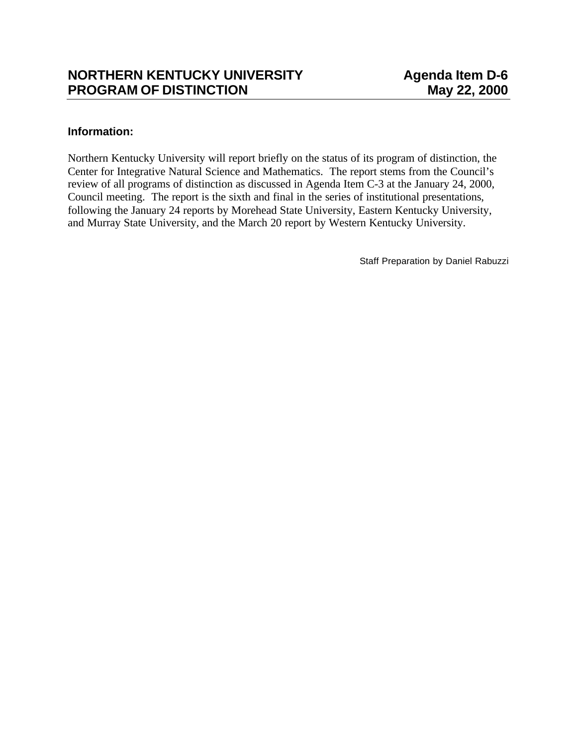# **Information:**

Northern Kentucky University will report briefly on the status of its program of distinction, the Center for Integrative Natural Science and Mathematics. The report stems from the Council's review of all programs of distinction as discussed in Agenda Item C-3 at the January 24, 2000, Council meeting. The report is the sixth and final in the series of institutional presentations, following the January 24 reports by Morehead State University, Eastern Kentucky University, and Murray State University, and the March 20 report by Western Kentucky University.

Staff Preparation by Daniel Rabuzzi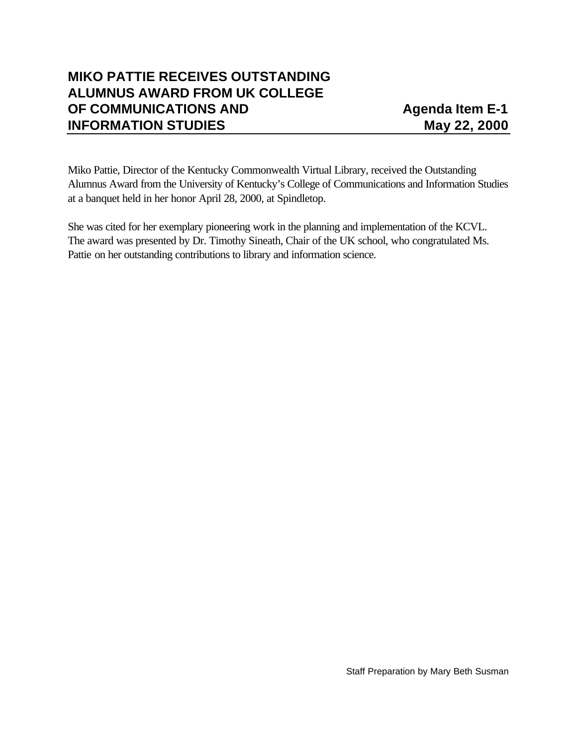# **MIKO PATTIE RECEIVES OUTSTANDING ALUMNUS AWARD FROM UK COLLEGE OF COMMUNICATIONS AND 499 Agenda Item E-1 INFORMATION STUDIES May 22, 2000**

Miko Pattie, Director of the Kentucky Commonwealth Virtual Library, received the Outstanding Alumnus Award from the University of Kentucky's College of Communications and Information Studies at a banquet held in her honor April 28, 2000, at Spindletop.

She was cited for her exemplary pioneering work in the planning and implementation of the KCVL. The award was presented by Dr. Timothy Sineath, Chair of the UK school, who congratulated Ms. Pattie on her outstanding contributions to library and information science.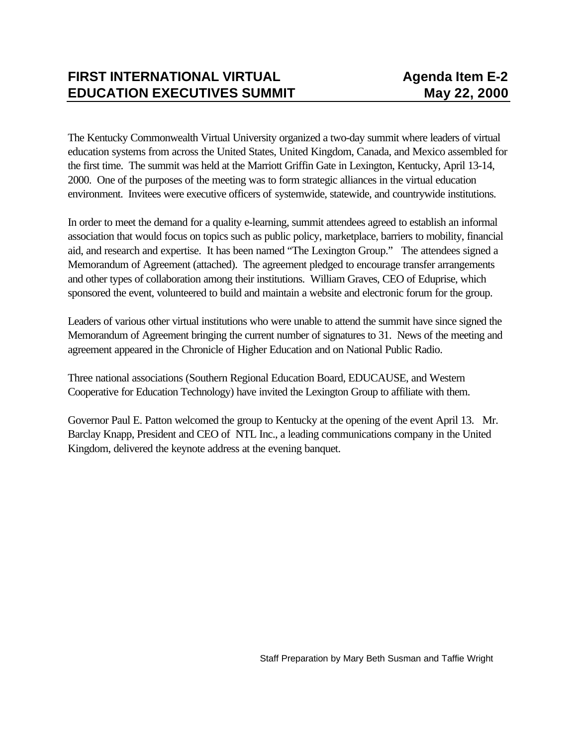The Kentucky Commonwealth Virtual University organized a two-day summit where leaders of virtual education systems from across the United States, United Kingdom, Canada, and Mexico assembled for the first time. The summit was held at the Marriott Griffin Gate in Lexington, Kentucky, April 13-14, 2000. One of the purposes of the meeting was to form strategic alliances in the virtual education environment. Invitees were executive officers of systemwide, statewide, and countrywide institutions.

In order to meet the demand for a quality e-learning, summit attendees agreed to establish an informal association that would focus on topics such as public policy, marketplace, barriers to mobility, financial aid, and research and expertise. It has been named "The Lexington Group." The attendees signed a Memorandum of Agreement (attached). The agreement pledged to encourage transfer arrangements and other types of collaboration among their institutions. William Graves, CEO of Eduprise, which sponsored the event, volunteered to build and maintain a website and electronic forum for the group.

Leaders of various other virtual institutions who were unable to attend the summit have since signed the Memorandum of Agreement bringing the current number of signatures to 31. News of the meeting and agreement appeared in the Chronicle of Higher Education and on National Public Radio.

Three national associations (Southern Regional Education Board, EDUCAUSE, and Western Cooperative for Education Technology) have invited the Lexington Group to affiliate with them.

Governor Paul E. Patton welcomed the group to Kentucky at the opening of the event April 13. Mr. Barclay Knapp, President and CEO of NTL Inc., a leading communications company in the United Kingdom, delivered the keynote address at the evening banquet.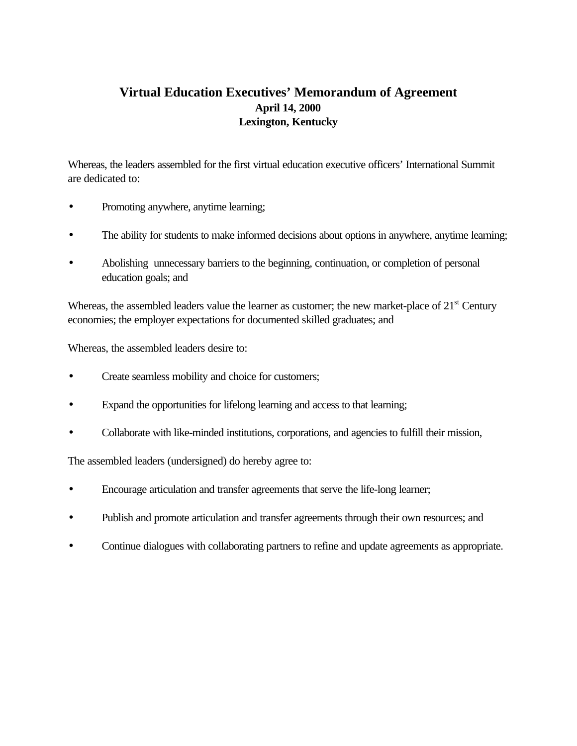# **Virtual Education Executives' Memorandum of Agreement April 14, 2000 Lexington, Kentucky**

Whereas, the leaders assembled for the first virtual education executive officers' International Summit are dedicated to:

- Promoting anywhere, anytime learning;
- The ability for students to make informed decisions about options in anywhere, anytime learning;
- Abolishing unnecessary barriers to the beginning, continuation, or completion of personal education goals; and

Whereas, the assembled leaders value the learner as customer; the new market-place of  $21<sup>st</sup>$  Century economies; the employer expectations for documented skilled graduates; and

Whereas, the assembled leaders desire to:

- Create seamless mobility and choice for customers;
- Expand the opportunities for lifelong learning and access to that learning;
- Collaborate with like-minded institutions, corporations, and agencies to fulfill their mission,

The assembled leaders (undersigned) do hereby agree to:

- Encourage articulation and transfer agreements that serve the life-long learner;
- Publish and promote articulation and transfer agreements through their own resources; and
- Continue dialogues with collaborating partners to refine and update agreements as appropriate.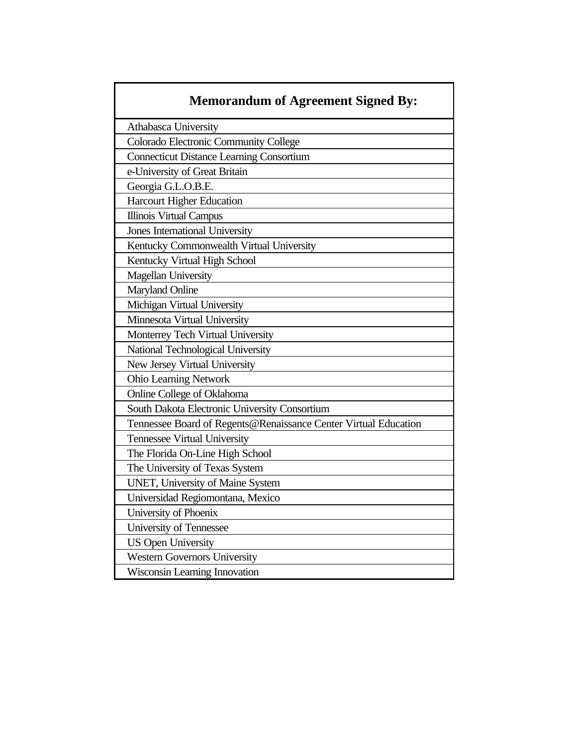| <b>Memorandum of Agreement Signed By:</b>                       |
|-----------------------------------------------------------------|
| Athabasca University                                            |
| Colorado Electronic Community College                           |
| <b>Connecticut Distance Learning Consortium</b>                 |
| e-University of Great Britain                                   |
| Georgia G.L.O.B.E.                                              |
| <b>Harcourt Higher Education</b>                                |
| <b>Illinois Virtual Campus</b>                                  |
| Jones International University                                  |
| Kentucky Commonwealth Virtual University                        |
| Kentucky Virtual High School                                    |
| <b>Magellan University</b>                                      |
| <b>Maryland Online</b>                                          |
| Michigan Virtual University                                     |
| Minnesota Virtual University                                    |
| Monterrey Tech Virtual University                               |
| National Technological University                               |
| New Jersey Virtual University                                   |
| <b>Ohio Learning Network</b>                                    |
| Online College of Oklahoma                                      |
| South Dakota Electronic University Consortium                   |
| Tennessee Board of Regents@Renaissance Center Virtual Education |
| Tennessee Virtual University                                    |
| The Florida On-Line High School                                 |
| The University of Texas System                                  |
| <b>UNET</b> , University of Maine System                        |
| Universidad Regiomontana, Mexico                                |
| University of Phoenix                                           |
| University of Tennessee                                         |
| <b>US Open University</b>                                       |
| <b>Western Governors University</b>                             |
| Wisconsin Learning Innovation                                   |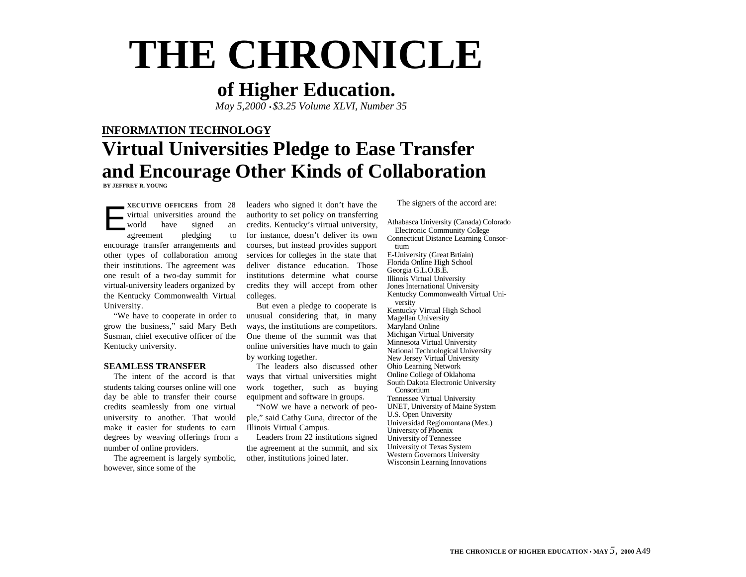# **THE CHRONICLE**

# **of Higher Education.**

*May 5,2000* •*\$3.25 Volume XLVI, Number 35*

# **INFORMATION TECHNOLOGY Virtual Universities Pledge to Ease Transfer and Encourage Other Kinds of Collaboration BY JEFFREY R. YOUNG**

**XECUTIVE OFFICERS** from 28 virtual universities around the world have signed an agreement pledging to encourage transfer arrangements and other types of collaboration among their institutions. The agreement was one result of a two-day summit for virtual-university leaders organized by the Kentucky Commonwealth Virtual University. E

"We have to cooperate in order to grow the business," said Mary Beth Susman, chief executive officer of the Kentucky university.

#### **SEAMLESS TRANSFER**

The intent of the accord is that students taking courses online will one day be able to transfer their course credits seamlessly from one virtual university to another. That would make it easier for students to earn degrees by weaving offerings from a number of online providers.

The agreement is largely symbolic, however, since some of the

leaders who signed it don't have the authority to set policy on transferring credits. Kentucky's virtual university, for instance, doesn't deliver its own courses, but instead provides support services for colleges in the state that deliver distance education. Those institutions determine what course credits they will accept from other colleges.

But even a pledge to cooperate is unusual considering that, in many ways, the institutions are competitors. One theme of the summit was that online universities have much to gain by working together.

The leaders also discussed other ways that virtual universities might work together, such as buying equipment and software in groups.

"NoW we have a network of people," said Cathy Guna, director of the Illinois Virtual Campus.

Leaders from 22 institutions signed the agreement at the summit, and six other, institutions joined later.

The signers of the accord are:

Athabasca University (Canada) Colorado Electronic Community College Connecticut Distance Learning Consortium E-University (Great Brtiain) Florida Online High School Georgia G.L.O.B.E. Illinois Virtual University Jones International University Kentucky Commonwealth Virtual University Kentucky Virtual High School Magellan University Maryland Online Michigan Virtual University Minnesota Virtual University National Technological University New Jersey Virtual University Ohio Learning Network Online College of Oklahoma South Dakota Electronic University Consortium Tennessee Virtual University UNET, University of Maine System U.S. Open University Universidad Regiomontana (Mex.) University of Phoenix University of Tennessee University of Texas System Western Governors University Wisconsin Learning Innovations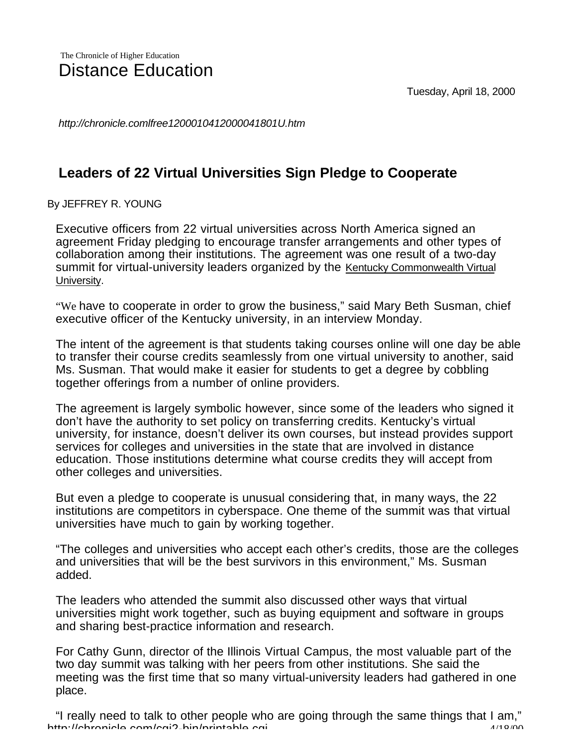Tuesday, April 18, 2000

*http://chronicle.comlfree1200010412000041801U.htm*

# **Leaders of 22 Virtual Universities Sign Pledge to Cooperate**

By JEFFREY R. YOUNG

Executive officers from 22 virtual universities across North America signed an agreement Friday pledging to encourage transfer arrangements and other types of collaboration among their institutions. The agreement was one result of a two-day summit for virtual-university leaders organized by the Kentucky Commonwealth Virtual University.

"We have to cooperate in order to grow the business," said Mary Beth Susman, chief executive officer of the Kentucky university, in an interview Monday.

The intent of the agreement is that students taking courses online will one day be able to transfer their course credits seamlessly from one virtual university to another, said Ms. Susman. That would make it easier for students to get a degree by cobbling together offerings from a number of online providers.

The agreement is largely symbolic however, since some of the leaders who signed it don't have the authority to set policy on transferring credits. Kentucky's virtual university, for instance, doesn't deliver its own courses, but instead provides support services for colleges and universities in the state that are involved in distance education. Those institutions determine what course credits they will accept from other colleges and universities.

But even a pledge to cooperate is unusual considering that, in many ways, the 22 institutions are competitors in cyberspace. One theme of the summit was that virtual universities have much to gain by working together.

"The colleges and universities who accept each other's credits, those are the colleges and universities that will be the best survivors in this environment," Ms. Susman added.

The leaders who attended the summit also discussed other ways that virtual universities might work together, such as buying equipment and software in groups and sharing best-practice information and research.

For Cathy Gunn, director of the Illinois VirtuaI Campus, the most valuable part of the two day summit was talking with her peers from other institutions. She said the meeting was the first time that so many virtual-university leaders had gathered in one place.

http://chronicle.com/cgi2-bin/printable.cgi extensive extensive and the distribution "I really need to talk to other people who are going through the same things that I am,"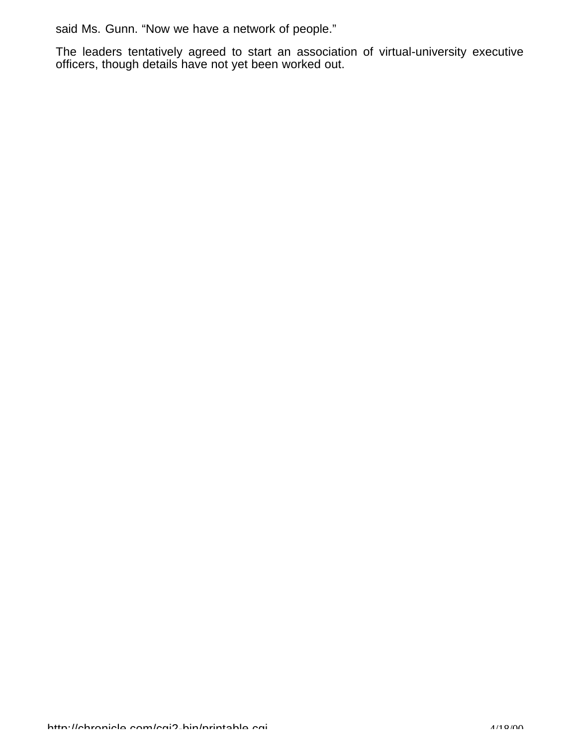said Ms. Gunn. "Now we have a network of people."

The leaders tentatively agreed to start an association of virtual-university executive officers, though details have not yet been worked out.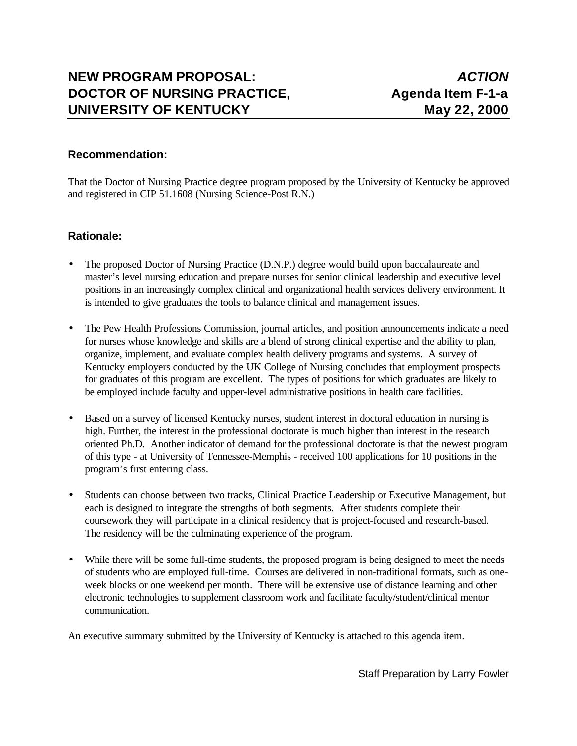# **NEW PROGRAM PROPOSAL:** *ACTION* **DOCTOR OF NURSING PRACTICE.** Agenda Item F-1-a **UNIVERSITY OF KENTUCKY May 22, 2000**

#### **Recommendation:**

That the Doctor of Nursing Practice degree program proposed by the University of Kentucky be approved and registered in CIP 51.1608 (Nursing Science-Post R.N.)

#### **Rationale:**

- The proposed Doctor of Nursing Practice (D.N.P.) degree would build upon baccalaureate and master's level nursing education and prepare nurses for senior clinical leadership and executive level positions in an increasingly complex clinical and organizational health services delivery environment. It is intended to give graduates the tools to balance clinical and management issues.
- The Pew Health Professions Commission, journal articles, and position announcements indicate a need for nurses whose knowledge and skills are a blend of strong clinical expertise and the ability to plan, organize, implement, and evaluate complex health delivery programs and systems. A survey of Kentucky employers conducted by the UK College of Nursing concludes that employment prospects for graduates of this program are excellent. The types of positions for which graduates are likely to be employed include faculty and upper-level administrative positions in health care facilities.
- Based on a survey of licensed Kentucky nurses, student interest in doctoral education in nursing is high. Further, the interest in the professional doctorate is much higher than interest in the research oriented Ph.D. Another indicator of demand for the professional doctorate is that the newest program of this type - at University of Tennessee-Memphis - received 100 applications for 10 positions in the program's first entering class.
- Students can choose between two tracks, Clinical Practice Leadership or Executive Management, but each is designed to integrate the strengths of both segments. After students complete their coursework they will participate in a clinical residency that is project-focused and research-based. The residency will be the culminating experience of the program.
- While there will be some full-time students, the proposed program is being designed to meet the needs of students who are employed full-time. Courses are delivered in non-traditional formats, such as oneweek blocks or one weekend per month. There will be extensive use of distance learning and other electronic technologies to supplement classroom work and facilitate faculty/student/clinical mentor communication.

An executive summary submitted by the University of Kentucky is attached to this agenda item.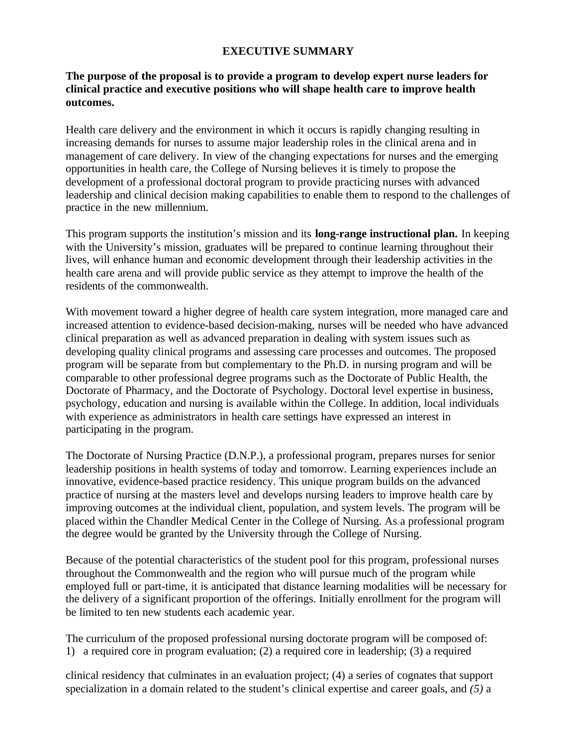#### **EXECUTIVE SUMMARY**

#### **The purpose of the proposal is to provide a program to develop expert nurse leaders for clinical practice and executive positions who will shape health care to improve health outcomes.**

Health care delivery and the environment in which it occurs is rapidly changing resulting in increasing demands for nurses to assume major leadership roles in the clinical arena and in management of care delivery. In view of the changing expectations for nurses and the emerging opportunities in health care, the College of Nursing believes it is timely to propose the development of a professional doctoral program to provide practicing nurses with advanced leadership and clinical decision making capabilities to enable them to respond to the challenges of practice in the new millennium.

This program supports the institution's mission and its **long-range instructional plan.** In keeping with the University's mission, graduates will be prepared to continue learning throughout their lives, will enhance human and economic development through their leadership activities in the health care arena and will provide public service as they attempt to improve the health of the residents of the commonwealth.

With movement toward a higher degree of health care system integration, more managed care and increased attention to evidence-based decision-making, nurses will be needed who have advanced clinical preparation as well as advanced preparation in dealing with system issues such as developing quality clinical programs and assessing care processes and outcomes. The proposed program will be separate from but complementary to the Ph.D. in nursing program and will be comparable to other professional degree programs such as the Doctorate of Public Health, the Doctorate of Pharmacy, and the Doctorate of Psychology. Doctoral level expertise in business, psychology, education and nursing is available within the College. In addition, local individuals with experience as administrators in health care settings have expressed an interest in participating in the program.

The Doctorate of Nursing Practice (D.N.P.), a professional program, prepares nurses for senior leadership positions in health systems of today and tomorrow. Learning experiences include an innovative, evidence-based practice residency. This unique program builds on the advanced practice of nursing at the masters level and develops nursing leaders to improve health care by improving outcomes at the individual client, population, and system levels. The program will be placed within the Chandler Medical Center in the College of Nursing. As a professional program the degree would be granted by the University through the College of Nursing.

Because of the potential characteristics of the student pool for this program, professional nurses throughout the Commonwealth and the region who will pursue much of the program while employed full or part-time, it is anticipated that distance learning modalities will be necessary for the delivery of a significant proportion of the offerings. Initially enrollment for the program will be limited to ten new students each academic year.

The curriculum of the proposed professional nursing doctorate program will be composed of: 1) a required core in program evaluation; (2) a required core in leadership; (3) a required

clinical residency that culminates in an evaluation project; (4) a series of cognates that support specialization in a domain related to the student's clinical expertise and career goals, and *(5)* a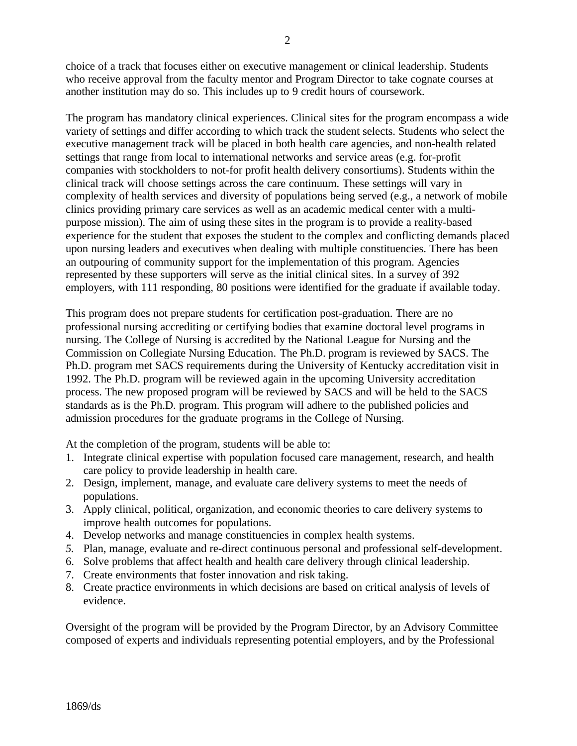choice of a track that focuses either on executive management or clinical leadership. Students who receive approval from the faculty mentor and Program Director to take cognate courses at another institution may do so. This includes up to 9 credit hours of coursework.

The program has mandatory clinical experiences. Clinical sites for the program encompass a wide variety of settings and differ according to which track the student selects. Students who select the executive management track will be placed in both health care agencies, and non-health related settings that range from local to international networks and service areas (e.g. for-profit companies with stockholders to not-for profit health delivery consortiums). Students within the clinical track will choose settings across the care continuum. These settings will vary in complexity of health services and diversity of populations being served (e.g., a network of mobile clinics providing primary care services as well as an academic medical center with a multipurpose mission). The aim of using these sites in the program is to provide a reality-based experience for the student that exposes the student to the complex and conflicting demands placed upon nursing leaders and executives when dealing with multiple constituencies. There has been an outpouring of community support for the implementation of this program. Agencies represented by these supporters will serve as the initial clinical sites. In a survey of 392 employers, with 111 responding, 80 positions were identified for the graduate if available today.

This program does not prepare students for certification post-graduation. There are no professional nursing accrediting or certifying bodies that examine doctoral level programs in nursing. The College of Nursing is accredited by the National League for Nursing and the Commission on Collegiate Nursing Education. The Ph.D. program is reviewed by SACS. The Ph.D. program met SACS requirements during the University of Kentucky accreditation visit in 1992. The Ph.D. program will be reviewed again in the upcoming University accreditation process. The new proposed program will be reviewed by SACS and will be held to the SACS standards as is the Ph.D. program. This program will adhere to the published policies and admission procedures for the graduate programs in the College of Nursing.

At the completion of the program, students will be able to:

- 1. Integrate clinical expertise with population focused care management, research, and health care policy to provide leadership in health care.
- 2. Design, implement, manage, and evaluate care delivery systems to meet the needs of populations.
- 3. Apply clinical, political, organization, and economic theories to care delivery systems to improve health outcomes for populations.
- 4. Develop networks and manage constituencies in complex health systems.
- *5.* Plan, manage, evaluate and re-direct continuous personal and professional self-development.
- 6. Solve problems that affect health and health care delivery through clinical leadership.
- 7. Create environments that foster innovation and risk taking.
- 8. Create practice environments in which decisions are based on critical analysis of levels of evidence.

Oversight of the program will be provided by the Program Director, by an Advisory Committee composed of experts and individuals representing potential employers, and by the Professional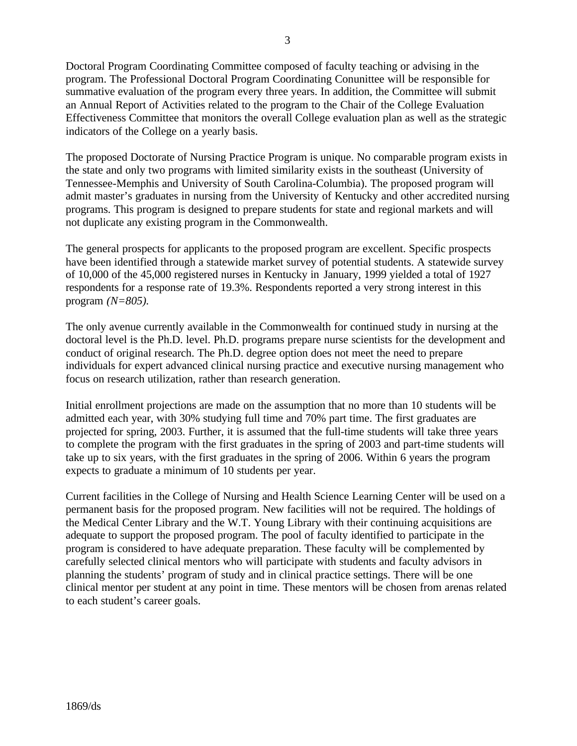Doctoral Program Coordinating Committee composed of faculty teaching or advising in the program. The Professional Doctoral Program Coordinating Conunittee will be responsible for summative evaluation of the program every three years. In addition, the Committee will submit an Annual Report of Activities related to the program to the Chair of the College Evaluation Effectiveness Committee that monitors the overall College evaluation plan as well as the strategic indicators of the College on a yearly basis.

The proposed Doctorate of Nursing Practice Program is unique. No comparable program exists in the state and only two programs with limited similarity exists in the southeast (University of Tennessee-Memphis and University of South Carolina-Columbia). The proposed program will admit master's graduates in nursing from the University of Kentucky and other accredited nursing programs. This program is designed to prepare students for state and regional markets and will not duplicate any existing program in the Commonwealth.

The general prospects for applicants to the proposed program are excellent. Specific prospects have been identified through a statewide market survey of potential students. A statewide survey of 10,000 of the 45,000 registered nurses in Kentucky in January, 1999 yielded a total of 1927 respondents for a response rate of 19.3%. Respondents reported a very strong interest in this program *(N=805).*

The only avenue currently available in the Commonwealth for continued study in nursing at the doctoral level is the Ph.D. level. Ph.D. programs prepare nurse scientists for the development and conduct of original research. The Ph.D. degree option does not meet the need to prepare individuals for expert advanced clinical nursing practice and executive nursing management who focus on research utilization, rather than research generation.

Initial enrollment projections are made on the assumption that no more than 10 students will be admitted each year, with 30% studying full time and 70% part time. The first graduates are projected for spring, 2003. Further, it is assumed that the full-time students will take three years to complete the program with the first graduates in the spring of 2003 and part-time students will take up to six years, with the first graduates in the spring of 2006. Within 6 years the program expects to graduate a minimum of 10 students per year.

Current facilities in the College of Nursing and Health Science Learning Center will be used on a permanent basis for the proposed program. New facilities will not be required. The holdings of the Medical Center Library and the W.T. Young Library with their continuing acquisitions are adequate to support the proposed program. The pool of faculty identified to participate in the program is considered to have adequate preparation. These faculty will be complemented by carefully selected clinical mentors who will participate with students and faculty advisors in planning the students' program of study and in clinical practice settings. There will be one clinical mentor per student at any point in time. These mentors will be chosen from arenas related to each student's career goals.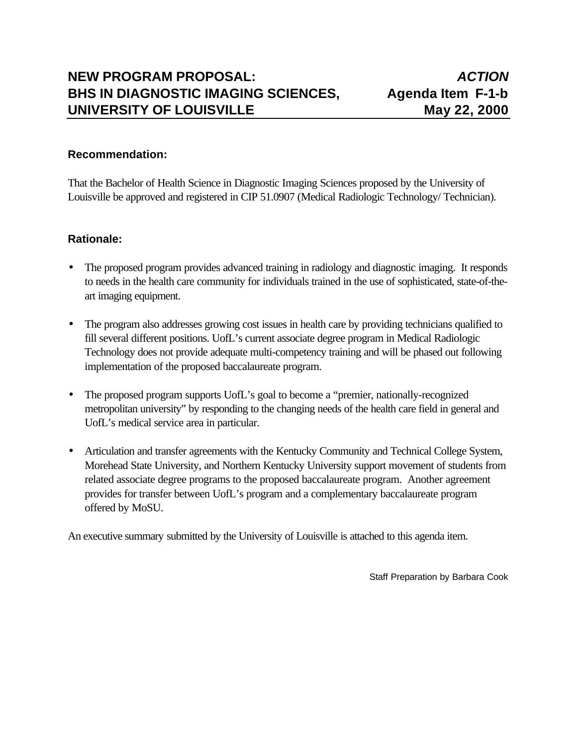#### **Recommendation:**

That the Bachelor of Health Science in Diagnostic Imaging Sciences proposed by the University of Louisville be approved and registered in CIP 51.0907 (Medical Radiologic Technology/ Technician).

#### **Rationale:**

- The proposed program provides advanced training in radiology and diagnostic imaging. It responds to needs in the health care community for individuals trained in the use of sophisticated, state-of-theart imaging equipment.
- The program also addresses growing cost issues in health care by providing technicians qualified to fill several different positions. UofL's current associate degree program in Medical Radiologic Technology does not provide adequate multi-competency training and will be phased out following implementation of the proposed baccalaureate program.
- The proposed program supports UofL's goal to become a "premier, nationally-recognized metropolitan university" by responding to the changing needs of the health care field in general and UofL's medical service area in particular.
- Articulation and transfer agreements with the Kentucky Community and Technical College System, Morehead State University, and Northern Kentucky University support movement of students from related associate degree programs to the proposed baccalaureate program. Another agreement provides for transfer between UofL's program and a complementary baccalaureate program offered by MoSU.

An executive summary submitted by the University of Louisville is attached to this agenda item.

Staff Preparation by Barbara Cook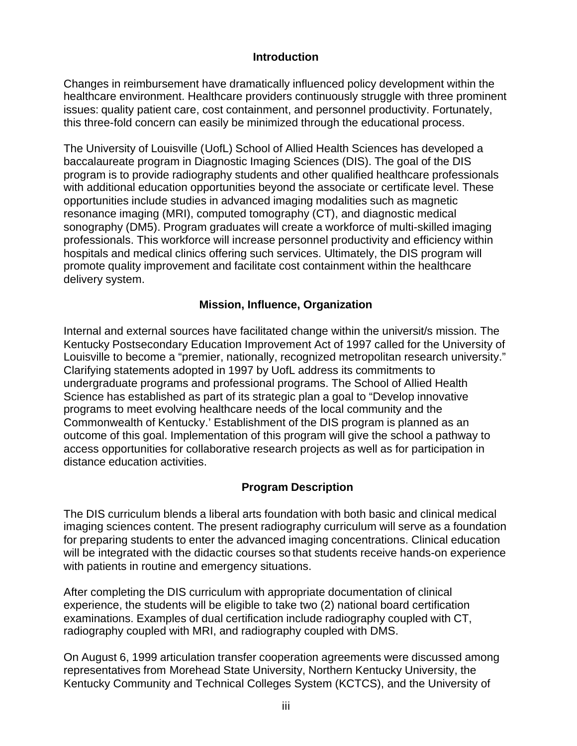#### **Introduction**

Changes in reimbursement have dramatically influenced policy development within the healthcare environment. Healthcare providers continuously struggle with three prominent issues: quality patient care, cost containment, and personnel productivity. Fortunately, this three-fold concern can easily be minimized through the educational process.

The University of Louisville (UofL) School of Allied Health Sciences has developed a baccalaureate program in Diagnostic Imaging Sciences (DIS). The goal of the DIS program is to provide radiography students and other qualified healthcare professionals with additional education opportunities beyond the associate or certificate level. These opportunities include studies in advanced imaging modalities such as magnetic resonance imaging (MRI), computed tomography (CT), and diagnostic medical sonography (DM5). Program graduates will create a workforce of multi-skilled imaging professionals. This workforce will increase personnel productivity and efficiency within hospitals and medical clinics offering such services. Ultimately, the DIS program will promote quality improvement and facilitate cost containment within the healthcare delivery system.

### **Mission, Influence, Organization**

Internal and external sources have facilitated change within the universit/s mission. The Kentucky Postsecondary Education Improvement Act of 1997 called for the University of Louisville to become a "premier, nationally, recognized metropolitan research university." Clarifying statements adopted in 1997 by UofL address its commitments to undergraduate programs and professional programs. The School of Allied Health Science has established as part of its strategic plan a goal to "Develop innovative programs to meet evolving healthcare needs of the local community and the Commonwealth of Kentucky.' Establishment of the DIS program is planned as an outcome of this goal. Implementation of this program will give the school a pathway to access opportunities for collaborative research projects as well as for participation in distance education activities.

# **Program Description**

The DIS curriculum blends a liberal arts foundation with both basic and clinical medical imaging sciences content. The present radiography curriculum will serve as a foundation for preparing students to enter the advanced imaging concentrations. Clinical education will be integrated with the didactic courses so that students receive hands-on experience with patients in routine and emergency situations.

After completing the DIS curriculum with appropriate documentation of clinical experience, the students will be eligible to take two (2) national board certification examinations. Examples of dual certification include radiography coupled with CT, radiography coupled with MRI, and radiography coupled with DMS.

On August 6, 1999 articulation transfer cooperation agreements were discussed among representatives from Morehead State University, Northern Kentucky University, the Kentucky Community and Technical Colleges System (KCTCS), and the University of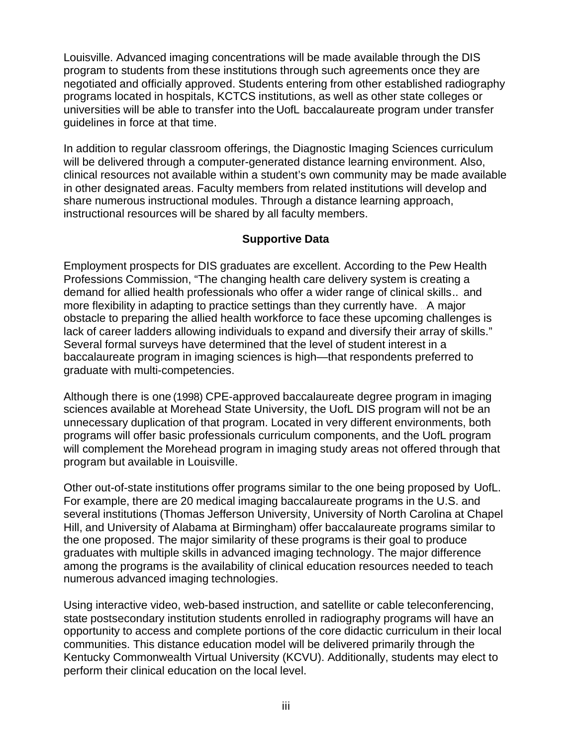Louisville. Advanced imaging concentrations will be made available through the DIS program to students from these institutions through such agreements once they are negotiated and officially approved. Students entering from other established radiography programs located in hospitals, KCTCS institutions, as well as other state colleges or universities will be able to transfer into the UofL baccalaureate program under transfer guidelines in force at that time.

In addition to regular classroom offerings, the Diagnostic Imaging Sciences curriculum will be delivered through a computer-generated distance learning environment. Also, clinical resources not available within a student's own community may be made available in other designated areas. Faculty members from related institutions will develop and share numerous instructional modules. Through a distance learning approach, instructional resources will be shared by all faculty members.

# **Supportive Data**

Employment prospects for DIS graduates are excellent. According to the Pew Health Professions Commission, "The changing health care delivery system is creating a demand for allied health professionals who offer a wider range of clinical skills.. and more flexibility in adapting to practice settings than they currently have. A major obstacle to preparing the allied health workforce to face these upcoming challenges is lack of career ladders allowing individuals to expand and diversify their array of skills." Several formal surveys have determined that the level of student interest in a baccalaureate program in imaging sciences is high—that respondents preferred to graduate with multi-competencies.

Although there is one (1998) CPE-approved baccalaureate degree program in imaging sciences available at Morehead State University, the UofL DIS program will not be an unnecessary duplication of that program. Located in very different environments, both programs will offer basic professionals curriculum components, and the UofL program will complement the Morehead program in imaging study areas not offered through that program but available in Louisville.

Other out-of-state institutions offer programs similar to the one being proposed by UofL. For example, there are 20 medical imaging baccalaureate programs in the U.S. and several institutions (Thomas Jefferson University, University of North Carolina at Chapel Hill, and University of Alabama at Birmingham) offer baccalaureate programs similar to the one proposed. The major similarity of these programs is their goal to produce graduates with multiple skills in advanced imaging technology. The major difference among the programs is the availability of clinical education resources needed to teach numerous advanced imaging technologies.

Using interactive video, web-based instruction, and satellite or cable teleconferencing, state postsecondary institution students enrolled in radiography programs will have an opportunity to access and complete portions of the core didactic curriculum in their local communities. This distance education model will be delivered primarily through the Kentucky Commonwealth Virtual University (KCVU). Additionally, students may elect to perform their clinical education on the local level.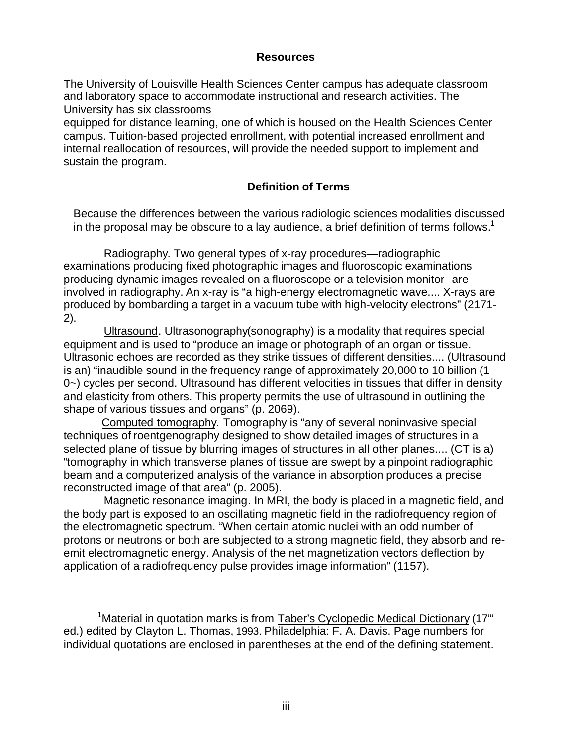#### **Resources**

The University of Louisville Health Sciences Center campus has adequate classroom and laboratory space to accommodate instructional and research activities. The University has six classrooms

equipped for distance learning, one of which is housed on the Health Sciences Center campus. Tuition-based projected enrollment, with potential increased enrollment and internal reallocation of resources, will provide the needed support to implement and sustain the program.

#### **Definition of Terms**

Because the differences between the various radiologic sciences modalities discussed in the proposal may be obscure to a lay audience, a brief definition of terms follows.<sup>1</sup>

Radiography. Two general types of x-ray procedures—radiographic examinations producing fixed photographic images and fluoroscopic examinations producing dynamic images revealed on a fluoroscope or a television monitor--are involved in radiography. An x-ray is "a high-energy electromagnetic wave.... X-rays are produced by bombarding a target in a vacuum tube with high-velocity electrons" (2171- 2).

Ultrasound. Ultrasonography(sonography) is a modality that requires special equipment and is used to "produce an image or photograph of an organ or tissue. Ultrasonic echoes are recorded as they strike tissues of different densities.... (Ultrasound is an) "inaudible sound in the frequency range of approximately 20,000 to 10 billion (1 0~) cycles per second. Ultrasound has different velocities in tissues that differ in density and elasticity from others. This property permits the use of ultrasound in outlining the shape of various tissues and organs" (p. 2069).

Computed tomography. Tomography is "any of several noninvasive special techniques of roentgenography designed to show detailed images of structures in a selected plane of tissue by blurring images of structures in all other planes.... (CT is a) "tomography in which transverse planes of tissue are swept by a pinpoint radiographic beam and a computerized analysis of the variance in absorption produces a precise reconstructed image of that area" (p. 2005).

Magnetic resonance imaging. In MRI, the body is placed in a magnetic field, and the body part is exposed to an oscillating magnetic field in the radiofrequency region of the electromagnetic spectrum. "When certain atomic nuclei with an odd number of protons or neutrons or both are subjected to a strong magnetic field, they absorb and reemit electromagnetic energy. Analysis of the net magnetization vectors deflection by application of a radiofrequency pulse provides image information" (1157).

<sup>1</sup> Material in quotation marks is from Taber's Cyclopedic Medical Dictionary (17"' ed.) edited by Clayton L. Thomas, 1993. Philadelphia: F. A. Davis. Page numbers for individual quotations are enclosed in parentheses at the end of the defining statement.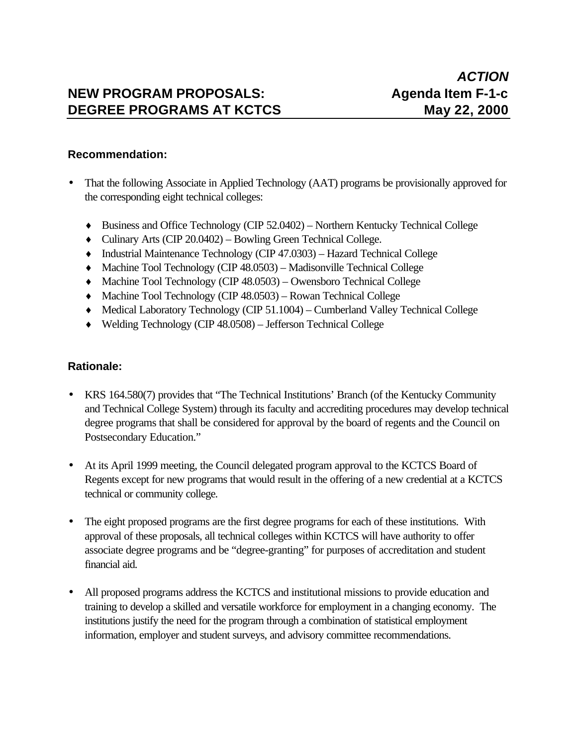# **NEW PROGRAM PROPOSALS:** Agenda Item F-1-c **DEGREE PROGRAMS AT KCTCS May 22, 2000**

#### **Recommendation:**

- That the following Associate in Applied Technology (AAT) programs be provisionally approved for the corresponding eight technical colleges:
	- ♦ Business and Office Technology (CIP 52.0402) Northern Kentucky Technical College
	- ♦ Culinary Arts (CIP 20.0402) Bowling Green Technical College.
	- ♦ Industrial Maintenance Technology (CIP 47.0303) Hazard Technical College
	- ♦ Machine Tool Technology (CIP 48.0503) Madisonville Technical College
	- ♦ Machine Tool Technology (CIP 48.0503) Owensboro Technical College
	- ♦ Machine Tool Technology (CIP 48.0503) Rowan Technical College
	- ♦ Medical Laboratory Technology (CIP 51.1004) Cumberland Valley Technical College
	- ♦ Welding Technology (CIP 48.0508) Jefferson Technical College

#### **Rationale:**

- KRS 164.580(7) provides that "The Technical Institutions' Branch (of the Kentucky Community and Technical College System) through its faculty and accrediting procedures may develop technical degree programs that shall be considered for approval by the board of regents and the Council on Postsecondary Education."
- At its April 1999 meeting, the Council delegated program approval to the KCTCS Board of Regents except for new programs that would result in the offering of a new credential at a KCTCS technical or community college.
- The eight proposed programs are the first degree programs for each of these institutions. With approval of these proposals, all technical colleges within KCTCS will have authority to offer associate degree programs and be "degree-granting" for purposes of accreditation and student financial aid.
- All proposed programs address the KCTCS and institutional missions to provide education and training to develop a skilled and versatile workforce for employment in a changing economy. The institutions justify the need for the program through a combination of statistical employment information, employer and student surveys, and advisory committee recommendations.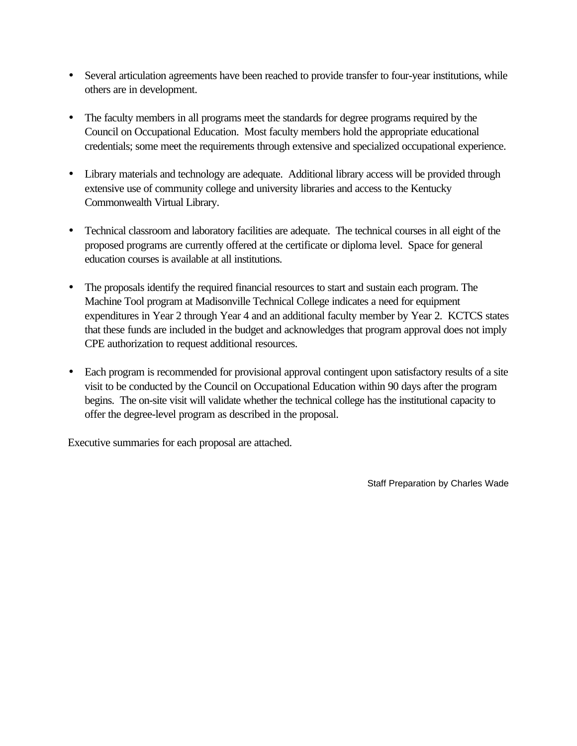- Several articulation agreements have been reached to provide transfer to four-year institutions, while others are in development.
- The faculty members in all programs meet the standards for degree programs required by the Council on Occupational Education. Most faculty members hold the appropriate educational credentials; some meet the requirements through extensive and specialized occupational experience.
- Library materials and technology are adequate. Additional library access will be provided through extensive use of community college and university libraries and access to the Kentucky Commonwealth Virtual Library.
- Technical classroom and laboratory facilities are adequate. The technical courses in all eight of the proposed programs are currently offered at the certificate or diploma level. Space for general education courses is available at all institutions.
- The proposals identify the required financial resources to start and sustain each program. The Machine Tool program at Madisonville Technical College indicates a need for equipment expenditures in Year 2 through Year 4 and an additional faculty member by Year 2. KCTCS states that these funds are included in the budget and acknowledges that program approval does not imply CPE authorization to request additional resources.
- Each program is recommended for provisional approval contingent upon satisfactory results of a site visit to be conducted by the Council on Occupational Education within 90 days after the program begins. The on-site visit will validate whether the technical college has the institutional capacity to offer the degree-level program as described in the proposal.

Executive summaries for each proposal are attached.

Staff Preparation by Charles Wade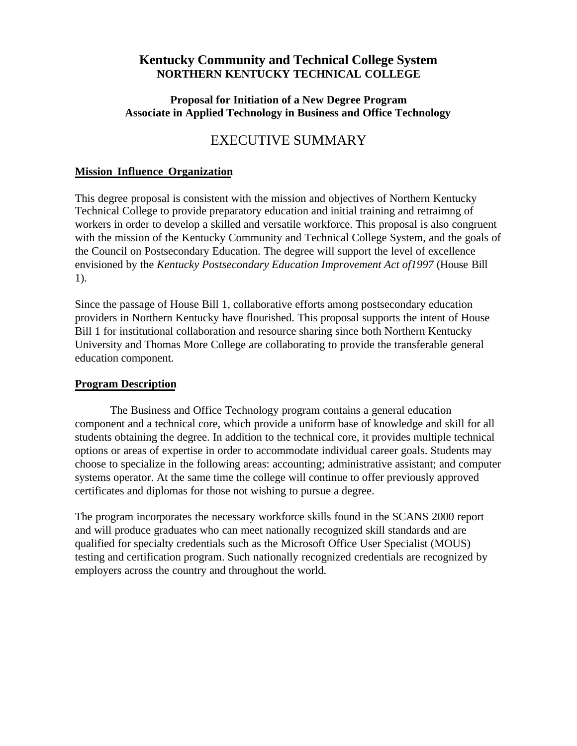### **Kentucky Community and Technical College System NORTHERN KENTUCKY TECHNICAL COLLEGE**

#### **Proposal for Initiation of a New Degree Program Associate in Applied Technology in Business and Office Technology**

# EXECUTIVE SUMMARY

#### **Mission** - **Influence** - **Organization**

This degree proposal is consistent with the mission and objectives of Northern Kentucky Technical College to provide preparatory education and initial training and retraimng of workers in order to develop a skilled and versatile workforce. This proposal is also congruent with the mission of the Kentucky Community and Technical College System, and the goals of the Council on Postsecondary Education. The degree will support the level of excellence envisioned by the *Kentucky Postsecondary Education Improvement Act of1997* (House Bill 1).

Since the passage of House Bill 1, collaborative efforts among postsecondary education providers in Northern Kentucky have flourished. This proposal supports the intent of House Bill 1 for institutional collaboration and resource sharing since both Northern Kentucky University and Thomas More College are collaborating to provide the transferable general education component.

#### **Program Description**

The Business and Office Technology program contains a general education component and a technical core, which provide a uniform base of knowledge and skill for all students obtaining the degree. In addition to the technical core, it provides multiple technical options or areas of expertise in order to accommodate individual career goals. Students may choose to specialize in the following areas: accounting; administrative assistant; and computer systems operator. At the same time the college will continue to offer previously approved certificates and diplomas for those not wishing to pursue a degree.

The program incorporates the necessary workforce skills found in the SCANS 2000 report and will produce graduates who can meet nationally recognized skill standards and are qualified for specialty credentials such as the Microsoft Office User Specialist (MOUS) testing and certification program. Such nationally recognized credentials are recognized by employers across the country and throughout the world.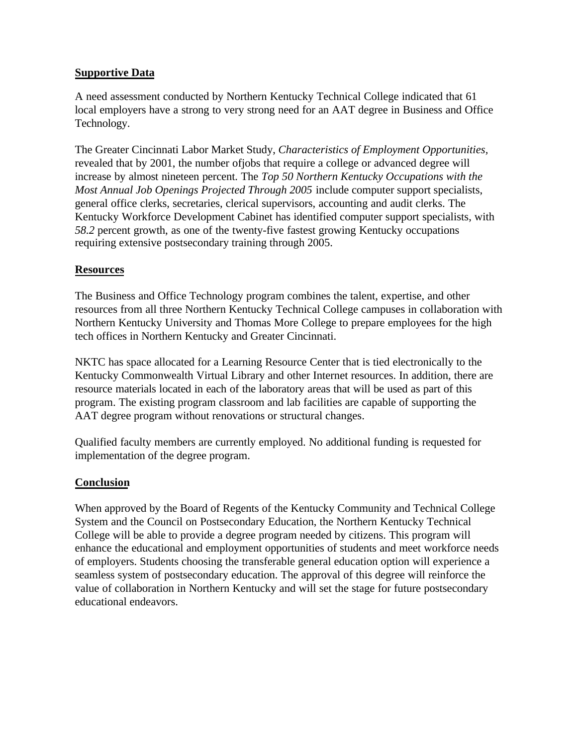#### **Supportive Data**

A need assessment conducted by Northern Kentucky Technical College indicated that 61 local employers have a strong to very strong need for an AAT degree in Business and Office Technology.

The Greater Cincinnati Labor Market Study, *Characteristics of Employment Opportunities,* revealed that by 2001, the number ofjobs that require a college or advanced degree will increase by almost nineteen percent. The *Top 50 Northern Kentucky Occupations with the Most Annual Job Openings Projected Through 2005* include computer support specialists, general office clerks, secretaries, clerical supervisors, accounting and audit clerks. The Kentucky Workforce Development Cabinet has identified computer support specialists, with *58.2* percent growth, as one of the twenty-five fastest growing Kentucky occupations requiring extensive postsecondary training through 2005.

#### **Resources**

The Business and Office Technology program combines the talent, expertise, and other resources from all three Northern Kentucky Technical College campuses in collaboration with Northern Kentucky University and Thomas More College to prepare employees for the high tech offices in Northern Kentucky and Greater Cincinnati.

NKTC has space allocated for a Learning Resource Center that is tied electronically to the Kentucky Commonwealth Virtual Library and other Internet resources. In addition, there are resource materials located in each of the laboratory areas that will be used as part of this program. The existing program classroom and lab facilities are capable of supporting the AAT degree program without renovations or structural changes.

Qualified faculty members are currently employed. No additional funding is requested for implementation of the degree program.

#### **Conclusion**

When approved by the Board of Regents of the Kentucky Community and Technical College System and the Council on Postsecondary Education, the Northern Kentucky Technical College will be able to provide a degree program needed by citizens. This program will enhance the educational and employment opportunities of students and meet workforce needs of employers. Students choosing the transferable general education option will experience a seamless system of postsecondary education. The approval of this degree will reinforce the value of collaboration in Northern Kentucky and will set the stage for future postsecondary educational endeavors.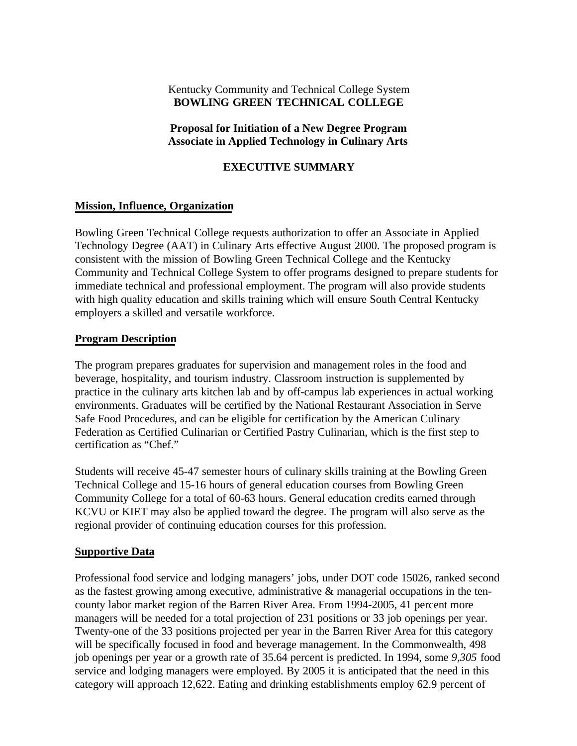#### Kentucky Community and Technical College System **BOWLING GREEN TECHNICAL COLLEGE**

#### **Proposal for Initiation of a New Degree Program Associate in Applied Technology in Culinary Arts**

#### **EXECUTIVE SUMMARY**

#### **Mission, Influence, Organization**

Bowling Green Technical College requests authorization to offer an Associate in Applied Technology Degree (AAT) in Culinary Arts effective August 2000. The proposed program is consistent with the mission of Bowling Green Technical College and the Kentucky Community and Technical College System to offer programs designed to prepare students for immediate technical and professional employment. The program will also provide students with high quality education and skills training which will ensure South Central Kentucky employers a skilled and versatile workforce.

#### **Program Description**

The program prepares graduates for supervision and management roles in the food and beverage, hospitality, and tourism industry. Classroom instruction is supplemented by practice in the culinary arts kitchen lab and by off-campus lab experiences in actual working environments. Graduates will be certified by the National Restaurant Association in Serve Safe Food Procedures, and can be eligible for certification by the American Culinary Federation as Certified Culinarian or Certified Pastry Culinarian, which is the first step to certification as "Chef."

Students will receive 45-47 semester hours of culinary skills training at the Bowling Green Technical College and 15-16 hours of general education courses from Bowling Green Community College for a total of 60-63 hours. General education credits earned through KCVU or KIET may also be applied toward the degree. The program will also serve as the regional provider of continuing education courses for this profession.

#### **Supportive Data**

Professional food service and lodging managers' jobs, under DOT code 15026, ranked second as the fastest growing among executive, administrative & managerial occupations in the tencounty labor market region of the Barren River Area. From 1994-2005, 41 percent more managers will be needed for a total projection of 231 positions or 33 job openings per year. Twenty-one of the 33 positions projected per year in the Barren River Area for this category will be specifically focused in food and beverage management. In the Commonwealth, 498 job openings per year or a growth rate of 35.64 percent is predicted. In 1994, some *9,305* food service and lodging managers were employed. By 2005 it is anticipated that the need in this category will approach 12,622. Eating and drinking establishments employ 62.9 percent of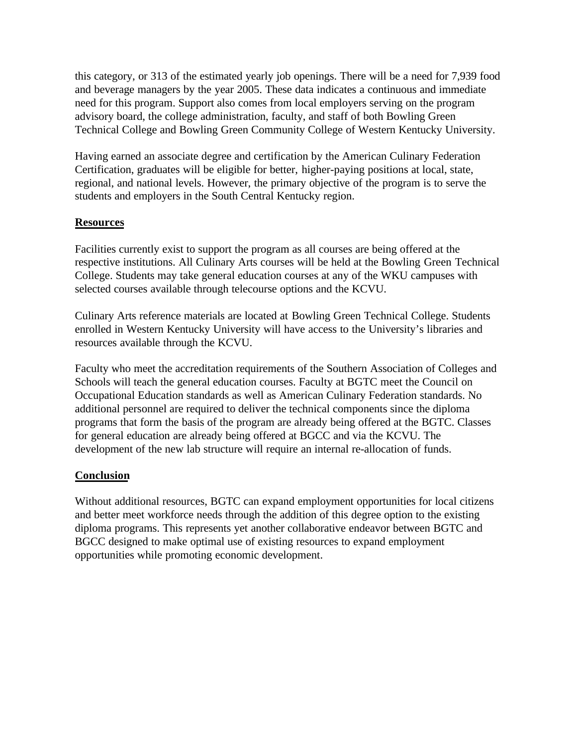this category, or 313 of the estimated yearly job openings. There will be a need for 7,939 food and beverage managers by the year 2005. These data indicates a continuous and immediate need for this program. Support also comes from local employers serving on the program advisory board, the college administration, faculty, and staff of both Bowling Green Technical College and Bowling Green Community College of Western Kentucky University.

Having earned an associate degree and certification by the American Culinary Federation Certification, graduates will be eligible for better, higher-paying positions at local, state, regional, and national levels. However, the primary objective of the program is to serve the students and employers in the South Central Kentucky region.

#### **Resources**

Facilities currently exist to support the program as all courses are being offered at the respective institutions. All Culinary Arts courses will be held at the Bowling Green Technical College. Students may take general education courses at any of the WKU campuses with selected courses available through telecourse options and the KCVU.

Culinary Arts reference materials are located at Bowling Green Technical College. Students enrolled in Western Kentucky University will have access to the University's libraries and resources available through the KCVU.

Faculty who meet the accreditation requirements of the Southern Association of Colleges and Schools will teach the general education courses. Faculty at BGTC meet the Council on Occupational Education standards as well as American Culinary Federation standards. No additional personnel are required to deliver the technical components since the diploma programs that form the basis of the program are already being offered at the BGTC. Classes for general education are already being offered at BGCC and via the KCVU. The development of the new lab structure will require an internal re-allocation of funds.

#### **Conclusion**

Without additional resources, BGTC can expand employment opportunities for local citizens and better meet workforce needs through the addition of this degree option to the existing diploma programs. This represents yet another collaborative endeavor between BGTC and BGCC designed to make optimal use of existing resources to expand employment opportunities while promoting economic development.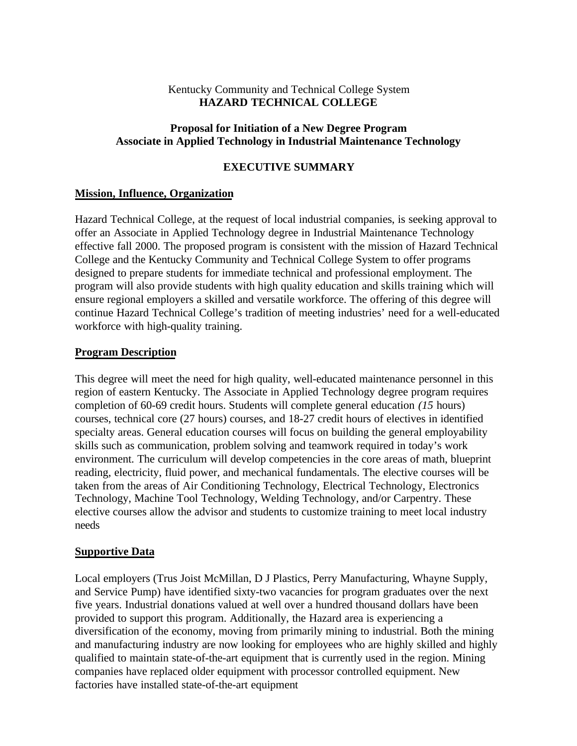#### Kentucky Community and Technical College System **HAZARD TECHNICAL COLLEGE**

#### **Proposal for Initiation of a New Degree Program Associate in Applied Technology in Industrial Maintenance Technology**

#### **EXECUTIVE SUMMARY**

#### **Mission, Influence, Organization**

Hazard Technical College, at the request of local industrial companies, is seeking approval to offer an Associate in Applied Technology degree in Industrial Maintenance Technology effective fall 2000. The proposed program is consistent with the mission of Hazard Technical College and the Kentucky Community and Technical College System to offer programs designed to prepare students for immediate technical and professional employment. The program will also provide students with high quality education and skills training which will ensure regional employers a skilled and versatile workforce. The offering of this degree will continue Hazard Technical College's tradition of meeting industries' need for a well-educated workforce with high-quality training.

#### **Program Description**

This degree will meet the need for high quality, well-educated maintenance personnel in this region of eastern Kentucky. The Associate in Applied Technology degree program requires completion of 60-69 credit hours. Students will complete general education *(15* hours) courses, technical core (27 hours) courses, and 18-27 credit hours of electives in identified specialty areas. General education courses will focus on building the general employability skills such as communication, problem solving and teamwork required in today's work environment. The curriculum will develop competencies in the core areas of math, blueprint reading, electricity, fluid power, and mechanical fundamentals. The elective courses will be taken from the areas of Air Conditioning Technology, Electrical Technology, Electronics Technology, Machine Tool Technology, Welding Technology, and/or Carpentry. These elective courses allow the advisor and students to customize training to meet local industry needs

#### **Supportive Data**

Local employers (Trus Joist McMillan, D J Plastics, Perry Manufacturing, Whayne Supply, and Service Pump) have identified sixty-two vacancies for program graduates over the next five years. Industrial donations valued at well over a hundred thousand dollars have been provided to support this program. Additionally, the Hazard area is experiencing a diversification of the economy, moving from primarily mining to industrial. Both the mining and manufacturing industry are now looking for employees who are highly skilled and highly qualified to maintain state-of-the-art equipment that is currently used in the region. Mining companies have replaced older equipment with processor controlled equipment. New factories have installed state-of-the-art equipment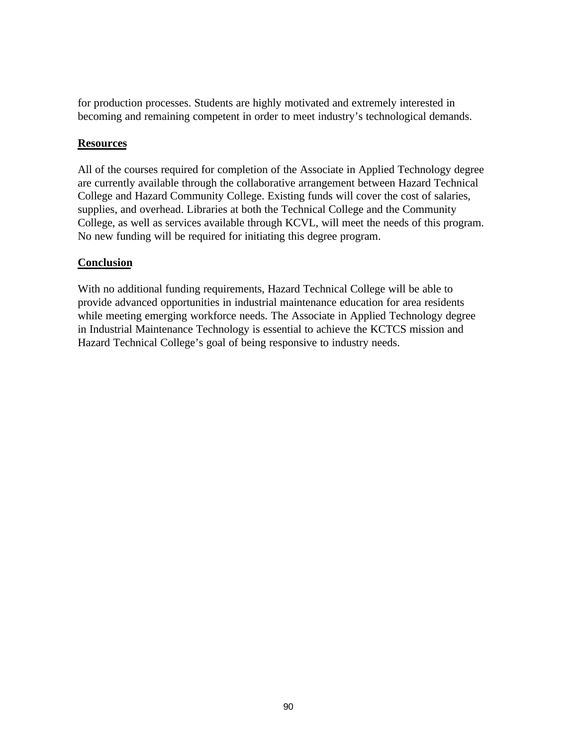for production processes. Students are highly motivated and extremely interested in becoming and remaining competent in order to meet industry's technological demands.

#### **Resources**

All of the courses required for completion of the Associate in Applied Technology degree are currently available through the collaborative arrangement between Hazard Technical College and Hazard Community College. Existing funds will cover the cost of salaries, supplies, and overhead. Libraries at both the Technical College and the Community College, as well as services available through KCVL, will meet the needs of this program. No new funding will be required for initiating this degree program.

#### **Conclusion**

With no additional funding requirements, Hazard Technical College will be able to provide advanced opportunities in industrial maintenance education for area residents while meeting emerging workforce needs. The Associate in Applied Technology degree in Industrial Maintenance Technology is essential to achieve the KCTCS mission and Hazard Technical College's goal of being responsive to industry needs.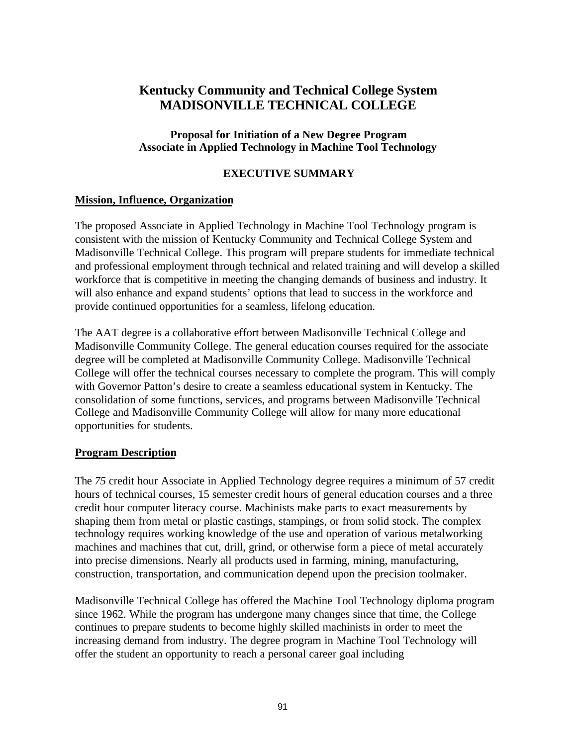# **Kentucky Community and Technical College System MADISONVILLE TECHNICAL COLLEGE**

#### **Proposal for Initiation of a New Degree Program Associate in Applied Technology in Machine Tool Technology**

#### **EXECUTIVE SUMMARY**

#### **Mission, Influence, Organization**

The proposed Associate in Applied Technology in Machine Tool Technology program is consistent with the mission of Kentucky Community and Technical College System and Madisonville Technical College. This program will prepare students for immediate technical and professional employment through technical and related training and will develop a skilled workforce that is competitive in meeting the changing demands of business and industry. It will also enhance and expand students' options that lead to success in the workforce and provide continued opportunities for a seamless, lifelong education.

The AAT degree is a collaborative effort between Madisonville Technical College and Madisonville Community College. The general education courses required for the associate degree will be completed at Madisonville Community College. Madisonville Technical College will offer the technical courses necessary to complete the program. This will comply with Governor Patton's desire to create a seamless educational system in Kentucky. The consolidation of some functions, services, and programs between Madisonville Technical College and Madisonville Community College will allow for many more educational opportunities for students.

#### **Program Description**

The *75* credit hour Associate in Applied Technology degree requires a minimum of 57 credit hours of technical courses, 15 semester credit hours of general education courses and a three credit hour computer literacy course. Machinists make parts to exact measurements by shaping them from metal or plastic castings, stampings, or from solid stock. The complex technology requires working knowledge of the use and operation of various metalworking machines and machines that cut, drill, grind, or otherwise form a piece of metal accurately into precise dimensions. Nearly all products used in farming, mining, manufacturing, construction, transportation, and communication depend upon the precision toolmaker.

Madisonville Technical College has offered the Machine Tool Technology diploma program since 1962. While the program has undergone many changes since that time, the College continues to prepare students to become highly skilled machinists in order to meet the increasing demand from industry. The degree program in Machine Tool Technology will offer the student an opportunity to reach a personal career goal including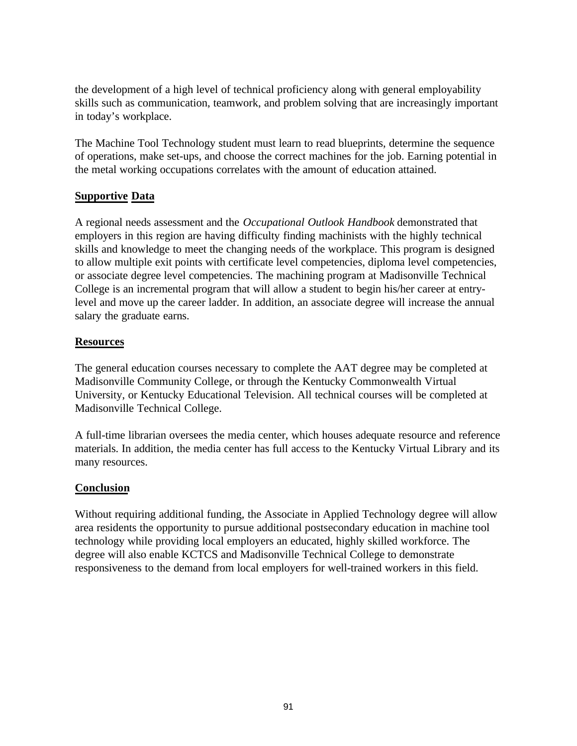the development of a high level of technical proficiency along with general employability skills such as communication, teamwork, and problem solving that are increasingly important in today's workplace.

The Machine Tool Technology student must learn to read blueprints, determine the sequence of operations, make set-ups, and choose the correct machines for the job. Earning potential in the metal working occupations correlates with the amount of education attained.

#### **Supportive Data**

A regional needs assessment and the *Occupational Outlook Handbook* demonstrated that employers in this region are having difficulty finding machinists with the highly technical skills and knowledge to meet the changing needs of the workplace. This program is designed to allow multiple exit points with certificate level competencies, diploma level competencies, or associate degree level competencies. The machining program at Madisonville Technical College is an incremental program that will allow a student to begin his/her career at entrylevel and move up the career ladder. In addition, an associate degree will increase the annual salary the graduate earns.

#### **Resources**

The general education courses necessary to complete the AAT degree may be completed at Madisonville Community College, or through the Kentucky Commonwealth Virtual University, or Kentucky Educational Television. All technical courses will be completed at Madisonville Technical College.

A full-time librarian oversees the media center, which houses adequate resource and reference materials. In addition, the media center has full access to the Kentucky Virtual Library and its many resources.

#### **Conclusion**

Without requiring additional funding, the Associate in Applied Technology degree will allow area residents the opportunity to pursue additional postsecondary education in machine tool technology while providing local employers an educated, highly skilled workforce. The degree will also enable KCTCS and Madisonville Technical College to demonstrate responsiveness to the demand from local employers for well-trained workers in this field.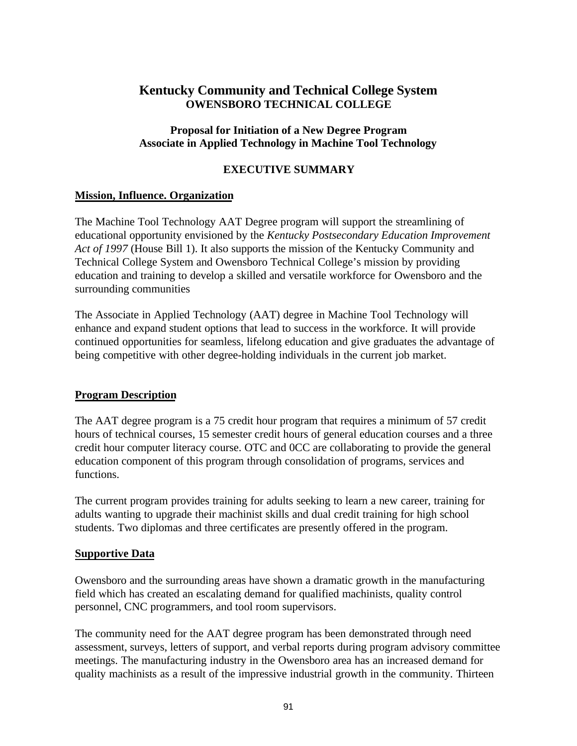# **Kentucky Community and Technical College System OWENSBORO TECHNICAL COLLEGE**

#### **Proposal for Initiation of a New Degree Program Associate in Applied Technology in Machine Tool Technology**

#### **EXECUTIVE SUMMARY**

#### **Mission, Influence. Organization**

The Machine Tool Technology AAT Degree program will support the streamlining of educational opportunity envisioned by the *Kentucky Postsecondary Education Improvement Act of 1997* (House Bill 1). It also supports the mission of the Kentucky Community and Technical College System and Owensboro Technical College's mission by providing education and training to develop a skilled and versatile workforce for Owensboro and the surrounding communities

The Associate in Applied Technology (AAT) degree in Machine Tool Technology will enhance and expand student options that lead to success in the workforce. It will provide continued opportunities for seamless, lifelong education and give graduates the advantage of being competitive with other degree-holding individuals in the current job market.

#### **Program Description**

The AAT degree program is a 75 credit hour program that requires a minimum of 57 credit hours of technical courses, 15 semester credit hours of general education courses and a three credit hour computer literacy course. OTC and 0CC are collaborating to provide the general education component of this program through consolidation of programs, services and functions.

The current program provides training for adults seeking to learn a new career, training for adults wanting to upgrade their machinist skills and dual credit training for high school students. Two diplomas and three certificates are presently offered in the program.

#### **Supportive Data**

Owensboro and the surrounding areas have shown a dramatic growth in the manufacturing field which has created an escalating demand for qualified machinists, quality control personnel, CNC programmers, and tool room supervisors.

The community need for the AAT degree program has been demonstrated through need assessment, surveys, letters of support, and verbal reports during program advisory committee meetings. The manufacturing industry in the Owensboro area has an increased demand for quality machinists as a result of the impressive industrial growth in the community. Thirteen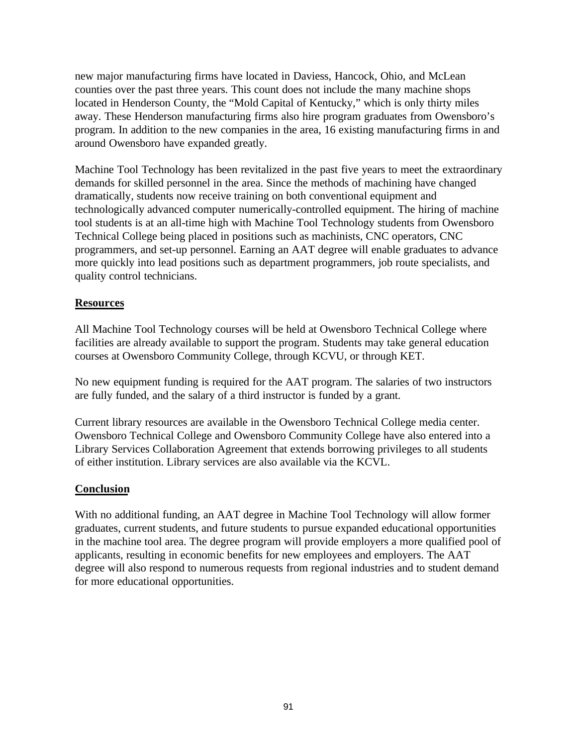new major manufacturing firms have located in Daviess, Hancock, Ohio, and McLean counties over the past three years. This count does not include the many machine shops located in Henderson County, the "Mold Capital of Kentucky," which is only thirty miles away. These Henderson manufacturing firms also hire program graduates from Owensboro's program. In addition to the new companies in the area, 16 existing manufacturing firms in and around Owensboro have expanded greatly.

Machine Tool Technology has been revitalized in the past five years to meet the extraordinary demands for skilled personnel in the area. Since the methods of machining have changed dramatically, students now receive training on both conventional equipment and technologically advanced computer numerically-controlled equipment. The hiring of machine tool students is at an all-time high with Machine Tool Technology students from Owensboro Technical College being placed in positions such as machinists, CNC operators, CNC programmers, and set-up personnel. Earning an AAT degree will enable graduates to advance more quickly into lead positions such as department programmers, job route specialists, and quality control technicians.

#### **Resources**

All Machine Tool Technology courses will be held at Owensboro Technical College where facilities are already available to support the program. Students may take general education courses at Owensboro Community College, through KCVU, or through KET.

No new equipment funding is required for the AAT program. The salaries of two instructors are fully funded, and the salary of a third instructor is funded by a grant.

Current library resources are available in the Owensboro Technical College media center. Owensboro Technical College and Owensboro Community College have also entered into a Library Services Collaboration Agreement that extends borrowing privileges to all students of either institution. Library services are also available via the KCVL.

#### **Conclusion**

With no additional funding, an AAT degree in Machine Tool Technology will allow former graduates, current students, and future students to pursue expanded educational opportunities in the machine tool area. The degree program will provide employers a more qualified pool of applicants, resulting in economic benefits for new employees and employers. The AAT degree will also respond to numerous requests from regional industries and to student demand for more educational opportunities.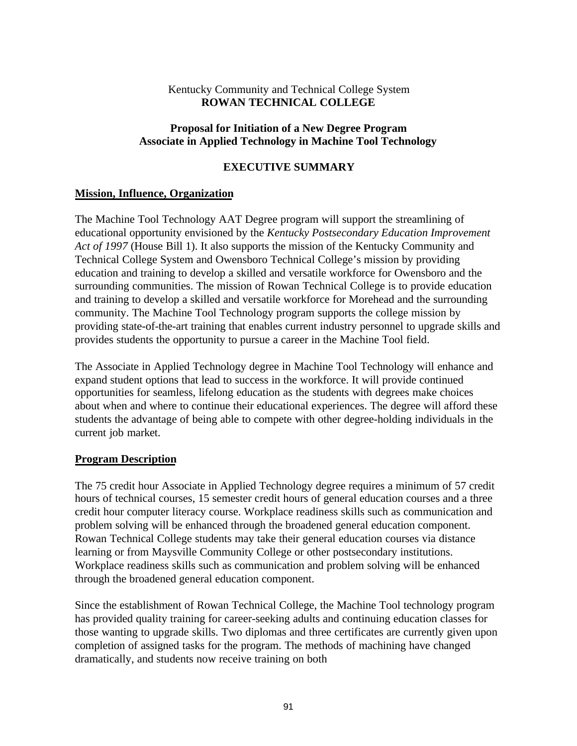#### Kentucky Community and Technical College System **ROWAN TECHNICAL COLLEGE**

#### **Proposal for Initiation of a New Degree Program Associate in Applied Technology in Machine Tool Technology**

#### **EXECUTIVE SUMMARY**

#### **Mission, Influence, Organization**

The Machine Tool Technology AAT Degree program will support the streamlining of educational opportunity envisioned by the *Kentucky Postsecondary Education Improvement Act of 1997* (House Bill 1). It also supports the mission of the Kentucky Community and Technical College System and Owensboro Technical College's mission by providing education and training to develop a skilled and versatile workforce for Owensboro and the surrounding communities. The mission of Rowan Technical College is to provide education and training to develop a skilled and versatile workforce for Morehead and the surrounding community. The Machine Tool Technology program supports the college mission by providing state-of-the-art training that enables current industry personnel to upgrade skills and provides students the opportunity to pursue a career in the Machine Tool field.

The Associate in Applied Technology degree in Machine Tool Technology will enhance and expand student options that lead to success in the workforce. It will provide continued opportunities for seamless, lifelong education as the students with degrees make choices about when and where to continue their educational experiences. The degree will afford these students the advantage of being able to compete with other degree-holding individuals in the current job market.

#### **Program Description**

The 75 credit hour Associate in Applied Technology degree requires a minimum of 57 credit hours of technical courses, 15 semester credit hours of general education courses and a three credit hour computer literacy course. Workplace readiness skills such as communication and problem solving will be enhanced through the broadened general education component. Rowan Technical College students may take their general education courses via distance learning or from Maysville Community College or other postsecondary institutions. Workplace readiness skills such as communication and problem solving will be enhanced through the broadened general education component.

Since the establishment of Rowan Technical College, the Machine Tool technology program has provided quality training for career-seeking adults and continuing education classes for those wanting to upgrade skills. Two diplomas and three certificates are currently given upon completion of assigned tasks for the program. The methods of machining have changed dramatically, and students now receive training on both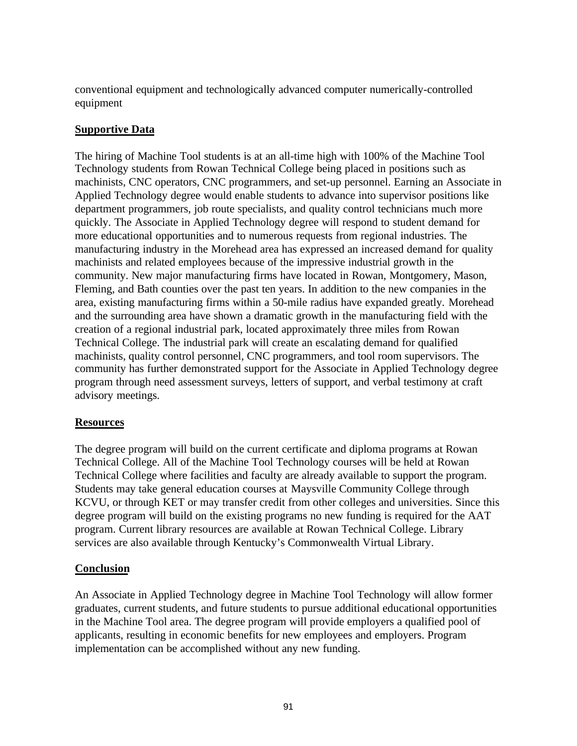conventional equipment and technologically advanced computer numerically-controlled equipment

#### **Supportive Data**

The hiring of Machine Tool students is at an all-time high with 100% of the Machine Tool Technology students from Rowan Technical College being placed in positions such as machinists, CNC operators, CNC programmers, and set-up personnel. Earning an Associate in Applied Technology degree would enable students to advance into supervisor positions like department programmers, job route specialists, and quality control technicians much more quickly. The Associate in Applied Technology degree will respond to student demand for more educational opportunities and to numerous requests from regional industries. The manufacturing industry in the Morehead area has expressed an increased demand for quality machinists and related employees because of the impressive industrial growth in the community. New major manufacturing firms have located in Rowan, Montgomery, Mason, Fleming, and Bath counties over the past ten years. In addition to the new companies in the area, existing manufacturing firms within a 50-mile radius have expanded greatly. Morehead and the surrounding area have shown a dramatic growth in the manufacturing field with the creation of a regional industrial park, located approximately three miles from Rowan Technical College. The industrial park will create an escalating demand for qualified machinists, quality control personnel, CNC programmers, and tool room supervisors. The community has further demonstrated support for the Associate in Applied Technology degree program through need assessment surveys, letters of support, and verbal testimony at craft advisory meetings.

#### **Resources**

The degree program will build on the current certificate and diploma programs at Rowan Technical College. All of the Machine Tool Technology courses will be held at Rowan Technical College where facilities and faculty are already available to support the program. Students may take general education courses at Maysville Community College through KCVU, or through KET or may transfer credit from other colleges and universities. Since this degree program will build on the existing programs no new funding is required for the AAT program. Current library resources are available at Rowan Technical College. Library services are also available through Kentucky's Commonwealth Virtual Library.

#### **Conclusion**

An Associate in Applied Technology degree in Machine Tool Technology will allow former graduates, current students, and future students to pursue additional educational opportunities in the Machine Tool area. The degree program will provide employers a qualified pool of applicants, resulting in economic benefits for new employees and employers. Program implementation can be accomplished without any new funding.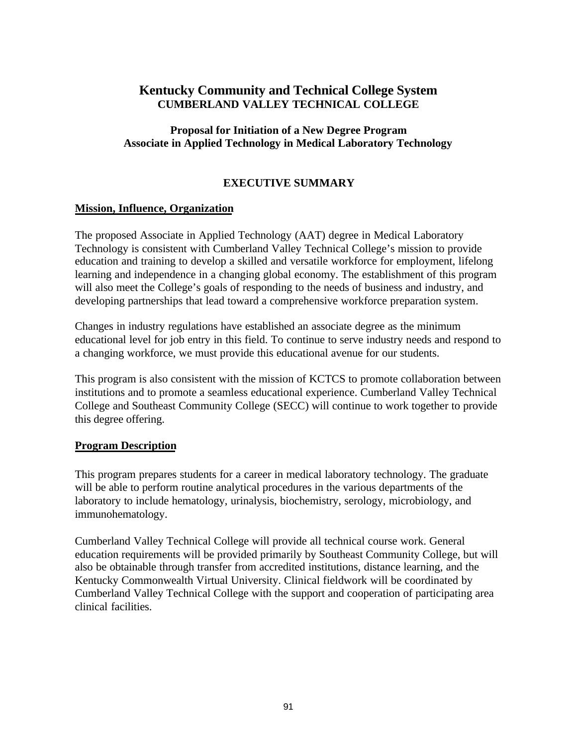# **Kentucky Community and Technical College System CUMBERLAND VALLEY TECHNICAL COLLEGE**

#### **Proposal for Initiation of a New Degree Program Associate in Applied Technology in Medical Laboratory Technology**

#### **EXECUTIVE SUMMARY**

#### **Mission, Influence, Organization**

The proposed Associate in Applied Technology (AAT) degree in Medical Laboratory Technology is consistent with Cumberland Valley Technical College's mission to provide education and training to develop a skilled and versatile workforce for employment, lifelong learning and independence in a changing global economy. The establishment of this program will also meet the College's goals of responding to the needs of business and industry, and developing partnerships that lead toward a comprehensive workforce preparation system.

Changes in industry regulations have established an associate degree as the minimum educational level for job entry in this field. To continue to serve industry needs and respond to a changing workforce, we must provide this educational avenue for our students.

This program is also consistent with the mission of KCTCS to promote collaboration between institutions and to promote a seamless educational experience. Cumberland Valley Technical College and Southeast Community College (SECC) will continue to work together to provide this degree offering.

#### **Program Description**

This program prepares students for a career in medical laboratory technology. The graduate will be able to perform routine analytical procedures in the various departments of the laboratory to include hematology, urinalysis, biochemistry, serology, microbiology, and immunohematology.

Cumberland Valley Technical College will provide all technical course work. General education requirements will be provided primarily by Southeast Community College, but will also be obtainable through transfer from accredited institutions, distance learning, and the Kentucky Commonwealth Virtual University. Clinical fieldwork will be coordinated by Cumberland Valley Technical College with the support and cooperation of participating area clinical facilities.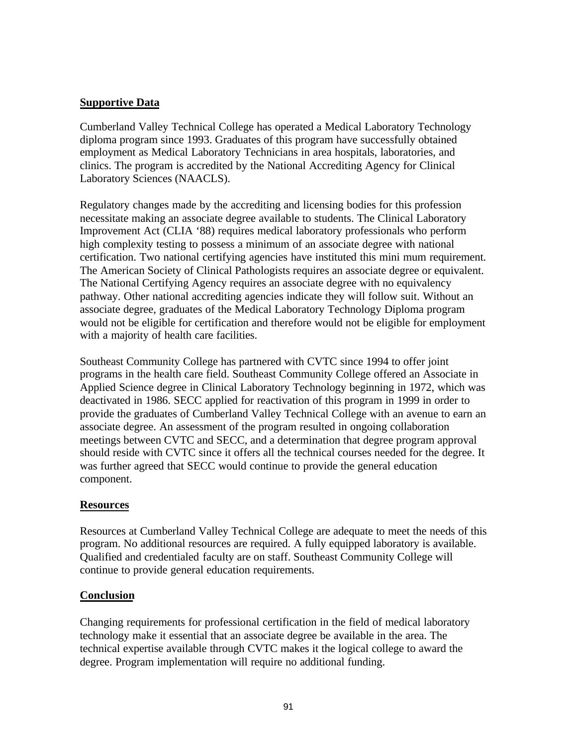#### **Supportive Data**

Cumberland Valley Technical College has operated a Medical Laboratory Technology diploma program since 1993. Graduates of this program have successfully obtained employment as Medical Laboratory Technicians in area hospitals, laboratories, and clinics. The program is accredited by the National Accrediting Agency for Clinical Laboratory Sciences (NAACLS).

Regulatory changes made by the accrediting and licensing bodies for this profession necessitate making an associate degree available to students. The Clinical Laboratory Improvement Act (CLIA '88) requires medical laboratory professionals who perform high complexity testing to possess a minimum of an associate degree with national certification. Two national certifying agencies have instituted this mini mum requirement. The American Society of Clinical Pathologists requires an associate degree or equivalent. The National Certifying Agency requires an associate degree with no equivalency pathway. Other national accrediting agencies indicate they will follow suit. Without an associate degree, graduates of the Medical Laboratory Technology Diploma program would not be eligible for certification and therefore would not be eligible for employment with a majority of health care facilities.

Southeast Community College has partnered with CVTC since 1994 to offer joint programs in the health care field. Southeast Community College offered an Associate in Applied Science degree in Clinical Laboratory Technology beginning in 1972, which was deactivated in 1986. SECC applied for reactivation of this program in 1999 in order to provide the graduates of Cumberland Valley Technical College with an avenue to earn an associate degree. An assessment of the program resulted in ongoing collaboration meetings between CVTC and SECC, and a determination that degree program approval should reside with CVTC since it offers all the technical courses needed for the degree. It was further agreed that SECC would continue to provide the general education component.

#### **Resources**

Resources at Cumberland Valley Technical College are adequate to meet the needs of this program. No additional resources are required. A fully equipped laboratory is available. Qualified and credentialed faculty are on staff. Southeast Community College will continue to provide general education requirements.

#### **Conclusion**

Changing requirements for professional certification in the field of medical laboratory technology make it essential that an associate degree be available in the area. The technical expertise available through CVTC makes it the logical college to award the degree. Program implementation will require no additional funding.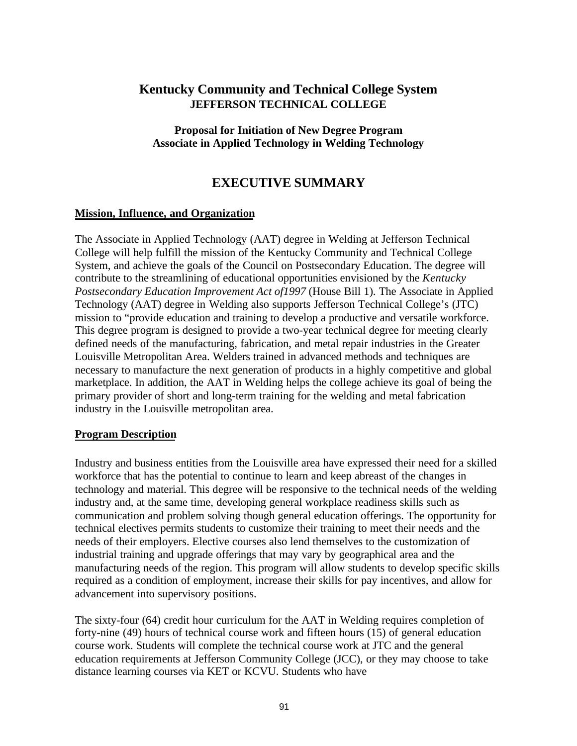# **Kentucky Community and Technical College System JEFFERSON TECHNICAL COLLEGE**

**Proposal for Initiation of New Degree Program Associate in Applied Technology in Welding Technology**

# **EXECUTIVE SUMMARY**

#### **Mission, Influence, and Organization**

The Associate in Applied Technology (AAT) degree in Welding at Jefferson Technical College will help fulfill the mission of the Kentucky Community and Technical College System, and achieve the goals of the Council on Postsecondary Education. The degree will contribute to the streamlining of educational opportunities envisioned by the *Kentucky Postsecondary Education Improvement Act of1997* (House Bill 1). The Associate in Applied Technology (AAT) degree in Welding also supports Jefferson Technical College's (JTC) mission to "provide education and training to develop a productive and versatile workforce. This degree program is designed to provide a two-year technical degree for meeting clearly defined needs of the manufacturing, fabrication, and metal repair industries in the Greater Louisville Metropolitan Area. Welders trained in advanced methods and techniques are necessary to manufacture the next generation of products in a highly competitive and global marketplace. In addition, the AAT in Welding helps the college achieve its goal of being the primary provider of short and long-term training for the welding and metal fabrication industry in the Louisville metropolitan area.

#### **Program Description**

Industry and business entities from the Louisville area have expressed their need for a skilled workforce that has the potential to continue to learn and keep abreast of the changes in technology and material. This degree will be responsive to the technical needs of the welding industry and, at the same time, developing general workplace readiness skills such as communication and problem solving though general education offerings. The opportunity for technical electives permits students to customize their training to meet their needs and the needs of their employers. Elective courses also lend themselves to the customization of industrial training and upgrade offerings that may vary by geographical area and the manufacturing needs of the region. This program will allow students to develop specific skills required as a condition of employment, increase their skills for pay incentives, and allow for advancement into supervisory positions.

The sixty-four (64) credit hour curriculum for the AAT in Welding requires completion of forty-nine (49) hours of technical course work and fifteen hours (15) of general education course work. Students will complete the technical course work at JTC and the general education requirements at Jefferson Community College (JCC), or they may choose to take distance learning courses via KET or KCVU. Students who have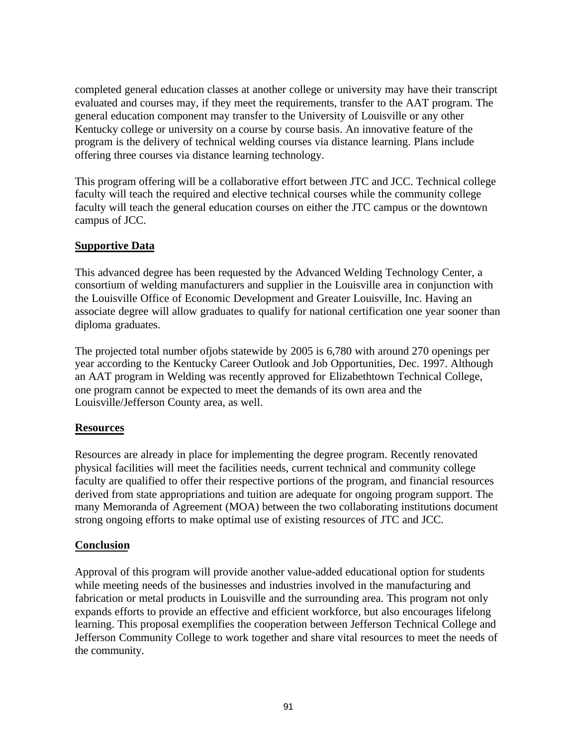completed general education classes at another college or university may have their transcript evaluated and courses may, if they meet the requirements, transfer to the AAT program. The general education component may transfer to the University of Louisville or any other Kentucky college or university on a course by course basis. An innovative feature of the program is the delivery of technical welding courses via distance learning. Plans include offering three courses via distance learning technology.

This program offering will be a collaborative effort between JTC and JCC. Technical college faculty will teach the required and elective technical courses while the community college faculty will teach the general education courses on either the JTC campus or the downtown campus of JCC.

#### **Supportive Data**

This advanced degree has been requested by the Advanced Welding Technology Center, a consortium of welding manufacturers and supplier in the Louisville area in conjunction with the Louisville Office of Economic Development and Greater Louisville, Inc. Having an associate degree will allow graduates to qualify for national certification one year sooner than diploma graduates.

The projected total number ofjobs statewide by 2005 is 6,780 with around 270 openings per year according to the Kentucky Career Outlook and Job Opportunities, Dec. 1997. Although an AAT program in Welding was recently approved for Elizabethtown Technical College, one program cannot be expected to meet the demands of its own area and the Louisville/Jefferson County area, as well.

#### **Resources**

Resources are already in place for implementing the degree program. Recently renovated physical facilities will meet the facilities needs, current technical and community college faculty are qualified to offer their respective portions of the program, and financial resources derived from state appropriations and tuition are adequate for ongoing program support. The many Memoranda of Agreement (MOA) between the two collaborating institutions document strong ongoing efforts to make optimal use of existing resources of JTC and JCC.

#### **Conclusion**

Approval of this program will provide another value-added educational option for students while meeting needs of the businesses and industries involved in the manufacturing and fabrication or metal products in Louisville and the surrounding area. This program not only expands efforts to provide an effective and efficient workforce, but also encourages lifelong learning. This proposal exemplifies the cooperation between Jefferson Technical College and Jefferson Community College to work together and share vital resources to meet the needs of the community.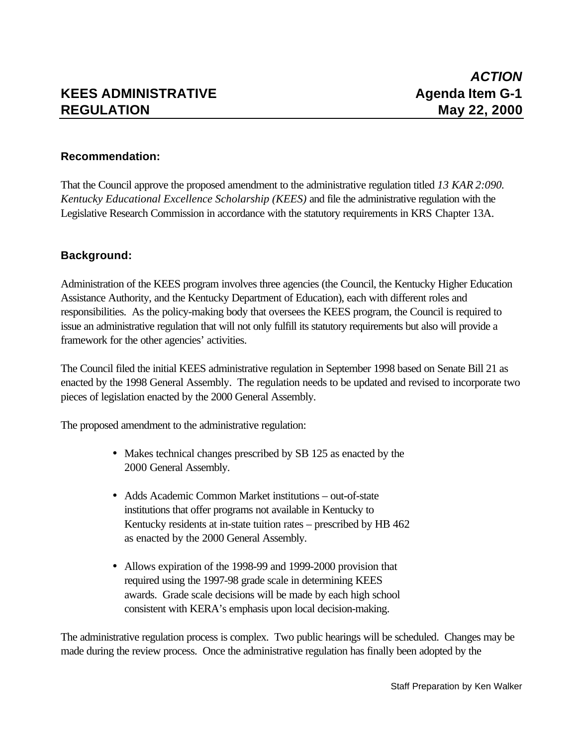#### **Recommendation:**

That the Council approve the proposed amendment to the administrative regulation titled *13 KAR 2:090. Kentucky Educational Excellence Scholarship (KEES)* and file the administrative regulation with the Legislative Research Commission in accordance with the statutory requirements in KRS Chapter 13A.

#### **Background:**

Administration of the KEES program involves three agencies (the Council, the Kentucky Higher Education Assistance Authority, and the Kentucky Department of Education), each with different roles and responsibilities. As the policy-making body that oversees the KEES program, the Council is required to issue an administrative regulation that will not only fulfill its statutory requirements but also will provide a framework for the other agencies' activities.

The Council filed the initial KEES administrative regulation in September 1998 based on Senate Bill 21 as enacted by the 1998 General Assembly. The regulation needs to be updated and revised to incorporate two pieces of legislation enacted by the 2000 General Assembly.

The proposed amendment to the administrative regulation:

- Makes technical changes prescribed by SB 125 as enacted by the 2000 General Assembly.
- Adds Academic Common Market institutions out-of-state institutions that offer programs not available in Kentucky to Kentucky residents at in-state tuition rates – prescribed by HB 462 as enacted by the 2000 General Assembly.
- Allows expiration of the 1998-99 and 1999-2000 provision that required using the 1997-98 grade scale in determining KEES awards. Grade scale decisions will be made by each high school consistent with KERA's emphasis upon local decision-making.

The administrative regulation process is complex. Two public hearings will be scheduled. Changes may be made during the review process. Once the administrative regulation has finally been adopted by the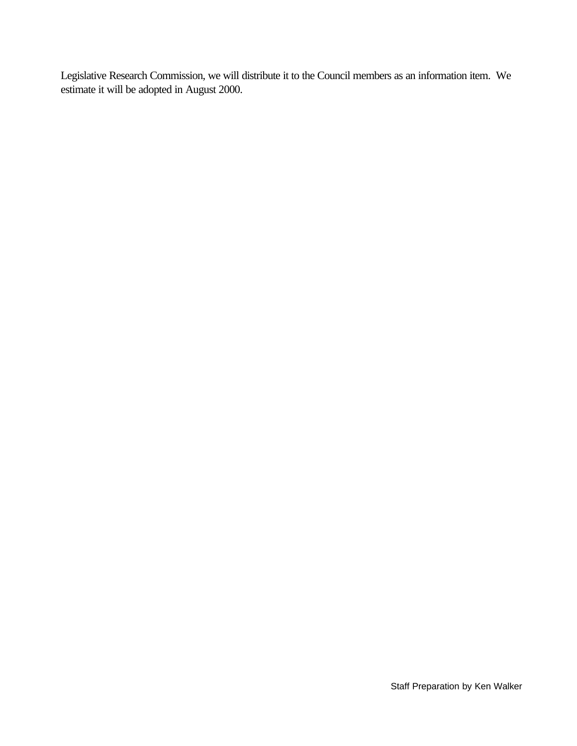Legislative Research Commission, we will distribute it to the Council members as an information item. We estimate it will be adopted in August 2000.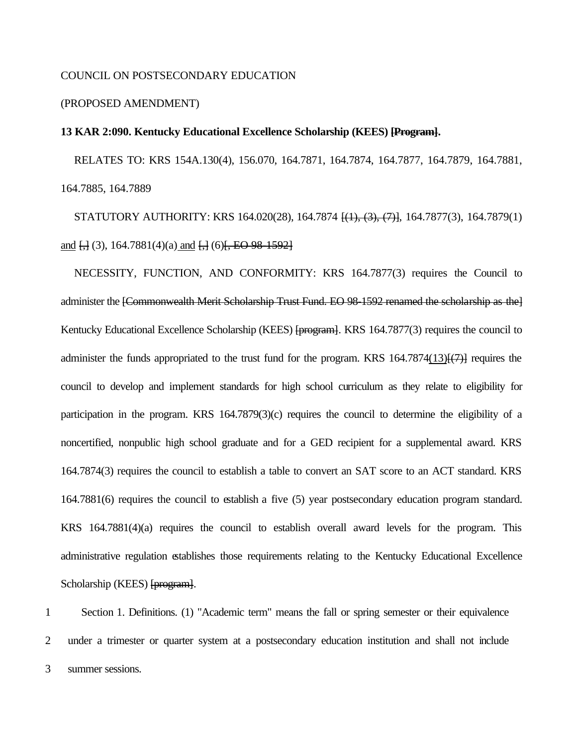#### COUNCIL ON POSTSECONDARY EDUCATION

#### (PROPOSED AMENDMENT)

#### **13 KAR 2:090. Kentucky Educational Excellence Scholarship (KEES) [Program].**

RELATES TO: KRS 154A.130(4), 156.070, 164.7871, 164.7874, 164.7877, 164.7879, 164.7881, 164.7885, 164.7889

STATUTORY AUTHORITY: KRS 164.020(28), 164.7874 [(1), (3), (7)], 164.7877(3), 164.7879(1) and  $\overline{1,1}(3)$ , 164.7881(4)(a) and  $\overline{1,1}(6)$ , EO 98-1592]

NECESSITY, FUNCTION, AND CONFORMITY: KRS 164.7877(3) requires the Council to administer the [Commonwealth Merit Scholarship Trust Fund. EO 98-1592 renamed the scholarship as the] Kentucky Educational Excellence Scholarship (KEES) [program]. KRS 164.7877(3) requires the council to administer the funds appropriated to the trust fund for the program. KRS  $164.7874(13)$  $\{$  $\}$  $\{$  $\}$  requires the council to develop and implement standards for high school curriculum as they relate to eligibility for participation in the program. KRS 164.7879(3)(c) requires the council to determine the eligibility of a noncertified, nonpublic high school graduate and for a GED recipient for a supplemental award. KRS 164.7874(3) requires the council to establish a table to convert an SAT score to an ACT standard. KRS 164.7881(6) requires the council to establish a five (5) year postsecondary education program standard. KRS 164.7881(4)(a) requires the council to establish overall award levels for the program. This administrative regulation establishes those requirements relating to the Kentucky Educational Excellence Scholarship (KEES) [program].

1 Section 1. Definitions. (1) "Academic term" means the fall or spring semester or their equivalence 2 under a trimester or quarter system at a postsecondary education institution and shall not include 3 summer sessions.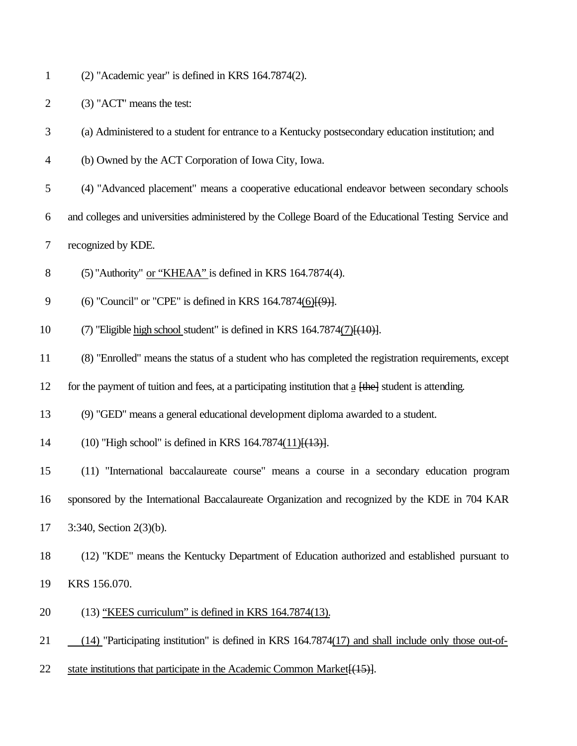(2) "Academic year" is defined in KRS 164.7874(2).

- (3) "ACT" means the test:
- (a) Administered to a student for entrance to a Kentucky postsecondary education institution; and
- (b) Owned by the ACT Corporation of Iowa City, Iowa.
- (4) "Advanced placement" means a cooperative educational endeavor between secondary schools
- and colleges and universities administered by the College Board of the Educational Testing Service and
- recognized by KDE.
- (5) "Authority" or "KHEAA" is defined in KRS 164.7874(4).
- 9 (6) "Council" or "CPE" is defined in KRS 164.7874(6)<del>[(9)]</del>.
- 10 (7) "Eligible high school student" is defined in KRS  $164.7874(7)$  [ $(10)$ ].
- (8) "Enrolled" means the status of a student who has completed the registration requirements, except
- 12 for the payment of tuition and fees, at a participating institution that a  $\overline{[the]}$  student is attending.
- (9) "GED" means a general educational development diploma awarded to a student.
- 14 (10) "High school" is defined in KRS 164.7874(11) $\{(13)\}$ .
- (11) "International baccalaureate course" means a course in a secondary education program
- sponsored by the International Baccalaureate Organization and recognized by the KDE in 704 KAR
- 3:340, Section 2(3)(b).
- (12) "KDE" means the Kentucky Department of Education authorized and established pursuant to

KRS 156.070.

- (13) "KEES curriculum" is defined in KRS 164.7874(13).
- 21 (14) "Participating institution" is defined in KRS 164.7874(17) and shall include only those out-of-
- 22 state institutions that participate in the Academic Common Market [(15)].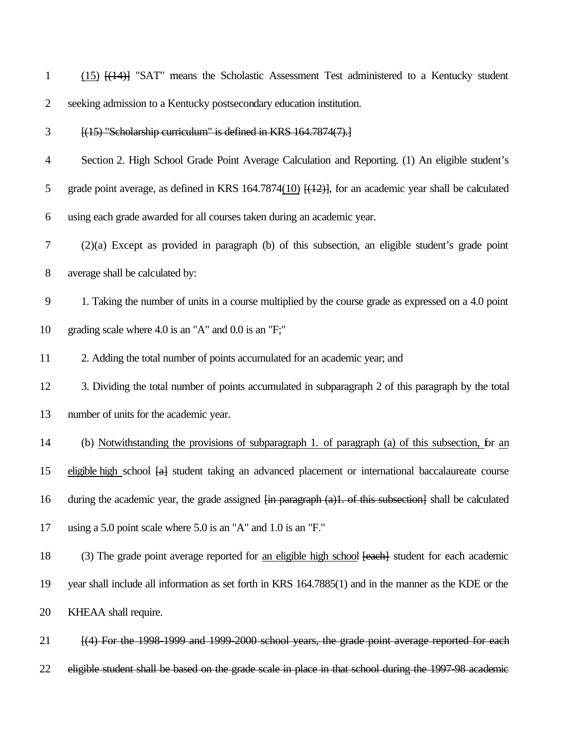| $\mathbf{1}$   | $(15)$ $[(14)]$ "SAT" means the Scholastic Assessment Test administered to a Kentucky student                       |
|----------------|---------------------------------------------------------------------------------------------------------------------|
| $\overline{2}$ | seeking admission to a Kentucky postsecondary education institution.                                                |
| 3              | [(15) "Scholarship curriculum" is defined in KRS 164.7874(7).]                                                      |
| 4              | Section 2. High School Grade Point Average Calculation and Reporting. (1) An eligible student's                     |
| 5              | grade point average, as defined in KRS 164.7874(10) $[(12)]$ , for an academic year shall be calculated             |
| 6              | using each grade awarded for all courses taken during an academic year.                                             |
| 7              | $(2)(a)$ Except as provided in paragraph (b) of this subsection, an eligible student's grade point                  |
| 8              | average shall be calculated by:                                                                                     |
| 9              | 1. Taking the number of units in a course multiplied by the course grade as expressed on a 4.0 point                |
| 10             | grading scale where $4.0$ is an "A" and $0.0$ is an "F;"                                                            |
| 11             | 2. Adding the total number of points accumulated for an academic year; and                                          |
| 12             | 3. Dividing the total number of points accumulated in subparagraph 2 of this paragraph by the total                 |
| 13             | number of units for the academic year.                                                                              |
| 14             | (b) Notwithstanding the provisions of subparagraph 1. of paragraph (a) of this subsection, for an                   |
| 15             | eligible high school [a] student taking an advanced placement or international baccalaureate course                 |
| 16             | during the academic year, the grade assigned <del>[in paragraph (a)1. of this subsection]</del> shall be calculated |
| 17             | using a 5.0 point scale where 5.0 is an "A" and 1.0 is an "F."                                                      |
| 18             | (3) The grade point average reported for an eligible high school [each] student for each academic                   |
| 19             | year shall include all information as set forth in KRS 164.7885(1) and in the manner as the KDE or the              |
| 20             | KHEAA shall require.                                                                                                |
| 21             | [(4) For the 1998-1999 and 1999-2000 school years, the grade point average reported for each                        |
| 22             | eligible student shall be based on the grade scale in place in that school during the 1997-98 academic              |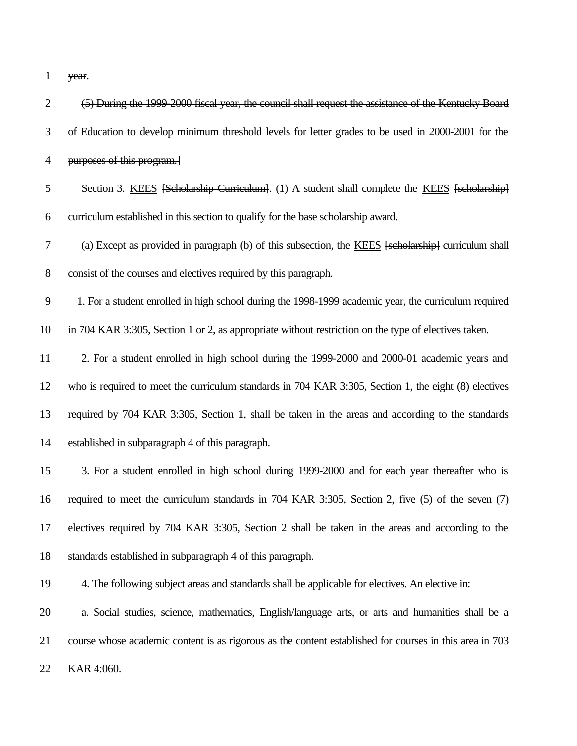year.

| $\overline{2}$   | (5) During the 1999-2000 fiscal year, the council shall request the assistance of the Kentucky Board    |
|------------------|---------------------------------------------------------------------------------------------------------|
| 3                | of Education to develop minimum threshold levels for letter grades to be used in 2000-2001 for the      |
| $\overline{4}$   | purposes of this program.]                                                                              |
| 5                | Section 3. KEES [Scholarship Curriculum]. (1) A student shall complete the KEES [scholarship]           |
| 6                | curriculum established in this section to qualify for the base scholarship award.                       |
| $\boldsymbol{7}$ | (a) Except as provided in paragraph (b) of this subsection, the KEES [scholarship] curriculum shall     |
| $8\,$            | consist of the courses and electives required by this paragraph.                                        |
| $\mathbf{9}$     | 1. For a student enrolled in high school during the 1998-1999 academic year, the curriculum required    |
| 10               | in 704 KAR 3:305, Section 1 or 2, as appropriate without restriction on the type of electives taken.    |
| 11               | 2. For a student enrolled in high school during the 1999-2000 and 2000-01 academic years and            |
| 12               | who is required to meet the curriculum standards in 704 KAR 3:305, Section 1, the eight (8) electives   |
| 13               | required by 704 KAR 3:305, Section 1, shall be taken in the areas and according to the standards        |
| 14               | established in subparagraph 4 of this paragraph.                                                        |
| 15               | 3. For a student enrolled in high school during 1999-2000 and for each year thereafter who is           |
| 16               | required to meet the curriculum standards in 704 KAR 3:305, Section 2, five (5) of the seven (7)        |
| 17               | electives required by 704 KAR 3:305, Section 2 shall be taken in the areas and according to the         |
| 18               | standards established in subparagraph 4 of this paragraph.                                              |
| 19               | 4. The following subject areas and standards shall be applicable for electives. An elective in:         |
| 20               | a. Social studies, science, mathematics, English/language arts, or arts and humanities shall be a       |
| 21               | course whose academic content is as rigorous as the content established for courses in this area in 703 |
| 22               | KAR 4:060.                                                                                              |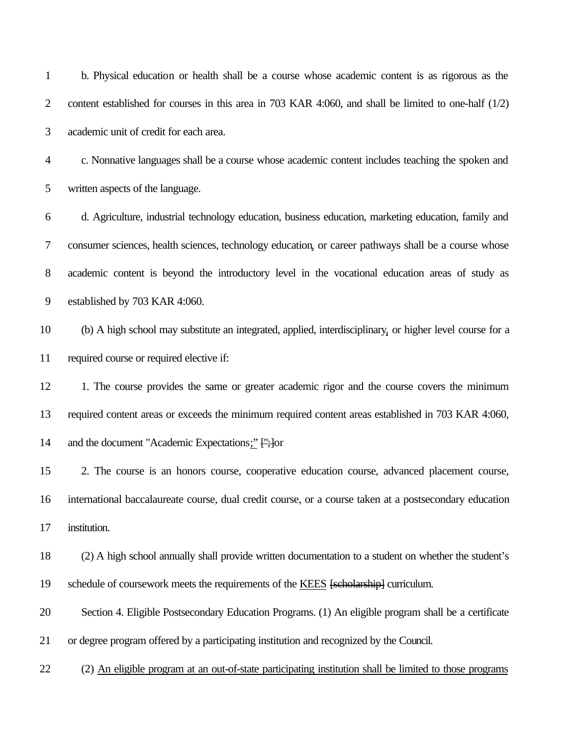| $\mathbf{1}$   | b. Physical education or health shall be a course whose academic content is as rigorous as the           |
|----------------|----------------------------------------------------------------------------------------------------------|
| $\overline{2}$ | content established for courses in this area in 703 KAR 4:060, and shall be limited to one-half (1/2)    |
| 3              | academic unit of credit for each area.                                                                   |
| $\overline{4}$ | c. Nonnative languages shall be a course whose academic content includes teaching the spoken and         |
| 5              | written aspects of the language.                                                                         |
| 6              | d. Agriculture, industrial technology education, business education, marketing education, family and     |
| 7              | consumer sciences, health sciences, technology education, or career pathways shall be a course whose     |
| 8              | academic content is beyond the introductory level in the vocational education areas of study as          |
| 9              | established by 703 KAR 4:060.                                                                            |
| 10             | (b) A high school may substitute an integrated, applied, interdisciplinary, or higher level course for a |
| 11             | required course or required elective if:                                                                 |
| 12             | 1. The course provides the same or greater academic rigor and the course covers the minimum              |
| 13             | required content areas or exceeds the minimum required content areas established in 703 KAR 4:060,       |
| 14             | and the document "Academic Expectations;" ["; ] or                                                       |
| 15             | 2. The course is an honors course, cooperative education course, advanced placement course,              |
| 16             | international baccalaureate course, dual credit course, or a course taken at a postsecondary education   |
| 17             | institution.                                                                                             |
| 18             | (2) A high school annually shall provide written documentation to a student on whether the student's     |
| 19             | schedule of coursework meets the requirements of the KEES [scholarship] curriculum.                      |
| 20             | Section 4. Eligible Postsecondary Education Programs. (1) An eligible program shall be a certificate     |
| 21             | or degree program offered by a participating institution and recognized by the Council.                  |
| 22             | (2) An eligible program at an out-of-state participating institution shall be limited to those programs  |
|                |                                                                                                          |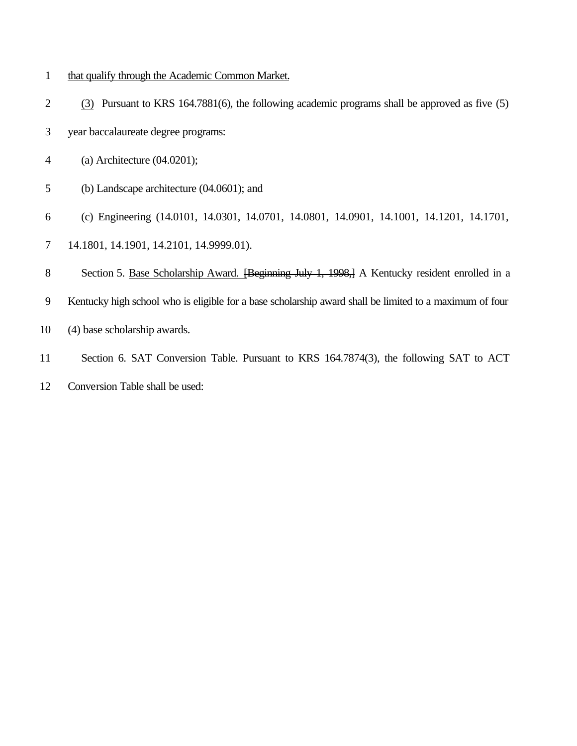- that qualify through the Academic Common Market.
- (3) Pursuant to KRS 164.7881(6), the following academic programs shall be approved as five (5)
- year baccalaureate degree programs:
- (a) Architecture (04.0201);
- (b) Landscape architecture (04.0601); and
- (c) Engineering (14.0101, 14.0301, 14.0701, 14.0801, 14.0901, 14.1001, 14.1201, 14.1701,
- 14.1801, 14.1901, 14.2101, 14.9999.01).
- 8 Section 5. Base Scholarship Award. [Beginning July 1, 1998,] A Kentucky resident enrolled in a
- Kentucky high school who is eligible for a base scholarship award shall be limited to a maximum of four
- (4) base scholarship awards.
- Section 6. SAT Conversion Table. Pursuant to KRS 164.7874(3), the following SAT to ACT
- Conversion Table shall be used: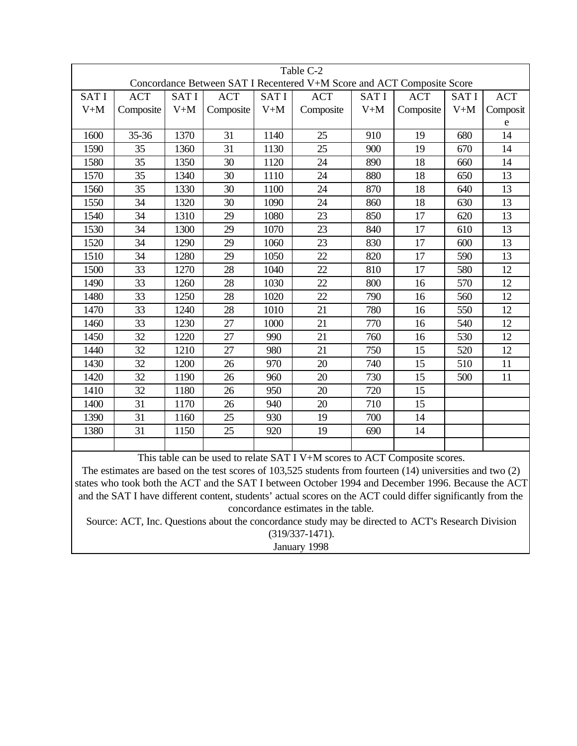| Table C-2<br>Concordance Between SAT I Recentered V+M Score and ACT Composite Score |            |             |            |             |            |             |            |             |            |
|-------------------------------------------------------------------------------------|------------|-------------|------------|-------------|------------|-------------|------------|-------------|------------|
|                                                                                     |            |             |            |             |            |             |            |             |            |
| <b>SATI</b>                                                                         | <b>ACT</b> | <b>SATI</b> | <b>ACT</b> | <b>SATI</b> | <b>ACT</b> | <b>SATI</b> | <b>ACT</b> | <b>SATI</b> | <b>ACT</b> |
| $V+M$                                                                               | Composite  | $V+M$       | Composite  | $V+M$       | Composite  | $V+M$       | Composite  | $V+M$       | Composit   |
|                                                                                     |            |             |            |             |            |             |            |             | e          |
| 1600                                                                                | 35-36      | 1370        | 31         | 1140        | 25         | 910         | 19         | 680         | 14         |
| 1590                                                                                | 35         | 1360        | 31         | 1130        | 25         | 900         | 19         | 670         | 14         |
| 1580                                                                                | 35         | 1350        | 30         | 1120        | 24         | 890         | 18         | 660         | 14         |
| 1570                                                                                | 35         | 1340        | 30         | 1110        | 24         | 880         | 18         | 650         | 13         |
| 1560                                                                                | 35         | 1330        | 30         | 1100        | 24         | 870         | 18         | 640         | 13         |
| 1550                                                                                | 34         | 1320        | 30         | 1090        | 24         | 860         | 18         | 630         | 13         |
| 1540                                                                                | 34         | 1310        | 29         | 1080        | 23         | 850         | 17         | 620         | 13         |
| 1530                                                                                | 34         | 1300        | 29         | 1070        | 23         | 840         | 17         | 610         | 13         |
| 1520                                                                                | 34         | 1290        | 29         | 1060        | 23         | 830         | 17         | 600         | 13         |
| 1510                                                                                | 34         | 1280        | 29         | 1050        | 22         | 820         | 17         | 590         | 13         |
| 1500                                                                                | 33         | 1270        | 28         | 1040        | 22         | 810         | 17         | 580         | 12         |
| 1490                                                                                | 33         | 1260        | 28         | 1030        | 22         | 800         | 16         | 570         | 12         |
| 1480                                                                                | 33         | 1250        | 28         | 1020        | 22         | 790         | 16         | 560         | 12         |
| 1470                                                                                | 33         | 1240        | 28         | 1010        | 21         | 780         | 16         | 550         | 12         |
| 1460                                                                                | 33         | 1230        | 27         | 1000        | 21         | 770         | 16         | 540         | 12         |
| 1450                                                                                | 32         | 1220        | 27         | 990         | 21         | 760         | 16         | 530         | 12         |
| 1440                                                                                | 32         | 1210        | 27         | 980         | 21         | 750         | 15         | 520         | 12         |
| 1430                                                                                | 32         | 1200        | 26         | 970         | 20         | 740         | 15         | 510         | 11         |
| 1420                                                                                | 32         | 1190        | 26         | 960         | 20         | 730         | 15         | 500         | 11         |
| 1410                                                                                | 32         | 1180        | 26         | 950         | 20         | 720         | 15         |             |            |
| 1400                                                                                | 31         | 1170        | 26         | 940         | 20         | 710         | 15         |             |            |
| 1390                                                                                | 31         | 1160        | 25         | 930         | 19         | 700         | 14         |             |            |
| 1380                                                                                | 31         | 1150        | 25         | 920         | 19         | 690         | 14         |             |            |
|                                                                                     |            |             |            |             |            |             |            |             |            |

This table can be used to relate SAT I V+M scores to ACT Composite scores.

The estimates are based on the test scores of 103,525 students from fourteen (14) universities and two (2) states who took both the ACT and the SAT I between October 1994 and December 1996. Because the ACT and the SAT I have different content, students' actual scores on the ACT could differ significantly from the concordance estimates in the table.

Source: ACT, Inc. Questions about the concordance study may be directed to ACT's Research Division (319/337-1471).

January 1998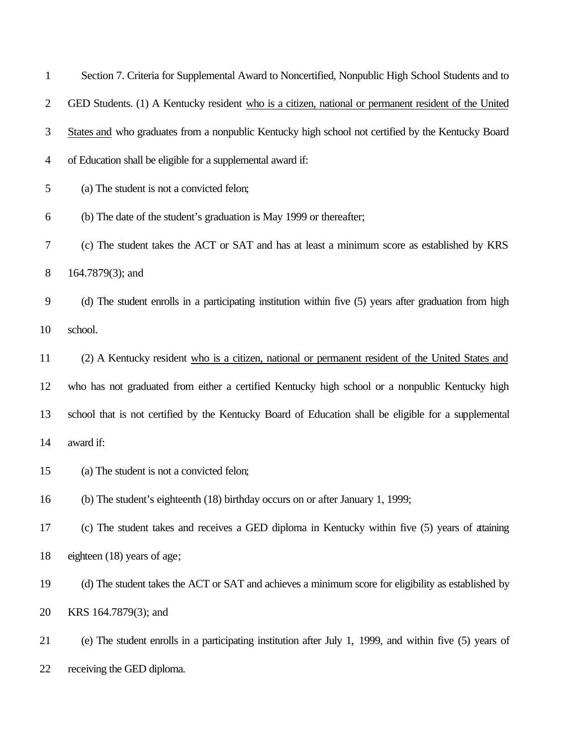| 1              | Section 7. Criteria for Supplemental Award to Noncertified, Nonpublic High School Students and to       |
|----------------|---------------------------------------------------------------------------------------------------------|
| $\overline{2}$ | GED Students. (1) A Kentucky resident who is a citizen, national or permanent resident of the United    |
| 3              | States and who graduates from a nonpublic Kentucky high school not certified by the Kentucky Board      |
| 4              | of Education shall be eligible for a supplemental award if:                                             |
| 5              | (a) The student is not a convicted felon;                                                               |
| 6              | (b) The date of the student's graduation is May 1999 or thereafter;                                     |
| 7              | (c) The student takes the ACT or SAT and has at least a minimum score as established by KRS             |
| 8              | $164.7879(3)$ ; and                                                                                     |
| 9              | (d) The student enrolls in a participating institution within five (5) years after graduation from high |
| 10             | school.                                                                                                 |
| 11             | (2) A Kentucky resident who is a citizen, national or permanent resident of the United States and       |
| 12             | who has not graduated from either a certified Kentucky high school or a nonpublic Kentucky high         |
| 13             | school that is not certified by the Kentucky Board of Education shall be eligible for a supplemental    |
| 14             | award if:                                                                                               |
| 15             | (a) The student is not a convicted felon;                                                               |
| 16             | (b) The student's eighteenth (18) birthday occurs on or after January 1, 1999;                          |
| 17             | (c) The student takes and receives a GED diploma in Kentucky within five (5) years of ataining          |
| 18             | eighteen (18) years of age;                                                                             |
| 19             | (d) The student takes the ACT or SAT and achieves a minimum score for eligibility as established by     |
| 20             | KRS 164.7879(3); and                                                                                    |
| 21             | (e) The student enrolls in a participating institution after July 1, 1999, and within five (5) years of |
| 22             | receiving the GED diploma.                                                                              |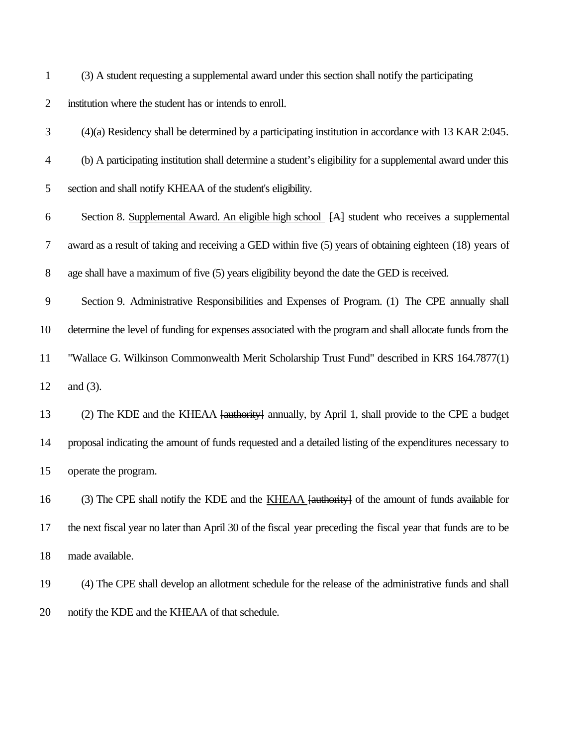(3) A student requesting a supplemental award under this section shall notify the participating

## institution where the student has or intends to enroll.

- (4)(a) Residency shall be determined by a participating institution in accordance with 13 KAR 2:045.
- (b) A participating institution shall determine a student's eligibility for a supplemental award under this
- section and shall notify KHEAA of the student's eligibility.

 Section 8. Supplemental Award. An eligible high school [A] student who receives a supplemental award as a result of taking and receiving a GED within five (5) years of obtaining eighteen (18) years of age shall have a maximum of five (5) years eligibility beyond the date the GED is received.

 Section 9. Administrative Responsibilities and Expenses of Program. (1) The CPE annually shall determine the level of funding for expenses associated with the program and shall allocate funds from the "Wallace G. Wilkinson Commonwealth Merit Scholarship Trust Fund" described in KRS 164.7877(1) and (3).

 (2) The KDE and the KHEAA [authority] annually, by April 1, shall provide to the CPE a budget proposal indicating the amount of funds requested and a detailed listing of the expenditures necessary to operate the program.

 (3) The CPE shall notify the KDE and the KHEAA [authority] of the amount of funds available for the next fiscal year no later than April 30 of the fiscal year preceding the fiscal year that funds are to be made available.

 (4) The CPE shall develop an allotment schedule for the release of the administrative funds and shall notify the KDE and the KHEAA of that schedule.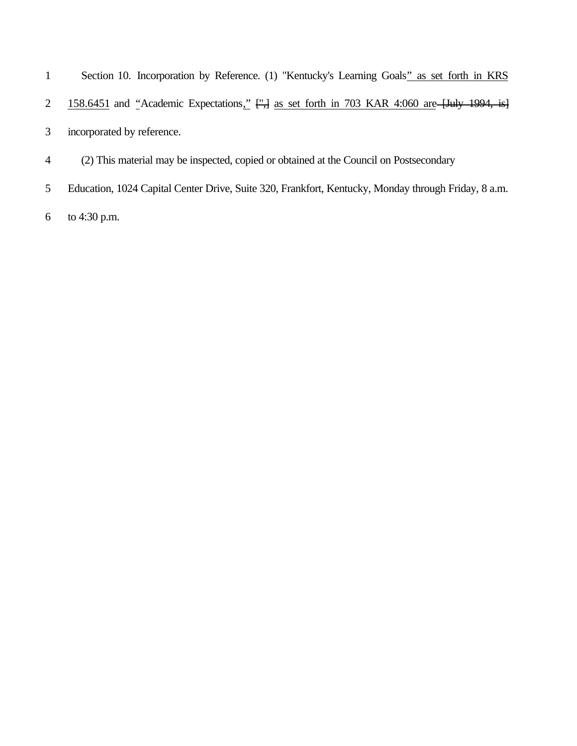| 1              | Section 10. Incorporation by Reference. (1) "Kentucky's Learning Goals" as set forth in KRS         |
|----------------|-----------------------------------------------------------------------------------------------------|
| $\overline{2}$ | 158.6451 and "Academic Expectations," [",] as set forth in 703 KAR 4:060 are [July 1994, is]        |
| 3              | incorporated by reference.                                                                          |
| 4              | (2) This material may be inspected, copied or obtained at the Council on Postsecondary              |
| 5              | Education, 1024 Capital Center Drive, Suite 320, Frankfort, Kentucky, Monday through Friday, 8 a.m. |
| 6              | to 4:30 p.m.                                                                                        |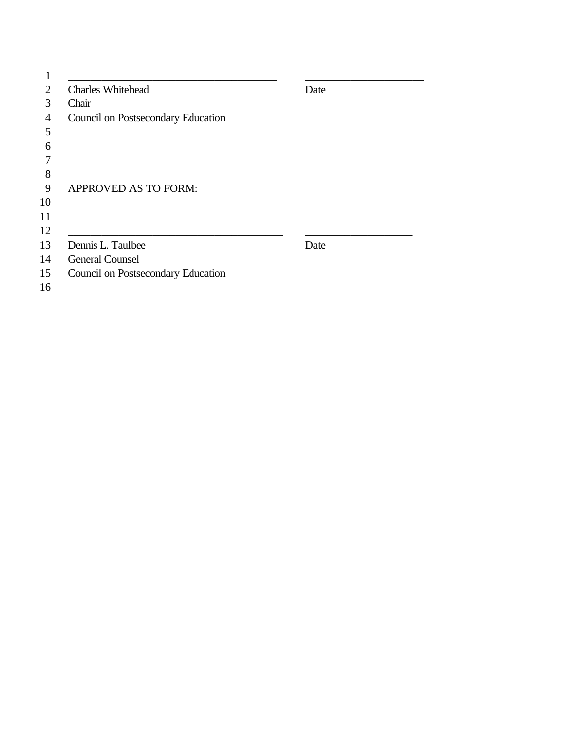| <b>Charles Whitehead</b>           | Date |
|------------------------------------|------|
| Chair                              |      |
| Council on Postsecondary Education |      |
|                                    |      |
|                                    |      |
|                                    |      |
|                                    |      |
| <b>APPROVED AS TO FORM:</b>        |      |
|                                    |      |
|                                    |      |
|                                    |      |
| Dennis L. Taulbee                  | Date |
| <b>General Counsel</b>             |      |
| Council on Postsecondary Education |      |
|                                    |      |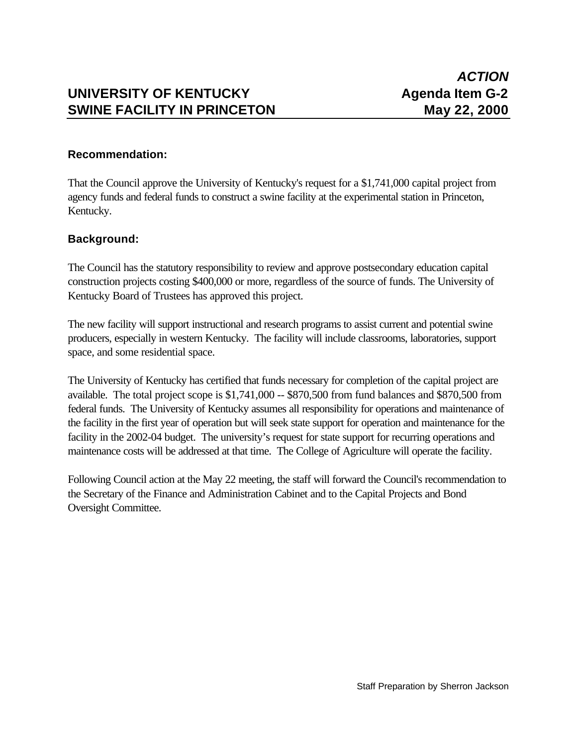# **UNIVERSITY OF KENTUCKY Agenda Item G-2 SWINE FACILITY IN PRINCETON May 22, 2000**

## **Recommendation:**

That the Council approve the University of Kentucky's request for a \$1,741,000 capital project from agency funds and federal funds to construct a swine facility at the experimental station in Princeton, Kentucky.

# **Background:**

The Council has the statutory responsibility to review and approve postsecondary education capital construction projects costing \$400,000 or more, regardless of the source of funds. The University of Kentucky Board of Trustees has approved this project.

The new facility will support instructional and research programs to assist current and potential swine producers, especially in western Kentucky. The facility will include classrooms, laboratories, support space, and some residential space.

The University of Kentucky has certified that funds necessary for completion of the capital project are available. The total project scope is \$1,741,000 -- \$870,500 from fund balances and \$870,500 from federal funds. The University of Kentucky assumes all responsibility for operations and maintenance of the facility in the first year of operation but will seek state support for operation and maintenance for the facility in the 2002-04 budget. The university's request for state support for recurring operations and maintenance costs will be addressed at that time. The College of Agriculture will operate the facility.

Following Council action at the May 22 meeting, the staff will forward the Council's recommendation to the Secretary of the Finance and Administration Cabinet and to the Capital Projects and Bond Oversight Committee.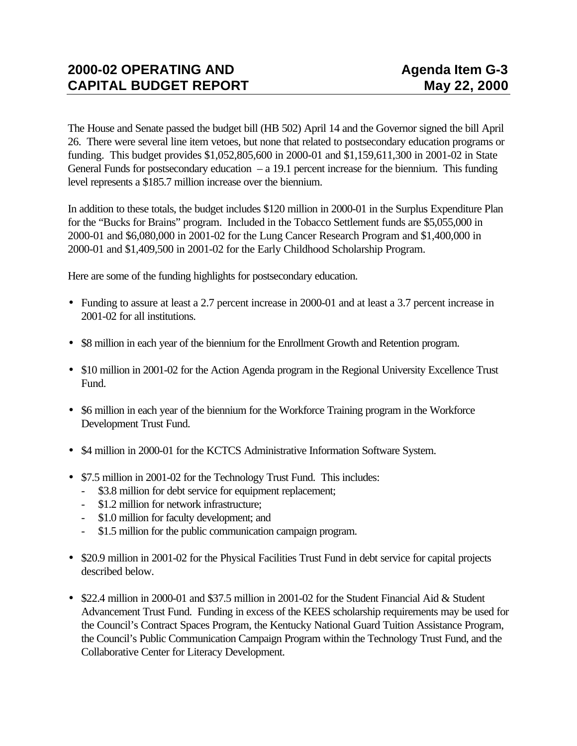The House and Senate passed the budget bill (HB 502) April 14 and the Governor signed the bill April 26. There were several line item vetoes, but none that related to postsecondary education programs or funding. This budget provides \$1,052,805,600 in 2000-01 and \$1,159,611,300 in 2001-02 in State General Funds for postsecondary education  $- a 19.1$  percent increase for the biennium. This funding level represents a \$185.7 million increase over the biennium.

In addition to these totals, the budget includes \$120 million in 2000-01 in the Surplus Expenditure Plan for the "Bucks for Brains" program. Included in the Tobacco Settlement funds are \$5,055,000 in 2000-01 and \$6,080,000 in 2001-02 for the Lung Cancer Research Program and \$1,400,000 in 2000-01 and \$1,409,500 in 2001-02 for the Early Childhood Scholarship Program.

Here are some of the funding highlights for postsecondary education.

- Funding to assure at least a 2.7 percent increase in 2000-01 and at least a 3.7 percent increase in 2001-02 for all institutions.
- \$8 million in each year of the biennium for the Enrollment Growth and Retention program.
- \$10 million in 2001-02 for the Action Agenda program in the Regional University Excellence Trust Fund.
- \$6 million in each year of the biennium for the Workforce Training program in the Workforce Development Trust Fund.
- \$4 million in 2000-01 for the KCTCS Administrative Information Software System.
- \$7.5 million in 2001-02 for the Technology Trust Fund. This includes:
	- \$3.8 million for debt service for equipment replacement;
	- \$1.2 million for network infrastructure;
	- \$1.0 million for faculty development; and
	- \$1.5 million for the public communication campaign program.
- \$20.9 million in 2001-02 for the Physical Facilities Trust Fund in debt service for capital projects described below.
- \$22.4 million in 2000-01 and \$37.5 million in 2001-02 for the Student Financial Aid & Student Advancement Trust Fund. Funding in excess of the KEES scholarship requirements may be used for the Council's Contract Spaces Program, the Kentucky National Guard Tuition Assistance Program, the Council's Public Communication Campaign Program within the Technology Trust Fund, and the Collaborative Center for Literacy Development.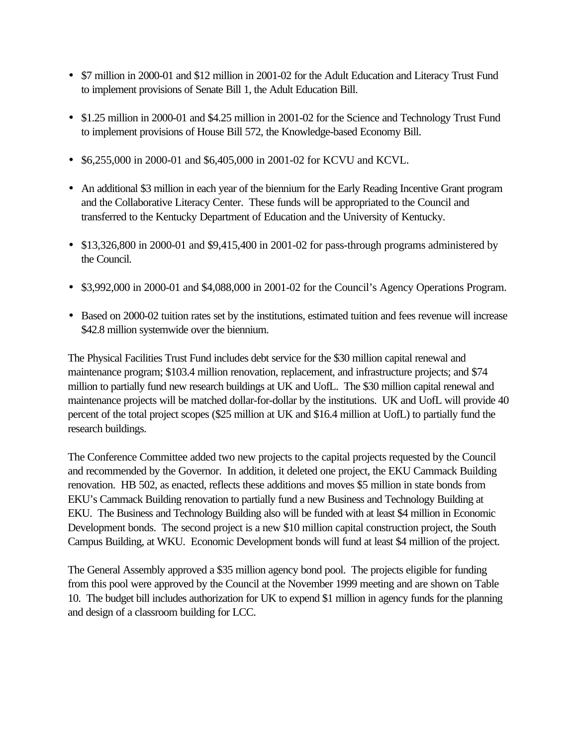- \$7 million in 2000-01 and \$12 million in 2001-02 for the Adult Education and Literacy Trust Fund to implement provisions of Senate Bill 1, the Adult Education Bill.
- \$1.25 million in 2000-01 and \$4.25 million in 2001-02 for the Science and Technology Trust Fund to implement provisions of House Bill 572, the Knowledge-based Economy Bill.
- \$6,255,000 in 2000-01 and \$6,405,000 in 2001-02 for KCVU and KCVL.
- An additional \$3 million in each year of the biennium for the Early Reading Incentive Grant program and the Collaborative Literacy Center. These funds will be appropriated to the Council and transferred to the Kentucky Department of Education and the University of Kentucky.
- \$13,326,800 in 2000-01 and \$9,415,400 in 2001-02 for pass-through programs administered by the Council.
- \$3,992,000 in 2000-01 and \$4,088,000 in 2001-02 for the Council's Agency Operations Program.
- Based on 2000-02 tuition rates set by the institutions, estimated tuition and fees revenue will increase \$42.8 million systemwide over the biennium.

The Physical Facilities Trust Fund includes debt service for the \$30 million capital renewal and maintenance program; \$103.4 million renovation, replacement, and infrastructure projects; and \$74 million to partially fund new research buildings at UK and UofL. The \$30 million capital renewal and maintenance projects will be matched dollar-for-dollar by the institutions. UK and UofL will provide 40 percent of the total project scopes (\$25 million at UK and \$16.4 million at UofL) to partially fund the research buildings.

The Conference Committee added two new projects to the capital projects requested by the Council and recommended by the Governor. In addition, it deleted one project, the EKU Cammack Building renovation. HB 502, as enacted, reflects these additions and moves \$5 million in state bonds from EKU's Cammack Building renovation to partially fund a new Business and Technology Building at EKU. The Business and Technology Building also will be funded with at least \$4 million in Economic Development bonds. The second project is a new \$10 million capital construction project, the South Campus Building, at WKU. Economic Development bonds will fund at least \$4 million of the project.

The General Assembly approved a \$35 million agency bond pool. The projects eligible for funding from this pool were approved by the Council at the November 1999 meeting and are shown on Table 10. The budget bill includes authorization for UK to expend \$1 million in agency funds for the planning and design of a classroom building for LCC.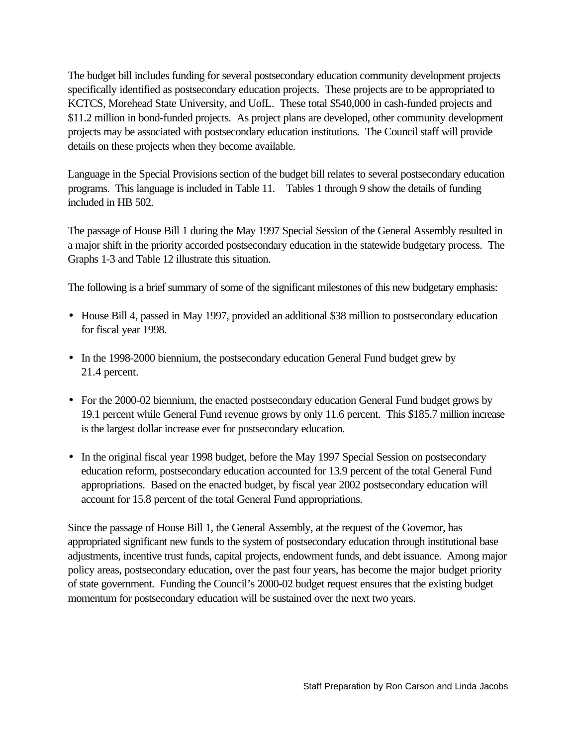The budget bill includes funding for several postsecondary education community development projects specifically identified as postsecondary education projects. These projects are to be appropriated to KCTCS, Morehead State University, and UofL. These total \$540,000 in cash-funded projects and \$11.2 million in bond-funded projects. As project plans are developed, other community development projects may be associated with postsecondary education institutions. The Council staff will provide details on these projects when they become available.

Language in the Special Provisions section of the budget bill relates to several postsecondary education programs. This language is included in Table 11. Tables 1 through 9 show the details of funding included in HB 502.

The passage of House Bill 1 during the May 1997 Special Session of the General Assembly resulted in a major shift in the priority accorded postsecondary education in the statewide budgetary process. The Graphs 1-3 and Table 12 illustrate this situation.

The following is a brief summary of some of the significant milestones of this new budgetary emphasis:

- House Bill 4, passed in May 1997, provided an additional \$38 million to postsecondary education for fiscal year 1998.
- In the 1998-2000 biennium, the postsecondary education General Fund budget grew by 21.4 percent.
- For the 2000-02 biennium, the enacted postsecondary education General Fund budget grows by 19.1 percent while General Fund revenue grows by only 11.6 percent. This \$185.7 million increase is the largest dollar increase ever for postsecondary education.
- In the original fiscal year 1998 budget, before the May 1997 Special Session on postsecondary education reform, postsecondary education accounted for 13.9 percent of the total General Fund appropriations. Based on the enacted budget, by fiscal year 2002 postsecondary education will account for 15.8 percent of the total General Fund appropriations.

Since the passage of House Bill 1, the General Assembly, at the request of the Governor, has appropriated significant new funds to the system of postsecondary education through institutional base adjustments, incentive trust funds, capital projects, endowment funds, and debt issuance. Among major policy areas, postsecondary education, over the past four years, has become the major budget priority of state government. Funding the Council's 2000-02 budget request ensures that the existing budget momentum for postsecondary education will be sustained over the next two years.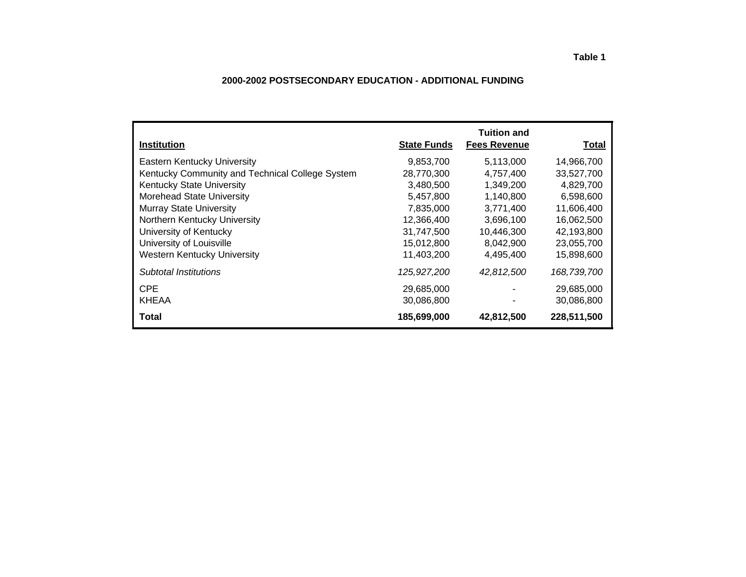### **2000-2002 POSTSECONDARY EDUCATION - ADDITIONAL FUNDING**

| <b>Institution</b>                              | <b>State Funds</b> | <b>Tuition and</b><br><b>Fees Revenue</b> | Total       |
|-------------------------------------------------|--------------------|-------------------------------------------|-------------|
| <b>Eastern Kentucky University</b>              | 9,853,700          | 5,113,000                                 | 14,966,700  |
| Kentucky Community and Technical College System | 28,770,300         | 4.757.400                                 | 33,527,700  |
| <b>Kentucky State University</b>                | 3,480,500          | 1,349,200                                 | 4,829,700   |
| <b>Morehead State University</b>                | 5,457,800          | 1,140,800                                 | 6,598,600   |
| <b>Murray State University</b>                  | 7,835,000          | 3,771,400                                 | 11,606,400  |
| Northern Kentucky University                    | 12,366,400         | 3,696,100                                 | 16,062,500  |
| University of Kentucky                          | 31.747.500         | 10,446,300                                | 42,193,800  |
| University of Louisville                        | 15,012,800         | 8,042,900                                 | 23,055,700  |
| <b>Western Kentucky University</b>              | 11,403,200         | 4,495,400                                 | 15,898,600  |
| Subtotal Institutions                           | 125,927,200        | 42,812,500                                | 168,739,700 |
| <b>CPE</b>                                      | 29,685,000         |                                           | 29,685,000  |
| <b>KHEAA</b>                                    | 30,086,800         |                                           | 30,086,800  |
| <b>Total</b>                                    | 185,699,000        | 42,812,500                                | 228,511,500 |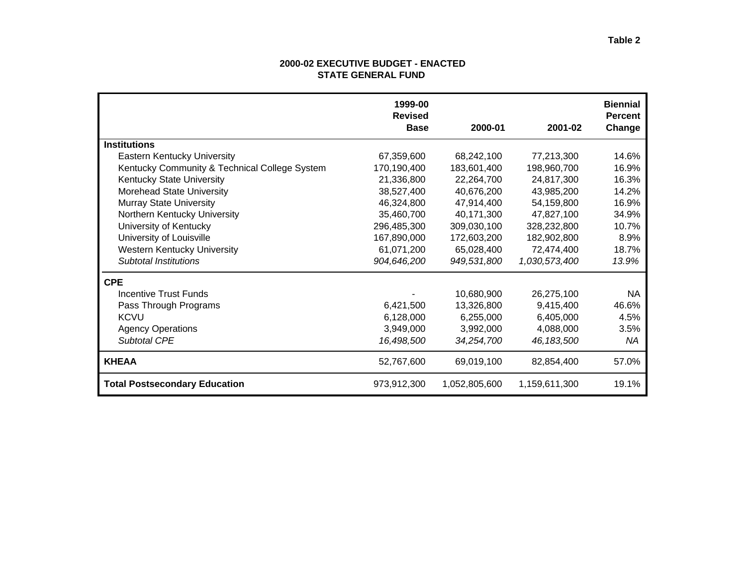### **2000-02 EXECUTIVE BUDGET - ENACTED STATE GENERAL FUND**

|                                               | 1999-00<br><b>Revised</b><br><b>Base</b> | 2000-01       | 2001-02       | <b>Biennial</b><br><b>Percent</b><br>Change |
|-----------------------------------------------|------------------------------------------|---------------|---------------|---------------------------------------------|
| <b>Institutions</b>                           |                                          |               |               |                                             |
| Eastern Kentucky University                   | 67,359,600                               | 68,242,100    | 77,213,300    | 14.6%                                       |
| Kentucky Community & Technical College System | 170,190,400                              | 183,601,400   | 198,960,700   | 16.9%                                       |
| <b>Kentucky State University</b>              | 21,336,800                               | 22,264,700    | 24,817,300    | 16.3%                                       |
| Morehead State University                     | 38,527,400                               | 40,676,200    | 43,985,200    | 14.2%                                       |
| <b>Murray State University</b>                | 46,324,800                               | 47,914,400    | 54,159,800    | 16.9%                                       |
| Northern Kentucky University                  | 35,460,700                               | 40,171,300    | 47,827,100    | 34.9%                                       |
| University of Kentucky                        | 296,485,300                              | 309,030,100   | 328,232,800   | 10.7%                                       |
| University of Louisville                      | 167,890,000                              | 172,603,200   | 182,902,800   | 8.9%                                        |
| <b>Western Kentucky University</b>            | 61,071,200                               | 65,028,400    | 72,474,400    | 18.7%                                       |
| <b>Subtotal Institutions</b>                  | 904,646,200                              | 949,531,800   | 1,030,573,400 | 13.9%                                       |
| <b>CPE</b>                                    |                                          |               |               |                                             |
| Incentive Trust Funds                         |                                          | 10,680,900    | 26,275,100    | <b>NA</b>                                   |
| Pass Through Programs                         | 6,421,500                                | 13,326,800    | 9,415,400     | 46.6%                                       |
| <b>KCVU</b>                                   | 6,128,000                                | 6,255,000     | 6,405,000     | 4.5%                                        |
| <b>Agency Operations</b>                      | 3,949,000                                | 3,992,000     | 4,088,000     | 3.5%                                        |
| <b>Subtotal CPE</b>                           | 16,498,500                               | 34.254.700    | 46, 183, 500  | ΝA                                          |
| <b>KHEAA</b>                                  | 52,767,600                               | 69,019,100    | 82,854,400    | 57.0%                                       |
| <b>Total Postsecondary Education</b>          | 973,912,300                              | 1,052,805,600 | 1,159,611,300 | 19.1%                                       |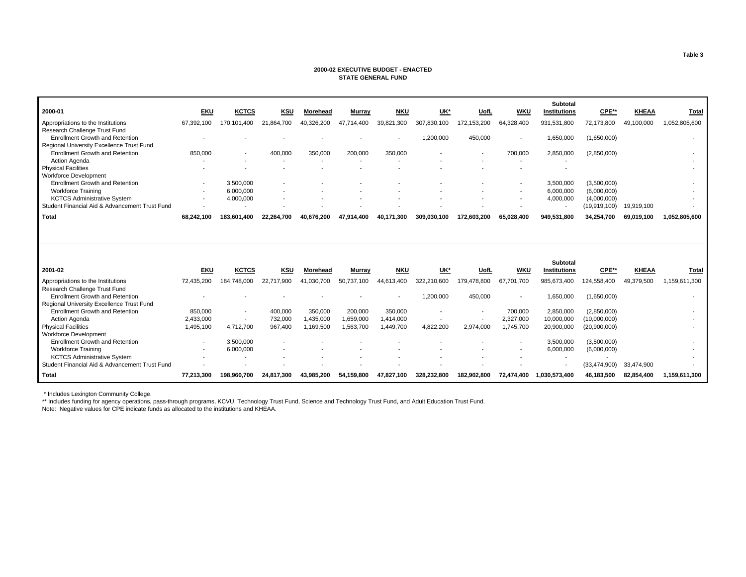#### **2000-02 EXECUTIVE BUDGET - ENACTED STATE GENERAL FUND**

|                                                                                     |                          |                                  |                    |                      |                      |                      |             |             |                          | Subtotal                        |                             |              |               |
|-------------------------------------------------------------------------------------|--------------------------|----------------------------------|--------------------|----------------------|----------------------|----------------------|-------------|-------------|--------------------------|---------------------------------|-----------------------------|--------------|---------------|
| 2000-01                                                                             | <b>EKU</b>               | <b>KCTCS</b>                     | <b>KSU</b>         | Morehead             | <b>Murray</b>        | <b>NKU</b>           | UK*         | UofL        | <b>WKU</b>               | <b>Institutions</b>             | CPE**                       | <b>KHEAA</b> | Total         |
| Appropriations to the Institutions<br>Research Challenge Trust Fund                 | 67,392,100               | 170,101,400                      | 21.864.700         | 40,326,200           | 47.714.400           | 39,821,300           | 307,830,100 | 172,153,200 | 64,328,400               | 931,531,800                     | 72,173,800                  | 49,100,000   | 1,052,805,600 |
| <b>Enrollment Growth and Retention</b>                                              |                          |                                  |                    |                      |                      |                      | 1,200,000   | 450,000     |                          | 1,650,000                       | (1,650,000)                 |              |               |
| Regional University Excellence Trust Fund                                           |                          |                                  |                    |                      |                      |                      |             |             |                          |                                 |                             |              |               |
| <b>Enrollment Growth and Retention</b>                                              | 850,000                  |                                  | 400,000            | 350,000              | 200,000              | 350,000              |             |             | 700,000                  | 2,850,000                       | (2,850,000)                 |              |               |
| Action Agenda                                                                       |                          |                                  | $\blacksquare$     |                      |                      |                      |             |             | $\overline{\phantom{a}}$ |                                 |                             |              |               |
| <b>Physical Facilities</b>                                                          |                          |                                  |                    |                      |                      |                      |             |             |                          |                                 |                             |              |               |
| <b>Workforce Development</b>                                                        |                          |                                  |                    |                      |                      |                      |             |             |                          |                                 |                             |              |               |
| <b>Enrollment Growth and Retention</b>                                              | $\blacksquare$           | 3.500.000                        |                    |                      |                      |                      |             |             |                          | 3,500,000                       | (3,500,000)                 |              |               |
| <b>Workforce Training</b>                                                           | $\overline{a}$           | 6,000,000                        |                    |                      |                      |                      |             |             |                          | 6,000,000                       | (6,000,000)                 |              |               |
| <b>KCTCS Administrative System</b>                                                  | $\overline{\phantom{a}}$ | 4,000,000                        |                    |                      |                      |                      |             |             |                          | 4,000,000                       | (4,000,000)                 |              |               |
| Student Financial Aid & Advancement Trust Fund                                      | $\overline{\phantom{a}}$ |                                  |                    |                      |                      |                      |             |             |                          | $\overline{\phantom{a}}$        | (19,919,100)                | 19,919,100   |               |
| <b>Total</b>                                                                        | 68.242.100               | 183.601.400                      | 22.264.700         | 40.676.200           | 47.914.400           | 40.171.300           | 309.030.100 | 172.603.200 | 65.028.400               | 949.531.800                     | 34,254,700                  | 69,019,100   | 1.052.805.600 |
|                                                                                     |                          |                                  |                    |                      |                      |                      |             |             |                          |                                 |                             |              |               |
| 2001-02                                                                             | <b>EKU</b>               | <b>KCTCS</b>                     | <b>KSU</b>         | Morehead             | <b>Murray</b>        | <b>NKU</b>           | UK*         | UofL        | <b>WKU</b>               | Subtotal<br><b>Institutions</b> | CPE**                       | <b>KHEAA</b> | Total         |
|                                                                                     |                          |                                  |                    |                      |                      |                      |             |             |                          |                                 |                             |              |               |
| Appropriations to the Institutions                                                  | 72,435,200               | 184,748,000                      | 22,717,900         | 41,030,700           | 50,737,100           | 44,613,400           | 322,210,600 | 179,478,800 | 67,701,700               | 985,673,400                     | 124,558,400                 | 49,379,500   | 1,159,611,300 |
| Research Challenge Trust Fund                                                       |                          |                                  |                    |                      |                      |                      |             |             |                          |                                 |                             |              |               |
| <b>Enrollment Growth and Retention</b>                                              |                          |                                  |                    |                      |                      |                      | 1,200,000   | 450,000     | $\overline{\phantom{a}}$ | 1,650,000                       | (1,650,000)                 |              |               |
| Regional University Excellence Trust Fund<br><b>Enrollment Growth and Retention</b> |                          |                                  |                    |                      |                      |                      |             |             |                          |                                 |                             |              |               |
| Action Agenda                                                                       | 850,000<br>2,433,000     | $\blacksquare$<br>$\overline{a}$ | 400,000<br>732,000 | 350,000<br>1,435,000 | 200,000<br>1,659,000 | 350,000<br>1,414,000 |             |             | 700,000<br>2,327,000     | 2,850,000<br>10,000,000         | (2,850,000)<br>(10,000,000) |              |               |
| <b>Physical Facilities</b>                                                          | 1,495,100                | 4,712,700                        | 967.400            | 1,169,500            | 1,563,700            | 1,449,700            | 4,822,200   | 2.974.000   | 1,745,700                | 20,900,000                      | (20,900,000)                |              |               |
| <b>Workforce Development</b>                                                        |                          |                                  |                    |                      |                      |                      |             |             |                          |                                 |                             |              |               |
| <b>Enrollment Growth and Retention</b>                                              | $\overline{\phantom{a}}$ | 3,500,000                        |                    |                      |                      |                      |             |             |                          | 3,500,000                       | (3,500,000)                 |              |               |
| <b>Workforce Training</b>                                                           | $\overline{\phantom{a}}$ | 6,000,000                        |                    |                      |                      |                      |             |             |                          | 6,000,000                       | (6,000,000)                 |              |               |
| <b>KCTCS Administrative System</b>                                                  |                          |                                  |                    |                      |                      |                      |             |             |                          |                                 |                             |              |               |
| Student Financial Aid & Advancement Trust Fund                                      |                          |                                  |                    |                      |                      |                      |             |             |                          |                                 | (33, 474, 900)              | 33,474,900   |               |
| Total                                                                               | 77,213,300               | 198,960,700                      | 24,817,300         | 43,985,200           | 54,159,800           | 47,827,100           | 328,232,800 | 182.902.800 | 72,474,400               | 1,030,573,400                   | 46,183,500                  | 82,854,400   | 1,159,611,300 |

\* Includes Lexington Community College.

\*\* Includes funding for agency operations, pass-through programs, KCVU, Technology Trust Fund, Science and Technology Trust Fund, and Adult Education Trust Fund.

Note: Negative values for CPE indicate funds as allocated to the institutions and KHEAA.

**Table 3**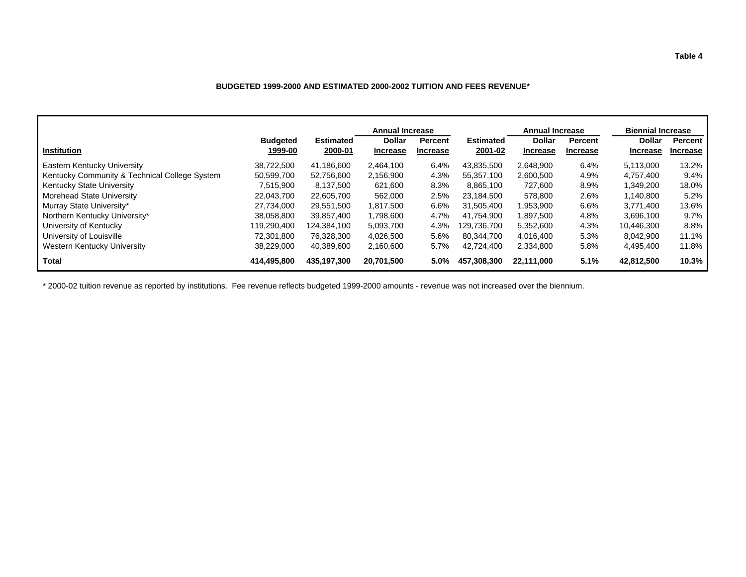### **BUDGETED 1999-2000 AND ESTIMATED 2000-2002 TUITION AND FEES REVENUE\***

|                                               |                            |                             | <b>Annual Increase</b>           |                                   |                             | <b>Annual Increase</b>           |                            | <b>Biennial Increase</b>         |                     |
|-----------------------------------------------|----------------------------|-----------------------------|----------------------------------|-----------------------------------|-----------------------------|----------------------------------|----------------------------|----------------------------------|---------------------|
| <b>Institution</b>                            | <b>Budgeted</b><br>1999-00 | <b>Estimated</b><br>2000-01 | <b>Dollar</b><br><b>Increase</b> | <b>Percent</b><br><b>Increase</b> | <b>Estimated</b><br>2001-02 | <b>Dollar</b><br><b>Increase</b> | Percent<br><b>Increase</b> | <b>Dollar</b><br><b>Increase</b> | Percent<br>Increase |
| Eastern Kentucky University                   | 38,722,500                 | 41.186.600                  | 2,464,100                        | 6.4%                              | 43,835,500                  | 2,648,900                        | 6.4%                       | 5,113,000                        | 13.2%               |
| Kentucky Community & Technical College System | 50.599.700                 | 52.756.600                  | 2,156,900                        | 4.3%                              | 55.357.100                  | 2,600,500                        | 4.9%                       | 4.757.400                        | 9.4%                |
| Kentucky State University                     | 7,515,900                  | 8,137,500                   | 621,600                          | 8.3%                              | 8.865.100                   | 727,600                          | 8.9%                       | 1,349,200                        | 18.0%               |
| Morehead State University                     | 22.043.700                 | 22.605.700                  | 562,000                          | 2.5%                              | 23.184.500                  | 578.800                          | 2.6%                       | 1.140.800                        | 5.2%                |
| Murray State University*                      | 27,734,000                 | 29,551,500                  | 1,817,500                        | 6.6%                              | 31,505,400                  | 953,900. ا                       | 6.6%                       | 3,771,400                        | 13.6%               |
| Northern Kentucky University*                 | 38,058,800                 | 39.857.400                  | 1.798.600                        | 4.7%                              | 41.754.900                  | 897.500                          | 4.8%                       | 3.696.100                        | 9.7%                |
| University of Kentucky                        | 119.290.400                | 124.384.100                 | 5,093,700                        | 4.3%                              | 129.736.700                 | 5,352,600                        | 4.3%                       | 10,446,300                       | 8.8%                |
| University of Louisville                      | 72.301.800                 | 76,328,300                  | 4,026,500                        | 5.6%                              | 80.344.700                  | 4,016,400                        | 5.3%                       | 8,042,900                        | 11.1%               |
| Western Kentucky University                   | 38,229,000                 | 40.389.600                  | 2,160,600                        | 5.7%                              | 42.724.400                  | 2,334,800                        | 5.8%                       | 4,495,400                        | 11.8%               |
| Total                                         | 414,495,800                | 435,197,300                 | 20,701,500                       | 5.0%                              | 457,308,300                 | 22,111,000                       | 5.1%                       | 42,812,500                       | 10.3%               |

\* 2000-02 tuition revenue as reported by institutions. Fee revenue reflects budgeted 1999-2000 amounts - revenue was not increased over the biennium.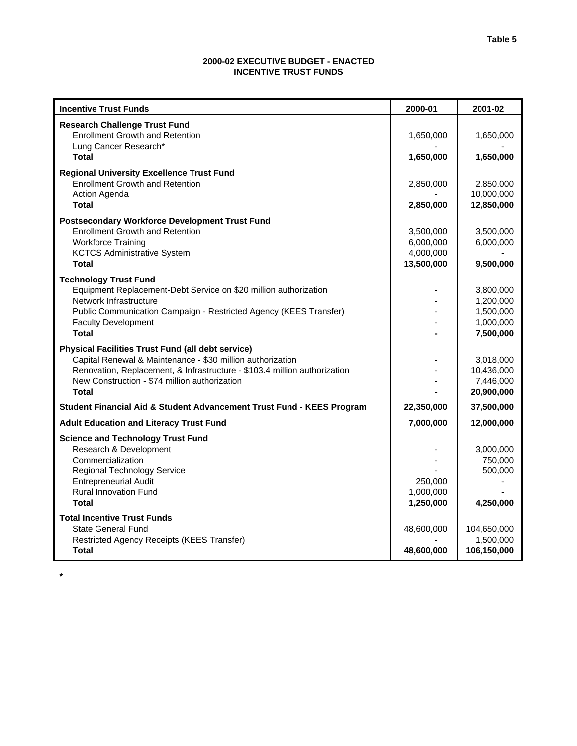### **2000-02 EXECUTIVE BUDGET - ENACTED INCENTIVE TRUST FUNDS**

| <b>Incentive Trust Funds</b>                                                                                                            | 2000-01              | 2001-02                 |
|-----------------------------------------------------------------------------------------------------------------------------------------|----------------------|-------------------------|
| <b>Research Challenge Trust Fund</b>                                                                                                    |                      |                         |
| <b>Enrollment Growth and Retention</b>                                                                                                  | 1,650,000            | 1,650,000               |
| Lung Cancer Research*                                                                                                                   |                      |                         |
| <b>Total</b>                                                                                                                            | 1,650,000            | 1,650,000               |
| <b>Regional University Excellence Trust Fund</b>                                                                                        |                      |                         |
| <b>Enrollment Growth and Retention</b>                                                                                                  | 2,850,000            | 2,850,000<br>10,000,000 |
| Action Agenda<br><b>Total</b>                                                                                                           | 2,850,000            | 12,850,000              |
|                                                                                                                                         |                      |                         |
| <b>Postsecondary Workforce Development Trust Fund</b><br><b>Enrollment Growth and Retention</b>                                         | 3,500,000            | 3,500,000               |
| <b>Workforce Training</b>                                                                                                               | 6,000,000            | 6,000,000               |
| <b>KCTCS Administrative System</b>                                                                                                      | 4,000,000            |                         |
| <b>Total</b>                                                                                                                            | 13,500,000           | 9,500,000               |
| <b>Technology Trust Fund</b>                                                                                                            |                      |                         |
| Equipment Replacement-Debt Service on \$20 million authorization                                                                        |                      | 3,800,000               |
| Network Infrastructure                                                                                                                  |                      | 1,200,000               |
| Public Communication Campaign - Restricted Agency (KEES Transfer)                                                                       |                      | 1,500,000               |
| <b>Faculty Development</b><br><b>Total</b>                                                                                              |                      | 1,000,000               |
|                                                                                                                                         |                      | 7,500,000               |
| <b>Physical Facilities Trust Fund (all debt service)</b>                                                                                |                      |                         |
| Capital Renewal & Maintenance - \$30 million authorization<br>Renovation, Replacement, & Infrastructure - \$103.4 million authorization |                      | 3,018,000<br>10,436,000 |
| New Construction - \$74 million authorization                                                                                           |                      | 7,446,000               |
| <b>Total</b>                                                                                                                            |                      | 20,900,000              |
| Student Financial Aid & Student Advancement Trust Fund - KEES Program                                                                   | 22,350,000           | 37,500,000              |
| <b>Adult Education and Literacy Trust Fund</b>                                                                                          | 7,000,000            | 12,000,000              |
| <b>Science and Technology Trust Fund</b>                                                                                                |                      |                         |
| Research & Development                                                                                                                  |                      | 3,000,000               |
| Commercialization                                                                                                                       |                      | 750,000                 |
| <b>Regional Technology Service</b>                                                                                                      |                      | 500,000                 |
| <b>Entrepreneurial Audit</b><br><b>Rural Innovation Fund</b>                                                                            | 250,000<br>1,000,000 |                         |
| <b>Total</b>                                                                                                                            | 1,250,000            | 4,250,000               |
| <b>Total Incentive Trust Funds</b>                                                                                                      |                      |                         |
| <b>State General Fund</b>                                                                                                               | 48,600,000           | 104,650,000             |
| Restricted Agency Receipts (KEES Transfer)                                                                                              |                      | 1,500,000               |
| <b>Total</b>                                                                                                                            | 48,600,000           | 106,150,000             |

**\***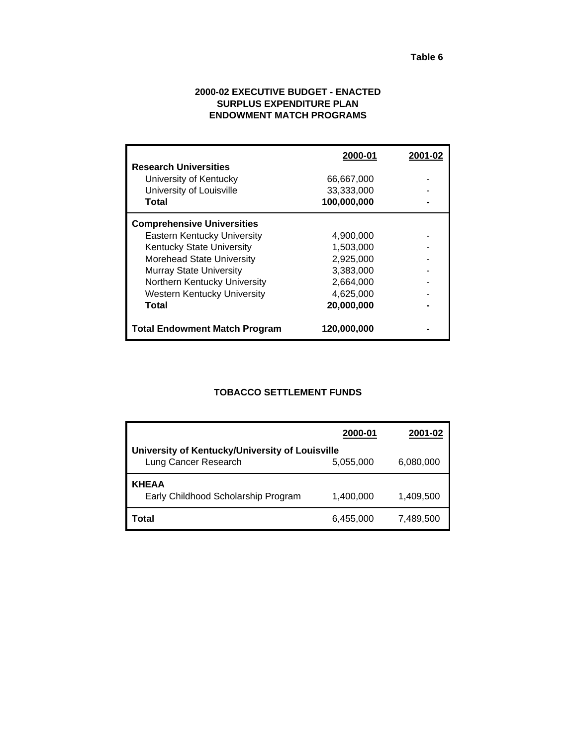### **2000-02 EXECUTIVE BUDGET - ENACTED SURPLUS EXPENDITURE PLAN ENDOWMENT MATCH PROGRAMS**

|                                      | 2000-01     | 2001-02 |
|--------------------------------------|-------------|---------|
| <b>Research Universities</b>         |             |         |
| University of Kentucky               | 66,667,000  |         |
| University of Louisville             | 33,333,000  |         |
| Total                                | 100,000,000 |         |
| <b>Comprehensive Universities</b>    |             |         |
| <b>Eastern Kentucky University</b>   | 4,900,000   |         |
| <b>Kentucky State University</b>     | 1.503.000   |         |
| <b>Morehead State University</b>     | 2,925,000   |         |
| <b>Murray State University</b>       | 3,383,000   |         |
| Northern Kentucky University         | 2,664,000   |         |
| Western Kentucky University          | 4,625,000   |         |
| Total                                | 20,000,000  |         |
| <b>Total Endowment Match Program</b> | 120,000,000 |         |

## **TOBACCO SETTLEMENT FUNDS**

|                                                                         | 2000-01   | 2001-02   |
|-------------------------------------------------------------------------|-----------|-----------|
| University of Kentucky/University of Louisville<br>Lung Cancer Research | 5,055,000 | 6,080,000 |
| KHEAA<br>Early Childhood Scholarship Program                            | 1,400,000 | 1,409,500 |
| Total                                                                   | 6,455,000 | 7,489,500 |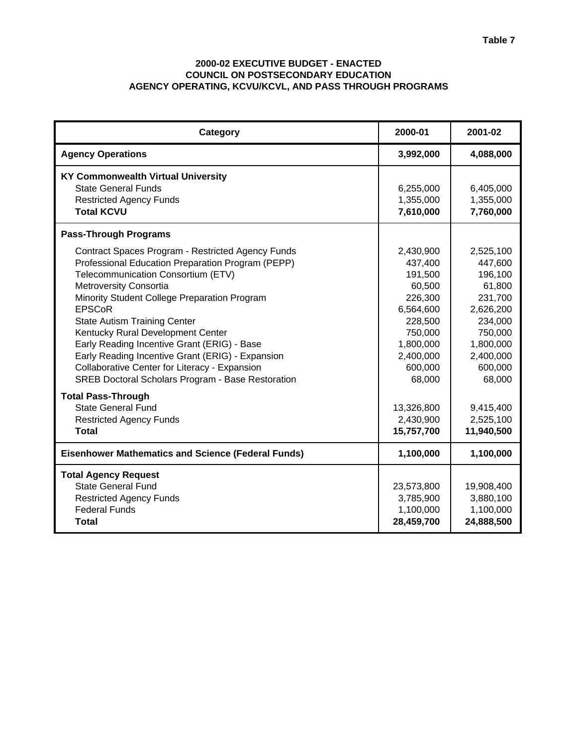### **2000-02 EXECUTIVE BUDGET - ENACTED COUNCIL ON POSTSECONDARY EDUCATION AGENCY OPERATING, KCVU/KCVL, AND PASS THROUGH PROGRAMS**

| Category                                                                                                                                                                                                                                                                                                                                                                                                                                                                                                                            | 2000-01                                                                                                                                | 2001-02                                                                                                                                |
|-------------------------------------------------------------------------------------------------------------------------------------------------------------------------------------------------------------------------------------------------------------------------------------------------------------------------------------------------------------------------------------------------------------------------------------------------------------------------------------------------------------------------------------|----------------------------------------------------------------------------------------------------------------------------------------|----------------------------------------------------------------------------------------------------------------------------------------|
| <b>Agency Operations</b>                                                                                                                                                                                                                                                                                                                                                                                                                                                                                                            | 3,992,000                                                                                                                              | 4,088,000                                                                                                                              |
| <b>KY Commonwealth Virtual University</b><br>State General Funds<br><b>Restricted Agency Funds</b><br><b>Total KCVU</b>                                                                                                                                                                                                                                                                                                                                                                                                             | 6,255,000<br>1,355,000<br>7,610,000                                                                                                    | 6,405,000<br>1,355,000<br>7,760,000                                                                                                    |
| <b>Pass-Through Programs</b>                                                                                                                                                                                                                                                                                                                                                                                                                                                                                                        |                                                                                                                                        |                                                                                                                                        |
| Contract Spaces Program - Restricted Agency Funds<br>Professional Education Preparation Program (PEPP)<br>Telecommunication Consortium (ETV)<br>Metroversity Consortia<br>Minority Student College Preparation Program<br><b>EPSCoR</b><br><b>State Autism Training Center</b><br>Kentucky Rural Development Center<br>Early Reading Incentive Grant (ERIG) - Base<br>Early Reading Incentive Grant (ERIG) - Expansion<br>Collaborative Center for Literacy - Expansion<br><b>SREB Doctoral Scholars Program - Base Restoration</b> | 2,430,900<br>437,400<br>191,500<br>60,500<br>226,300<br>6,564,600<br>228,500<br>750,000<br>1,800,000<br>2,400,000<br>600,000<br>68,000 | 2,525,100<br>447,600<br>196,100<br>61,800<br>231,700<br>2,626,200<br>234,000<br>750,000<br>1,800,000<br>2,400,000<br>600,000<br>68,000 |
| <b>Total Pass-Through</b><br><b>State General Fund</b><br><b>Restricted Agency Funds</b><br><b>Total</b>                                                                                                                                                                                                                                                                                                                                                                                                                            | 13,326,800<br>2,430,900<br>15,757,700                                                                                                  | 9,415,400<br>2,525,100<br>11,940,500                                                                                                   |
| <b>Eisenhower Mathematics and Science (Federal Funds)</b>                                                                                                                                                                                                                                                                                                                                                                                                                                                                           | 1,100,000                                                                                                                              | 1,100,000                                                                                                                              |
| <b>Total Agency Request</b><br><b>State General Fund</b><br><b>Restricted Agency Funds</b><br><b>Federal Funds</b><br><b>Total</b>                                                                                                                                                                                                                                                                                                                                                                                                  | 23,573,800<br>3,785,900<br>1,100,000<br>28,459,700                                                                                     | 19,908,400<br>3,880,100<br>1,100,000<br>24,888,500                                                                                     |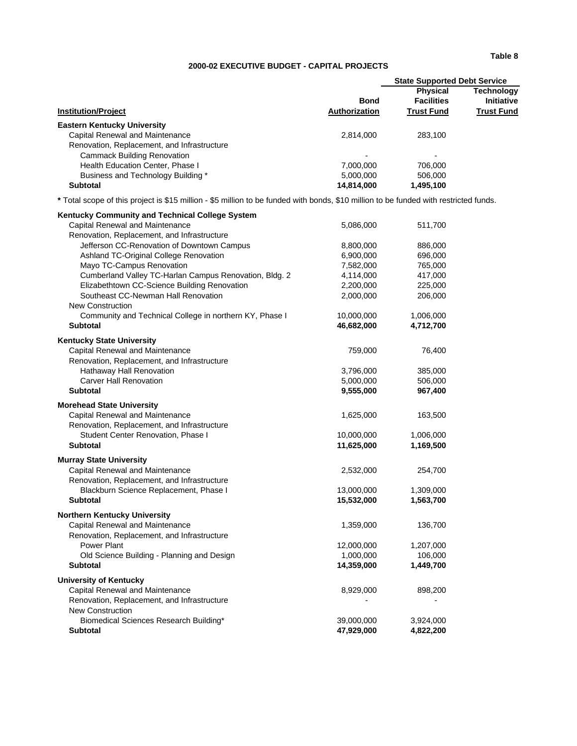#### **2000-02 EXECUTIVE BUDGET - CAPITAL PROJECTS**

| <b>Bond</b><br><b>Authorization</b> | <b>Physical</b><br><b>Facilities</b><br><b>Trust Fund</b> | Technology<br><b>Initiative</b><br><b>Trust Fund</b> |
|-------------------------------------|-----------------------------------------------------------|------------------------------------------------------|
|                                     |                                                           |                                                      |
| 2.814.000                           | 283.100                                                   |                                                      |
|                                     |                                                           |                                                      |
| $\overline{\phantom{0}}$            | $\blacksquare$                                            |                                                      |
| 7.000.000                           | 706.000                                                   |                                                      |
| 5,000,000                           | 506,000                                                   |                                                      |
| 14.814.000                          | 1,495,100                                                 |                                                      |
|                                     |                                                           | <b>State Supported Debt Service</b>                  |

**\*** Total scope of this project is \$15 million - \$5 million to be funded with bonds, \$10 million to be funded with restricted funds.

| Kentucky Community and Technical College System         |            |           |
|---------------------------------------------------------|------------|-----------|
| Capital Renewal and Maintenance                         | 5,086,000  | 511,700   |
| Renovation, Replacement, and Infrastructure             |            |           |
| Jefferson CC-Renovation of Downtown Campus              | 8,800,000  | 886,000   |
| Ashland TC-Original College Renovation                  | 6,900,000  | 696,000   |
| Mayo TC-Campus Renovation                               | 7,582,000  | 765,000   |
| Cumberland Valley TC-Harlan Campus Renovation, Bldg. 2  | 4,114,000  | 417,000   |
| Elizabethtown CC-Science Building Renovation            | 2,200,000  | 225,000   |
| Southeast CC-Newman Hall Renovation                     | 2,000,000  | 206,000   |
| <b>New Construction</b>                                 |            |           |
| Community and Technical College in northern KY, Phase I | 10,000,000 | 1,006,000 |
| <b>Subtotal</b>                                         | 46,682,000 | 4,712,700 |
| <b>Kentucky State University</b>                        |            |           |
| Capital Renewal and Maintenance                         | 759,000    | 76,400    |
| Renovation, Replacement, and Infrastructure             |            |           |
| Hathaway Hall Renovation                                | 3,796,000  | 385,000   |
| <b>Carver Hall Renovation</b>                           | 5,000,000  | 506,000   |
| <b>Subtotal</b>                                         | 9,555,000  | 967,400   |
| <b>Morehead State University</b>                        |            |           |
| Capital Renewal and Maintenance                         | 1,625,000  | 163,500   |
| Renovation, Replacement, and Infrastructure             |            |           |
| Student Center Renovation, Phase I                      | 10,000,000 | 1,006,000 |
| <b>Subtotal</b>                                         | 11,625,000 | 1,169,500 |
| <b>Murray State University</b>                          |            |           |
| Capital Renewal and Maintenance                         | 2,532,000  | 254,700   |
| Renovation, Replacement, and Infrastructure             |            |           |
| Blackburn Science Replacement, Phase I                  | 13,000,000 | 1,309,000 |
| <b>Subtotal</b>                                         | 15,532,000 | 1,563,700 |
| <b>Northern Kentucky University</b>                     |            |           |
| Capital Renewal and Maintenance                         | 1,359,000  | 136,700   |
| Renovation, Replacement, and Infrastructure             |            |           |
| Power Plant                                             | 12,000,000 | 1,207,000 |
| Old Science Building - Planning and Design              | 1,000,000  | 106,000   |
| <b>Subtotal</b>                                         | 14,359,000 | 1,449,700 |
| <b>University of Kentucky</b>                           |            |           |
| Capital Renewal and Maintenance                         | 8,929,000  | 898,200   |
| Renovation, Replacement, and Infrastructure             |            |           |
| <b>New Construction</b>                                 |            |           |
| Biomedical Sciences Research Building*                  | 39,000,000 | 3,924,000 |
| <b>Subtotal</b>                                         | 47,929,000 | 4,822,200 |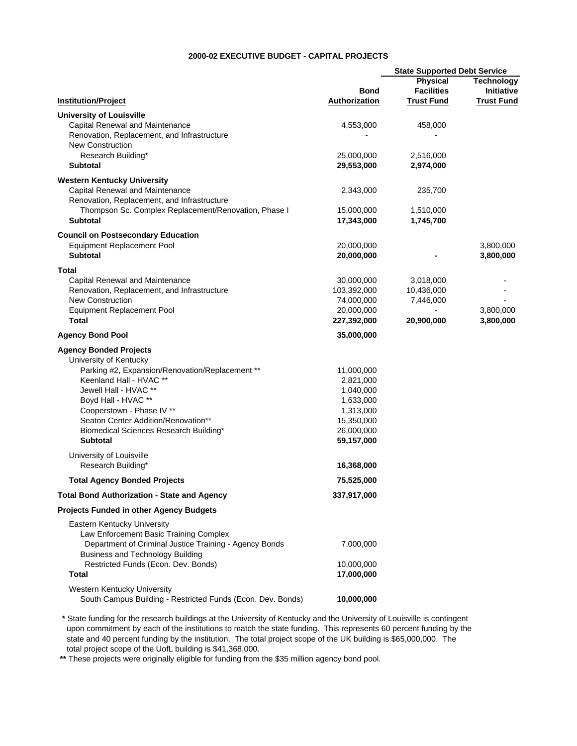#### **2000-02 EXECUTIVE BUDGET - CAPITAL PROJECTS**

| <b>Institution/Project</b><br><b>University of Louisville</b><br>Capital Renewal and Maintenance | <b>Bond</b><br><b>Authorization</b> | <b>State Supported Debt Service</b><br>Physical<br><b>Facilities</b><br><b>Trust Fund</b> | <b>Technology</b><br>Initiative |
|--------------------------------------------------------------------------------------------------|-------------------------------------|-------------------------------------------------------------------------------------------|---------------------------------|
|                                                                                                  |                                     |                                                                                           |                                 |
|                                                                                                  |                                     |                                                                                           | <b>Trust Fund</b>               |
|                                                                                                  |                                     |                                                                                           |                                 |
|                                                                                                  | 4,553,000                           | 458,000                                                                                   |                                 |
| Renovation, Replacement, and Infrastructure<br><b>New Construction</b>                           |                                     |                                                                                           |                                 |
| Research Building*                                                                               | 25,000,000                          | 2,516,000                                                                                 |                                 |
| <b>Subtotal</b>                                                                                  | 29,553,000                          | 2,974,000                                                                                 |                                 |
| <b>Western Kentucky University</b>                                                               |                                     |                                                                                           |                                 |
| Capital Renewal and Maintenance                                                                  | 2,343,000                           | 235,700                                                                                   |                                 |
| Renovation, Replacement, and Infrastructure                                                      |                                     |                                                                                           |                                 |
| Thompson Sc. Complex Replacement/Renovation, Phase I                                             | 15,000,000                          | 1,510,000                                                                                 |                                 |
| <b>Subtotal</b>                                                                                  | 17,343,000                          | 1,745,700                                                                                 |                                 |
| <b>Council on Postsecondary Education</b>                                                        |                                     |                                                                                           |                                 |
| <b>Equipment Replacement Pool</b>                                                                | 20,000,000                          |                                                                                           | 3,800,000                       |
| <b>Subtotal</b>                                                                                  | 20,000,000                          |                                                                                           | 3,800,000                       |
| Total                                                                                            |                                     |                                                                                           |                                 |
| <b>Capital Renewal and Maintenance</b>                                                           | 30,000,000                          | 3,018,000                                                                                 |                                 |
| Renovation, Replacement, and Infrastructure                                                      | 103,392,000                         | 10,436,000                                                                                |                                 |
| <b>New Construction</b>                                                                          | 74,000,000                          | 7,446,000                                                                                 |                                 |
| <b>Equipment Replacement Pool</b>                                                                | 20,000,000                          |                                                                                           | 3,800,000                       |
| <b>Total</b>                                                                                     | 227,392,000                         | 20,900,000                                                                                | 3,800,000                       |
| <b>Agency Bond Pool</b>                                                                          | 35,000,000                          |                                                                                           |                                 |
| <b>Agency Bonded Projects</b>                                                                    |                                     |                                                                                           |                                 |
| University of Kentucky                                                                           |                                     |                                                                                           |                                 |
| Parking #2, Expansion/Renovation/Replacement **                                                  | 11,000,000                          |                                                                                           |                                 |
| Keenland Hall - HVAC **<br>Jewell Hall - HVAC **                                                 | 2,821,000<br>1,040,000              |                                                                                           |                                 |
| Boyd Hall - HVAC **                                                                              | 1,633,000                           |                                                                                           |                                 |
| Cooperstown - Phase IV **                                                                        | 1,313,000                           |                                                                                           |                                 |
| Seaton Center Addition/Renovation**                                                              | 15,350,000                          |                                                                                           |                                 |
| Biomedical Sciences Research Building*                                                           | 26,000,000                          |                                                                                           |                                 |
| <b>Subtotal</b>                                                                                  | 59,157,000                          |                                                                                           |                                 |
| University of Louisville                                                                         |                                     |                                                                                           |                                 |
| Research Building*                                                                               | 16,368,000                          |                                                                                           |                                 |
| <b>Total Agency Bonded Projects</b>                                                              | 75,525,000                          |                                                                                           |                                 |
| <b>Total Bond Authorization - State and Agency</b>                                               | 337,917,000                         |                                                                                           |                                 |
| <b>Projects Funded in other Agency Budgets</b>                                                   |                                     |                                                                                           |                                 |
| <b>Eastern Kentucky University</b>                                                               |                                     |                                                                                           |                                 |
| Law Enforcement Basic Training Complex                                                           |                                     |                                                                                           |                                 |
| Department of Criminal Justice Training - Agency Bonds                                           | 7,000,000                           |                                                                                           |                                 |
| <b>Business and Technology Building</b>                                                          |                                     |                                                                                           |                                 |
| Restricted Funds (Econ. Dev. Bonds)<br>Total                                                     | 10,000,000<br>17,000,000            |                                                                                           |                                 |
|                                                                                                  |                                     |                                                                                           |                                 |
| Western Kentucky University                                                                      |                                     |                                                                                           |                                 |
| South Campus Building - Restricted Funds (Econ. Dev. Bonds)                                      | 10,000,000                          |                                                                                           |                                 |

 **\*** State funding for the research buildings at the University of Kentucky and the University of Louisville is contingent upon commitment by each of the institutions to match the state funding. This represents 60 percent funding by the state and 40 percent funding by the institution. The total project scope of the UK building is \$65,000,000. The total project scope of the UofL building is \$41,368,000.

 **\*\*** These projects were originally eligible for funding from the \$35 million agency bond pool.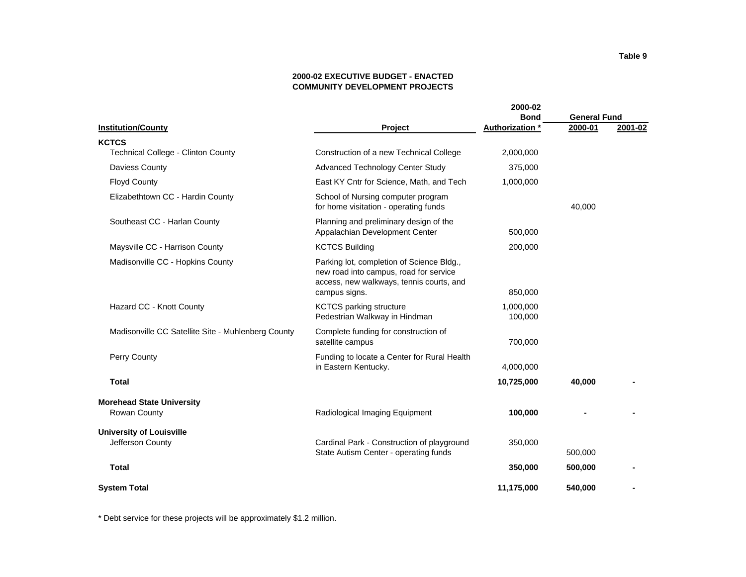### **2000-02 EXECUTIVE BUDGET - ENACTED COMMUNITY DEVELOPMENT PROJECTS**

|                                                    |                                                                                                                                                  | 2000-02<br><b>Bond</b> | <b>General Fund</b> |         |
|----------------------------------------------------|--------------------------------------------------------------------------------------------------------------------------------------------------|------------------------|---------------------|---------|
| <b>Institution/County</b>                          | Project                                                                                                                                          | Authorization *        | 2000-01             | 2001-02 |
| <b>KCTCS</b>                                       |                                                                                                                                                  |                        |                     |         |
| <b>Technical College - Clinton County</b>          | Construction of a new Technical College                                                                                                          | 2,000,000              |                     |         |
| Daviess County                                     | Advanced Technology Center Study                                                                                                                 | 375,000                |                     |         |
| <b>Floyd County</b>                                | East KY Cntr for Science, Math, and Tech                                                                                                         | 1,000,000              |                     |         |
| Elizabethtown CC - Hardin County                   | School of Nursing computer program<br>for home visitation - operating funds                                                                      |                        | 40,000              |         |
| Southeast CC - Harlan County                       | Planning and preliminary design of the<br>Appalachian Development Center                                                                         | 500,000                |                     |         |
| Maysville CC - Harrison County                     | <b>KCTCS Building</b>                                                                                                                            | 200,000                |                     |         |
| Madisonville CC - Hopkins County                   | Parking lot, completion of Science Bldg.,<br>new road into campus, road for service<br>access, new walkways, tennis courts, and<br>campus signs. | 850,000                |                     |         |
| Hazard CC - Knott County                           | <b>KCTCS</b> parking structure<br>Pedestrian Walkway in Hindman                                                                                  | 1,000,000<br>100,000   |                     |         |
| Madisonville CC Satellite Site - Muhlenberg County | Complete funding for construction of<br>satellite campus                                                                                         | 700,000                |                     |         |
| Perry County                                       | Funding to locate a Center for Rural Health<br>in Eastern Kentucky.                                                                              | 4,000,000              |                     |         |
| <b>Total</b>                                       |                                                                                                                                                  | 10,725,000             | 40,000              |         |
| <b>Morehead State University</b>                   |                                                                                                                                                  |                        |                     |         |
| Rowan County                                       | Radiological Imaging Equipment                                                                                                                   | 100,000                |                     |         |
| <b>University of Louisville</b>                    |                                                                                                                                                  |                        |                     |         |
| Jefferson County                                   | Cardinal Park - Construction of playground<br>State Autism Center - operating funds                                                              | 350,000                | 500,000             |         |
| <b>Total</b>                                       |                                                                                                                                                  | 350,000                | 500,000             |         |
| <b>System Total</b>                                |                                                                                                                                                  | 11,175,000             | 540,000             |         |

\* Debt service for these projects will be approximately \$1.2 million.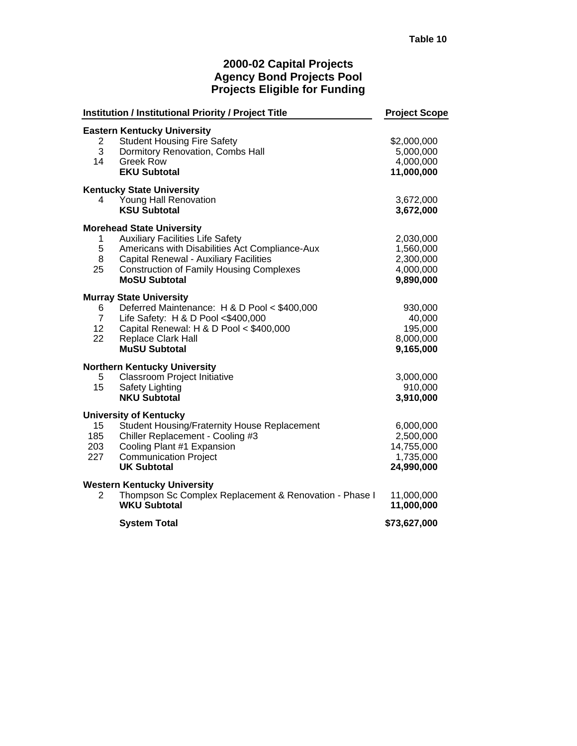## **2000-02 Capital Projects Agency Bond Projects Pool Projects Eligible for Funding**

|                                               | <b>Institution / Institutional Priority / Project Title</b>                                                                                                                                                                                               | <b>Project Scope</b>                                            |
|-----------------------------------------------|-----------------------------------------------------------------------------------------------------------------------------------------------------------------------------------------------------------------------------------------------------------|-----------------------------------------------------------------|
| $\overline{2}$<br>3<br>14                     | <b>Eastern Kentucky University</b><br><b>Student Housing Fire Safety</b><br>Dormitory Renovation, Combs Hall<br><b>Greek Row</b><br><b>EKU Subtotal</b>                                                                                                   | \$2,000,000<br>5,000,000<br>4,000,000<br>11,000,000             |
| 4                                             | <b>Kentucky State University</b><br>Young Hall Renovation<br><b>KSU Subtotal</b>                                                                                                                                                                          | 3,672,000<br>3,672,000                                          |
| 1<br>5<br>8<br>25                             | <b>Morehead State University</b><br><b>Auxiliary Facilities Life Safety</b><br>Americans with Disabilities Act Compliance-Aux<br><b>Capital Renewal - Auxiliary Facilities</b><br><b>Construction of Family Housing Complexes</b><br><b>MoSU Subtotal</b> | 2,030,000<br>1,560,000<br>2,300,000<br>4,000,000<br>9,890,000   |
| 6.<br>7 <sup>7</sup><br>12 <sub>2</sub><br>22 | <b>Murray State University</b><br>Deferred Maintenance: H & D Pool < \$400,000<br>Life Safety: H & D Pool <\$400,000<br>Capital Renewal: H & D Pool < \$400,000<br><b>Replace Clark Hall</b><br><b>MuSU Subtotal</b>                                      | 930,000<br>40,000<br>195,000<br>8,000,000<br>9,165,000          |
| 5<br>15                                       | <b>Northern Kentucky University</b><br>Classroom Project Initiative<br><b>Safety Lighting</b><br><b>NKU Subtotal</b>                                                                                                                                      | 3,000,000<br>910,000<br>3,910,000                               |
| 15<br>185<br>203<br>227                       | <b>University of Kentucky</b><br>Student Housing/Fraternity House Replacement<br>Chiller Replacement - Cooling #3<br>Cooling Plant #1 Expansion<br><b>Communication Project</b><br><b>UK Subtotal</b>                                                     | 6,000,000<br>2,500,000<br>14,755,000<br>1,735,000<br>24,990,000 |
| 2                                             | <b>Western Kentucky University</b><br>Thompson Sc Complex Replacement & Renovation - Phase I<br><b>WKU Subtotal</b>                                                                                                                                       | 11,000,000<br>11,000,000                                        |
|                                               | <b>System Total</b>                                                                                                                                                                                                                                       | \$73,627,000                                                    |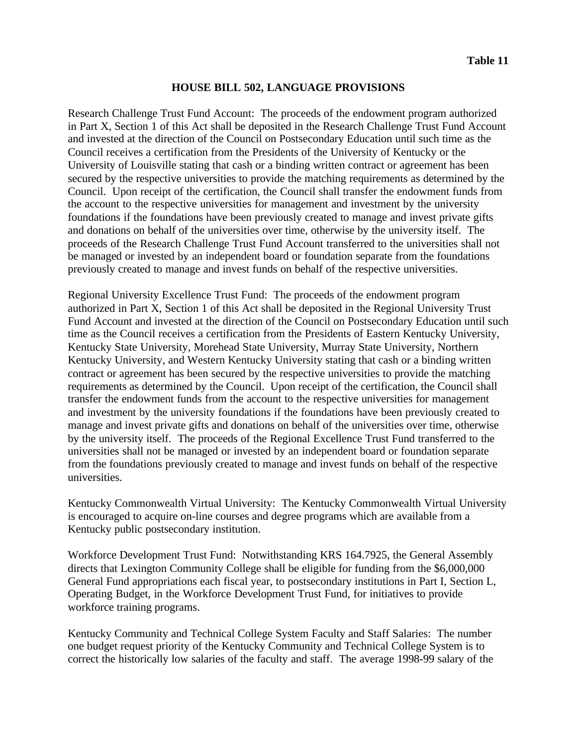### **HOUSE BILL 502, LANGUAGE PROVISIONS**

Research Challenge Trust Fund Account: The proceeds of the endowment program authorized in Part X, Section 1 of this Act shall be deposited in the Research Challenge Trust Fund Account and invested at the direction of the Council on Postsecondary Education until such time as the Council receives a certification from the Presidents of the University of Kentucky or the University of Louisville stating that cash or a binding written contract or agreement has been secured by the respective universities to provide the matching requirements as determined by the Council. Upon receipt of the certification, the Council shall transfer the endowment funds from the account to the respective universities for management and investment by the university foundations if the foundations have been previously created to manage and invest private gifts and donations on behalf of the universities over time, otherwise by the university itself. The proceeds of the Research Challenge Trust Fund Account transferred to the universities shall not be managed or invested by an independent board or foundation separate from the foundations previously created to manage and invest funds on behalf of the respective universities.

Regional University Excellence Trust Fund: The proceeds of the endowment program authorized in Part X, Section 1 of this Act shall be deposited in the Regional University Trust Fund Account and invested at the direction of the Council on Postsecondary Education until such time as the Council receives a certification from the Presidents of Eastern Kentucky University, Kentucky State University, Morehead State University, Murray State University, Northern Kentucky University, and Western Kentucky University stating that cash or a binding written contract or agreement has been secured by the respective universities to provide the matching requirements as determined by the Council. Upon receipt of the certification, the Council shall transfer the endowment funds from the account to the respective universities for management and investment by the university foundations if the foundations have been previously created to manage and invest private gifts and donations on behalf of the universities over time, otherwise by the university itself. The proceeds of the Regional Excellence Trust Fund transferred to the universities shall not be managed or invested by an independent board or foundation separate from the foundations previously created to manage and invest funds on behalf of the respective universities.

Kentucky Commonwealth Virtual University: The Kentucky Commonwealth Virtual University is encouraged to acquire on-line courses and degree programs which are available from a Kentucky public postsecondary institution.

Workforce Development Trust Fund: Notwithstanding KRS 164.7925, the General Assembly directs that Lexington Community College shall be eligible for funding from the \$6,000,000 General Fund appropriations each fiscal year, to postsecondary institutions in Part I, Section L, Operating Budget, in the Workforce Development Trust Fund, for initiatives to provide workforce training programs.

Kentucky Community and Technical College System Faculty and Staff Salaries: The number one budget request priority of the Kentucky Community and Technical College System is to correct the historically low salaries of the faculty and staff. The average 1998-99 salary of the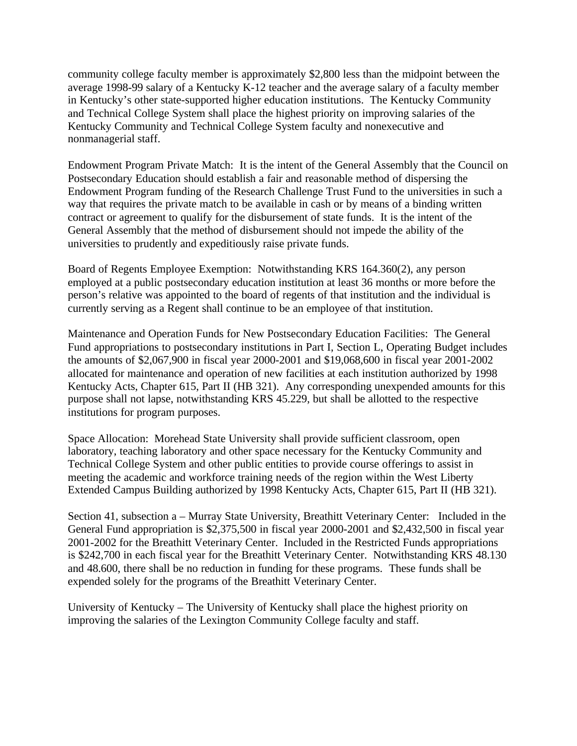community college faculty member is approximately \$2,800 less than the midpoint between the average 1998-99 salary of a Kentucky K-12 teacher and the average salary of a faculty member in Kentucky's other state-supported higher education institutions. The Kentucky Community and Technical College System shall place the highest priority on improving salaries of the Kentucky Community and Technical College System faculty and nonexecutive and nonmanagerial staff.

Endowment Program Private Match: It is the intent of the General Assembly that the Council on Postsecondary Education should establish a fair and reasonable method of dispersing the Endowment Program funding of the Research Challenge Trust Fund to the universities in such a way that requires the private match to be available in cash or by means of a binding written contract or agreement to qualify for the disbursement of state funds. It is the intent of the General Assembly that the method of disbursement should not impede the ability of the universities to prudently and expeditiously raise private funds.

Board of Regents Employee Exemption: Notwithstanding KRS 164.360(2), any person employed at a public postsecondary education institution at least 36 months or more before the person's relative was appointed to the board of regents of that institution and the individual is currently serving as a Regent shall continue to be an employee of that institution.

Maintenance and Operation Funds for New Postsecondary Education Facilities: The General Fund appropriations to postsecondary institutions in Part I, Section L, Operating Budget includes the amounts of \$2,067,900 in fiscal year 2000-2001 and \$19,068,600 in fiscal year 2001-2002 allocated for maintenance and operation of new facilities at each institution authorized by 1998 Kentucky Acts, Chapter 615, Part II (HB 321). Any corresponding unexpended amounts for this purpose shall not lapse, notwithstanding KRS 45.229, but shall be allotted to the respective institutions for program purposes.

Space Allocation: Morehead State University shall provide sufficient classroom, open laboratory, teaching laboratory and other space necessary for the Kentucky Community and Technical College System and other public entities to provide course offerings to assist in meeting the academic and workforce training needs of the region within the West Liberty Extended Campus Building authorized by 1998 Kentucky Acts, Chapter 615, Part II (HB 321).

Section 41, subsection a – Murray State University, Breathitt Veterinary Center: Included in the General Fund appropriation is \$2,375,500 in fiscal year 2000-2001 and \$2,432,500 in fiscal year 2001-2002 for the Breathitt Veterinary Center. Included in the Restricted Funds appropriations is \$242,700 in each fiscal year for the Breathitt Veterinary Center. Notwithstanding KRS 48.130 and 48.600, there shall be no reduction in funding for these programs. These funds shall be expended solely for the programs of the Breathitt Veterinary Center.

University of Kentucky – The University of Kentucky shall place the highest priority on improving the salaries of the Lexington Community College faculty and staff.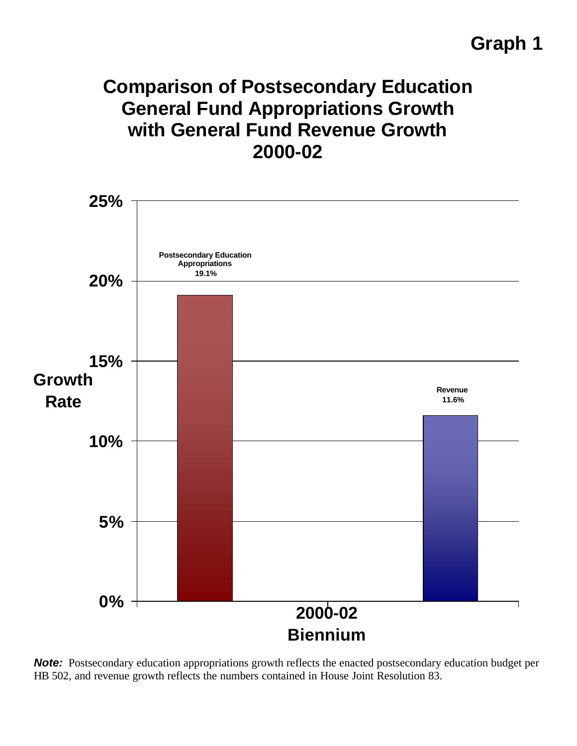# **Graph 1**

# **Comparison of Postsecondary Education General Fund Appropriations Growth with General Fund Revenue Growth 2000-02**



**Note:** Postsecondary education appropriations growth reflects the enacted postsecondary education budget per HB 502, and revenue growth reflects the numbers contained in House Joint Resolution 83.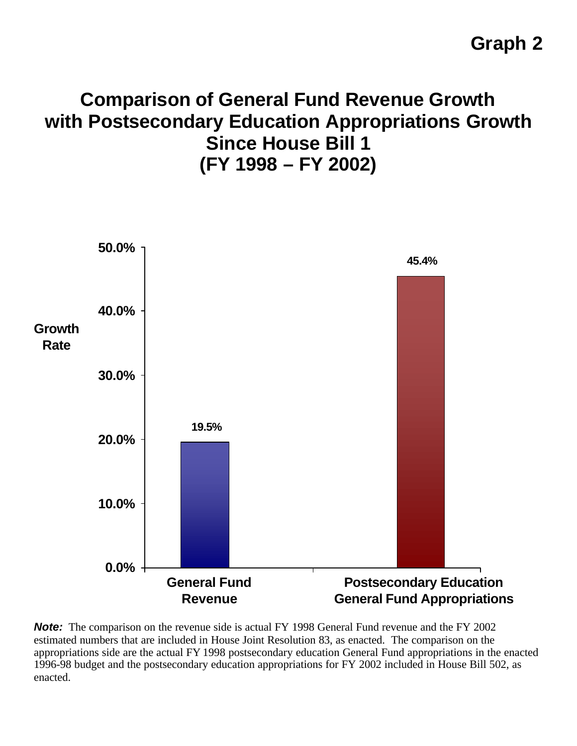# **Comparison of General Fund Revenue Growth with Postsecondary Education Appropriations Growth Since House Bill 1 (FY 1998 – FY 2002)**



**Note:** The comparison on the revenue side is actual FY 1998 General Fund revenue and the FY 2002 estimated numbers that are included in House Joint Resolution 83, as enacted. The comparison on the appropriations side are the actual FY 1998 postsecondary education General Fund appropriations in the enacted 1996-98 budget and the postsecondary education appropriations for FY 2002 included in House Bill 502, as enacted.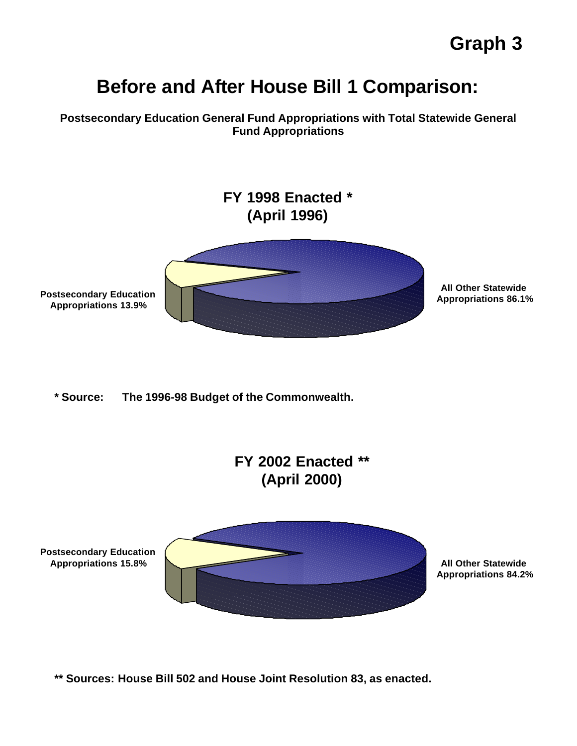# **Before and After House Bill 1 Comparison:**

**Postsecondary Education General Fund Appropriations with Total Statewide General Fund Appropriations**



**\*\* Sources: House Bill 502 and House Joint Resolution 83, as enacted.**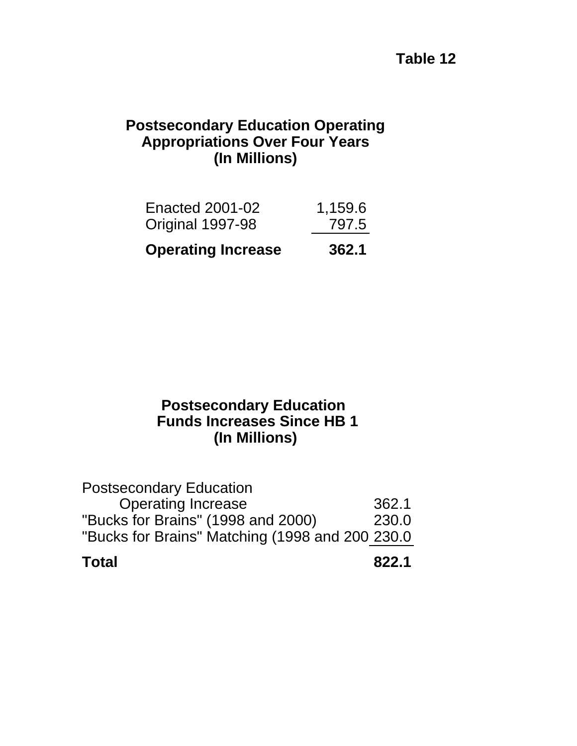# **Table 12**

# **Postsecondary Education Operating (In Millions) Appropriations Over Four Years**

| <b>Operating Increase</b> | 362.1   |
|---------------------------|---------|
| Original 1997-98          | 797.5   |
| Enacted 2001-02           | 1,159.6 |

# **(In Millions) Postsecondary Education Funds Increases Since HB 1**

| <b>Total</b>                                    | 822.1 |
|-------------------------------------------------|-------|
| "Bucks for Brains" Matching (1998 and 200 230.0 |       |
| "Bucks for Brains" (1998 and 2000)              | 230.0 |
| <b>Operating Increase</b>                       | 362.1 |
| <b>Postsecondary Education</b>                  |       |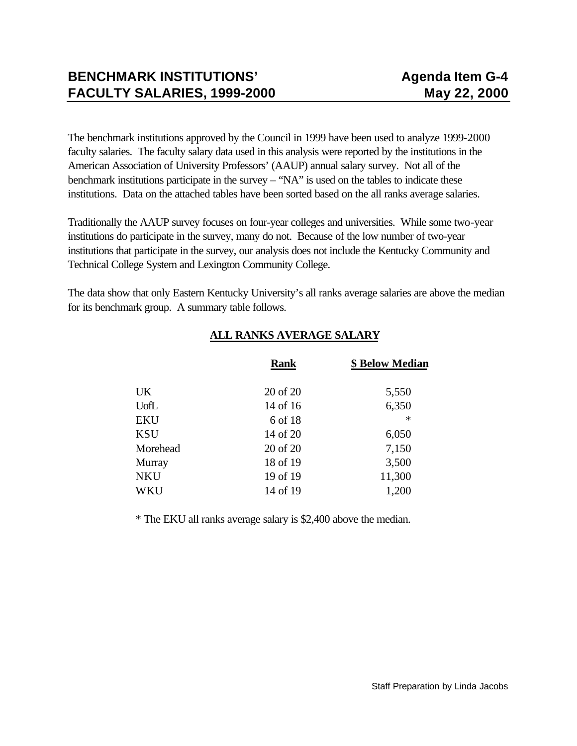The benchmark institutions approved by the Council in 1999 have been used to analyze 1999-2000 faculty salaries. The faculty salary data used in this analysis were reported by the institutions in the American Association of University Professors' (AAUP) annual salary survey. Not all of the benchmark institutions participate in the survey – "NA" is used on the tables to indicate these institutions. Data on the attached tables have been sorted based on the all ranks average salaries.

Traditionally the AAUP survey focuses on four-year colleges and universities. While some two-year institutions do participate in the survey, many do not. Because of the low number of two-year institutions that participate in the survey, our analysis does not include the Kentucky Community and Technical College System and Lexington Community College.

The data show that only Eastern Kentucky University's all ranks average salaries are above the median for its benchmark group. A summary table follows.

|            | <b>Rank</b> | \$ Below Median |
|------------|-------------|-----------------|
| <b>UK</b>  | 20 of 20    | 5,550           |
| UofL       | 14 of 16    | 6,350           |
| <b>EKU</b> | 6 of 18     | $\ast$          |
| <b>KSU</b> | 14 of 20    | 6,050           |
| Morehead   | 20 of 20    | 7,150           |
| Murray     | 18 of 19    | 3,500           |
| <b>NKU</b> | 19 of 19    | 11,300          |
| WKU        | 14 of 19    | 1,200           |
|            |             |                 |

# **ALL RANKS AVERAGE SALARY**

\* The EKU all ranks average salary is \$2,400 above the median.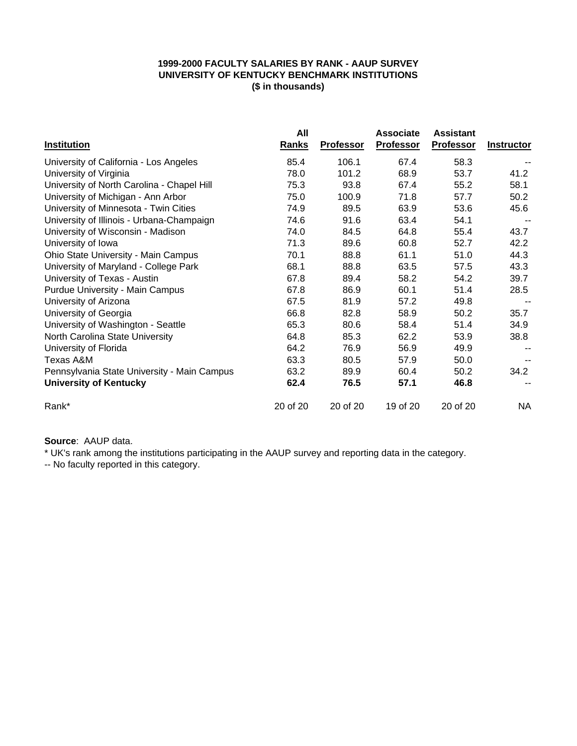### **1999-2000 FACULTY SALARIES BY RANK - AAUP SURVEY UNIVERSITY OF KENTUCKY BENCHMARK INSTITUTIONS (\$ in thousands)**

|                                             | All      |                  | <b>Associate</b> | <b>Assistant</b> |                   |
|---------------------------------------------|----------|------------------|------------------|------------------|-------------------|
| Institution                                 | Ranks    | <b>Professor</b> | Professor        | Professor        | <b>Instructor</b> |
| University of California - Los Angeles      | 85.4     | 106.1            | 67.4             | 58.3             |                   |
| University of Virginia                      | 78.0     | 101.2            | 68.9             | 53.7             | 41.2              |
| University of North Carolina - Chapel Hill  | 75.3     | 93.8             | 67.4             | 55.2             | 58.1              |
| University of Michigan - Ann Arbor          | 75.0     | 100.9            | 71.8             | 57.7             | 50.2              |
| University of Minnesota - Twin Cities       | 74.9     | 89.5             | 63.9             | 53.6             | 45.6              |
| University of Illinois - Urbana-Champaign   | 74.6     | 91.6             | 63.4             | 54.1             |                   |
| University of Wisconsin - Madison           | 74.0     | 84.5             | 64.8             | 55.4             | 43.7              |
| University of Iowa                          | 71.3     | 89.6             | 60.8             | 52.7             | 42.2              |
| Ohio State University - Main Campus         | 70.1     | 88.8             | 61.1             | 51.0             | 44.3              |
| University of Maryland - College Park       | 68.1     | 88.8             | 63.5             | 57.5             | 43.3              |
| University of Texas - Austin                | 67.8     | 89.4             | 58.2             | 54.2             | 39.7              |
| Purdue University - Main Campus             | 67.8     | 86.9             | 60.1             | 51.4             | 28.5              |
| University of Arizona                       | 67.5     | 81.9             | 57.2             | 49.8             |                   |
| University of Georgia                       | 66.8     | 82.8             | 58.9             | 50.2             | 35.7              |
| University of Washington - Seattle          | 65.3     | 80.6             | 58.4             | 51.4             | 34.9              |
| North Carolina State University             | 64.8     | 85.3             | 62.2             | 53.9             | 38.8              |
| University of Florida                       | 64.2     | 76.9             | 56.9             | 49.9             |                   |
| Texas A&M                                   | 63.3     | 80.5             | 57.9             | 50.0             |                   |
| Pennsylvania State University - Main Campus | 63.2     | 89.9             | 60.4             | 50.2             | 34.2              |
| <b>University of Kentucky</b>               | 62.4     | 76.5             | 57.1             | 46.8             |                   |
| Rank*                                       | 20 of 20 | 20 of 20         | 19 of 20         | 20 of 20         | NA                |

## **Source**: AAUP data.

\* UK's rank among the institutions participating in the AAUP survey and reporting data in the category.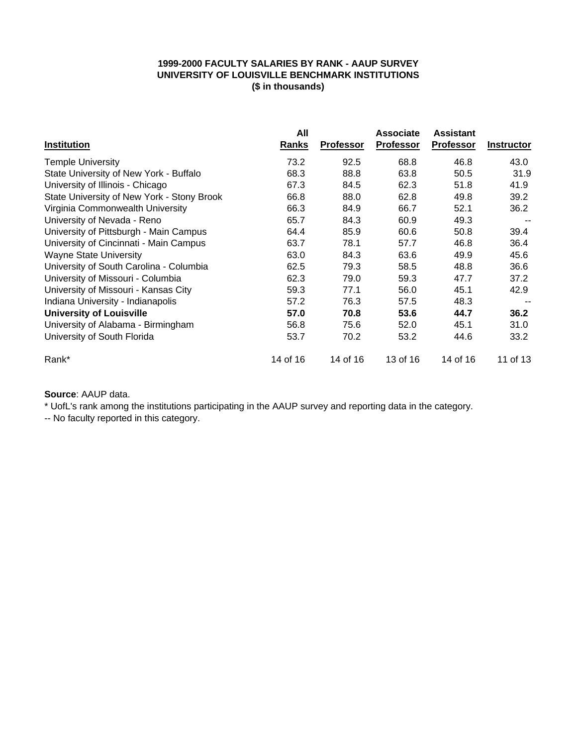### **1999-2000 FACULTY SALARIES BY RANK - AAUP SURVEY UNIVERSITY OF LOUISVILLE BENCHMARK INSTITUTIONS (\$ in thousands)**

|                                            | All      |                  | <b>Associate</b> | <b>Assistant</b> |                   |
|--------------------------------------------|----------|------------------|------------------|------------------|-------------------|
| <b>Institution</b>                         | Ranks    | <b>Professor</b> | <b>Professor</b> | <b>Professor</b> | <b>Instructor</b> |
| <b>Temple University</b>                   | 73.2     | 92.5             | 68.8             | 46.8             | 43.0              |
| State University of New York - Buffalo     | 68.3     | 88.8             | 63.8             | 50.5             | 31.9              |
| University of Illinois - Chicago           | 67.3     | 84.5             | 62.3             | 51.8             | 41.9              |
| State University of New York - Stony Brook | 66.8     | 88.0             | 62.8             | 49.8             | 39.2              |
| Virginia Commonwealth University           | 66.3     | 84.9             | 66.7             | 52.1             | 36.2              |
| University of Nevada - Reno                | 65.7     | 84.3             | 60.9             | 49.3             |                   |
| University of Pittsburgh - Main Campus     | 64.4     | 85.9             | 60.6             | 50.8             | 39.4              |
| University of Cincinnati - Main Campus     | 63.7     | 78.1             | 57.7             | 46.8             | 36.4              |
| <b>Wayne State University</b>              | 63.0     | 84.3             | 63.6             | 49.9             | 45.6              |
| University of South Carolina - Columbia    | 62.5     | 79.3             | 58.5             | 48.8             | 36.6              |
| University of Missouri - Columbia          | 62.3     | 79.0             | 59.3             | 47.7             | 37.2              |
| University of Missouri - Kansas City       | 59.3     | 77.1             | 56.0             | 45.1             | 42.9              |
| Indiana University - Indianapolis          | 57.2     | 76.3             | 57.5             | 48.3             |                   |
| <b>University of Louisville</b>            | 57.0     | 70.8             | 53.6             | 44.7             | 36.2              |
| University of Alabama - Birmingham         | 56.8     | 75.6             | 52.0             | 45.1             | 31.0              |
| University of South Florida                | 53.7     | 70.2             | 53.2             | 44.6             | 33.2              |
| Rank*                                      | 14 of 16 | 14 of 16         | 13 of 16         | 14 of 16         | 11 of 13          |

## **Source**: AAUP data.

\* UofL's rank among the institutions participating in the AAUP survey and reporting data in the category.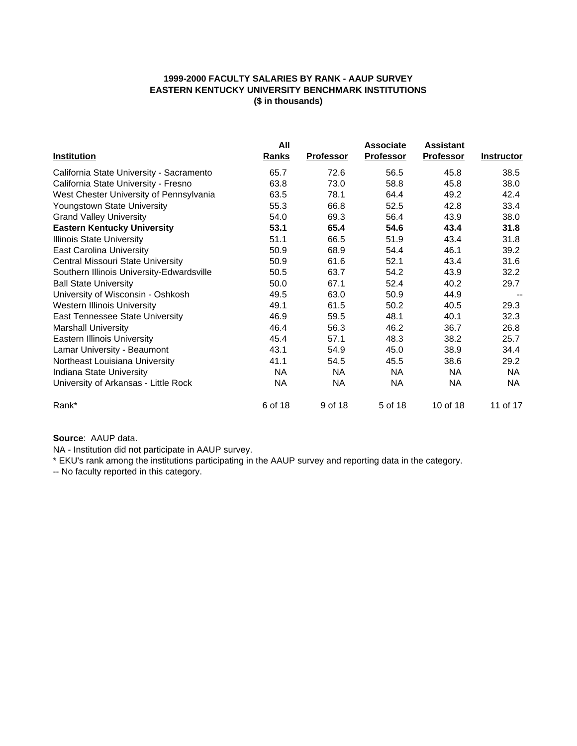### **1999-2000 FACULTY SALARIES BY RANK - AAUP SURVEY EASTERN KENTUCKY UNIVERSITY BENCHMARK INSTITUTIONS (\$ in thousands)**

|                                           | All          |                  | <b>Associate</b> | <b>Assistant</b> |                   |
|-------------------------------------------|--------------|------------------|------------------|------------------|-------------------|
| <b>Institution</b>                        | <u>Ranks</u> | <b>Professor</b> | <b>Professor</b> | <b>Professor</b> | <b>Instructor</b> |
| California State University - Sacramento  | 65.7         | 72.6             | 56.5             | 45.8             | 38.5              |
| California State University - Fresno      | 63.8         | 73.0             | 58.8             | 45.8             | 38.0              |
| West Chester University of Pennsylvania   | 63.5         | 78.1             | 64.4             | 49.2             | 42.4              |
| Youngstown State University               | 55.3         | 66.8             | 52.5             | 42.8             | 33.4              |
| <b>Grand Valley University</b>            | 54.0         | 69.3             | 56.4             | 43.9             | 38.0              |
| <b>Eastern Kentucky University</b>        | 53.1         | 65.4             | 54.6             | 43.4             | 31.8              |
| <b>Illinois State University</b>          | 51.1         | 66.5             | 51.9             | 43.4             | 31.8              |
| <b>East Carolina University</b>           | 50.9         | 68.9             | 54.4             | 46.1             | 39.2              |
| Central Missouri State University         | 50.9         | 61.6             | 52.1             | 43.4             | 31.6              |
| Southern Illinois University-Edwardsville | 50.5         | 63.7             | 54.2             | 43.9             | 32.2              |
| <b>Ball State University</b>              | 50.0         | 67.1             | 52.4             | 40.2             | 29.7              |
| University of Wisconsin - Oshkosh         | 49.5         | 63.0             | 50.9             | 44.9             |                   |
| <b>Western Illinois University</b>        | 49.1         | 61.5             | 50.2             | 40.5             | 29.3              |
| East Tennessee State University           | 46.9         | 59.5             | 48.1             | 40.1             | 32.3              |
| <b>Marshall University</b>                | 46.4         | 56.3             | 46.2             | 36.7             | 26.8              |
| <b>Eastern Illinois University</b>        | 45.4         | 57.1             | 48.3             | 38.2             | 25.7              |
| Lamar University - Beaumont               | 43.1         | 54.9             | 45.0             | 38.9             | 34.4              |
| Northeast Louisiana University            | 41.1         | 54.5             | 45.5             | 38.6             | 29.2              |
| Indiana State University                  | <b>NA</b>    | <b>NA</b>        | <b>NA</b>        | <b>NA</b>        | <b>NA</b>         |
| University of Arkansas - Little Rock      | NA           | <b>NA</b>        | <b>NA</b>        | <b>NA</b>        | <b>NA</b>         |
| Rank*                                     | 6 of 18      | 9 of 18          | 5 of 18          | 10 of 18         | 11 of 17          |

**Source**: AAUP data.

NA - Institution did not participate in AAUP survey.

\* EKU's rank among the institutions participating in the AAUP survey and reporting data in the category.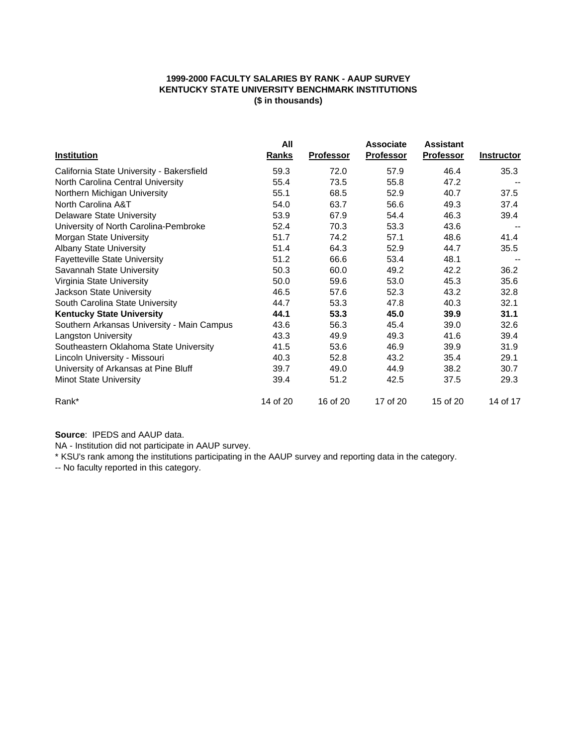### **1999-2000 FACULTY SALARIES BY RANK - AAUP SURVEY KENTUCKY STATE UNIVERSITY BENCHMARK INSTITUTIONS (\$ in thousands)**

|                                            | All          |                  | <b>Associate</b> | <b>Assistant</b> |                   |
|--------------------------------------------|--------------|------------------|------------------|------------------|-------------------|
| <b>Institution</b>                         | <b>Ranks</b> | <b>Professor</b> | <b>Professor</b> | <b>Professor</b> | <b>Instructor</b> |
| California State University - Bakersfield  | 59.3         | 72.0             | 57.9             | 46.4             | 35.3              |
| North Carolina Central University          | 55.4         | 73.5             | 55.8             | 47.2             |                   |
| Northern Michigan University               | 55.1         | 68.5             | 52.9             | 40.7             | 37.5              |
| North Carolina A&T                         | 54.0         | 63.7             | 56.6             | 49.3             | 37.4              |
| <b>Delaware State University</b>           | 53.9         | 67.9             | 54.4             | 46.3             | 39.4              |
| University of North Carolina-Pembroke      | 52.4         | 70.3             | 53.3             | 43.6             |                   |
| Morgan State University                    | 51.7         | 74.2             | 57.1             | 48.6             | 41.4              |
| <b>Albany State University</b>             | 51.4         | 64.3             | 52.9             | 44.7             | 35.5              |
| <b>Fayetteville State University</b>       | 51.2         | 66.6             | 53.4             | 48.1             |                   |
| Savannah State University                  | 50.3         | 60.0             | 49.2             | 42.2             | 36.2              |
| Virginia State University                  | 50.0         | 59.6             | 53.0             | 45.3             | 35.6              |
| Jackson State University                   | 46.5         | 57.6             | 52.3             | 43.2             | 32.8              |
| South Carolina State University            | 44.7         | 53.3             | 47.8             | 40.3             | 32.1              |
| <b>Kentucky State University</b>           | 44.1         | 53.3             | 45.0             | 39.9             | 31.1              |
| Southern Arkansas University - Main Campus | 43.6         | 56.3             | 45.4             | 39.0             | 32.6              |
| <b>Langston University</b>                 | 43.3         | 49.9             | 49.3             | 41.6             | 39.4              |
| Southeastern Oklahoma State University     | 41.5         | 53.6             | 46.9             | 39.9             | 31.9              |
| Lincoln University - Missouri              | 40.3         | 52.8             | 43.2             | 35.4             | 29.1              |
| University of Arkansas at Pine Bluff       | 39.7         | 49.0             | 44.9             | 38.2             | 30.7              |
| <b>Minot State University</b>              | 39.4         | 51.2             | 42.5             | 37.5             | 29.3              |
| Rank*                                      | 14 of 20     | 16 of 20         | 17 of 20         | 15 of 20         | 14 of 17          |

**Source**: IPEDS and AAUP data.

NA - Institution did not participate in AAUP survey.

\* KSU's rank among the institutions participating in the AAUP survey and reporting data in the category.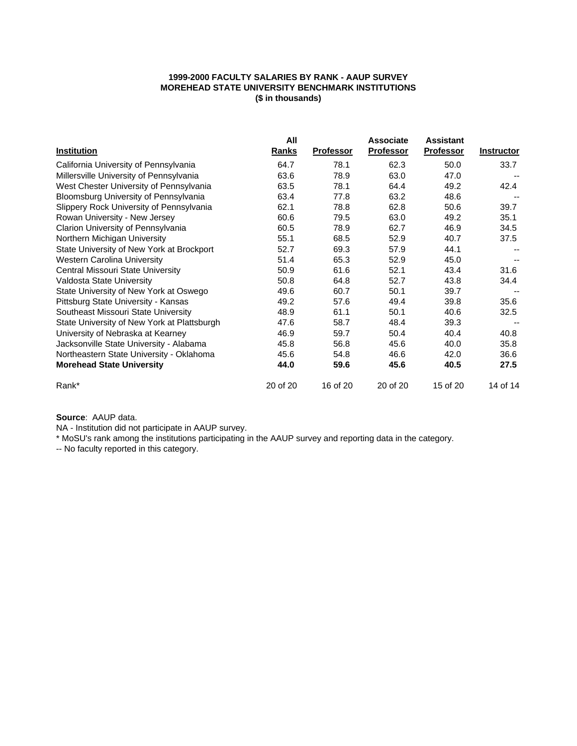### **1999-2000 FACULTY SALARIES BY RANK - AAUP SURVEY MOREHEAD STATE UNIVERSITY BENCHMARK INSTITUTIONS (\$ in thousands)**

|                                             | All      |                  | <b>Associate</b> | <b>Assistant</b> |                   |
|---------------------------------------------|----------|------------------|------------------|------------------|-------------------|
| <b>Institution</b>                          | Ranks    | <b>Professor</b> | <b>Professor</b> | <b>Professor</b> | <b>Instructor</b> |
| California University of Pennsylvania       | 64.7     | 78.1             | 62.3             | 50.0             | 33.7              |
| Millersville University of Pennsylvania     | 63.6     | 78.9             | 63.0             | 47.0             |                   |
| West Chester University of Pennsylvania     | 63.5     | 78.1             | 64.4             | 49.2             | 42.4              |
| Bloomsburg University of Pennsylvania       | 63.4     | 77.8             | 63.2             | 48.6             |                   |
| Slippery Rock University of Pennsylvania    | 62.1     | 78.8             | 62.8             | 50.6             | 39.7              |
| Rowan University - New Jersey               | 60.6     | 79.5             | 63.0             | 49.2             | 35.1              |
| Clarion University of Pennsylvania          | 60.5     | 78.9             | 62.7             | 46.9             | 34.5              |
| Northern Michigan University                | 55.1     | 68.5             | 52.9             | 40.7             | 37.5              |
| State University of New York at Brockport   | 52.7     | 69.3             | 57.9             | 44.1             |                   |
| <b>Western Carolina University</b>          | 51.4     | 65.3             | 52.9             | 45.0             |                   |
| Central Missouri State University           | 50.9     | 61.6             | 52.1             | 43.4             | 31.6              |
| Valdosta State University                   | 50.8     | 64.8             | 52.7             | 43.8             | 34.4              |
| State University of New York at Oswego      | 49.6     | 60.7             | 50.1             | 39.7             |                   |
| Pittsburg State University - Kansas         | 49.2     | 57.6             | 49.4             | 39.8             | 35.6              |
| Southeast Missouri State University         | 48.9     | 61.1             | 50.1             | 40.6             | 32.5              |
| State University of New York at Plattsburgh | 47.6     | 58.7             | 48.4             | 39.3             |                   |
| University of Nebraska at Kearney           | 46.9     | 59.7             | 50.4             | 40.4             | 40.8              |
| Jacksonville State University - Alabama     | 45.8     | 56.8             | 45.6             | 40.0             | 35.8              |
| Northeastern State University - Oklahoma    | 45.6     | 54.8             | 46.6             | 42.0             | 36.6              |
| <b>Morehead State University</b>            | 44.0     | 59.6             | 45.6             | 40.5             | 27.5              |
| Rank*                                       | 20 of 20 | 16 of 20         | 20 of 20         | 15 of 20         | 14 of 14          |

**Source**: AAUP data.

NA - Institution did not participate in AAUP survey.

\* MoSU's rank among the institutions participating in the AAUP survey and reporting data in the category.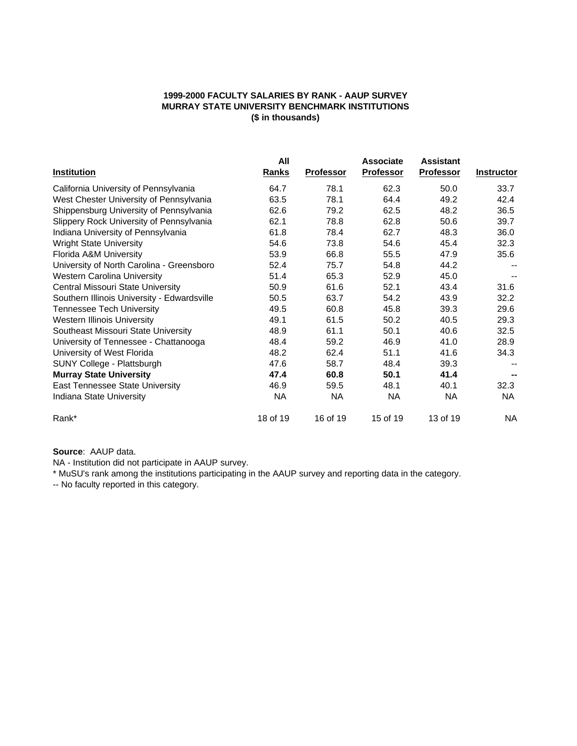### **1999-2000 FACULTY SALARIES BY RANK - AAUP SURVEY MURRAY STATE UNIVERSITY BENCHMARK INSTITUTIONS (\$ in thousands)**

|                                             | All          |                  | <b>Associate</b> | <b>Assistant</b> |                   |
|---------------------------------------------|--------------|------------------|------------------|------------------|-------------------|
| <b>Institution</b>                          | <b>Ranks</b> | <b>Professor</b> | <b>Professor</b> | <b>Professor</b> | <b>Instructor</b> |
| California University of Pennsylvania       | 64.7         | 78.1             | 62.3             | 50.0             | 33.7              |
| West Chester University of Pennsylvania     | 63.5         | 78.1             | 64.4             | 49.2             | 42.4              |
| Shippensburg University of Pennsylvania     | 62.6         | 79.2             | 62.5             | 48.2             | 36.5              |
| Slippery Rock University of Pennsylvania    | 62.1         | 78.8             | 62.8             | 50.6             | 39.7              |
| Indiana University of Pennsylvania          | 61.8         | 78.4             | 62.7             | 48.3             | 36.0              |
| <b>Wright State University</b>              | 54.6         | 73.8             | 54.6             | 45.4             | 32.3              |
| Florida A&M University                      | 53.9         | 66.8             | 55.5             | 47.9             | 35.6              |
| University of North Carolina - Greensboro   | 52.4         | 75.7             | 54.8             | 44.2             |                   |
| <b>Western Carolina University</b>          | 51.4         | 65.3             | 52.9             | 45.0             |                   |
| Central Missouri State University           | 50.9         | 61.6             | 52.1             | 43.4             | 31.6              |
| Southern Illinois University - Edwardsville | 50.5         | 63.7             | 54.2             | 43.9             | 32.2              |
| <b>Tennessee Tech University</b>            | 49.5         | 60.8             | 45.8             | 39.3             | 29.6              |
| <b>Western Illinois University</b>          | 49.1         | 61.5             | 50.2             | 40.5             | 29.3              |
| Southeast Missouri State University         | 48.9         | 61.1             | 50.1             | 40.6             | 32.5              |
| University of Tennessee - Chattanooga       | 48.4         | 59.2             | 46.9             | 41.0             | 28.9              |
| University of West Florida                  | 48.2         | 62.4             | 51.1             | 41.6             | 34.3              |
| SUNY College - Plattsburgh                  | 47.6         | 58.7             | 48.4             | 39.3             |                   |
| <b>Murray State University</b>              | 47.4         | 60.8             | 50.1             | 41.4             |                   |
| East Tennessee State University             | 46.9         | 59.5             | 48.1             | 40.1             | 32.3              |
| Indiana State University                    | <b>NA</b>    | NA               | NA.              | <b>NA</b>        | NA.               |
| Rank*                                       | 18 of 19     | 16 of 19         | 15 of 19         | 13 of 19         | NA.               |

### **Source**: AAUP data.

NA - Institution did not participate in AAUP survey.

\* MuSU's rank among the institutions participating in the AAUP survey and reporting data in the category.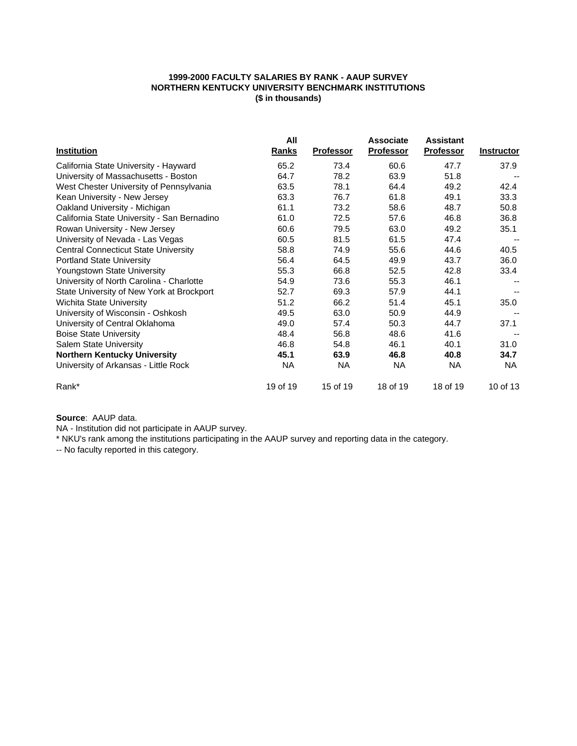### **1999-2000 FACULTY SALARIES BY RANK - AAUP SURVEY NORTHERN KENTUCKY UNIVERSITY BENCHMARK INSTITUTIONS (\$ in thousands)**

|                                             | All      |                  | <b>Associate</b> | <b>Assistant</b> |                   |
|---------------------------------------------|----------|------------------|------------------|------------------|-------------------|
| <b>Institution</b>                          | Ranks    | <b>Professor</b> | <b>Professor</b> | <b>Professor</b> | <b>Instructor</b> |
| California State University - Hayward       | 65.2     | 73.4             | 60.6             | 47.7             | 37.9              |
| University of Massachusetts - Boston        | 64.7     | 78.2             | 63.9             | 51.8             |                   |
| West Chester University of Pennsylvania     | 63.5     | 78.1             | 64.4             | 49.2             | 42.4              |
| Kean University - New Jersey                | 63.3     | 76.7             | 61.8             | 49.1             | 33.3              |
| Oakland University - Michigan               | 61.1     | 73.2             | 58.6             | 48.7             | 50.8              |
| California State University - San Bernadino | 61.0     | 72.5             | 57.6             | 46.8             | 36.8              |
| Rowan University - New Jersey               | 60.6     | 79.5             | 63.0             | 49.2             | 35.1              |
| University of Nevada - Las Vegas            | 60.5     | 81.5             | 61.5             | 47.4             |                   |
| <b>Central Connecticut State University</b> | 58.8     | 74.9             | 55.6             | 44.6             | 40.5              |
| <b>Portland State University</b>            | 56.4     | 64.5             | 49.9             | 43.7             | 36.0              |
| Youngstown State University                 | 55.3     | 66.8             | 52.5             | 42.8             | 33.4              |
| University of North Carolina - Charlotte    | 54.9     | 73.6             | 55.3             | 46.1             |                   |
| State University of New York at Brockport   | 52.7     | 69.3             | 57.9             | 44.1             |                   |
| <b>Wichita State University</b>             | 51.2     | 66.2             | 51.4             | 45.1             | 35.0              |
| University of Wisconsin - Oshkosh           | 49.5     | 63.0             | 50.9             | 44.9             |                   |
| University of Central Oklahoma              | 49.0     | 57.4             | 50.3             | 44.7             | 37.1              |
| <b>Boise State University</b>               | 48.4     | 56.8             | 48.6             | 41.6             |                   |
| Salem State University                      | 46.8     | 54.8             | 46.1             | 40.1             | 31.0              |
| <b>Northern Kentucky University</b>         | 45.1     | 63.9             | 46.8             | 40.8             | 34.7              |
| University of Arkansas - Little Rock        | NA       | <b>NA</b>        | <b>NA</b>        | <b>NA</b>        | NA                |
| Rank*                                       | 19 of 19 | 15 of 19         | 18 of 19         | 18 of 19         | 10 of 13          |

**Source**: AAUP data.

NA - Institution did not participate in AAUP survey.

\* NKU's rank among the institutions participating in the AAUP survey and reporting data in the category.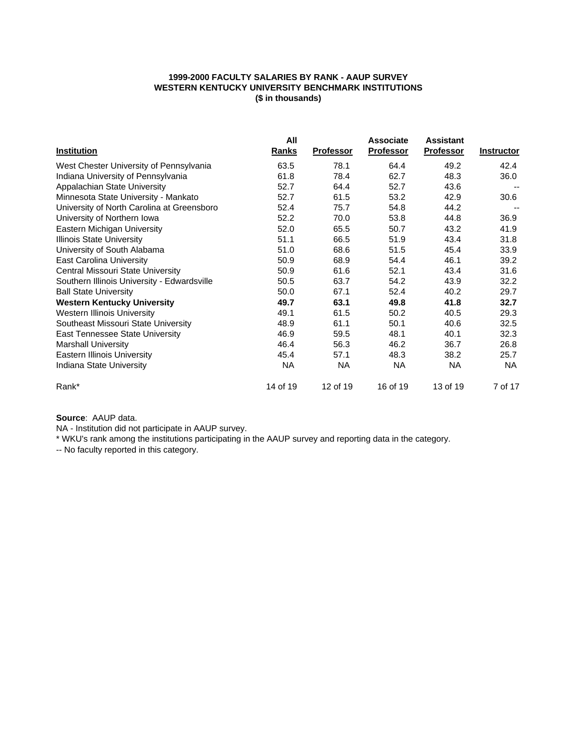### **1999-2000 FACULTY SALARIES BY RANK - AAUP SURVEY WESTERN KENTUCKY UNIVERSITY BENCHMARK INSTITUTIONS (\$ in thousands)**

|                                             | All          |                  | <b>Associate</b> | <b>Assistant</b> |                   |
|---------------------------------------------|--------------|------------------|------------------|------------------|-------------------|
| <b>Institution</b>                          | <b>Ranks</b> | <b>Professor</b> | <b>Professor</b> | <b>Professor</b> | <b>Instructor</b> |
| West Chester University of Pennsylvania     | 63.5         | 78.1             | 64.4             | 49.2             | 42.4              |
| Indiana University of Pennsylvania          | 61.8         | 78.4             | 62.7             | 48.3             | 36.0              |
| Appalachian State University                | 52.7         | 64.4             | 52.7             | 43.6             |                   |
| Minnesota State University - Mankato        | 52.7         | 61.5             | 53.2             | 42.9             | 30.6              |
| University of North Carolina at Greensboro  | 52.4         | 75.7             | 54.8             | 44.2             |                   |
| University of Northern Iowa                 | 52.2         | 70.0             | 53.8             | 44.8             | 36.9              |
| Eastern Michigan University                 | 52.0         | 65.5             | 50.7             | 43.2             | 41.9              |
| <b>Illinois State University</b>            | 51.1         | 66.5             | 51.9             | 43.4             | 31.8              |
| University of South Alabama                 | 51.0         | 68.6             | 51.5             | 45.4             | 33.9              |
| East Carolina University                    | 50.9         | 68.9             | 54.4             | 46.1             | 39.2              |
| Central Missouri State University           | 50.9         | 61.6             | 52.1             | 43.4             | 31.6              |
| Southern Illinois University - Edwardsville | 50.5         | 63.7             | 54.2             | 43.9             | 32.2              |
| <b>Ball State University</b>                | 50.0         | 67.1             | 52.4             | 40.2             | 29.7              |
| <b>Western Kentucky University</b>          | 49.7         | 63.1             | 49.8             | 41.8             | 32.7              |
| <b>Western Illinois University</b>          | 49.1         | 61.5             | 50.2             | 40.5             | 29.3              |
| Southeast Missouri State University         | 48.9         | 61.1             | 50.1             | 40.6             | 32.5              |
| <b>East Tennessee State University</b>      | 46.9         | 59.5             | 48.1             | 40.1             | 32.3              |
| <b>Marshall University</b>                  | 46.4         | 56.3             | 46.2             | 36.7             | 26.8              |
| <b>Eastern Illinois University</b>          | 45.4         | 57.1             | 48.3             | 38.2             | 25.7              |
| Indiana State University                    | <b>NA</b>    | NA.              | NA.              | NA               | NA                |
| Rank*                                       | 14 of 19     | 12 of 19         | 16 of 19         | 13 of 19         | 7 of 17           |

**Source**: AAUP data.

NA - Institution did not participate in AAUP survey.

\* WKU's rank among the institutions participating in the AAUP survey and reporting data in the category.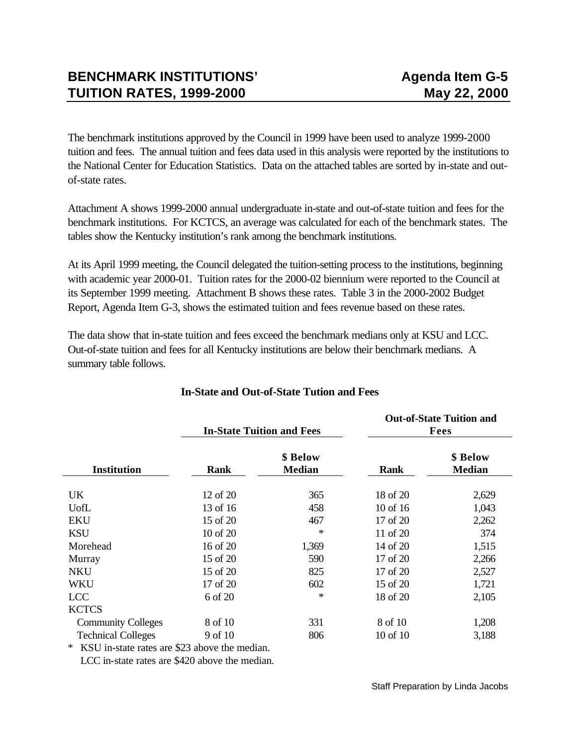The benchmark institutions approved by the Council in 1999 have been used to analyze 1999-2000 tuition and fees. The annual tuition and fees data used in this analysis were reported by the institutions to the National Center for Education Statistics. Data on the attached tables are sorted by in-state and outof-state rates.

Attachment A shows 1999-2000 annual undergraduate in-state and out-of-state tuition and fees for the benchmark institutions. For KCTCS, an average was calculated for each of the benchmark states. The tables show the Kentucky institution's rank among the benchmark institutions.

At its April 1999 meeting, the Council delegated the tuition-setting process to the institutions, beginning with academic year 2000-01. Tuition rates for the 2000-02 biennium were reported to the Council at its September 1999 meeting. Attachment B shows these rates. Table 3 in the 2000-2002 Budget Report, Agenda Item G-3, shows the estimated tuition and fees revenue based on these rates.

The data show that in-state tuition and fees exceed the benchmark medians only at KSU and LCC. Out-of-state tuition and fees for all Kentucky institutions are below their benchmark medians. A summary table follows.

|                           |          | <b>In-State Tuition and Fees</b> | <b>Out-of-State Tuition and</b><br>Fees |                           |  |  |
|---------------------------|----------|----------------------------------|-----------------------------------------|---------------------------|--|--|
| <b>Institution</b>        | Rank     | \$ Below<br><b>Median</b>        | <b>Rank</b>                             | \$ Below<br><b>Median</b> |  |  |
| UK.                       | 12 of 20 | 365                              | 18 of 20                                | 2,629                     |  |  |
| UofL                      | 13 of 16 | 458                              | 10 of 16                                | 1,043                     |  |  |
| <b>EKU</b>                | 15 of 20 | 467                              | 17 of 20                                | 2,262                     |  |  |
| <b>KSU</b>                | 10 of 20 | ∗                                | 11 of 20                                | 374                       |  |  |
| Morehead                  | 16 of 20 | 1,369                            | 14 of 20                                | 1,515                     |  |  |
| Murray                    | 15 of 20 | 590                              | 17 of 20                                | 2,266                     |  |  |
| <b>NKU</b>                | 15 of 20 | 825                              | 17 of 20                                | 2,527                     |  |  |
| <b>WKU</b>                | 17 of 20 | 602                              | 15 of 20                                | 1,721                     |  |  |
| <b>LCC</b>                | 6 of 20  | ∗                                | 18 of 20                                | 2,105                     |  |  |
| <b>KCTCS</b>              |          |                                  |                                         |                           |  |  |
| <b>Community Colleges</b> | 8 of 10  | 331                              | 8 of 10                                 | 1,208                     |  |  |
| <b>Technical Colleges</b> | 9 of 10  | 806                              | $10$ of $10$                            | 3,188                     |  |  |

## **In-State and Out-of-State Tution and Fees**

\* KSU in-state rates are \$23 above the median. LCC in-state rates are \$420 above the median.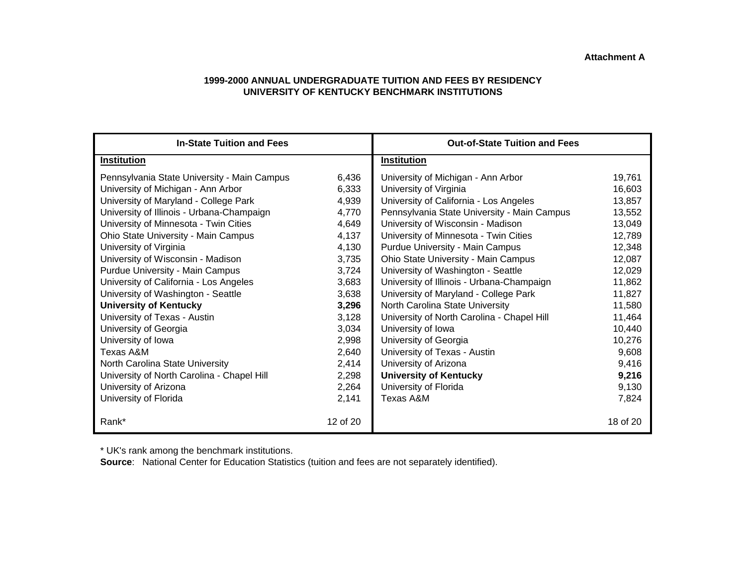#### **1999-2000 ANNUAL UNDERGRADUATE TUITION AND FEES BY RESIDENCY UNIVERSITY OF KENTUCKY BENCHMARK INSTITUTIONS**

| <b>In-State Tuition and Fees</b>                                                                                                                                                                                                                                                                                                                                                                                                                                                                                                    |                                                                                                                            | <b>Out-of-State Tuition and Fees</b>                                                                                                                                                                                                                                                                                                                                                                                                                                                                                                                    |                                                                                                                                          |
|-------------------------------------------------------------------------------------------------------------------------------------------------------------------------------------------------------------------------------------------------------------------------------------------------------------------------------------------------------------------------------------------------------------------------------------------------------------------------------------------------------------------------------------|----------------------------------------------------------------------------------------------------------------------------|---------------------------------------------------------------------------------------------------------------------------------------------------------------------------------------------------------------------------------------------------------------------------------------------------------------------------------------------------------------------------------------------------------------------------------------------------------------------------------------------------------------------------------------------------------|------------------------------------------------------------------------------------------------------------------------------------------|
| <b>Institution</b>                                                                                                                                                                                                                                                                                                                                                                                                                                                                                                                  |                                                                                                                            | <b>Institution</b>                                                                                                                                                                                                                                                                                                                                                                                                                                                                                                                                      |                                                                                                                                          |
| Pennsylvania State University - Main Campus<br>University of Michigan - Ann Arbor<br>University of Maryland - College Park<br>University of Illinois - Urbana-Champaign<br>University of Minnesota - Twin Cities<br>Ohio State University - Main Campus<br>University of Virginia<br>University of Wisconsin - Madison<br>Purdue University - Main Campus<br>University of California - Los Angeles<br>University of Washington - Seattle<br><b>University of Kentucky</b><br>University of Texas - Austin<br>University of Georgia | 6,436<br>6,333<br>4,939<br>4,770<br>4,649<br>4,137<br>4,130<br>3,735<br>3,724<br>3,683<br>3,638<br>3,296<br>3,128<br>3,034 | University of Michigan - Ann Arbor<br>University of Virginia<br>University of California - Los Angeles<br>Pennsylvania State University - Main Campus<br>University of Wisconsin - Madison<br>University of Minnesota - Twin Cities<br><b>Purdue University - Main Campus</b><br>Ohio State University - Main Campus<br>University of Washington - Seattle<br>University of Illinois - Urbana-Champaign<br>University of Maryland - College Park<br>North Carolina State University<br>University of North Carolina - Chapel Hill<br>University of Iowa | 19,761<br>16,603<br>13,857<br>13,552<br>13,049<br>12,789<br>12,348<br>12,087<br>12,029<br>11,862<br>11,827<br>11,580<br>11,464<br>10,440 |
| University of Iowa<br>Texas A&M<br>North Carolina State University<br>University of North Carolina - Chapel Hill<br>University of Arizona<br>University of Florida<br>Rank*                                                                                                                                                                                                                                                                                                                                                         | 2,998<br>2,640<br>2,414<br>2,298<br>2,264<br>2,141<br>12 of 20                                                             | University of Georgia<br>University of Texas - Austin<br>University of Arizona<br><b>University of Kentucky</b><br>University of Florida<br>Texas A&M                                                                                                                                                                                                                                                                                                                                                                                                   | 10,276<br>9,608<br>9,416<br>9,216<br>9,130<br>7,824<br>18 of 20                                                                          |

\* UK's rank among the benchmark institutions.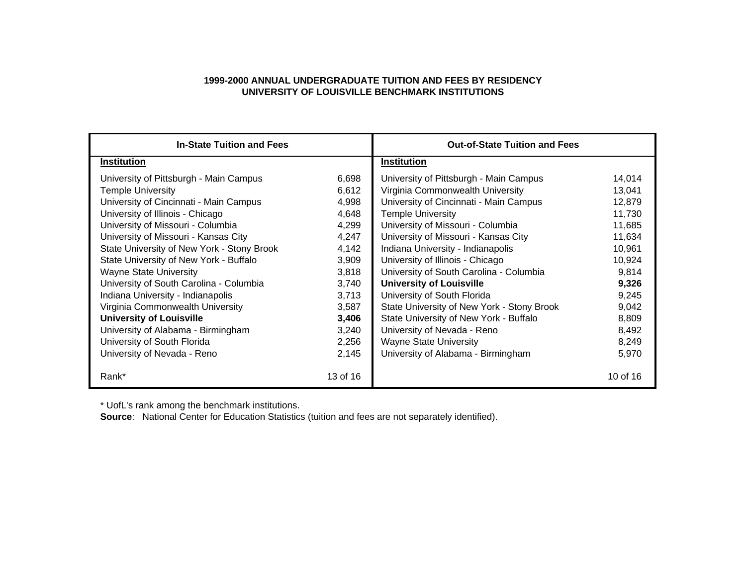#### **1999-2000 ANNUAL UNDERGRADUATE TUITION AND FEES BY RESIDENCY UNIVERSITY OF LOUISVILLE BENCHMARK INSTITUTIONS**

| <b>In-State Tuition and Fees</b>           |          | <b>Out-of-State Tuition and Fees</b>       |          |
|--------------------------------------------|----------|--------------------------------------------|----------|
| <b>Institution</b>                         |          | Institution                                |          |
| University of Pittsburgh - Main Campus     | 6,698    | University of Pittsburgh - Main Campus     | 14,014   |
| <b>Temple University</b>                   | 6,612    | Virginia Commonwealth University           | 13,041   |
| University of Cincinnati - Main Campus     | 4,998    | University of Cincinnati - Main Campus     | 12,879   |
| University of Illinois - Chicago           | 4,648    | <b>Temple University</b>                   | 11,730   |
| University of Missouri - Columbia          | 4,299    | University of Missouri - Columbia          | 11,685   |
| University of Missouri - Kansas City       | 4,247    | University of Missouri - Kansas City       | 11,634   |
| State University of New York - Stony Brook | 4,142    | Indiana University - Indianapolis          | 10,961   |
| State University of New York - Buffalo     | 3,909    | University of Illinois - Chicago           | 10,924   |
| <b>Wayne State University</b>              | 3,818    | University of South Carolina - Columbia    | 9,814    |
| University of South Carolina - Columbia    | 3,740    | <b>University of Louisville</b>            | 9,326    |
| Indiana University - Indianapolis          | 3,713    | University of South Florida                | 9,245    |
| Virginia Commonwealth University           | 3,587    | State University of New York - Stony Brook | 9,042    |
| <b>University of Louisville</b>            | 3,406    | State University of New York - Buffalo     | 8,809    |
| University of Alabama - Birmingham         | 3,240    | University of Nevada - Reno                | 8,492    |
| University of South Florida                | 2,256    | <b>Wayne State University</b>              | 8,249    |
| University of Nevada - Reno                | 2,145    | University of Alabama - Birmingham         | 5,970    |
| Rank*                                      | 13 of 16 |                                            | 10 of 16 |

\* UofL's rank among the benchmark institutions.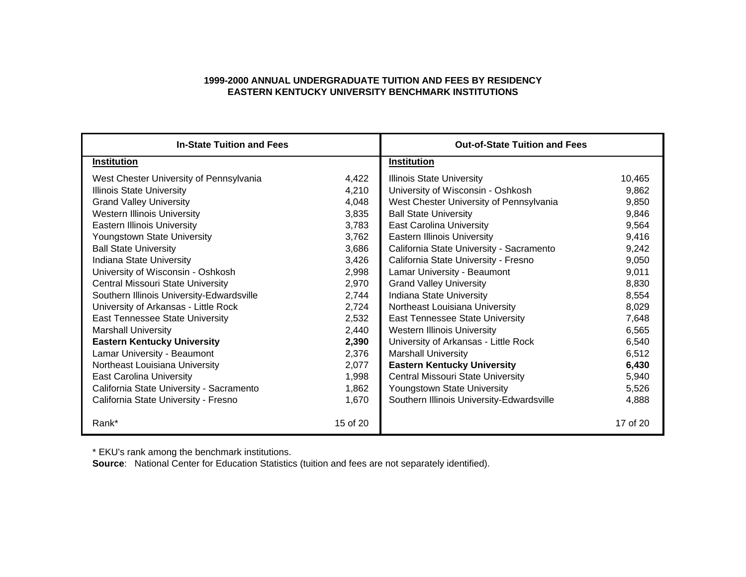### **1999-2000 ANNUAL UNDERGRADUATE TUITION AND FEES BY RESIDENCY EASTERN KENTUCKY UNIVERSITY BENCHMARK INSTITUTIONS**

| <b>In-State Tuition and Fees</b>          |          | <b>Out-of-State Tuition and Fees</b>      |          |
|-------------------------------------------|----------|-------------------------------------------|----------|
| <b>Institution</b>                        |          | <b>Institution</b>                        |          |
| West Chester University of Pennsylvania   | 4,422    | <b>Illinois State University</b>          | 10,465   |
| <b>Illinois State University</b>          | 4,210    | University of Wisconsin - Oshkosh         | 9,862    |
| <b>Grand Valley University</b>            | 4,048    | West Chester University of Pennsylvania   | 9,850    |
| <b>Western Illinois University</b>        | 3,835    | <b>Ball State University</b>              | 9,846    |
| <b>Eastern Illinois University</b>        | 3,783    | <b>East Carolina University</b>           | 9,564    |
| Youngstown State University               | 3,762    | <b>Eastern Illinois University</b>        | 9,416    |
| <b>Ball State University</b>              | 3,686    | California State University - Sacramento  | 9,242    |
| Indiana State University                  | 3,426    | California State University - Fresno      | 9,050    |
| University of Wisconsin - Oshkosh         | 2,998    | Lamar University - Beaumont               | 9,011    |
| Central Missouri State University         | 2,970    | <b>Grand Valley University</b>            | 8,830    |
| Southern Illinois University-Edwardsville | 2,744    | Indiana State University                  | 8,554    |
| University of Arkansas - Little Rock      | 2,724    | Northeast Louisiana University            | 8,029    |
| East Tennessee State University           | 2,532    | <b>East Tennessee State University</b>    | 7,648    |
| <b>Marshall University</b>                | 2,440    | <b>Western Illinois University</b>        | 6,565    |
| <b>Eastern Kentucky University</b>        | 2,390    | University of Arkansas - Little Rock      | 6,540    |
| Lamar University - Beaumont               | 2,376    | <b>Marshall University</b>                | 6,512    |
| Northeast Louisiana University            | 2,077    | <b>Eastern Kentucky University</b>        | 6,430    |
| <b>East Carolina University</b>           | 1,998    | <b>Central Missouri State University</b>  | 5,940    |
| California State University - Sacramento  | 1,862    | Youngstown State University               | 5,526    |
| California State University - Fresno      | 1,670    | Southern Illinois University-Edwardsville | 4,888    |
| Rank*                                     | 15 of 20 |                                           | 17 of 20 |

\* EKU's rank among the benchmark institutions.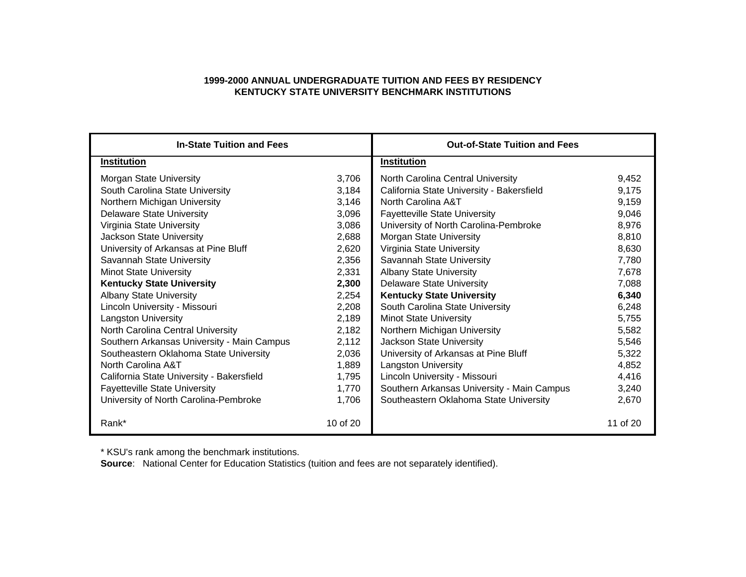### **1999-2000 ANNUAL UNDERGRADUATE TUITION AND FEES BY RESIDENCY KENTUCKY STATE UNIVERSITY BENCHMARK INSTITUTIONS**

| <b>In-State Tuition and Fees</b>           |          | <b>Out-of-State Tuition and Fees</b>       |          |
|--------------------------------------------|----------|--------------------------------------------|----------|
| <b>Institution</b>                         |          | <b>Institution</b>                         |          |
| <b>Morgan State University</b>             | 3,706    | North Carolina Central University          | 9,452    |
| South Carolina State University            | 3,184    | California State University - Bakersfield  | 9,175    |
| Northern Michigan University               | 3,146    | North Carolina A&T                         | 9,159    |
| <b>Delaware State University</b>           | 3,096    | <b>Fayetteville State University</b>       | 9,046    |
| Virginia State University                  | 3,086    | University of North Carolina-Pembroke      | 8,976    |
| Jackson State University                   | 2,688    | Morgan State University                    | 8,810    |
| University of Arkansas at Pine Bluff       | 2,620    | Virginia State University                  | 8,630    |
| Savannah State University                  | 2,356    | Savannah State University                  | 7,780    |
| <b>Minot State University</b>              | 2,331    | <b>Albany State University</b>             | 7,678    |
| <b>Kentucky State University</b>           | 2,300    | <b>Delaware State University</b>           | 7,088    |
| <b>Albany State University</b>             | 2,254    | <b>Kentucky State University</b>           | 6,340    |
| Lincoln University - Missouri              | 2,208    | South Carolina State University            | 6,248    |
| <b>Langston University</b>                 | 2,189    | <b>Minot State University</b>              | 5,755    |
| North Carolina Central University          | 2,182    | Northern Michigan University               | 5,582    |
| Southern Arkansas University - Main Campus | 2,112    | Jackson State University                   | 5,546    |
| Southeastern Oklahoma State University     | 2,036    | University of Arkansas at Pine Bluff       | 5,322    |
| North Carolina A&T                         | 1,889    | <b>Langston University</b>                 | 4,852    |
| California State University - Bakersfield  | 1,795    | Lincoln University - Missouri              | 4,416    |
| <b>Fayetteville State University</b>       | 1,770    | Southern Arkansas University - Main Campus | 3,240    |
| University of North Carolina-Pembroke      | 1,706    | Southeastern Oklahoma State University     | 2,670    |
| Rank*                                      | 10 of 20 |                                            | 11 of 20 |

\* KSU's rank among the benchmark institutions.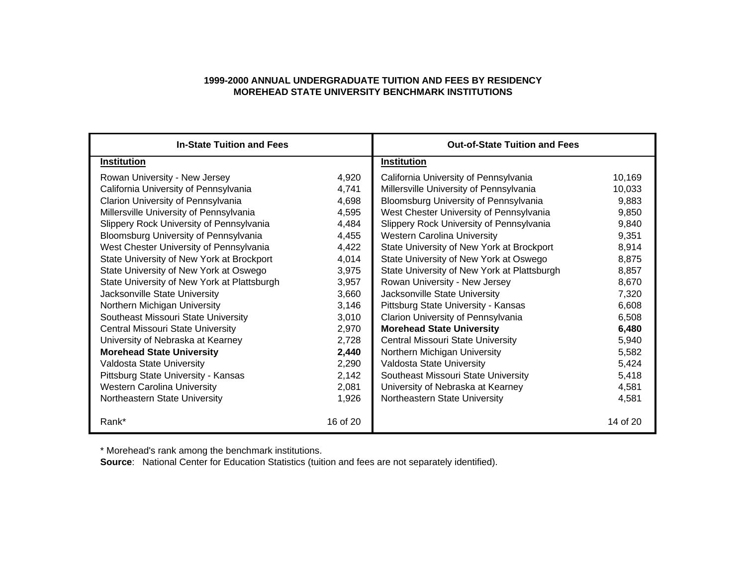### **1999-2000 ANNUAL UNDERGRADUATE TUITION AND FEES BY RESIDENCY MOREHEAD STATE UNIVERSITY BENCHMARK INSTITUTIONS**

| <b>In-State Tuition and Fees</b>            |          | <b>Out-of-State Tuition and Fees</b>        |          |
|---------------------------------------------|----------|---------------------------------------------|----------|
| <b>Institution</b>                          |          | <b>Institution</b>                          |          |
| Rowan University - New Jersey               | 4,920    | California University of Pennsylvania       | 10,169   |
| California University of Pennsylvania       | 4,741    | Millersville University of Pennsylvania     | 10,033   |
| Clarion University of Pennsylvania          | 4,698    | Bloomsburg University of Pennsylvania       | 9,883    |
| Millersville University of Pennsylvania     | 4,595    | West Chester University of Pennsylvania     | 9,850    |
| Slippery Rock University of Pennsylvania    | 4,484    | Slippery Rock University of Pennsylvania    | 9,840    |
| Bloomsburg University of Pennsylvania       | 4,455    | <b>Western Carolina University</b>          | 9,351    |
| West Chester University of Pennsylvania     | 4,422    | State University of New York at Brockport   | 8,914    |
| State University of New York at Brockport   | 4,014    | State University of New York at Oswego      | 8,875    |
| State University of New York at Oswego      | 3,975    | State University of New York at Plattsburgh | 8,857    |
| State University of New York at Plattsburgh | 3,957    | Rowan University - New Jersey               | 8,670    |
| Jacksonville State University               | 3,660    | Jacksonville State University               | 7,320    |
| Northern Michigan University                | 3,146    | Pittsburg State University - Kansas         | 6,608    |
| Southeast Missouri State University         | 3,010    | Clarion University of Pennsylvania          | 6,508    |
| <b>Central Missouri State University</b>    | 2,970    | <b>Morehead State University</b>            | 6,480    |
| University of Nebraska at Kearney           | 2,728    | <b>Central Missouri State University</b>    | 5,940    |
| <b>Morehead State University</b>            | 2,440    | Northern Michigan University                | 5,582    |
| Valdosta State University                   | 2,290    | Valdosta State University                   | 5,424    |
| Pittsburg State University - Kansas         | 2,142    | Southeast Missouri State University         | 5,418    |
| <b>Western Carolina University</b>          | 2,081    | University of Nebraska at Kearney           | 4,581    |
| Northeastern State University               | 1,926    | Northeastern State University               | 4,581    |
| Rank*                                       | 16 of 20 |                                             | 14 of 20 |

\* Morehead's rank among the benchmark institutions.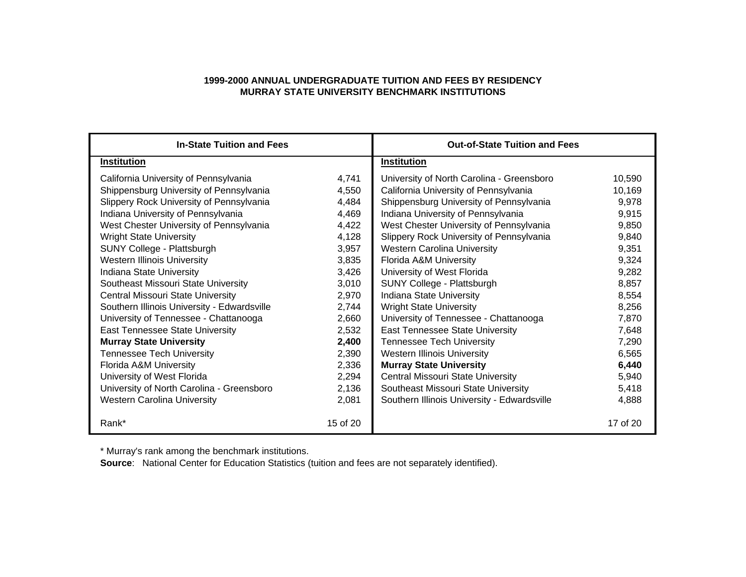### **1999-2000 ANNUAL UNDERGRADUATE TUITION AND FEES BY RESIDENCY MURRAY STATE UNIVERSITY BENCHMARK INSTITUTIONS**

| <b>In-State Tuition and Fees</b>            |          | <b>Out-of-State Tuition and Fees</b>        |          |
|---------------------------------------------|----------|---------------------------------------------|----------|
| <b>Institution</b>                          |          | <b>Institution</b>                          |          |
| California University of Pennsylvania       | 4,741    | University of North Carolina - Greensboro   | 10,590   |
| Shippensburg University of Pennsylvania     | 4,550    | California University of Pennsylvania       | 10,169   |
| Slippery Rock University of Pennsylvania    | 4,484    | Shippensburg University of Pennsylvania     | 9,978    |
| Indiana University of Pennsylvania          | 4,469    | Indiana University of Pennsylvania          | 9,915    |
| West Chester University of Pennsylvania     | 4,422    | West Chester University of Pennsylvania     | 9,850    |
| <b>Wright State University</b>              | 4,128    | Slippery Rock University of Pennsylvania    | 9,840    |
| SUNY College - Plattsburgh                  | 3,957    | <b>Western Carolina University</b>          | 9,351    |
| <b>Western Illinois University</b>          | 3,835    | Florida A&M University                      | 9,324    |
| Indiana State University                    | 3,426    | University of West Florida                  | 9,282    |
| Southeast Missouri State University         | 3,010    | SUNY College - Plattsburgh                  | 8,857    |
| <b>Central Missouri State University</b>    | 2,970    | Indiana State University                    | 8,554    |
| Southern Illinois University - Edwardsville | 2,744    | <b>Wright State University</b>              | 8,256    |
| University of Tennessee - Chattanooga       | 2,660    | University of Tennessee - Chattanooga       | 7,870    |
| East Tennessee State University             | 2,532    | <b>East Tennessee State University</b>      | 7,648    |
| <b>Murray State University</b>              | 2,400    | <b>Tennessee Tech University</b>            | 7,290    |
| <b>Tennessee Tech University</b>            | 2,390    | <b>Western Illinois University</b>          | 6,565    |
| Florida A&M University                      | 2,336    | <b>Murray State University</b>              | 6,440    |
| University of West Florida                  | 2,294    | Central Missouri State University           | 5,940    |
| University of North Carolina - Greensboro   | 2,136    | Southeast Missouri State University         | 5,418    |
| <b>Western Carolina University</b>          | 2,081    | Southern Illinois University - Edwardsville | 4,888    |
| Rank*                                       | 15 of 20 |                                             | 17 of 20 |

\* Murray's rank among the benchmark institutions.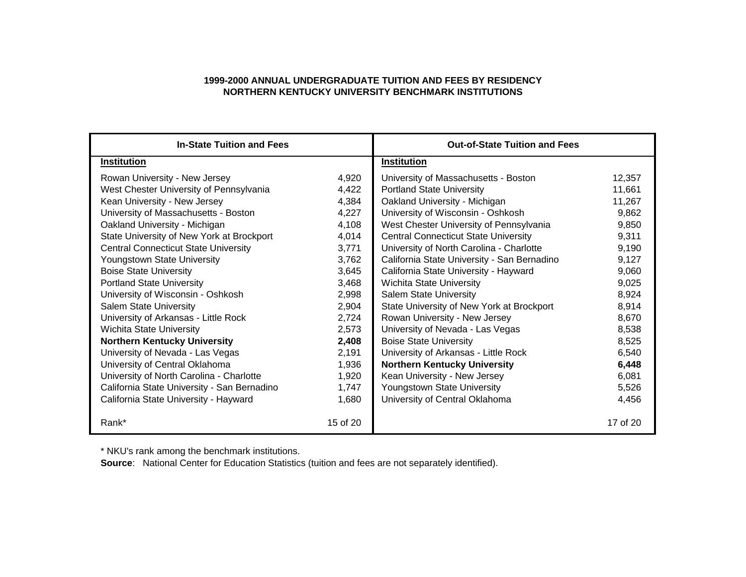### **1999-2000 ANNUAL UNDERGRADUATE TUITION AND FEES BY RESIDENCY NORTHERN KENTUCKY UNIVERSITY BENCHMARK INSTITUTIONS**

| <b>In-State Tuition and Fees</b>            |          | <b>Out-of-State Tuition and Fees</b>        |          |  |
|---------------------------------------------|----------|---------------------------------------------|----------|--|
| Institution                                 |          | <b>Institution</b>                          |          |  |
| Rowan University - New Jersey               | 4,920    | University of Massachusetts - Boston        | 12,357   |  |
| West Chester University of Pennsylvania     | 4,422    | <b>Portland State University</b>            | 11,661   |  |
| Kean University - New Jersey                | 4,384    | Oakland University - Michigan               | 11,267   |  |
| University of Massachusetts - Boston        | 4,227    | University of Wisconsin - Oshkosh           | 9,862    |  |
| Oakland University - Michigan               | 4,108    | West Chester University of Pennsylvania     | 9,850    |  |
| State University of New York at Brockport   | 4,014    | <b>Central Connecticut State University</b> | 9,311    |  |
| <b>Central Connecticut State University</b> | 3,771    | University of North Carolina - Charlotte    | 9,190    |  |
| Youngstown State University                 | 3,762    | California State University - San Bernadino | 9,127    |  |
| <b>Boise State University</b>               | 3,645    | California State University - Hayward       | 9,060    |  |
| <b>Portland State University</b>            | 3,468    | <b>Wichita State University</b>             | 9,025    |  |
| University of Wisconsin - Oshkosh           | 2,998    | <b>Salem State University</b>               | 8,924    |  |
| <b>Salem State University</b>               | 2,904    | State University of New York at Brockport   | 8,914    |  |
| University of Arkansas - Little Rock        | 2,724    | Rowan University - New Jersey               | 8,670    |  |
| <b>Wichita State University</b>             | 2,573    | University of Nevada - Las Vegas            | 8,538    |  |
| <b>Northern Kentucky University</b>         | 2,408    | <b>Boise State University</b>               | 8,525    |  |
| University of Nevada - Las Vegas            | 2,191    | University of Arkansas - Little Rock        | 6,540    |  |
| University of Central Oklahoma              | 1,936    | <b>Northern Kentucky University</b>         | 6,448    |  |
| University of North Carolina - Charlotte    | 1,920    | Kean University - New Jersey                | 6,081    |  |
| California State University - San Bernadino | 1,747    | Youngstown State University                 | 5,526    |  |
| California State University - Hayward       | 1,680    | University of Central Oklahoma              | 4,456    |  |
| Rank*                                       | 15 of 20 |                                             | 17 of 20 |  |

\* NKU's rank among the benchmark institutions.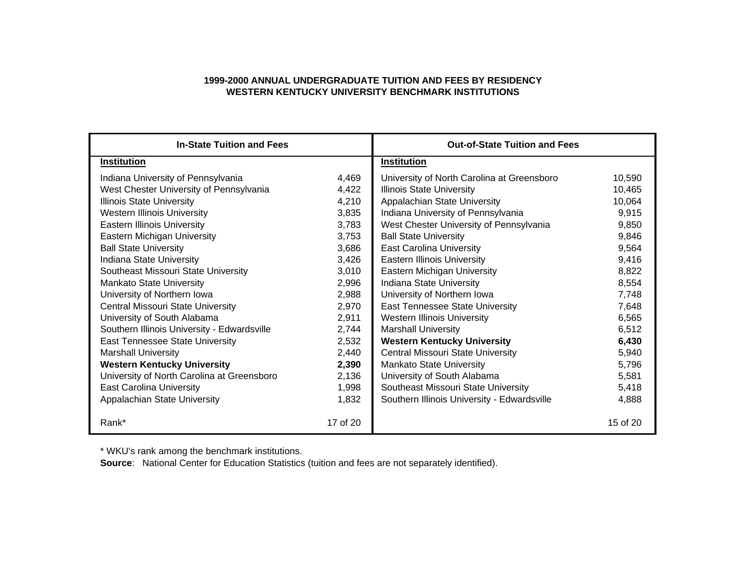### **1999-2000 ANNUAL UNDERGRADUATE TUITION AND FEES BY RESIDENCY WESTERN KENTUCKY UNIVERSITY BENCHMARK INSTITUTIONS**

| <b>In-State Tuition and Fees</b>            |          | <b>Out-of-State Tuition and Fees</b>        |          |
|---------------------------------------------|----------|---------------------------------------------|----------|
| <b>Institution</b>                          |          | <b>Institution</b>                          |          |
| Indiana University of Pennsylvania          | 4,469    | University of North Carolina at Greensboro  | 10,590   |
| West Chester University of Pennsylvania     | 4,422    | <b>Illinois State University</b>            | 10,465   |
| <b>Illinois State University</b>            | 4,210    | Appalachian State University                | 10,064   |
| <b>Western Illinois University</b>          | 3,835    | Indiana University of Pennsylvania          | 9,915    |
| <b>Eastern Illinois University</b>          | 3,783    | West Chester University of Pennsylvania     | 9,850    |
| Eastern Michigan University                 | 3,753    | <b>Ball State University</b>                | 9,846    |
| <b>Ball State University</b>                | 3,686    | <b>East Carolina University</b>             | 9,564    |
| Indiana State University                    | 3,426    | <b>Eastern Illinois University</b>          | 9,416    |
| Southeast Missouri State University         | 3,010    | Eastern Michigan University                 | 8,822    |
| <b>Mankato State University</b>             | 2,996    | Indiana State University                    | 8,554    |
| University of Northern Iowa                 | 2,988    | University of Northern Iowa                 | 7,748    |
| Central Missouri State University           | 2,970    | East Tennessee State University             | 7,648    |
| University of South Alabama                 | 2,911    | <b>Western Illinois University</b>          | 6,565    |
| Southern Illinois University - Edwardsville | 2,744    | <b>Marshall University</b>                  | 6,512    |
| East Tennessee State University             | 2,532    | <b>Western Kentucky University</b>          | 6,430    |
| <b>Marshall University</b>                  | 2,440    | Central Missouri State University           | 5,940    |
| <b>Western Kentucky University</b>          | 2,390    | <b>Mankato State University</b>             | 5,796    |
| University of North Carolina at Greensboro  | 2,136    | University of South Alabama                 | 5,581    |
| <b>East Carolina University</b>             | 1,998    | Southeast Missouri State University         | 5,418    |
| Appalachian State University                | 1,832    | Southern Illinois University - Edwardsville | 4,888    |
| Rank*                                       | 17 of 20 |                                             | 15 of 20 |

\* WKU's rank among the benchmark institutions.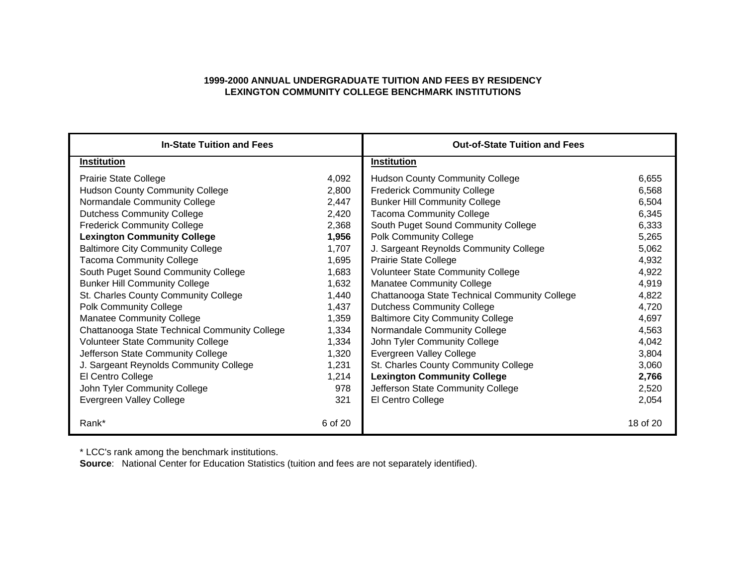### **1999-2000 ANNUAL UNDERGRADUATE TUITION AND FEES BY RESIDENCY LEXINGTON COMMUNITY COLLEGE BENCHMARK INSTITUTIONS**

| <b>In-State Tuition and Fees</b>              |         | <b>Out-of-State Tuition and Fees</b>          |          |  |
|-----------------------------------------------|---------|-----------------------------------------------|----------|--|
| <b>Institution</b>                            |         | <b>Institution</b>                            |          |  |
| <b>Prairie State College</b>                  | 4,092   | <b>Hudson County Community College</b>        | 6,655    |  |
| <b>Hudson County Community College</b>        | 2,800   | <b>Frederick Community College</b>            | 6,568    |  |
| Normandale Community College                  | 2,447   | <b>Bunker Hill Community College</b>          | 6,504    |  |
| <b>Dutchess Community College</b>             | 2,420   | <b>Tacoma Community College</b>               | 6,345    |  |
| <b>Frederick Community College</b>            | 2,368   | South Puget Sound Community College           | 6,333    |  |
| <b>Lexington Community College</b>            | 1,956   | <b>Polk Community College</b>                 | 5,265    |  |
| <b>Baltimore City Community College</b>       | 1,707   | J. Sargeant Reynolds Community College        | 5,062    |  |
| <b>Tacoma Community College</b>               | 1,695   | <b>Prairie State College</b>                  | 4,932    |  |
| South Puget Sound Community College           | 1,683   | <b>Volunteer State Community College</b>      | 4,922    |  |
| <b>Bunker Hill Community College</b>          | 1,632   | <b>Manatee Community College</b>              | 4,919    |  |
| St. Charles County Community College          | 1,440   | Chattanooga State Technical Community College | 4,822    |  |
| <b>Polk Community College</b>                 | 1,437   | <b>Dutchess Community College</b>             | 4,720    |  |
| Manatee Community College                     | 1,359   | <b>Baltimore City Community College</b>       | 4,697    |  |
| Chattanooga State Technical Community College | 1,334   | Normandale Community College                  | 4,563    |  |
| <b>Volunteer State Community College</b>      | 1,334   | John Tyler Community College                  | 4,042    |  |
| Jefferson State Community College             | 1,320   | Evergreen Valley College                      | 3,804    |  |
| J. Sargeant Reynolds Community College        | 1,231   | St. Charles County Community College          | 3,060    |  |
| El Centro College                             | 1,214   | <b>Lexington Community College</b>            | 2,766    |  |
| John Tyler Community College                  | 978     | Jefferson State Community College             | 2,520    |  |
| Evergreen Valley College                      | 321     | El Centro College                             | 2,054    |  |
| Rank*                                         | 6 of 20 |                                               | 18 of 20 |  |

\* LCC's rank among the benchmark institutions.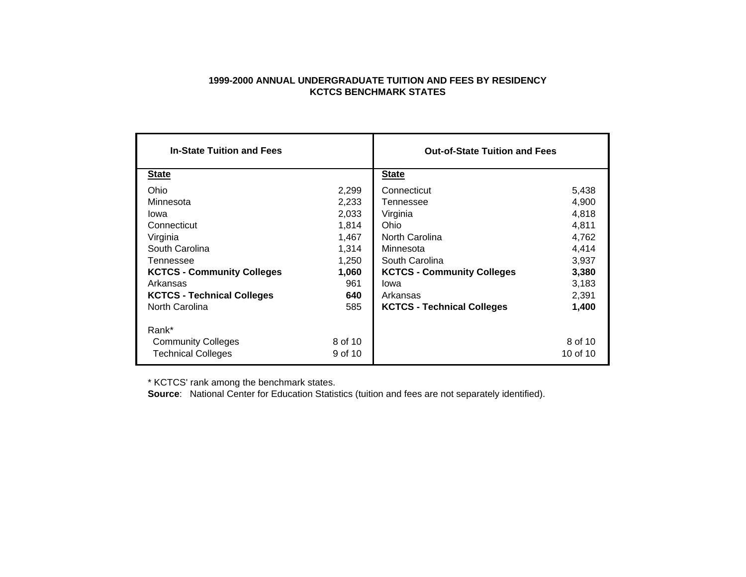#### **1999-2000 ANNUAL UNDERGRADUATE TUITION AND FEES BY RESIDENCY KCTCS BENCHMARK STATES**

| <b>In-State Tuition and Fees</b>  |         | <b>Out-of-State Tuition and Fees</b> |          |
|-----------------------------------|---------|--------------------------------------|----------|
| <b>State</b>                      |         | <b>State</b>                         |          |
| Ohio                              | 2,299   | Connecticut                          | 5,438    |
| Minnesota                         | 2,233   | Tennessee                            | 4,900    |
| lowa                              | 2,033   | Virginia                             | 4,818    |
| Connecticut                       | 1.814   | Ohio                                 | 4,811    |
| Virginia                          | 1.467   | North Carolina                       | 4,762    |
| South Carolina                    | 1,314   | Minnesota                            | 4,414    |
| Tennessee                         | 1,250   | South Carolina                       | 3,937    |
| <b>KCTCS - Community Colleges</b> | 1,060   | <b>KCTCS - Community Colleges</b>    | 3,380    |
| Arkansas                          | 961     | lowa                                 | 3,183    |
| <b>KCTCS - Technical Colleges</b> | 640     | Arkansas                             | 2,391    |
| North Carolina                    | 585     | <b>KCTCS - Technical Colleges</b>    | 1,400    |
| Rank*                             |         |                                      |          |
| <b>Community Colleges</b>         | 8 of 10 |                                      | 8 of 10  |
| <b>Technical Colleges</b>         | 9 of 10 |                                      | 10 of 10 |

\* KCTCS' rank among the benchmark states.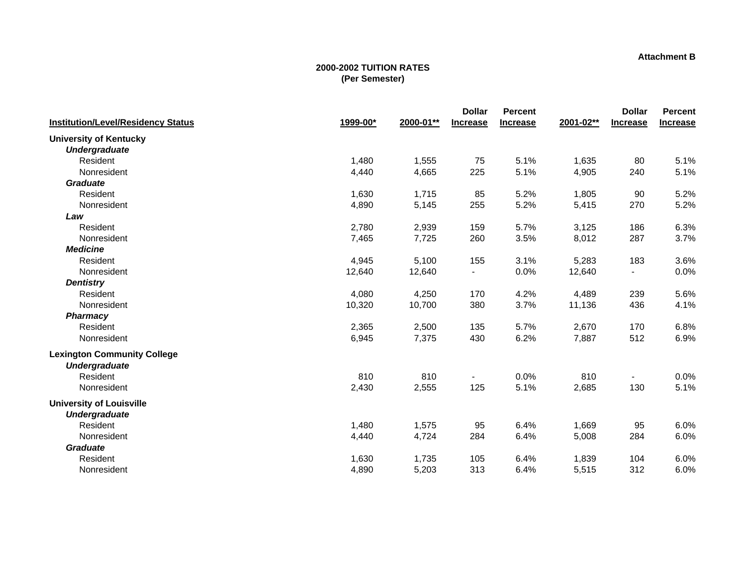#### **Attachment B**

|                                           |          |           | <b>Dollar</b>            | <b>Percent</b>  |           | <b>Dollar</b>   | <b>Percent</b>  |
|-------------------------------------------|----------|-----------|--------------------------|-----------------|-----------|-----------------|-----------------|
| <b>Institution/Level/Residency Status</b> | 1999-00* | 2000-01** | <b>Increase</b>          | <b>Increase</b> | 2001-02** | <b>Increase</b> | <b>Increase</b> |
| <b>University of Kentucky</b>             |          |           |                          |                 |           |                 |                 |
| <b>Undergraduate</b>                      |          |           |                          |                 |           |                 |                 |
| Resident                                  | 1,480    | 1,555     | 75                       | 5.1%            | 1,635     | 80              | 5.1%            |
| Nonresident                               | 4,440    | 4,665     | 225                      | 5.1%            | 4,905     | 240             | 5.1%            |
| <b>Graduate</b>                           |          |           |                          |                 |           |                 |                 |
| Resident                                  | 1,630    | 1,715     | 85                       | 5.2%            | 1,805     | 90              | 5.2%            |
| Nonresident                               | 4,890    | 5,145     | 255                      | 5.2%            | 5,415     | 270             | 5.2%            |
| Law                                       |          |           |                          |                 |           |                 |                 |
| Resident                                  | 2,780    | 2,939     | 159                      | 5.7%            | 3,125     | 186             | 6.3%            |
| Nonresident                               | 7,465    | 7,725     | 260                      | 3.5%            | 8,012     | 287             | 3.7%            |
| <b>Medicine</b>                           |          |           |                          |                 |           |                 |                 |
| Resident                                  | 4,945    | 5,100     | 155                      | 3.1%            | 5,283     | 183             | 3.6%            |
| Nonresident                               | 12,640   | 12,640    | $\blacksquare$           | 0.0%            | 12,640    |                 | 0.0%            |
| <b>Dentistry</b>                          |          |           |                          |                 |           |                 |                 |
| Resident                                  | 4,080    | 4,250     | 170                      | 4.2%            | 4,489     | 239             | 5.6%            |
| Nonresident                               | 10,320   | 10,700    | 380                      | 3.7%            | 11,136    | 436             | 4.1%            |
| <b>Pharmacy</b>                           |          |           |                          |                 |           |                 |                 |
| Resident                                  | 2,365    | 2,500     | 135                      | 5.7%            | 2,670     | 170             | 6.8%            |
| Nonresident                               | 6,945    | 7,375     | 430                      | 6.2%            | 7,887     | 512             | 6.9%            |
| <b>Lexington Community College</b>        |          |           |                          |                 |           |                 |                 |
| <b>Undergraduate</b>                      |          |           |                          |                 |           |                 |                 |
| Resident                                  | 810      | 810       | $\overline{\phantom{a}}$ | 0.0%            | 810       | $\blacksquare$  | 0.0%            |
| Nonresident                               | 2,430    | 2,555     | 125                      | 5.1%            | 2,685     | 130             | 5.1%            |
| <b>University of Louisville</b>           |          |           |                          |                 |           |                 |                 |
| <b>Undergraduate</b>                      |          |           |                          |                 |           |                 |                 |
| Resident                                  | 1,480    | 1,575     | 95                       | 6.4%            | 1,669     | 95              | 6.0%            |
| Nonresident                               | 4,440    | 4,724     | 284                      | 6.4%            | 5,008     | 284             | 6.0%            |
| <b>Graduate</b>                           |          |           |                          |                 |           |                 |                 |
| Resident                                  | 1,630    | 1,735     | 105                      | 6.4%            | 1,839     | 104             | 6.0%            |
| Nonresident                               | 4,890    | 5,203     | 313                      | 6.4%            | 5,515     | 312             | 6.0%            |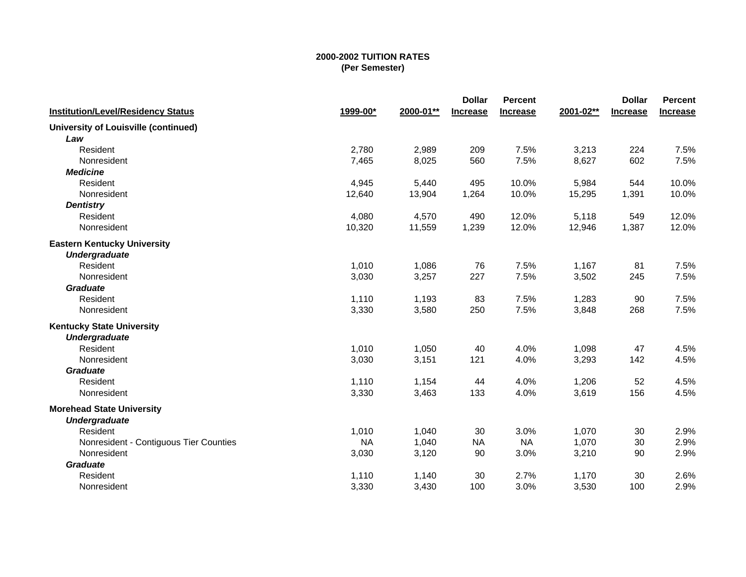|                                             |           |           | <b>Dollar</b>   | Percent         |           | <b>Dollar</b>   | <b>Percent</b>  |
|---------------------------------------------|-----------|-----------|-----------------|-----------------|-----------|-----------------|-----------------|
| <b>Institution/Level/Residency Status</b>   | 1999-00*  | 2000-01** | <b>Increase</b> | <b>Increase</b> | 2001-02** | <b>Increase</b> | <b>Increase</b> |
| <b>University of Louisville (continued)</b> |           |           |                 |                 |           |                 |                 |
| Law                                         |           |           |                 |                 |           |                 |                 |
| Resident                                    | 2,780     | 2,989     | 209             | 7.5%            | 3,213     | 224             | 7.5%            |
| Nonresident                                 | 7,465     | 8,025     | 560             | 7.5%            | 8,627     | 602             | 7.5%            |
| <b>Medicine</b>                             |           |           |                 |                 |           |                 |                 |
| Resident                                    | 4,945     | 5,440     | 495             | 10.0%           | 5,984     | 544             | 10.0%           |
| Nonresident                                 | 12,640    | 13,904    | 1,264           | 10.0%           | 15,295    | 1,391           | 10.0%           |
| <b>Dentistry</b>                            |           |           |                 |                 |           |                 |                 |
| Resident                                    | 4,080     | 4,570     | 490             | 12.0%           | 5,118     | 549             | 12.0%           |
| Nonresident                                 | 10,320    | 11,559    | 1,239           | 12.0%           | 12,946    | 1,387           | 12.0%           |
| <b>Eastern Kentucky University</b>          |           |           |                 |                 |           |                 |                 |
| <b>Undergraduate</b>                        |           |           |                 |                 |           |                 |                 |
| Resident                                    | 1,010     | 1,086     | 76              | 7.5%            | 1,167     | 81              | 7.5%            |
| Nonresident                                 | 3,030     | 3,257     | 227             | 7.5%            | 3,502     | 245             | 7.5%            |
| <b>Graduate</b>                             |           |           |                 |                 |           |                 |                 |
| Resident                                    | 1,110     | 1,193     | 83              | 7.5%            | 1,283     | 90              | 7.5%            |
| Nonresident                                 | 3,330     | 3,580     | 250             | 7.5%            | 3,848     | 268             | 7.5%            |
| <b>Kentucky State University</b>            |           |           |                 |                 |           |                 |                 |
| <b>Undergraduate</b>                        |           |           |                 |                 |           |                 |                 |
| Resident                                    | 1,010     | 1,050     | 40              | 4.0%            | 1,098     | 47              | 4.5%            |
| Nonresident                                 | 3,030     | 3,151     | 121             | 4.0%            | 3,293     | 142             | 4.5%            |
| <b>Graduate</b>                             |           |           |                 |                 |           |                 |                 |
| Resident                                    | 1,110     | 1,154     | 44              | 4.0%            | 1,206     | 52              | 4.5%            |
| Nonresident                                 | 3,330     | 3,463     | 133             | 4.0%            | 3,619     | 156             | 4.5%            |
| <b>Morehead State University</b>            |           |           |                 |                 |           |                 |                 |
| <b>Undergraduate</b>                        |           |           |                 |                 |           |                 |                 |
| Resident                                    | 1,010     | 1,040     | 30              | 3.0%            | 1,070     | 30              | 2.9%            |
| Nonresident - Contiguous Tier Counties      | <b>NA</b> | 1,040     | <b>NA</b>       | <b>NA</b>       | 1,070     | 30              | 2.9%            |
| Nonresident                                 | 3,030     | 3,120     | 90              | 3.0%            | 3,210     | 90              | 2.9%            |
| <b>Graduate</b>                             |           |           |                 |                 |           |                 |                 |
| Resident                                    | 1,110     | 1,140     | 30              | 2.7%            | 1,170     | 30              | 2.6%            |
| Nonresident                                 | 3,330     | 3,430     | 100             | 3.0%            | 3,530     | 100             | 2.9%            |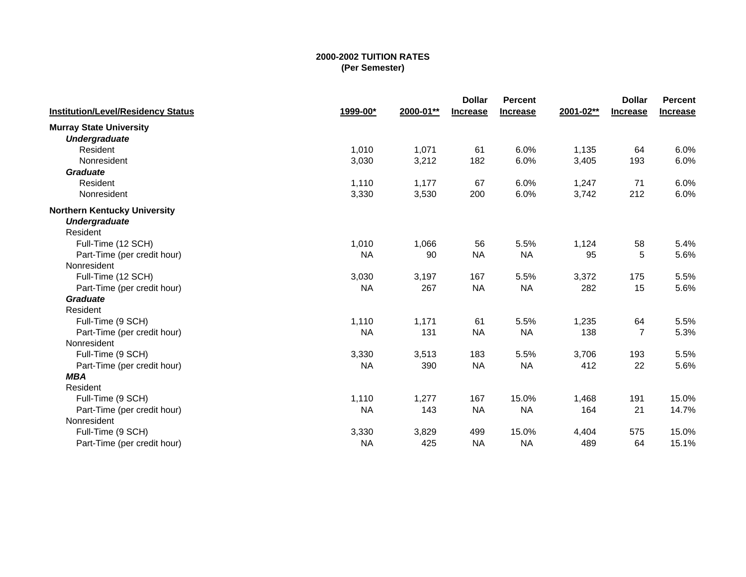| <b>Institution/Level/Residency Status</b> | 1999-00*  | 2000-01** | <b>Dollar</b><br><b>Increase</b> | <b>Percent</b><br><b>Increase</b> | 2001-02** | <b>Dollar</b><br><b>Increase</b> | Percent<br>Increase |
|-------------------------------------------|-----------|-----------|----------------------------------|-----------------------------------|-----------|----------------------------------|---------------------|
| <b>Murray State University</b>            |           |           |                                  |                                   |           |                                  |                     |
| <b>Undergraduate</b>                      |           |           |                                  |                                   |           |                                  |                     |
| Resident                                  | 1,010     | 1,071     | 61                               | 6.0%                              | 1,135     | 64                               | 6.0%                |
| Nonresident                               | 3,030     | 3,212     | 182                              | 6.0%                              | 3,405     | 193                              | 6.0%                |
| <b>Graduate</b>                           |           |           |                                  |                                   |           |                                  |                     |
| Resident                                  | 1,110     | 1,177     | 67                               | 6.0%                              | 1,247     | 71                               | 6.0%                |
| Nonresident                               | 3,330     | 3,530     | 200                              | 6.0%                              | 3,742     | 212                              | 6.0%                |
| <b>Northern Kentucky University</b>       |           |           |                                  |                                   |           |                                  |                     |
| <b>Undergraduate</b>                      |           |           |                                  |                                   |           |                                  |                     |
| Resident                                  |           |           |                                  |                                   |           |                                  |                     |
| Full-Time (12 SCH)                        | 1,010     | 1,066     | 56                               | 5.5%                              | 1,124     | 58                               | 5.4%                |
| Part-Time (per credit hour)               | <b>NA</b> | 90        | <b>NA</b>                        | <b>NA</b>                         | 95        | 5                                | 5.6%                |
| Nonresident                               |           |           |                                  |                                   |           |                                  |                     |
| Full-Time (12 SCH)                        | 3,030     | 3,197     | 167                              | 5.5%                              | 3,372     | 175                              | 5.5%                |
| Part-Time (per credit hour)               | <b>NA</b> | 267       | <b>NA</b>                        | <b>NA</b>                         | 282       | 15                               | 5.6%                |
| <b>Graduate</b>                           |           |           |                                  |                                   |           |                                  |                     |
| Resident                                  |           |           |                                  |                                   |           |                                  |                     |
| Full-Time (9 SCH)                         | 1,110     | 1,171     | 61                               | 5.5%                              | 1,235     | 64                               | 5.5%                |
| Part-Time (per credit hour)               | <b>NA</b> | 131       | <b>NA</b>                        | <b>NA</b>                         | 138       | $\overline{7}$                   | 5.3%                |
| Nonresident                               |           |           |                                  |                                   |           |                                  |                     |
| Full-Time (9 SCH)                         | 3,330     | 3,513     | 183                              | 5.5%                              | 3,706     | 193                              | 5.5%                |
| Part-Time (per credit hour)               | <b>NA</b> | 390       | <b>NA</b>                        | <b>NA</b>                         | 412       | 22                               | 5.6%                |
| <b>MBA</b>                                |           |           |                                  |                                   |           |                                  |                     |
| Resident                                  |           |           |                                  |                                   |           |                                  |                     |
| Full-Time (9 SCH)                         | 1,110     | 1,277     | 167                              | 15.0%                             | 1,468     | 191                              | 15.0%               |
| Part-Time (per credit hour)               | <b>NA</b> | 143       | <b>NA</b>                        | <b>NA</b>                         | 164       | 21                               | 14.7%               |
| Nonresident                               |           |           |                                  |                                   |           |                                  |                     |
| Full-Time (9 SCH)                         | 3,330     | 3,829     | 499                              | 15.0%                             | 4,404     | 575                              | 15.0%               |
| Part-Time (per credit hour)               | <b>NA</b> | 425       | <b>NA</b>                        | <b>NA</b>                         | 489       | 64                               | 15.1%               |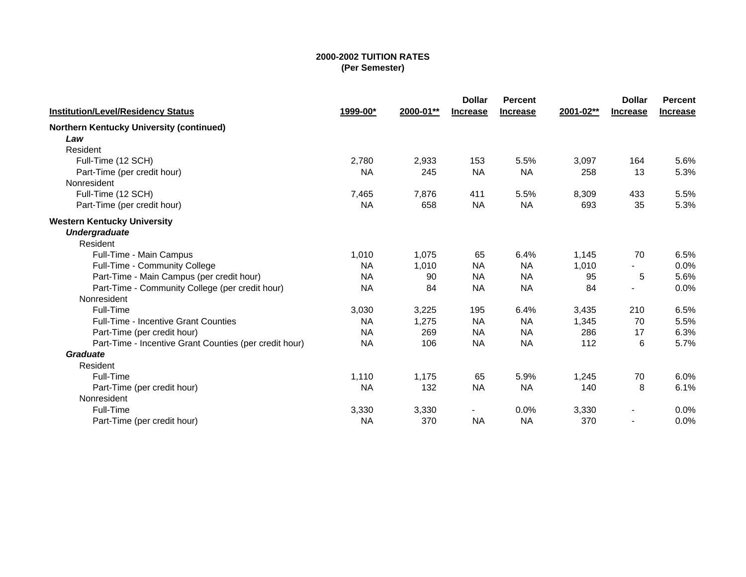| <b>Institution/Level/Residency Status</b>              | 1999-00*  | 2000-01** | <b>Dollar</b><br><b>Increase</b> | <b>Percent</b><br><b>Increase</b> | 2001-02** | <b>Dollar</b><br><b>Increase</b> | <b>Percent</b><br><b>Increase</b> |
|--------------------------------------------------------|-----------|-----------|----------------------------------|-----------------------------------|-----------|----------------------------------|-----------------------------------|
| <b>Northern Kentucky University (continued)</b>        |           |           |                                  |                                   |           |                                  |                                   |
| Law                                                    |           |           |                                  |                                   |           |                                  |                                   |
| Resident                                               |           |           |                                  |                                   |           |                                  |                                   |
| Full-Time (12 SCH)                                     | 2,780     | 2,933     | 153                              | 5.5%                              | 3,097     | 164                              | 5.6%                              |
| Part-Time (per credit hour)                            | <b>NA</b> | 245       | <b>NA</b>                        | <b>NA</b>                         | 258       | 13                               | 5.3%                              |
| Nonresident                                            |           |           |                                  |                                   |           |                                  |                                   |
| Full-Time (12 SCH)                                     | 7,465     | 7,876     | 411                              | 5.5%                              | 8,309     | 433                              | 5.5%                              |
| Part-Time (per credit hour)                            | <b>NA</b> | 658       | <b>NA</b>                        | <b>NA</b>                         | 693       | 35                               | 5.3%                              |
| <b>Western Kentucky University</b>                     |           |           |                                  |                                   |           |                                  |                                   |
| <b>Undergraduate</b>                                   |           |           |                                  |                                   |           |                                  |                                   |
| Resident                                               |           |           |                                  |                                   |           |                                  |                                   |
| Full-Time - Main Campus                                | 1,010     | 1.075     | 65                               | 6.4%                              | 1.145     | 70                               | 6.5%                              |
| Full-Time - Community College                          | <b>NA</b> | 1,010     | <b>NA</b>                        | <b>NA</b>                         | 1,010     |                                  | 0.0%                              |
| Part-Time - Main Campus (per credit hour)              | <b>NA</b> | 90        | <b>NA</b>                        | <b>NA</b>                         | 95        | 5                                | 5.6%                              |
| Part-Time - Community College (per credit hour)        | <b>NA</b> | 84        | <b>NA</b>                        | <b>NA</b>                         | 84        |                                  | 0.0%                              |
| Nonresident                                            |           |           |                                  |                                   |           |                                  |                                   |
| Full-Time                                              | 3,030     | 3,225     | 195                              | 6.4%                              | 3,435     | 210                              | 6.5%                              |
| <b>Full-Time - Incentive Grant Counties</b>            | <b>NA</b> | 1,275     | <b>NA</b>                        | <b>NA</b>                         | 1,345     | 70                               | 5.5%                              |
| Part-Time (per credit hour)                            | <b>NA</b> | 269       | <b>NA</b>                        | <b>NA</b>                         | 286       | 17                               | 6.3%                              |
| Part-Time - Incentive Grant Counties (per credit hour) | <b>NA</b> | 106       | <b>NA</b>                        | <b>NA</b>                         | 112       | 6                                | 5.7%                              |
| Graduate                                               |           |           |                                  |                                   |           |                                  |                                   |
| Resident                                               |           |           |                                  |                                   |           |                                  |                                   |
| Full-Time                                              | 1,110     | 1,175     | 65                               | 5.9%                              | 1,245     | 70                               | 6.0%                              |
| Part-Time (per credit hour)                            | <b>NA</b> | 132       | <b>NA</b>                        | <b>NA</b>                         | 140       | 8                                | 6.1%                              |
| Nonresident                                            |           |           |                                  |                                   |           |                                  |                                   |
| Full-Time                                              | 3,330     | 3,330     | $\blacksquare$                   | 0.0%                              | 3,330     |                                  | 0.0%                              |
| Part-Time (per credit hour)                            | <b>NA</b> | 370       | <b>NA</b>                        | <b>NA</b>                         | 370       | $\blacksquare$                   | 0.0%                              |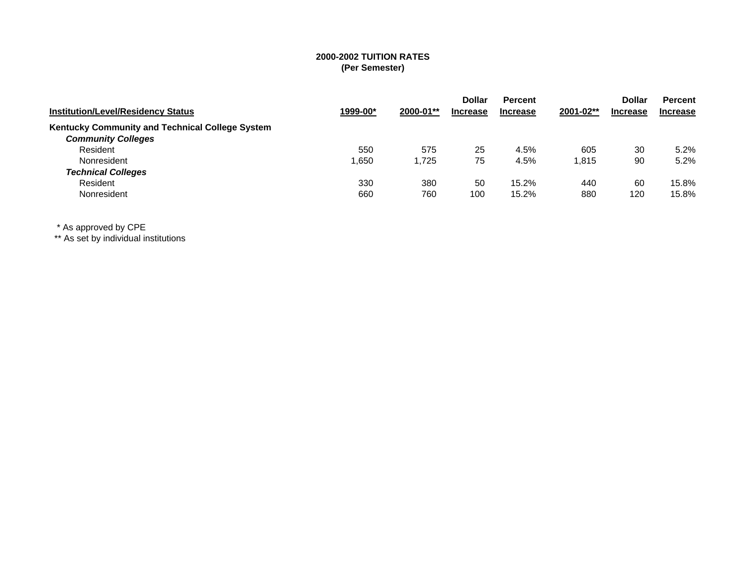| <b>Institution/Level/Residency Status</b>       | 1999-00* | 2000-01** | <b>Dollar</b><br><b>Increase</b> | <b>Percent</b><br><b>Increase</b> | 2001-02** | <b>Dollar</b><br><b>Increase</b> | <b>Percent</b><br><b>Increase</b> |
|-------------------------------------------------|----------|-----------|----------------------------------|-----------------------------------|-----------|----------------------------------|-----------------------------------|
| Kentucky Community and Technical College System |          |           |                                  |                                   |           |                                  |                                   |
| <b>Community Colleges</b>                       |          |           |                                  |                                   |           |                                  |                                   |
| Resident                                        | 550      | 575       | 25                               | 4.5%                              | 605       | 30                               | 5.2%                              |
| Nonresident                                     | .650     | .725      | 75                               | 4.5%                              | 1,815     | 90                               | 5.2%                              |
| <b>Technical Colleges</b>                       |          |           |                                  |                                   |           |                                  |                                   |
| Resident                                        | 330      | 380       | 50                               | 15.2%                             | 440       | 60                               | 15.8%                             |
| Nonresident                                     | 660      | 760       | 100                              | 15.2%                             | 880       | 120                              | 15.8%                             |

\* As approved by CPE

\*\* As set by individual institutions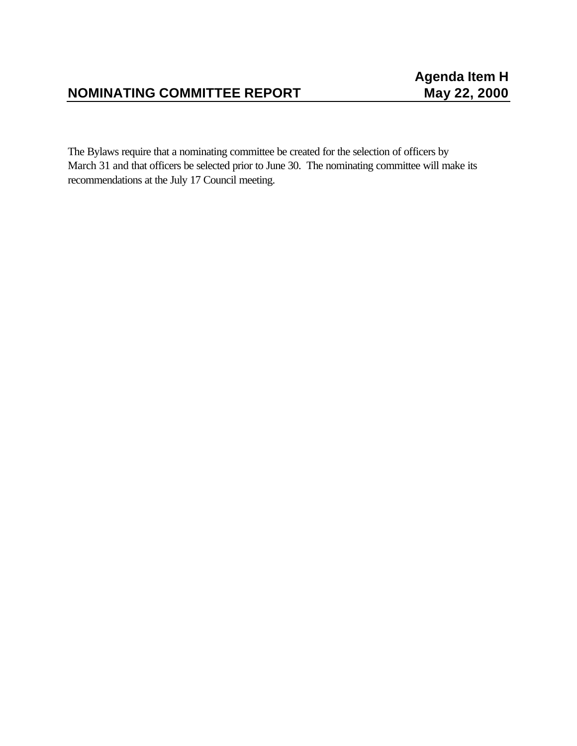# **NOMINATING COMMITTEE REPORT May 22, 2000**

The Bylaws require that a nominating committee be created for the selection of officers by March 31 and that officers be selected prior to June 30. The nominating committee will make its recommendations at the July 17 Council meeting.